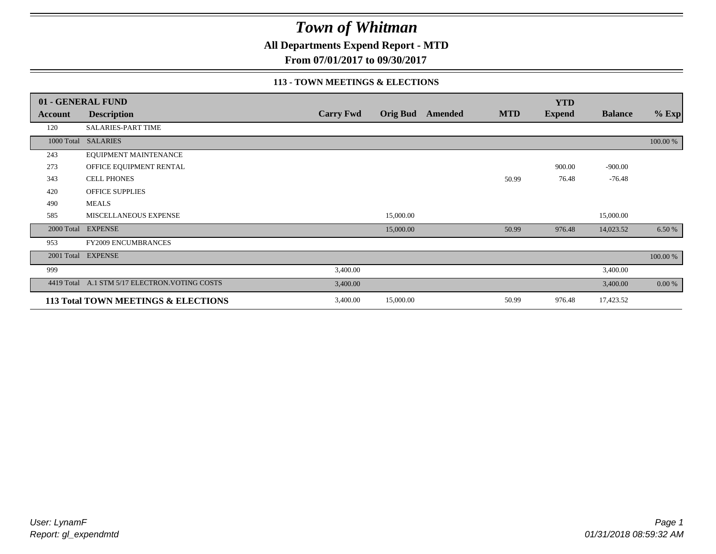**All Departments Expend Report - MTD**

**From 07/01/2017 to 09/30/2017**

#### **113 - TOWN MEETINGS & ELECTIONS**

|            | 01 - GENERAL FUND                              |                  |                 |         |            | <b>YTD</b>    |                |          |
|------------|------------------------------------------------|------------------|-----------------|---------|------------|---------------|----------------|----------|
| Account    | <b>Description</b>                             | <b>Carry Fwd</b> | <b>Orig Bud</b> | Amended | <b>MTD</b> | <b>Expend</b> | <b>Balance</b> | $%$ Exp  |
| 120        | SALARIES-PART TIME                             |                  |                 |         |            |               |                |          |
|            | 1000 Total SALARIES                            |                  |                 |         |            |               |                | 100.00 % |
| 243        | EQUIPMENT MAINTENANCE                          |                  |                 |         |            |               |                |          |
| 273        | OFFICE EQUIPMENT RENTAL                        |                  |                 |         |            | 900.00        | $-900.00$      |          |
| 343        | <b>CELL PHONES</b>                             |                  |                 |         | 50.99      | 76.48         | $-76.48$       |          |
| 420        | OFFICE SUPPLIES                                |                  |                 |         |            |               |                |          |
| 490        | <b>MEALS</b>                                   |                  |                 |         |            |               |                |          |
| 585        | MISCELLANEOUS EXPENSE                          |                  | 15,000.00       |         |            |               | 15,000.00      |          |
|            | 2000 Total EXPENSE                             |                  | 15,000.00       |         | 50.99      | 976.48        | 14,023.52      | 6.50 %   |
| 953        | <b>FY2009 ENCUMBRANCES</b>                     |                  |                 |         |            |               |                |          |
| 2001 Total | <b>EXPENSE</b>                                 |                  |                 |         |            |               |                | 100.00 % |
| 999        |                                                | 3,400.00         |                 |         |            |               | 3,400.00       |          |
|            | 4419 Total A.1 STM 5/17 ELECTRON. VOTING COSTS | 3,400.00         |                 |         |            |               | 3,400.00       | 0.00 %   |
|            | 113 Total TOWN MEETINGS & ELECTIONS            | 3,400.00         | 15,000.00       |         | 50.99      | 976.48        | 17,423.52      |          |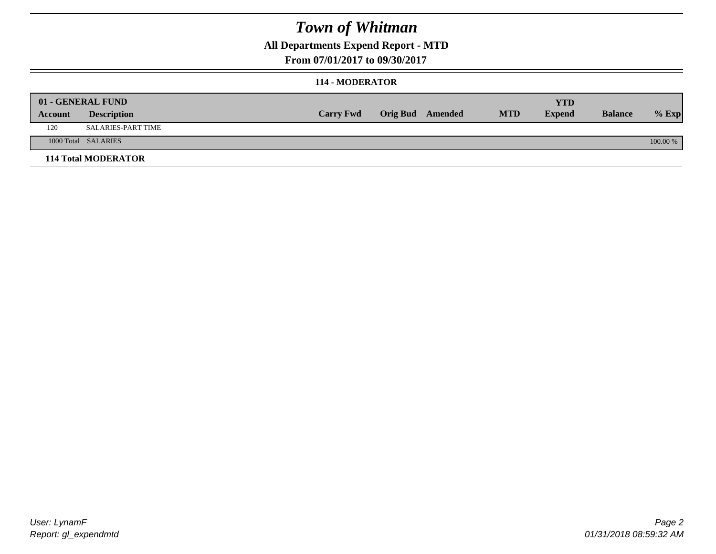### **All Departments Expend Report - MTD**

**From 07/01/2017 to 09/30/2017**

#### **114 - MODERATOR**

|         | 01 - GENERAL FUND          | <b>Carry Fwd</b> | <b>Orig Bud</b> Amended | <b>MTD</b> | <b>YTD</b><br><b>Expend</b> | <b>Balance</b> | $%$ Exp  |
|---------|----------------------------|------------------|-------------------------|------------|-----------------------------|----------------|----------|
| Account | <b>Description</b>         |                  |                         |            |                             |                |          |
| 120     | SALARIES-PART TIME         |                  |                         |            |                             |                |          |
|         | 1000 Total SALARIES        |                  |                         |            |                             |                | 100.00 % |
|         | <b>114 Total MODERATOR</b> |                  |                         |            |                             |                |          |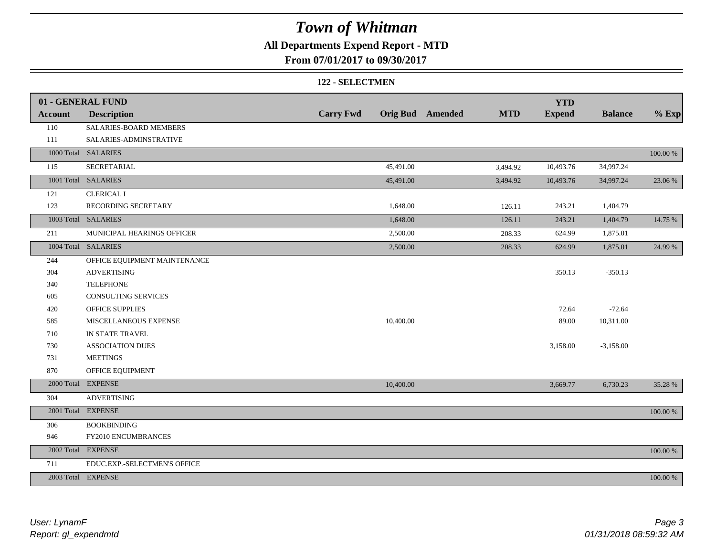### **All Departments Expend Report - MTD**

**From 07/01/2017 to 09/30/2017**

#### **122 - SELECTMEN**

|                | 01 - GENERAL FUND            |                  |           |                         |            | <b>YTD</b>    |                |             |
|----------------|------------------------------|------------------|-----------|-------------------------|------------|---------------|----------------|-------------|
| <b>Account</b> | <b>Description</b>           | <b>Carry Fwd</b> |           | <b>Orig Bud</b> Amended | <b>MTD</b> | <b>Expend</b> | <b>Balance</b> | $%$ Exp     |
| 110            | SALARIES-BOARD MEMBERS       |                  |           |                         |            |               |                |             |
| 111            | SALARIES-ADMINSTRATIVE       |                  |           |                         |            |               |                |             |
|                | 1000 Total SALARIES          |                  |           |                         |            |               |                | $100.00~\%$ |
| 115            | SECRETARIAL                  |                  | 45,491.00 |                         | 3,494.92   | 10,493.76     | 34,997.24      |             |
|                | 1001 Total SALARIES          |                  | 45,491.00 |                         | 3,494.92   | 10,493.76     | 34,997.24      | 23.06 %     |
| 121            | <b>CLERICAL I</b>            |                  |           |                         |            |               |                |             |
| 123            | RECORDING SECRETARY          |                  | 1,648.00  |                         | 126.11     | 243.21        | 1,404.79       |             |
|                | 1003 Total SALARIES          |                  | 1,648.00  |                         | 126.11     | 243.21        | 1,404.79       | 14.75 %     |
| 211            | MUNICIPAL HEARINGS OFFICER   |                  | 2,500.00  |                         | 208.33     | 624.99        | 1,875.01       |             |
|                | 1004 Total SALARIES          |                  | 2,500.00  |                         | 208.33     | 624.99        | 1,875.01       | 24.99 %     |
| 244            | OFFICE EQUIPMENT MAINTENANCE |                  |           |                         |            |               |                |             |
| 304            | <b>ADVERTISING</b>           |                  |           |                         |            | 350.13        | $-350.13$      |             |
| 340            | <b>TELEPHONE</b>             |                  |           |                         |            |               |                |             |
| 605            | CONSULTING SERVICES          |                  |           |                         |            |               |                |             |
| 420            | OFFICE SUPPLIES              |                  |           |                         |            | 72.64         | $-72.64$       |             |
| 585            | MISCELLANEOUS EXPENSE        |                  | 10,400.00 |                         |            | 89.00         | 10,311.00      |             |
| 710            | IN STATE TRAVEL              |                  |           |                         |            |               |                |             |
| 730            | <b>ASSOCIATION DUES</b>      |                  |           |                         |            | 3,158.00      | $-3,158.00$    |             |
| 731            | <b>MEETINGS</b>              |                  |           |                         |            |               |                |             |
| 870            | OFFICE EQUIPMENT             |                  |           |                         |            |               |                |             |
|                | 2000 Total EXPENSE           |                  | 10,400.00 |                         |            | 3,669.77      | 6,730.23       | 35.28 %     |
| 304            | <b>ADVERTISING</b>           |                  |           |                         |            |               |                |             |
|                | 2001 Total EXPENSE           |                  |           |                         |            |               |                | 100.00 %    |
| 306            | <b>BOOKBINDING</b>           |                  |           |                         |            |               |                |             |
| 946            | FY2010 ENCUMBRANCES          |                  |           |                         |            |               |                |             |
| 2002 Total     | <b>EXPENSE</b>               |                  |           |                         |            |               |                | 100.00 %    |
| 711            | EDUC.EXP.-SELECTMEN'S OFFICE |                  |           |                         |            |               |                |             |
|                | 2003 Total EXPENSE           |                  |           |                         |            |               |                | 100.00 %    |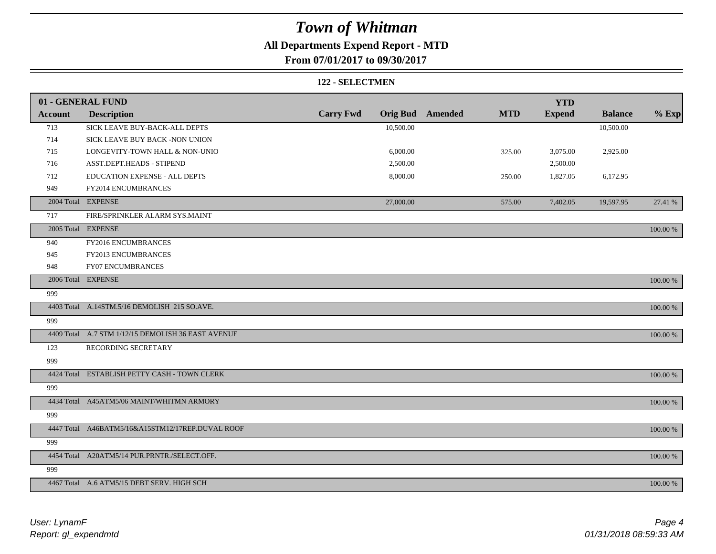### **All Departments Expend Report - MTD**

**From 07/01/2017 to 09/30/2017**

#### **122 - SELECTMEN**

|                | 01 - GENERAL FUND                                  |                  |           |                         |            | <b>YTD</b>    |                |             |
|----------------|----------------------------------------------------|------------------|-----------|-------------------------|------------|---------------|----------------|-------------|
| <b>Account</b> | <b>Description</b>                                 | <b>Carry Fwd</b> |           | <b>Orig Bud</b> Amended | <b>MTD</b> | <b>Expend</b> | <b>Balance</b> | $%$ Exp     |
| 713            | SICK LEAVE BUY-BACK-ALL DEPTS                      |                  | 10,500.00 |                         |            |               | 10,500.00      |             |
| 714            | SICK LEAVE BUY BACK -NON UNION                     |                  |           |                         |            |               |                |             |
| 715            | LONGEVITY-TOWN HALL & NON-UNIO                     |                  | 6,000.00  |                         | 325.00     | 3,075.00      | 2,925.00       |             |
| 716            | ASST.DEPT.HEADS - STIPEND                          |                  | 2,500.00  |                         |            | 2,500.00      |                |             |
| 712            | EDUCATION EXPENSE - ALL DEPTS                      |                  | 8,000.00  |                         | 250.00     | 1,827.05      | 6,172.95       |             |
| 949            | FY2014 ENCUMBRANCES                                |                  |           |                         |            |               |                |             |
|                | 2004 Total EXPENSE                                 |                  | 27,000.00 |                         | 575.00     | 7,402.05      | 19,597.95      | 27.41 %     |
| 717            | FIRE/SPRINKLER ALARM SYS.MAINT                     |                  |           |                         |            |               |                |             |
|                | 2005 Total EXPENSE                                 |                  |           |                         |            |               |                | 100.00 %    |
| 940            | FY2016 ENCUMBRANCES                                |                  |           |                         |            |               |                |             |
| 945            | FY2013 ENCUMBRANCES                                |                  |           |                         |            |               |                |             |
| 948            | <b>FY07 ENCUMBRANCES</b>                           |                  |           |                         |            |               |                |             |
|                | 2006 Total EXPENSE                                 |                  |           |                         |            |               |                | 100.00 %    |
| 999            |                                                    |                  |           |                         |            |               |                |             |
|                | 4403 Total A.14STM.5/16 DEMOLISH 215 SO.AVE.       |                  |           |                         |            |               |                | 100.00 %    |
| 999            |                                                    |                  |           |                         |            |               |                |             |
|                | 4409 Total A.7 STM 1/12/15 DEMOLISH 36 EAST AVENUE |                  |           |                         |            |               |                | 100.00 %    |
| 123            | RECORDING SECRETARY                                |                  |           |                         |            |               |                |             |
| 999            |                                                    |                  |           |                         |            |               |                |             |
|                | 4424 Total ESTABLISH PETTY CASH - TOWN CLERK       |                  |           |                         |            |               |                | 100.00 %    |
| 999            |                                                    |                  |           |                         |            |               |                |             |
|                | 4434 Total A45ATM5/06 MAINT/WHITMN ARMORY          |                  |           |                         |            |               |                | 100.00 %    |
| 999            |                                                    |                  |           |                         |            |               |                |             |
|                | 4447 Total A46BATM5/16&A15STM12/17REP.DUVAL ROOF   |                  |           |                         |            |               |                | 100.00 %    |
| 999            |                                                    |                  |           |                         |            |               |                |             |
|                | 4454 Total A20ATM5/14 PUR.PRNTR./SELECT.OFF.       |                  |           |                         |            |               |                | 100.00 %    |
| 999            |                                                    |                  |           |                         |            |               |                |             |
|                | 4467 Total A.6 ATM5/15 DEBT SERV. HIGH SCH         |                  |           |                         |            |               |                | $100.00~\%$ |

*Report: gl\_expendmtd User: LynamF*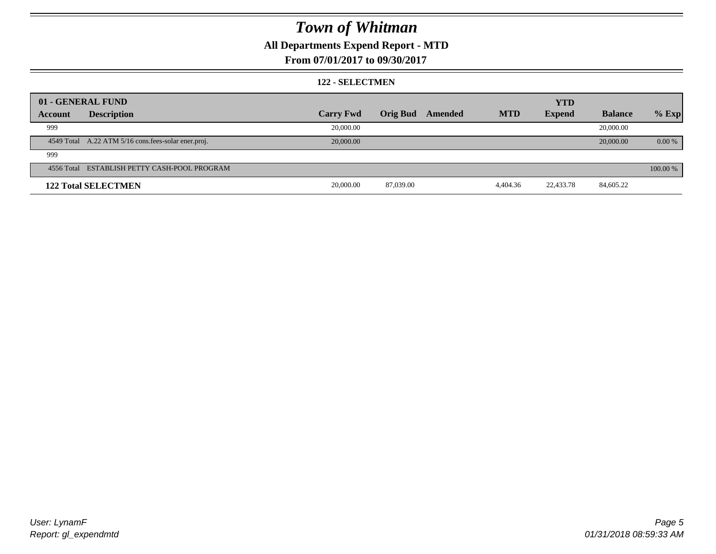### **All Departments Expend Report - MTD**

#### **From 07/01/2017 to 09/30/2017**

#### **122 - SELECTMEN**

|         | 01 - GENERAL FUND                                   |                  |                 |         |            | <b>YTD</b>    |                |          |
|---------|-----------------------------------------------------|------------------|-----------------|---------|------------|---------------|----------------|----------|
| Account | <b>Description</b>                                  | <b>Carry Fwd</b> | <b>Orig Bud</b> | Amended | <b>MTD</b> | <b>Expend</b> | <b>Balance</b> | $%$ Exp  |
| 999     |                                                     | 20,000.00        |                 |         |            |               | 20,000.00      |          |
|         | 4549 Total A.22 ATM 5/16 cons.fees-solar ener.proj. | 20,000.00        |                 |         |            |               | 20,000.00      | 0.00 %   |
| 999     |                                                     |                  |                 |         |            |               |                |          |
|         | 4556 Total ESTABLISH PETTY CASH-POOL PROGRAM        |                  |                 |         |            |               |                | 100.00 % |
|         | <b>122 Total SELECTMEN</b>                          | 20,000.00        | 87,039.00       |         | 4,404.36   | 22,433.78     | 84,605.22      |          |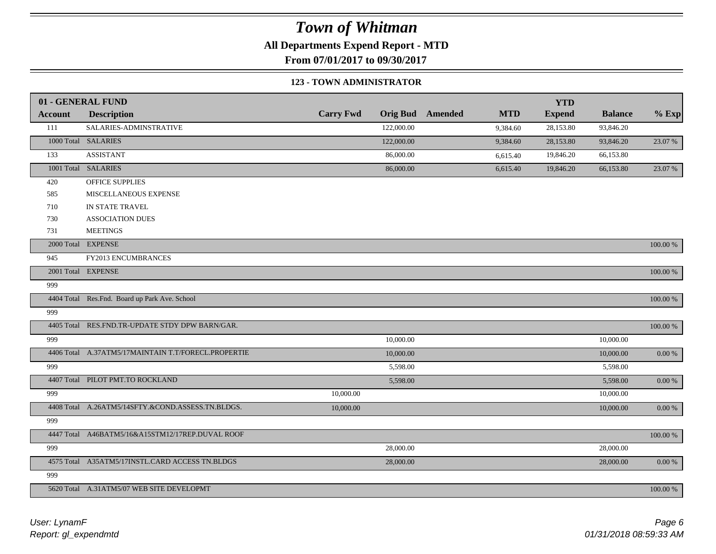**All Departments Expend Report - MTD**

**From 07/01/2017 to 09/30/2017**

#### **123 - TOWN ADMINISTRATOR**

|                | 01 - GENERAL FUND                                   |                  |                 |         |            | <b>YTD</b>    |                |             |
|----------------|-----------------------------------------------------|------------------|-----------------|---------|------------|---------------|----------------|-------------|
| <b>Account</b> | <b>Description</b>                                  | <b>Carry Fwd</b> | <b>Orig Bud</b> | Amended | <b>MTD</b> | <b>Expend</b> | <b>Balance</b> | $%$ Exp     |
| 111            | SALARIES-ADMINSTRATIVE                              |                  | 122,000.00      |         | 9,384.60   | 28,153.80     | 93,846.20      |             |
|                | 1000 Total SALARIES                                 |                  | 122,000.00      |         | 9,384.60   | 28,153.80     | 93,846.20      | 23.07 %     |
| 133            | <b>ASSISTANT</b>                                    |                  | 86,000.00       |         | 6,615.40   | 19,846.20     | 66,153.80      |             |
|                | 1001 Total SALARIES                                 |                  | 86,000.00       |         | 6,615.40   | 19,846.20     | 66,153.80      | 23.07 %     |
| 420            | OFFICE SUPPLIES                                     |                  |                 |         |            |               |                |             |
| 585            | MISCELLANEOUS EXPENSE                               |                  |                 |         |            |               |                |             |
| 710            | IN STATE TRAVEL                                     |                  |                 |         |            |               |                |             |
| 730            | <b>ASSOCIATION DUES</b>                             |                  |                 |         |            |               |                |             |
| 731            | <b>MEETINGS</b>                                     |                  |                 |         |            |               |                |             |
|                | 2000 Total EXPENSE                                  |                  |                 |         |            |               |                | 100.00 %    |
| 945            | FY2013 ENCUMBRANCES                                 |                  |                 |         |            |               |                |             |
|                | 2001 Total EXPENSE                                  |                  |                 |         |            |               |                | $100.00~\%$ |
| 999            |                                                     |                  |                 |         |            |               |                |             |
|                | 4404 Total Res.Fnd. Board up Park Ave. School       |                  |                 |         |            |               |                | $100.00~\%$ |
| 999            |                                                     |                  |                 |         |            |               |                |             |
|                | 4405 Total RES.FND.TR-UPDATE STDY DPW BARN/GAR.     |                  |                 |         |            |               |                | $100.00~\%$ |
| 999            |                                                     |                  | 10,000.00       |         |            |               | 10,000.00      |             |
|                | 4406 Total A.37ATM5/17MAINTAIN T.T/FORECL.PROPERTIE |                  | 10,000.00       |         |            |               | 10,000.00      | $0.00\ \%$  |
| 999            |                                                     |                  | 5,598.00        |         |            |               | 5,598.00       |             |
|                | 4407 Total PILOT PMT.TO ROCKLAND                    |                  | 5,598.00        |         |            |               | 5,598.00       | $0.00\ \%$  |
| 999            |                                                     | 10,000.00        |                 |         |            |               | 10,000.00      |             |
|                | 4408 Total A.26ATM5/14SFTY.&COND.ASSESS.TN.BLDGS.   | 10,000.00        |                 |         |            |               | 10,000.00      | $0.00~\%$   |
| 999            |                                                     |                  |                 |         |            |               |                |             |
|                | 4447 Total A46BATM5/16&A15STM12/17REP.DUVAL ROOF    |                  |                 |         |            |               |                | $100.00~\%$ |
| 999            |                                                     |                  | 28,000.00       |         |            |               | 28,000.00      |             |
|                | 4575 Total A35ATM5/17INSTL.CARD ACCESS TN.BLDGS     |                  | 28,000.00       |         |            |               | 28,000.00      | $0.00~\%$   |
| 999            |                                                     |                  |                 |         |            |               |                |             |
|                | 5620 Total A.31ATM5/07 WEB SITE DEVELOPMT           |                  |                 |         |            |               |                | 100.00 %    |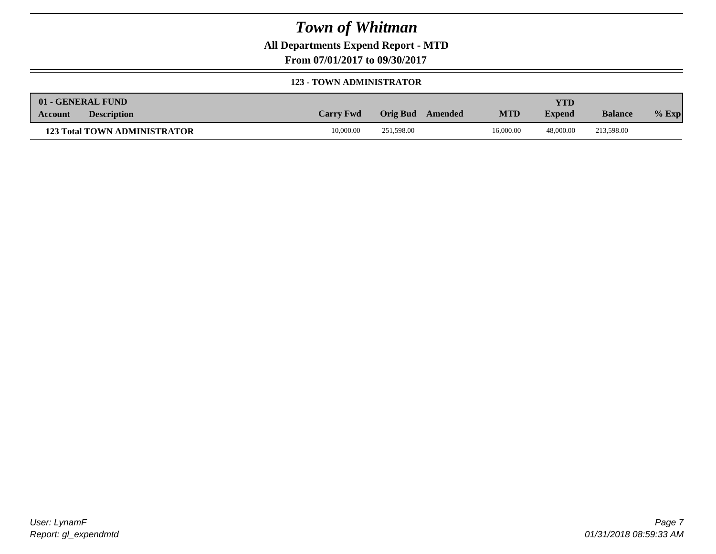**All Departments Expend Report - MTD**

**From 07/01/2017 to 09/30/2017**

#### **123 - TOWN ADMINISTRATOR**

| 01 - GENERAL FUND                    |                  |                     |            | YTD           |                |         |
|--------------------------------------|------------------|---------------------|------------|---------------|----------------|---------|
| <b>Description</b><br><b>Account</b> | <b>Carry Fwd</b> | Orig Bud<br>Amended | <b>MTD</b> | <b>Expend</b> | <b>Balance</b> | $%$ Exp |
| <b>123 Total TOWN ADMINISTRATOR</b>  | 10,000.00        | 251,598.00          | 16,000.00  | 48,000.00     | 213,598.00     |         |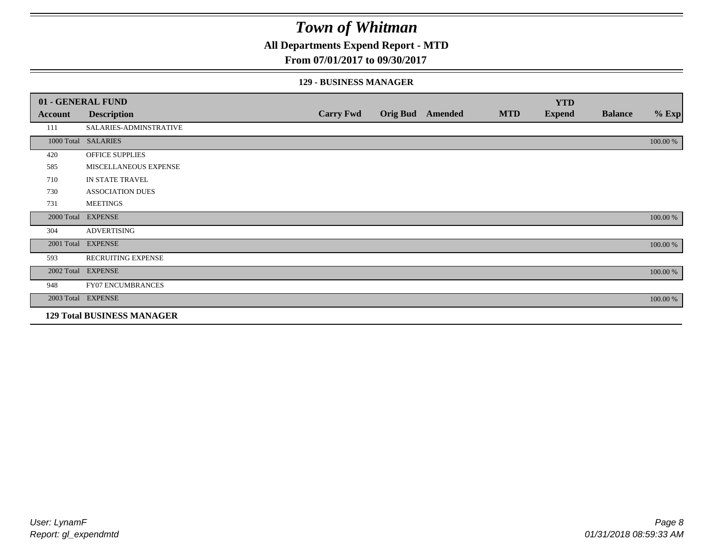### **All Departments Expend Report - MTD**

#### **From 07/01/2017 to 09/30/2017**

#### **129 - BUSINESS MANAGER**

|            | 01 - GENERAL FUND                 |                  |                 |                |            | <b>YTD</b>    |                |          |
|------------|-----------------------------------|------------------|-----------------|----------------|------------|---------------|----------------|----------|
| Account    | <b>Description</b>                | <b>Carry Fwd</b> | <b>Orig Bud</b> | <b>Amended</b> | <b>MTD</b> | <b>Expend</b> | <b>Balance</b> | $%$ Exp  |
| 111        | SALARIES-ADMINSTRATIVE            |                  |                 |                |            |               |                |          |
|            | 1000 Total SALARIES               |                  |                 |                |            |               |                | 100.00 % |
| 420        | OFFICE SUPPLIES                   |                  |                 |                |            |               |                |          |
| 585        | MISCELLANEOUS EXPENSE             |                  |                 |                |            |               |                |          |
| 710        | IN STATE TRAVEL                   |                  |                 |                |            |               |                |          |
| 730        | <b>ASSOCIATION DUES</b>           |                  |                 |                |            |               |                |          |
| 731        | <b>MEETINGS</b>                   |                  |                 |                |            |               |                |          |
| 2000 Total | <b>EXPENSE</b>                    |                  |                 |                |            |               |                | 100.00 % |
| 304        | <b>ADVERTISING</b>                |                  |                 |                |            |               |                |          |
| 2001 Total | <b>EXPENSE</b>                    |                  |                 |                |            |               |                | 100.00 % |
| 593        | <b>RECRUITING EXPENSE</b>         |                  |                 |                |            |               |                |          |
|            | 2002 Total EXPENSE                |                  |                 |                |            |               |                | 100.00 % |
| 948        | <b>FY07 ENCUMBRANCES</b>          |                  |                 |                |            |               |                |          |
|            | 2003 Total EXPENSE                |                  |                 |                |            |               |                | 100.00 % |
|            | <b>129 Total BUSINESS MANAGER</b> |                  |                 |                |            |               |                |          |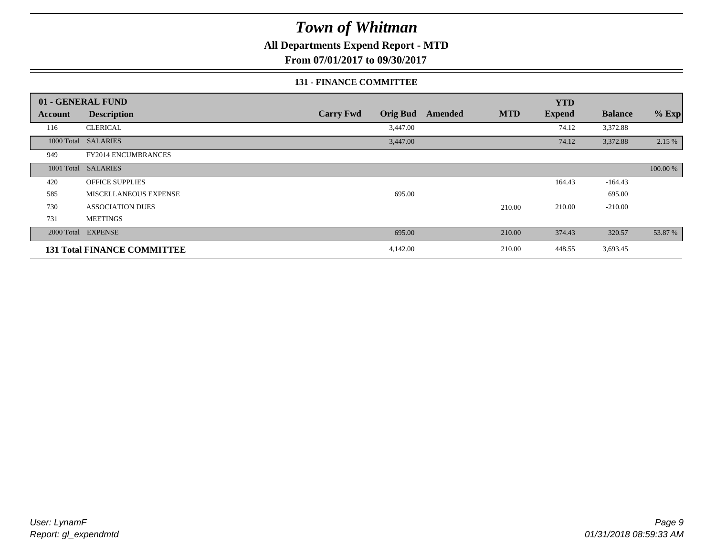### **All Departments Expend Report - MTD**

**From 07/01/2017 to 09/30/2017**

#### **131 - FINANCE COMMITTEE**

|            | 01 - GENERAL FUND                  |                                     |                       | <b>YTD</b>    |                |          |
|------------|------------------------------------|-------------------------------------|-----------------------|---------------|----------------|----------|
| Account    | <b>Description</b>                 | <b>Carry Fwd</b><br><b>Orig Bud</b> | <b>MTD</b><br>Amended | <b>Expend</b> | <b>Balance</b> | $%$ Exp  |
| 116        | <b>CLERICAL</b>                    | 3,447.00                            |                       | 74.12         | 3,372.88       |          |
| 1000 Total | <b>SALARIES</b>                    | 3,447.00                            |                       | 74.12         | 3,372.88       | 2.15 %   |
| 949        | <b>FY2014 ENCUMBRANCES</b>         |                                     |                       |               |                |          |
|            | 1001 Total SALARIES                |                                     |                       |               |                | 100.00 % |
| 420        | <b>OFFICE SUPPLIES</b>             |                                     |                       | 164.43        | $-164.43$      |          |
| 585        | MISCELLANEOUS EXPENSE              | 695.00                              |                       |               | 695.00         |          |
| 730        | <b>ASSOCIATION DUES</b>            |                                     | 210.00                | 210.00        | $-210.00$      |          |
| 731        | <b>MEETINGS</b>                    |                                     |                       |               |                |          |
|            | 2000 Total EXPENSE                 | 695.00                              | 210.00                | 374.43        | 320.57         | 53.87 %  |
|            | <b>131 Total FINANCE COMMITTEE</b> | 4,142.00                            | 210.00                | 448.55        | 3,693.45       |          |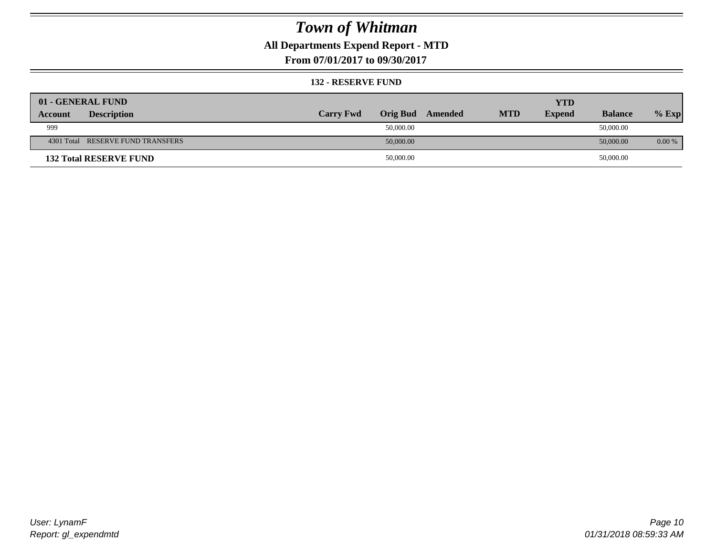### **All Departments Expend Report - MTD**

**From 07/01/2017 to 09/30/2017**

#### **132 - RESERVE FUND**

| 01 - GENERAL FUND                 |                  |                 |         |            | <b>YTD</b>    |                |          |
|-----------------------------------|------------------|-----------------|---------|------------|---------------|----------------|----------|
| <b>Description</b><br>Account     | <b>Carry Fwd</b> | <b>Orig Bud</b> | Amended | <b>MTD</b> | <b>Expend</b> | <b>Balance</b> | $%$ Exp  |
| 999                               |                  | 50,000.00       |         |            |               | 50,000.00      |          |
| 4301 Total RESERVE FUND TRANSFERS |                  | 50,000.00       |         |            |               | 50,000.00      | $0.00\%$ |
| <b>132 Total RESERVE FUND</b>     |                  | 50,000.00       |         |            |               | 50,000.00      |          |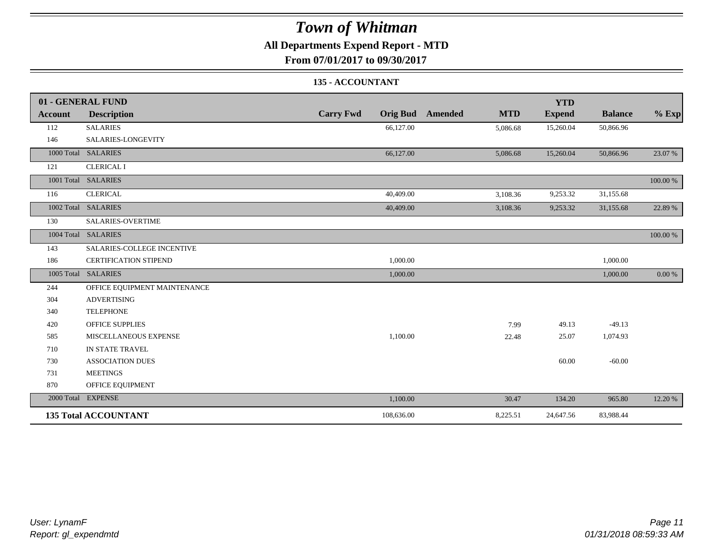### **All Departments Expend Report - MTD**

**From 07/01/2017 to 09/30/2017**

#### **135 - ACCOUNTANT**

|                | 01 - GENERAL FUND            |                                     |                              | <b>YTD</b>    |                |          |
|----------------|------------------------------|-------------------------------------|------------------------------|---------------|----------------|----------|
| <b>Account</b> | <b>Description</b>           | <b>Carry Fwd</b><br><b>Orig Bud</b> | <b>Amended</b><br><b>MTD</b> | <b>Expend</b> | <b>Balance</b> | $%$ Exp  |
| 112            | <b>SALARIES</b>              | 66,127.00                           | 5,086.68                     | 15,260.04     | 50,866.96      |          |
| 146            | SALARIES-LONGEVITY           |                                     |                              |               |                |          |
|                | 1000 Total SALARIES          | 66,127.00                           | 5,086.68                     | 15,260.04     | 50,866.96      | 23.07 %  |
| 121            | <b>CLERICAL I</b>            |                                     |                              |               |                |          |
|                | 1001 Total SALARIES          |                                     |                              |               |                | 100.00 % |
| 116            | <b>CLERICAL</b>              | 40,409.00                           | 3,108.36                     | 9,253.32      | 31,155.68      |          |
|                | 1002 Total SALARIES          | 40,409.00                           | 3,108.36                     | 9,253.32      | 31,155.68      | 22.89 %  |
| 130            | <b>SALARIES-OVERTIME</b>     |                                     |                              |               |                |          |
|                | 1004 Total SALARIES          |                                     |                              |               |                | 100.00 % |
| 143            | SALARIES-COLLEGE INCENTIVE   |                                     |                              |               |                |          |
| 186            | <b>CERTIFICATION STIPEND</b> | 1,000.00                            |                              |               | 1,000.00       |          |
|                | 1005 Total SALARIES          | 1,000.00                            |                              |               | 1,000.00       | 0.00 %   |
| 244            | OFFICE EQUIPMENT MAINTENANCE |                                     |                              |               |                |          |
| 304            | <b>ADVERTISING</b>           |                                     |                              |               |                |          |
| 340            | <b>TELEPHONE</b>             |                                     |                              |               |                |          |
| 420            | <b>OFFICE SUPPLIES</b>       |                                     | 7.99                         | 49.13         | $-49.13$       |          |
| 585            | MISCELLANEOUS EXPENSE        | 1,100.00                            | 22.48                        | 25.07         | 1,074.93       |          |
| 710            | IN STATE TRAVEL              |                                     |                              |               |                |          |
| 730            | <b>ASSOCIATION DUES</b>      |                                     |                              | 60.00         | $-60.00$       |          |
| 731            | <b>MEETINGS</b>              |                                     |                              |               |                |          |
| 870            | OFFICE EQUIPMENT             |                                     |                              |               |                |          |
|                | 2000 Total EXPENSE           | 1,100.00                            | 30.47                        | 134.20        | 965.80         | 12.20 %  |
|                | <b>135 Total ACCOUNTANT</b>  | 108,636.00                          | 8,225.51                     | 24,647.56     | 83,988.44      |          |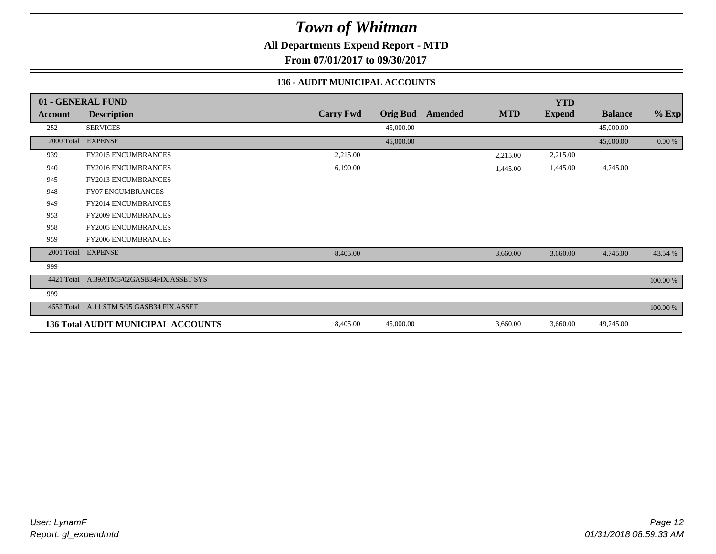**All Departments Expend Report - MTD**

**From 07/01/2017 to 09/30/2017**

#### **136 - AUDIT MUNICIPAL ACCOUNTS**

|                | 01 - GENERAL FUND                         |                  |                 |                |            | <b>YTD</b>    |                |           |
|----------------|-------------------------------------------|------------------|-----------------|----------------|------------|---------------|----------------|-----------|
| <b>Account</b> | <b>Description</b>                        | <b>Carry Fwd</b> | <b>Orig Bud</b> | <b>Amended</b> | <b>MTD</b> | <b>Expend</b> | <b>Balance</b> | $%$ Exp   |
| 252            | <b>SERVICES</b>                           |                  | 45,000.00       |                |            |               | 45,000.00      |           |
| 2000 Total     | <b>EXPENSE</b>                            |                  | 45,000.00       |                |            |               | 45,000.00      | $0.00 \%$ |
| 939            | FY2015 ENCUMBRANCES                       | 2,215.00         |                 |                | 2,215.00   | 2,215.00      |                |           |
| 940            | <b>FY2016 ENCUMBRANCES</b>                | 6,190.00         |                 |                | 1,445.00   | 1,445.00      | 4,745.00       |           |
| 945            | <b>FY2013 ENCUMBRANCES</b>                |                  |                 |                |            |               |                |           |
| 948            | <b>FY07 ENCUMBRANCES</b>                  |                  |                 |                |            |               |                |           |
| 949            | <b>FY2014 ENCUMBRANCES</b>                |                  |                 |                |            |               |                |           |
| 953            | <b>FY2009 ENCUMBRANCES</b>                |                  |                 |                |            |               |                |           |
| 958            | FY2005 ENCUMBRANCES                       |                  |                 |                |            |               |                |           |
| 959            | <b>FY2006 ENCUMBRANCES</b>                |                  |                 |                |            |               |                |           |
| 2001 Total     | <b>EXPENSE</b>                            | 8,405.00         |                 |                | 3,660.00   | 3,660.00      | 4,745.00       | 43.54 %   |
| 999            |                                           |                  |                 |                |            |               |                |           |
| 4421 Total     | A.39ATM5/02GASB34FIX.ASSET SYS            |                  |                 |                |            |               |                | 100.00 %  |
| 999            |                                           |                  |                 |                |            |               |                |           |
|                | 4552 Total A.11 STM 5/05 GASB34 FIX.ASSET |                  |                 |                |            |               |                | 100.00 %  |
|                | <b>136 Total AUDIT MUNICIPAL ACCOUNTS</b> | 8,405.00         | 45,000.00       |                | 3,660.00   | 3,660.00      | 49,745.00      |           |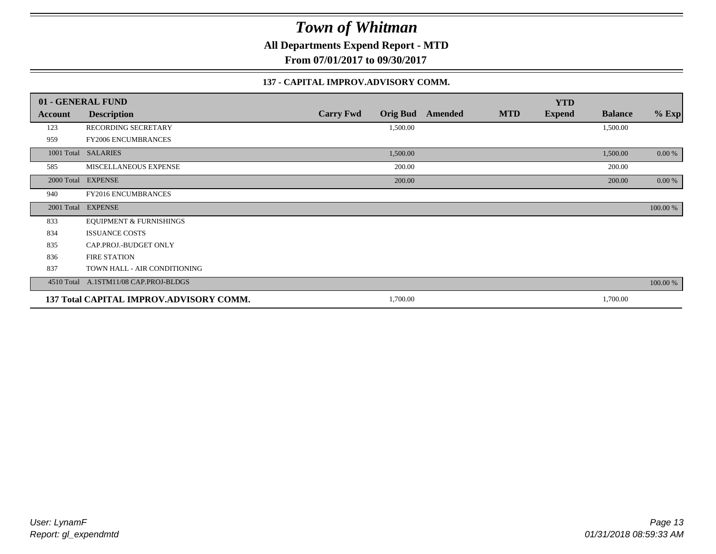**All Departments Expend Report - MTD**

**From 07/01/2017 to 09/30/2017**

#### **137 - CAPITAL IMPROV.ADVISORY COMM.**

|         | 01 - GENERAL FUND                       |                                     |                |            | <b>YTD</b>    |                |           |
|---------|-----------------------------------------|-------------------------------------|----------------|------------|---------------|----------------|-----------|
| Account | <b>Description</b>                      | <b>Carry Fwd</b><br><b>Orig Bud</b> | <b>Amended</b> | <b>MTD</b> | <b>Expend</b> | <b>Balance</b> | $%$ Exp   |
| 123     | RECORDING SECRETARY                     | 1,500.00                            |                |            |               | 1,500.00       |           |
| 959     | <b>FY2006 ENCUMBRANCES</b>              |                                     |                |            |               |                |           |
|         | 1001 Total SALARIES                     | 1,500.00                            |                |            |               | 1,500.00       | $0.00 \%$ |
| 585     | MISCELLANEOUS EXPENSE                   | 200.00                              |                |            |               | 200.00         |           |
|         | 2000 Total EXPENSE                      | 200.00                              |                |            |               | 200.00         | $0.00\%$  |
| 940     | FY2016 ENCUMBRANCES                     |                                     |                |            |               |                |           |
|         | 2001 Total EXPENSE                      |                                     |                |            |               |                | 100.00 %  |
| 833     | <b>EQUIPMENT &amp; FURNISHINGS</b>      |                                     |                |            |               |                |           |
| 834     | <b>ISSUANCE COSTS</b>                   |                                     |                |            |               |                |           |
| 835     | CAP.PROJ.-BUDGET ONLY                   |                                     |                |            |               |                |           |
| 836     | <b>FIRE STATION</b>                     |                                     |                |            |               |                |           |
| 837     | TOWN HALL - AIR CONDITIONING            |                                     |                |            |               |                |           |
|         | 4510 Total A.1STM11/08 CAP.PROJ-BLDGS   |                                     |                |            |               |                | 100.00 %  |
|         | 137 Total CAPITAL IMPROV.ADVISORY COMM. | 1,700.00                            |                |            |               | 1,700.00       |           |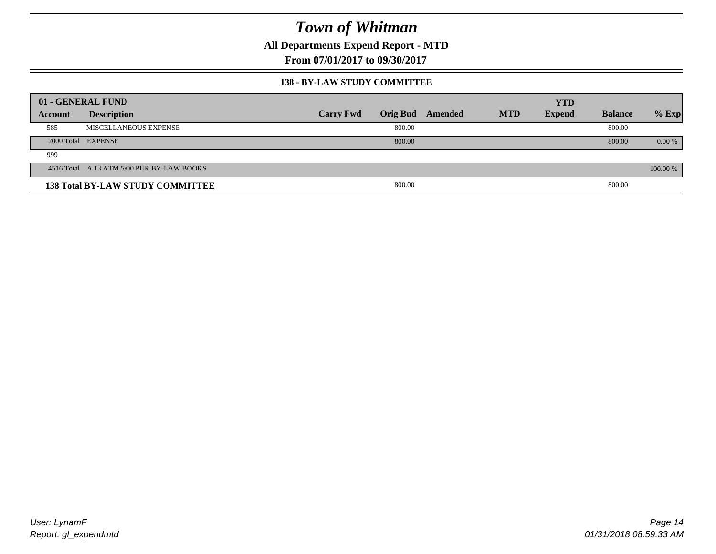**All Departments Expend Report - MTD**

**From 07/01/2017 to 09/30/2017**

#### **138 - BY-LAW STUDY COMMITTEE**

|         | 01 - GENERAL FUND                         |                  |                 |         |            | <b>YTD</b>    |                |          |
|---------|-------------------------------------------|------------------|-----------------|---------|------------|---------------|----------------|----------|
| Account | <b>Description</b>                        | <b>Carry Fwd</b> | <b>Orig Bud</b> | Amended | <b>MTD</b> | <b>Expend</b> | <b>Balance</b> | $%$ Exp  |
| 585     | MISCELLANEOUS EXPENSE                     |                  | 800.00          |         |            |               | 800.00         |          |
|         | 2000 Total EXPENSE                        |                  | 800.00          |         |            |               | 800.00         | $0.00\%$ |
| 999     |                                           |                  |                 |         |            |               |                |          |
|         | 4516 Total A.13 ATM 5/00 PUR.BY-LAW BOOKS |                  |                 |         |            |               |                | 100.00 % |
|         | <b>138 Total BY-LAW STUDY COMMITTEE</b>   |                  | 800.00          |         |            |               | 800.00         |          |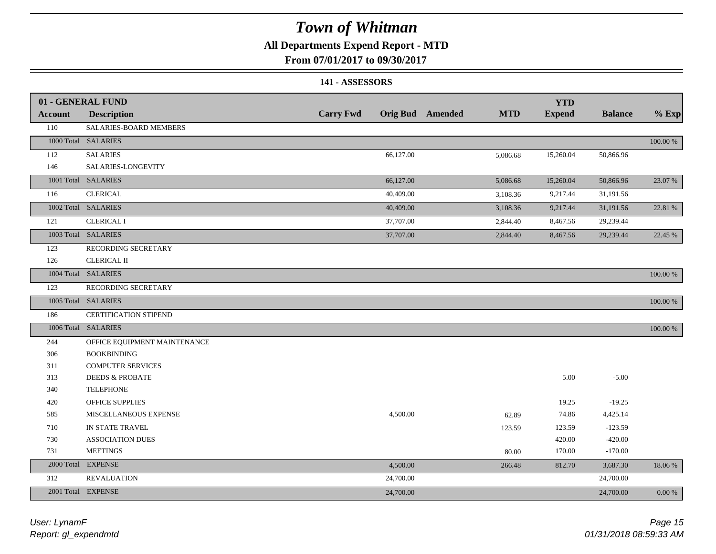### **All Departments Expend Report - MTD**

#### **From 07/01/2017 to 09/30/2017**

#### **141 - ASSESSORS**

|                | 01 - GENERAL FUND            |                  |                                       | <b>YTD</b>    |                |             |
|----------------|------------------------------|------------------|---------------------------------------|---------------|----------------|-------------|
| <b>Account</b> | <b>Description</b>           | <b>Carry Fwd</b> | <b>Orig Bud</b> Amended<br><b>MTD</b> | <b>Expend</b> | <b>Balance</b> | $%$ Exp     |
| 110            | SALARIES-BOARD MEMBERS       |                  |                                       |               |                |             |
|                | 1000 Total SALARIES          |                  |                                       |               |                | 100.00 %    |
| 112            | <b>SALARIES</b>              | 66,127.00        | 5,086.68                              | 15,260.04     | 50,866.96      |             |
| 146            | SALARIES-LONGEVITY           |                  |                                       |               |                |             |
|                | 1001 Total SALARIES          | 66,127.00        | 5,086.68                              | 15,260.04     | 50,866.96      | 23.07 %     |
| 116            | <b>CLERICAL</b>              | 40,409.00        | 3,108.36                              | 9,217.44      | 31,191.56      |             |
|                | 1002 Total SALARIES          | 40,409.00        | 3,108.36                              | 9,217.44      | 31,191.56      | 22.81 %     |
| 121            | <b>CLERICAL I</b>            | 37,707.00        | 2,844.40                              | 8,467.56      | 29,239.44      |             |
|                | 1003 Total SALARIES          | 37,707.00        | 2,844.40                              | 8,467.56      | 29,239.44      | 22.45 %     |
| 123            | RECORDING SECRETARY          |                  |                                       |               |                |             |
| 126            | <b>CLERICAL II</b>           |                  |                                       |               |                |             |
|                | 1004 Total SALARIES          |                  |                                       |               |                | $100.00~\%$ |
| 123            | RECORDING SECRETARY          |                  |                                       |               |                |             |
|                | 1005 Total SALARIES          |                  |                                       |               |                | 100.00 %    |
| 186            | <b>CERTIFICATION STIPEND</b> |                  |                                       |               |                |             |
|                | 1006 Total SALARIES          |                  |                                       |               |                | 100.00 %    |
| 244            | OFFICE EQUIPMENT MAINTENANCE |                  |                                       |               |                |             |
| 306            | <b>BOOKBINDING</b>           |                  |                                       |               |                |             |
| 311            | <b>COMPUTER SERVICES</b>     |                  |                                       |               |                |             |
| 313            | <b>DEEDS &amp; PROBATE</b>   |                  |                                       | 5.00          | $-5.00$        |             |
| 340            | <b>TELEPHONE</b>             |                  |                                       |               |                |             |
| 420            | OFFICE SUPPLIES              |                  |                                       | 19.25         | $-19.25$       |             |
| 585            | MISCELLANEOUS EXPENSE        | 4,500.00         | 62.89                                 | 74.86         | 4,425.14       |             |
| 710            | IN STATE TRAVEL              |                  | 123.59                                | 123.59        | $-123.59$      |             |
| 730            | <b>ASSOCIATION DUES</b>      |                  |                                       | 420.00        | $-420.00$      |             |
| 731            | <b>MEETINGS</b>              |                  | 80.00                                 | 170.00        | $-170.00$      |             |
| 2000 Total     | <b>EXPENSE</b>               | 4,500.00         | 266.48                                | 812.70        | 3,687.30       | 18.06%      |
| 312            | REVALUATION                  | 24,700.00        |                                       |               | 24,700.00      |             |
|                | 2001 Total EXPENSE           | 24,700.00        |                                       |               | 24,700.00      | 0.00 %      |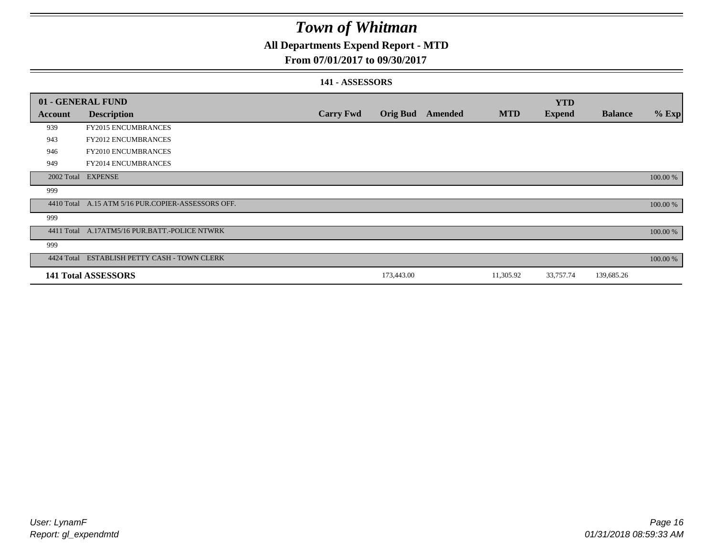### **All Departments Expend Report - MTD**

#### **From 07/01/2017 to 09/30/2017**

#### **141 - ASSESSORS**

| 01 - GENERAL FUND |                                                    |                  |                 |         |            | <b>YTD</b>    |                |          |
|-------------------|----------------------------------------------------|------------------|-----------------|---------|------------|---------------|----------------|----------|
| <b>Account</b>    | <b>Description</b>                                 | <b>Carry Fwd</b> | <b>Orig Bud</b> | Amended | <b>MTD</b> | <b>Expend</b> | <b>Balance</b> | $%$ Exp  |
| 939               | <b>FY2015 ENCUMBRANCES</b>                         |                  |                 |         |            |               |                |          |
| 943               | <b>FY2012 ENCUMBRANCES</b>                         |                  |                 |         |            |               |                |          |
| 946               | <b>FY2010 ENCUMBRANCES</b>                         |                  |                 |         |            |               |                |          |
| 949               | FY2014 ENCUMBRANCES                                |                  |                 |         |            |               |                |          |
|                   | 2002 Total EXPENSE                                 |                  |                 |         |            |               |                | 100.00 % |
| 999               |                                                    |                  |                 |         |            |               |                |          |
|                   | 4410 Total A.15 ATM 5/16 PUR.COPIER-ASSESSORS OFF. |                  |                 |         |            |               |                | 100.00 % |
| 999               |                                                    |                  |                 |         |            |               |                |          |
|                   | 4411 Total A.17ATM5/16 PUR.BATT.-POLICE NTWRK      |                  |                 |         |            |               |                | 100.00 % |
| 999               |                                                    |                  |                 |         |            |               |                |          |
|                   | 4424 Total ESTABLISH PETTY CASH - TOWN CLERK       |                  |                 |         |            |               |                | 100.00 % |
|                   | <b>141 Total ASSESSORS</b>                         |                  | 173,443.00      |         | 11,305.92  | 33,757.74     | 139,685.26     |          |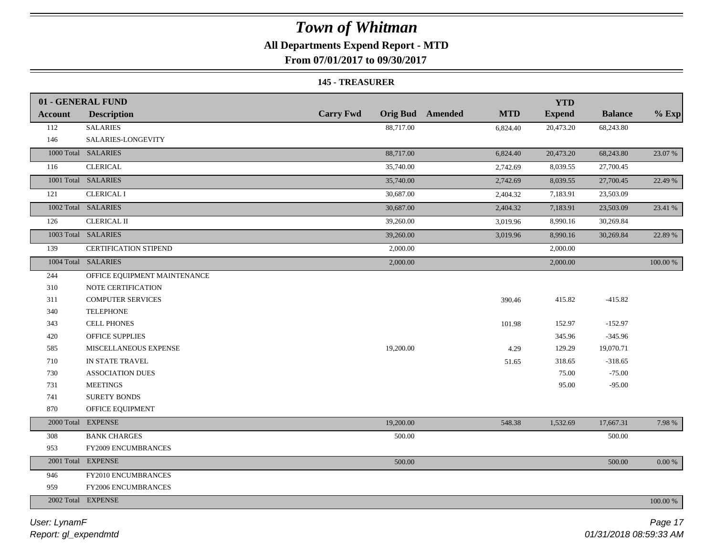### **All Departments Expend Report - MTD**

**From 07/01/2017 to 09/30/2017**

#### **145 - TREASURER**

|                | 01 - GENERAL FUND            |                  |                                       | <b>YTD</b>    |                |             |
|----------------|------------------------------|------------------|---------------------------------------|---------------|----------------|-------------|
| <b>Account</b> | <b>Description</b>           | <b>Carry Fwd</b> | <b>Orig Bud</b> Amended<br><b>MTD</b> | <b>Expend</b> | <b>Balance</b> | $%$ Exp     |
| 112            | <b>SALARIES</b>              | 88,717.00        | 6,824.40                              | 20,473.20     | 68,243.80      |             |
| 146            | SALARIES-LONGEVITY           |                  |                                       |               |                |             |
|                | 1000 Total SALARIES          | 88,717.00        | 6,824.40                              | 20,473.20     | 68,243.80      | 23.07 %     |
| 116            | <b>CLERICAL</b>              | 35,740.00        | 2,742.69                              | 8,039.55      | 27,700.45      |             |
|                | 1001 Total SALARIES          | 35,740.00        | 2,742.69                              | 8,039.55      | 27,700.45      | 22.49 %     |
| 121            | <b>CLERICAL I</b>            | 30,687.00        | 2,404.32                              | 7,183.91      | 23,503.09      |             |
|                | 1002 Total SALARIES          | 30,687.00        | 2,404.32                              | 7,183.91      | 23,503.09      | 23.41 %     |
| 126            | <b>CLERICAL II</b>           | 39,260.00        | 3,019.96                              | 8,990.16      | 30,269.84      |             |
|                | 1003 Total SALARIES          | 39,260.00        | 3,019.96                              | 8,990.16      | 30,269.84      | 22.89 %     |
| 139            | <b>CERTIFICATION STIPEND</b> | 2,000.00         |                                       | 2,000.00      |                |             |
|                | 1004 Total SALARIES          | 2,000.00         |                                       | 2,000.00      |                | 100.00 %    |
| 244            | OFFICE EQUIPMENT MAINTENANCE |                  |                                       |               |                |             |
| 310            | NOTE CERTIFICATION           |                  |                                       |               |                |             |
| 311            | <b>COMPUTER SERVICES</b>     |                  | 390.46                                | 415.82        | $-415.82$      |             |
| 340            | <b>TELEPHONE</b>             |                  |                                       |               |                |             |
| 343            | <b>CELL PHONES</b>           |                  | 101.98                                | 152.97        | $-152.97$      |             |
| 420            | <b>OFFICE SUPPLIES</b>       |                  |                                       | 345.96        | $-345.96$      |             |
| 585            | MISCELLANEOUS EXPENSE        | 19,200.00        | 4.29                                  | 129.29        | 19,070.71      |             |
| 710            | IN STATE TRAVEL              |                  | 51.65                                 | 318.65        | $-318.65$      |             |
| 730            | <b>ASSOCIATION DUES</b>      |                  |                                       | 75.00         | $-75.00$       |             |
| 731            | <b>MEETINGS</b>              |                  |                                       | 95.00         | $-95.00$       |             |
| 741            | <b>SURETY BONDS</b>          |                  |                                       |               |                |             |
| 870            | OFFICE EQUIPMENT             |                  |                                       |               |                |             |
|                | 2000 Total EXPENSE           | 19,200.00        | 548.38                                | 1,532.69      | 17,667.31      | 7.98 %      |
| 308            | <b>BANK CHARGES</b>          | 500.00           |                                       |               | 500.00         |             |
| 953            | <b>FY2009 ENCUMBRANCES</b>   |                  |                                       |               |                |             |
|                | 2001 Total EXPENSE           | 500.00           |                                       |               | 500.00         | $0.00 \%$   |
| 946            | FY2010 ENCUMBRANCES          |                  |                                       |               |                |             |
| 959            | FY2006 ENCUMBRANCES          |                  |                                       |               |                |             |
|                | 2002 Total EXPENSE           |                  |                                       |               |                | $100.00~\%$ |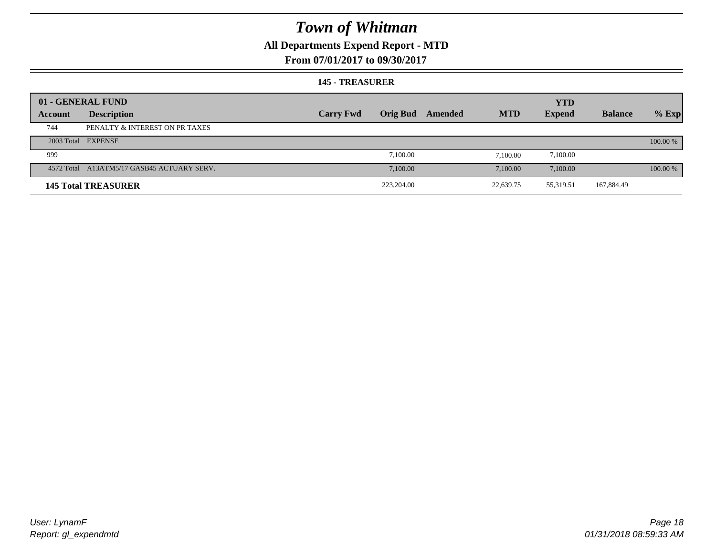### **All Departments Expend Report - MTD**

#### **From 07/01/2017 to 09/30/2017**

#### **145 - TREASURER**

|         | 01 - GENERAL FUND                          |                  |                 |         |            | <b>YTD</b>    |                |          |
|---------|--------------------------------------------|------------------|-----------------|---------|------------|---------------|----------------|----------|
| Account | <b>Description</b>                         | <b>Carry Fwd</b> | <b>Orig Bud</b> | Amended | <b>MTD</b> | <b>Expend</b> | <b>Balance</b> | $%$ Exp  |
| 744     | PENALTY & INTEREST ON PR TAXES             |                  |                 |         |            |               |                |          |
|         | 2003 Total EXPENSE                         |                  |                 |         |            |               |                | 100.00 % |
| 999     |                                            |                  | 7.100.00        |         | 7.100.00   | 7,100.00      |                |          |
|         | 4572 Total A13ATM5/17 GASB45 ACTUARY SERV. |                  | 7,100.00        |         | 7.100.00   | 7.100.00      |                | 100.00 % |
|         | <b>145 Total TREASURER</b>                 |                  | 223,204.00      |         | 22,639.75  | 55,319.51     | 167,884.49     |          |
|         |                                            |                  |                 |         |            |               |                |          |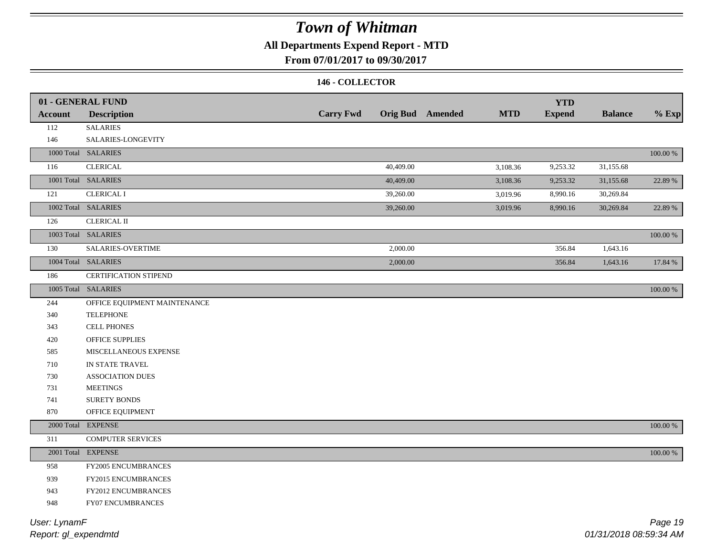### **All Departments Expend Report - MTD**

#### **From 07/01/2017 to 09/30/2017**

#### **146 - COLLECTOR**

|                | 01 - GENERAL FUND            | <b>Carry Fwd</b> |           |                         | <b>MTD</b> | <b>YTD</b>    | <b>Balance</b> |             |
|----------------|------------------------------|------------------|-----------|-------------------------|------------|---------------|----------------|-------------|
| <b>Account</b> | <b>Description</b>           |                  |           | <b>Orig Bud</b> Amended |            | <b>Expend</b> |                | $%$ Exp     |
| 112            | <b>SALARIES</b>              |                  |           |                         |            |               |                |             |
| 146            | SALARIES-LONGEVITY           |                  |           |                         |            |               |                |             |
|                | 1000 Total SALARIES          |                  |           |                         |            |               |                | $100.00~\%$ |
| 116            | <b>CLERICAL</b>              |                  | 40,409.00 |                         | 3,108.36   | 9,253.32      | 31,155.68      |             |
|                | 1001 Total SALARIES          |                  | 40,409.00 |                         | 3,108.36   | 9,253.32      | 31,155.68      | 22.89 %     |
| 121            | <b>CLERICAL I</b>            |                  | 39,260.00 |                         | 3,019.96   | 8,990.16      | 30,269.84      |             |
|                | 1002 Total SALARIES          |                  | 39,260.00 |                         | 3,019.96   | 8,990.16      | 30,269.84      | 22.89 %     |
| 126            | <b>CLERICAL II</b>           |                  |           |                         |            |               |                |             |
|                | 1003 Total SALARIES          |                  |           |                         |            |               |                | 100.00 %    |
| 130            | <b>SALARIES-OVERTIME</b>     |                  | 2,000.00  |                         |            | 356.84        | 1,643.16       |             |
|                | 1004 Total SALARIES          |                  | 2,000.00  |                         |            | 356.84        | 1,643.16       | 17.84 %     |
| 186            | <b>CERTIFICATION STIPEND</b> |                  |           |                         |            |               |                |             |
|                | 1005 Total SALARIES          |                  |           |                         |            |               |                | 100.00 %    |
| 244            | OFFICE EQUIPMENT MAINTENANCE |                  |           |                         |            |               |                |             |
| 340            | <b>TELEPHONE</b>             |                  |           |                         |            |               |                |             |
| 343            | <b>CELL PHONES</b>           |                  |           |                         |            |               |                |             |
| 420            | <b>OFFICE SUPPLIES</b>       |                  |           |                         |            |               |                |             |
| 585            | MISCELLANEOUS EXPENSE        |                  |           |                         |            |               |                |             |
| 710            | IN STATE TRAVEL              |                  |           |                         |            |               |                |             |
| 730            | <b>ASSOCIATION DUES</b>      |                  |           |                         |            |               |                |             |
| 731            | <b>MEETINGS</b>              |                  |           |                         |            |               |                |             |
| 741            | <b>SURETY BONDS</b>          |                  |           |                         |            |               |                |             |
| 870            | OFFICE EQUIPMENT             |                  |           |                         |            |               |                |             |
| 2000 Total     | <b>EXPENSE</b>               |                  |           |                         |            |               |                | $100.00~\%$ |
| 311            | <b>COMPUTER SERVICES</b>     |                  |           |                         |            |               |                |             |
|                | 2001 Total EXPENSE           |                  |           |                         |            |               |                | $100.00~\%$ |
| 958            | FY2005 ENCUMBRANCES          |                  |           |                         |            |               |                |             |
| 939            | <b>FY2015 ENCUMBRANCES</b>   |                  |           |                         |            |               |                |             |
| 943            | FY2012 ENCUMBRANCES          |                  |           |                         |            |               |                |             |
| 948            | FY07 ENCUMBRANCES            |                  |           |                         |            |               |                |             |
|                |                              |                  |           |                         |            |               |                |             |

*Report: gl\_expendmtd User: LynamF*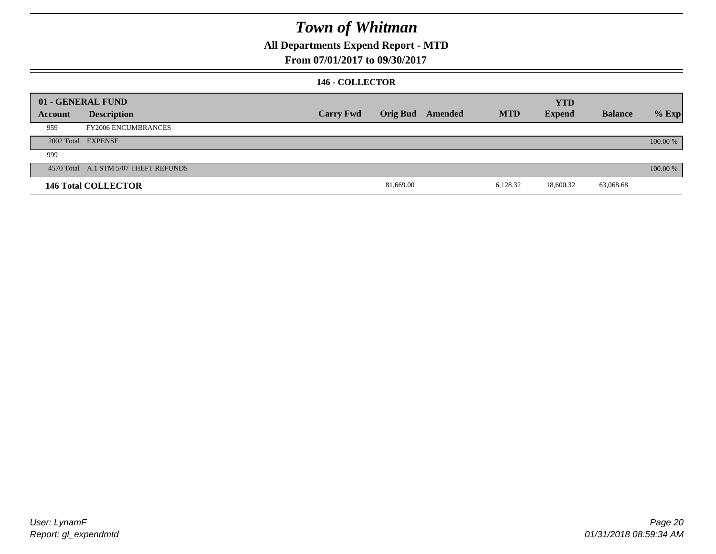### **All Departments Expend Report - MTD**

**From 07/01/2017 to 09/30/2017**

#### **146 - COLLECTOR**

|         | 01 - GENERAL FUND                     |                  |           |                  |            | <b>YTD</b>    |                |          |
|---------|---------------------------------------|------------------|-----------|------------------|------------|---------------|----------------|----------|
| Account | <b>Description</b>                    | <b>Carry Fwd</b> |           | Orig Bud Amended | <b>MTD</b> | <b>Expend</b> | <b>Balance</b> | $%$ Exp  |
| 959     | <b>FY2006 ENCUMBRANCES</b>            |                  |           |                  |            |               |                |          |
|         | 2002 Total EXPENSE                    |                  |           |                  |            |               |                | 100.00 % |
| 999     |                                       |                  |           |                  |            |               |                |          |
|         | 4570 Total A.1 STM 5/07 THEFT REFUNDS |                  |           |                  |            |               |                | 100.00 % |
|         | <b>146 Total COLLECTOR</b>            |                  | 81,669.00 |                  | 6,128.32   | 18,600.32     | 63,068.68      |          |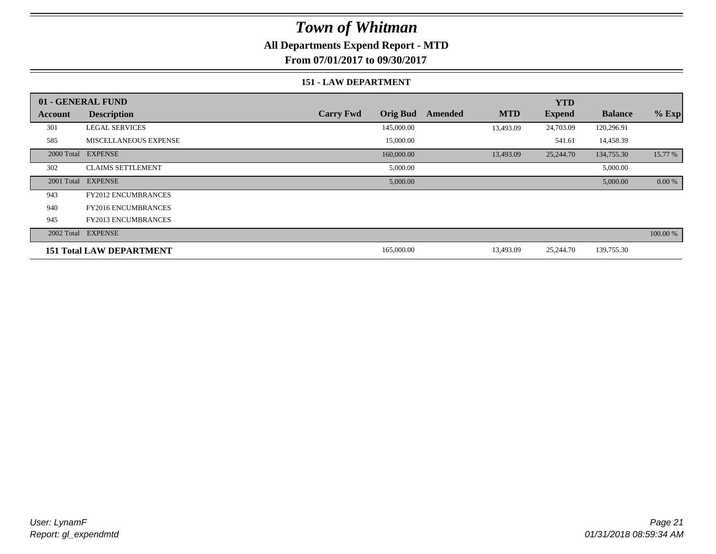### **All Departments Expend Report - MTD**

**From 07/01/2017 to 09/30/2017**

#### **151 - LAW DEPARTMENT**

|         | 01 - GENERAL FUND               |                                     |                       | <b>YTD</b>    |                |          |
|---------|---------------------------------|-------------------------------------|-----------------------|---------------|----------------|----------|
| Account | <b>Description</b>              | <b>Orig Bud</b><br><b>Carry Fwd</b> | <b>MTD</b><br>Amended | <b>Expend</b> | <b>Balance</b> | $%$ Exp  |
| 301     | <b>LEGAL SERVICES</b>           | 145,000.00                          | 13,493.09             | 24,703.09     | 120,296.91     |          |
| 585     | <b>MISCELLANEOUS EXPENSE</b>    | 15,000.00                           |                       | 541.61        | 14,458.39      |          |
|         | 2000 Total EXPENSE              | 160,000.00                          | 13,493.09             | 25,244.70     | 134,755.30     | 15.77 %  |
| 302     | <b>CLAIMS SETTLEMENT</b>        | 5,000.00                            |                       |               | 5,000.00       |          |
|         | 2001 Total EXPENSE              | 5,000.00                            |                       |               | 5,000.00       | 0.00 %   |
| 943     | <b>FY2012 ENCUMBRANCES</b>      |                                     |                       |               |                |          |
| 940     | <b>FY2016 ENCUMBRANCES</b>      |                                     |                       |               |                |          |
| 945     | <b>FY2013 ENCUMBRANCES</b>      |                                     |                       |               |                |          |
|         | 2002 Total EXPENSE              |                                     |                       |               |                | 100.00 % |
|         | <b>151 Total LAW DEPARTMENT</b> | 165,000.00                          | 13,493.09             | 25,244.70     | 139,755.30     |          |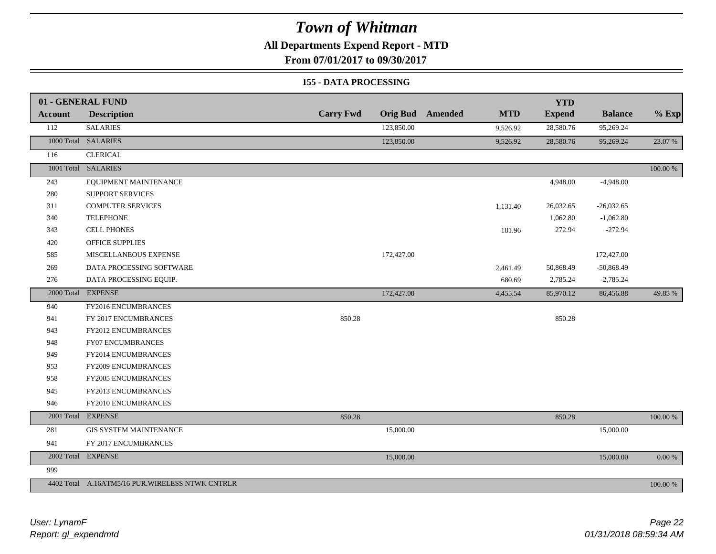### **All Departments Expend Report - MTD**

**From 07/01/2017 to 09/30/2017**

#### **155 - DATA PROCESSING**

|         | 01 - GENERAL FUND                               |                  |                 |         |            | <b>YTD</b>    |                |           |
|---------|-------------------------------------------------|------------------|-----------------|---------|------------|---------------|----------------|-----------|
| Account | <b>Description</b>                              | <b>Carry Fwd</b> | <b>Orig Bud</b> | Amended | <b>MTD</b> | <b>Expend</b> | <b>Balance</b> | $%$ Exp   |
| 112     | <b>SALARIES</b>                                 |                  | 123,850.00      |         | 9,526.92   | 28,580.76     | 95,269.24      |           |
|         | 1000 Total SALARIES                             |                  | 123,850.00      |         | 9,526.92   | 28,580.76     | 95,269.24      | 23.07 %   |
| 116     | <b>CLERICAL</b>                                 |                  |                 |         |            |               |                |           |
|         | 1001 Total SALARIES                             |                  |                 |         |            |               |                | 100.00 %  |
| 243     | EQUIPMENT MAINTENANCE                           |                  |                 |         |            | 4,948.00      | $-4,948.00$    |           |
| 280     | <b>SUPPORT SERVICES</b>                         |                  |                 |         |            |               |                |           |
| 311     | <b>COMPUTER SERVICES</b>                        |                  |                 |         | 1,131.40   | 26,032.65     | $-26,032.65$   |           |
| 340     | <b>TELEPHONE</b>                                |                  |                 |         |            | 1,062.80      | $-1,062.80$    |           |
| 343     | <b>CELL PHONES</b>                              |                  |                 |         | 181.96     | 272.94        | $-272.94$      |           |
| 420     | <b>OFFICE SUPPLIES</b>                          |                  |                 |         |            |               |                |           |
| 585     | MISCELLANEOUS EXPENSE                           |                  | 172,427.00      |         |            |               | 172,427.00     |           |
| 269     | DATA PROCESSING SOFTWARE                        |                  |                 |         | 2,461.49   | 50,868.49     | $-50,868.49$   |           |
| 276     | DATA PROCESSING EQUIP.                          |                  |                 |         | 680.69     | 2,785.24      | $-2,785.24$    |           |
|         | 2000 Total EXPENSE                              |                  | 172,427.00      |         | 4,455.54   | 85,970.12     | 86,456.88      | 49.85 %   |
| 940     | FY2016 ENCUMBRANCES                             |                  |                 |         |            |               |                |           |
| 941     | FY 2017 ENCUMBRANCES                            | 850.28           |                 |         |            | 850.28        |                |           |
| 943     | FY2012 ENCUMBRANCES                             |                  |                 |         |            |               |                |           |
| 948     | <b>FY07 ENCUMBRANCES</b>                        |                  |                 |         |            |               |                |           |
| 949     | <b>FY2014 ENCUMBRANCES</b>                      |                  |                 |         |            |               |                |           |
| 953     | FY2009 ENCUMBRANCES                             |                  |                 |         |            |               |                |           |
| 958     | FY2005 ENCUMBRANCES                             |                  |                 |         |            |               |                |           |
| 945     | FY2013 ENCUMBRANCES                             |                  |                 |         |            |               |                |           |
| 946     | FY2010 ENCUMBRANCES                             |                  |                 |         |            |               |                |           |
|         | 2001 Total EXPENSE                              | 850.28           |                 |         |            | 850.28        |                | 100.00 %  |
| 281     | <b>GIS SYSTEM MAINTENANCE</b>                   |                  | 15,000.00       |         |            |               | 15,000.00      |           |
| 941     | FY 2017 ENCUMBRANCES                            |                  |                 |         |            |               |                |           |
|         | 2002 Total EXPENSE                              |                  | 15,000.00       |         |            |               | 15,000.00      | $0.00~\%$ |
| 999     |                                                 |                  |                 |         |            |               |                |           |
|         | 4402 Total A.16ATM5/16 PUR.WIRELESS NTWK CNTRLR |                  |                 |         |            |               |                | 100.00 %  |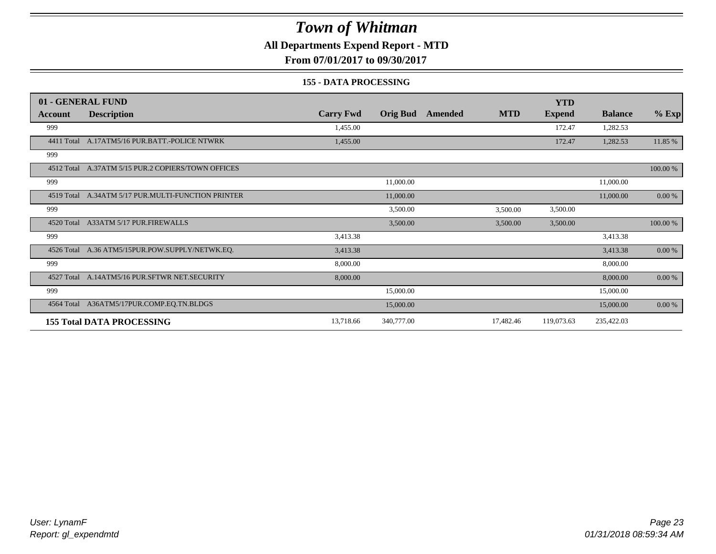### **All Departments Expend Report - MTD**

**From 07/01/2017 to 09/30/2017**

#### **155 - DATA PROCESSING**

|            | 01 - GENERAL FUND                                  |                  |                 |         |            | <b>YTD</b>    |                |           |
|------------|----------------------------------------------------|------------------|-----------------|---------|------------|---------------|----------------|-----------|
| Account    | <b>Description</b>                                 | <b>Carry Fwd</b> | <b>Orig Bud</b> | Amended | <b>MTD</b> | <b>Expend</b> | <b>Balance</b> | $%$ Exp   |
| 999        |                                                    | 1,455.00         |                 |         |            | 172.47        | 1,282.53       |           |
|            | 4411 Total A.17ATM5/16 PUR.BATT.-POLICE NTWRK      | 1,455.00         |                 |         |            | 172.47        | 1,282.53       | 11.85 %   |
| 999        |                                                    |                  |                 |         |            |               |                |           |
|            | 4512 Total A.37ATM 5/15 PUR.2 COPIERS/TOWN OFFICES |                  |                 |         |            |               |                | 100.00 %  |
| 999        |                                                    |                  | 11,000.00       |         |            |               | 11,000.00      |           |
| 4519 Total | A.34ATM 5/17 PUR.MULTI-FUNCTION PRINTER            |                  | 11,000.00       |         |            |               | 11,000.00      | $0.00 \%$ |
| 999        |                                                    |                  | 3,500.00        |         | 3,500.00   | 3,500.00      |                |           |
|            | 4520 Total A33ATM 5/17 PUR.FIREWALLS               |                  | 3,500.00        |         | 3,500.00   | 3,500.00      |                | 100.00 %  |
| 999        |                                                    | 3,413.38         |                 |         |            |               | 3,413.38       |           |
|            | 4526 Total A.36 ATM5/15PUR.POW.SUPPLY/NETWK.EQ.    | 3,413.38         |                 |         |            |               | 3,413.38       | $0.00 \%$ |
| 999        |                                                    | 8,000.00         |                 |         |            |               | 8,000.00       |           |
|            | 4527 Total A.14ATM5/16 PUR.SFTWR NET.SECURITY      | 8,000.00         |                 |         |            |               | 8,000.00       | 0.00 %    |
| 999        |                                                    |                  | 15,000.00       |         |            |               | 15,000.00      |           |
| 4564 Total | A36ATM5/17PUR.COMP.EQ.TN.BLDGS                     |                  | 15,000.00       |         |            |               | 15,000.00      | 0.00 %    |
|            | <b>155 Total DATA PROCESSING</b>                   | 13,718.66        | 340,777.00      |         | 17,482.46  | 119,073.63    | 235,422.03     |           |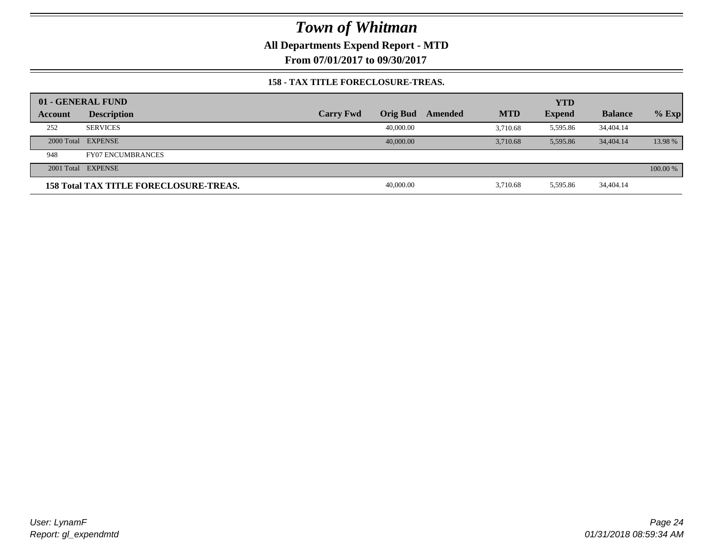**All Departments Expend Report - MTD**

**From 07/01/2017 to 09/30/2017**

#### **158 - TAX TITLE FORECLOSURE-TREAS.**

|         | 01 - GENERAL FUND                             |                  |                 |         |            | <b>YTD</b>    |                |          |
|---------|-----------------------------------------------|------------------|-----------------|---------|------------|---------------|----------------|----------|
| Account | <b>Description</b>                            | <b>Carry Fwd</b> | <b>Orig Bud</b> | Amended | <b>MTD</b> | <b>Expend</b> | <b>Balance</b> | $%$ Exp  |
| 252     | <b>SERVICES</b>                               |                  | 40,000.00       |         | 3.710.68   | 5,595.86      | 34,404.14      |          |
|         | 2000 Total EXPENSE                            |                  | 40,000,00       |         | 3.710.68   | 5.595.86      | 34,404.14      | 13.98 %  |
| 948     | <b>FY07 ENCUMBRANCES</b>                      |                  |                 |         |            |               |                |          |
|         | 2001 Total EXPENSE                            |                  |                 |         |            |               |                | 100.00 % |
|         | <b>158 Total TAX TITLE FORECLOSURE-TREAS.</b> |                  | 40,000.00       |         | 3,710.68   | 5,595.86      | 34,404.14      |          |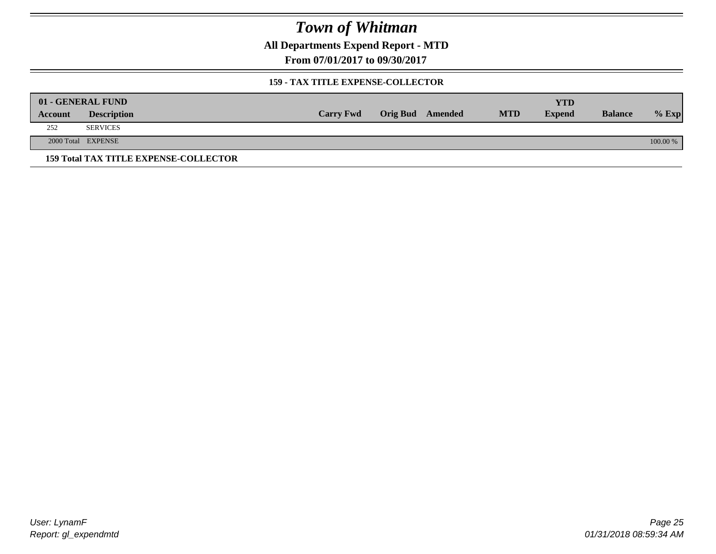**All Departments Expend Report - MTD**

**From 07/01/2017 to 09/30/2017**

#### **159 - TAX TITLE EXPENSE-COLLECTOR**

|         | 01 - GENERAL FUND                            |                  |                         |            | YTD           |                |          |
|---------|----------------------------------------------|------------------|-------------------------|------------|---------------|----------------|----------|
| Account | <b>Description</b>                           | <b>Carry Fwd</b> | <b>Orig Bud</b> Amended | <b>MTD</b> | <b>Expend</b> | <b>Balance</b> | $%$ Exp  |
| 252     | <b>SERVICES</b>                              |                  |                         |            |               |                |          |
|         | 2000 Total EXPENSE                           |                  |                         |            |               |                | 100.00 % |
|         | <b>159 Total TAX TITLE EXPENSE-COLLECTOR</b> |                  |                         |            |               |                |          |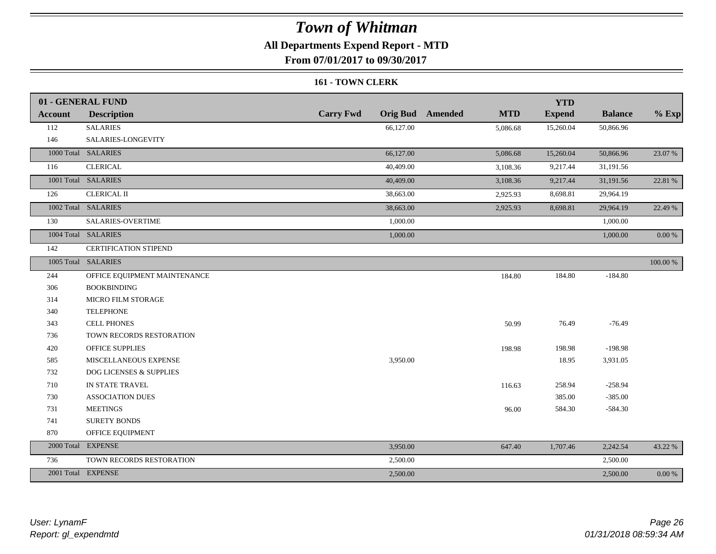### **All Departments Expend Report - MTD**

**From 07/01/2017 to 09/30/2017**

#### **161 - TOWN CLERK**

|                | 01 - GENERAL FUND            |                  |           |                         |            | <b>YTD</b>    |                |             |
|----------------|------------------------------|------------------|-----------|-------------------------|------------|---------------|----------------|-------------|
| <b>Account</b> | <b>Description</b>           | <b>Carry Fwd</b> |           | <b>Orig Bud</b> Amended | <b>MTD</b> | <b>Expend</b> | <b>Balance</b> | $%$ Exp     |
| 112            | <b>SALARIES</b>              |                  | 66,127.00 |                         | 5,086.68   | 15,260.04     | 50,866.96      |             |
| 146            | SALARIES-LONGEVITY           |                  |           |                         |            |               |                |             |
|                | 1000 Total SALARIES          |                  | 66,127.00 |                         | 5,086.68   | 15,260.04     | 50,866.96      | 23.07 %     |
| 116            | <b>CLERICAL</b>              |                  | 40,409.00 |                         | 3,108.36   | 9,217.44      | 31,191.56      |             |
|                | 1001 Total SALARIES          |                  | 40,409.00 |                         | 3,108.36   | 9,217.44      | 31,191.56      | 22.81 %     |
| 126            | <b>CLERICAL II</b>           |                  | 38,663.00 |                         | 2,925.93   | 8,698.81      | 29,964.19      |             |
|                | 1002 Total SALARIES          |                  | 38,663.00 |                         | 2,925.93   | 8,698.81      | 29,964.19      | 22.49 %     |
| 130            | SALARIES-OVERTIME            |                  | 1,000.00  |                         |            |               | 1,000.00       |             |
|                | 1004 Total SALARIES          |                  | 1,000.00  |                         |            |               | 1,000.00       | $0.00\ \%$  |
| 142            | <b>CERTIFICATION STIPEND</b> |                  |           |                         |            |               |                |             |
|                | 1005 Total SALARIES          |                  |           |                         |            |               |                | $100.00~\%$ |
| 244            | OFFICE EQUIPMENT MAINTENANCE |                  |           |                         | 184.80     | 184.80        | $-184.80$      |             |
| 306            | <b>BOOKBINDING</b>           |                  |           |                         |            |               |                |             |
| 314            | <b>MICRO FILM STORAGE</b>    |                  |           |                         |            |               |                |             |
| 340            | <b>TELEPHONE</b>             |                  |           |                         |            |               |                |             |
| 343            | <b>CELL PHONES</b>           |                  |           |                         | 50.99      | 76.49         | $-76.49$       |             |
| 736            | TOWN RECORDS RESTORATION     |                  |           |                         |            |               |                |             |
| 420            | <b>OFFICE SUPPLIES</b>       |                  |           |                         | 198.98     | 198.98        | $-198.98$      |             |
| 585            | MISCELLANEOUS EXPENSE        |                  | 3,950.00  |                         |            | 18.95         | 3,931.05       |             |
| 732            | DOG LICENSES & SUPPLIES      |                  |           |                         |            |               |                |             |
| 710            | IN STATE TRAVEL              |                  |           |                         | 116.63     | 258.94        | $-258.94$      |             |
| 730            | <b>ASSOCIATION DUES</b>      |                  |           |                         |            | 385.00        | $-385.00$      |             |
| 731            | <b>MEETINGS</b>              |                  |           |                         | 96.00      | 584.30        | $-584.30$      |             |
| 741            | <b>SURETY BONDS</b>          |                  |           |                         |            |               |                |             |
| 870            | OFFICE EQUIPMENT             |                  |           |                         |            |               |                |             |
|                | 2000 Total EXPENSE           |                  | 3,950.00  |                         | 647.40     | 1,707.46      | 2,242.54       | 43.22 %     |
| 736            | TOWN RECORDS RESTORATION     |                  | 2,500.00  |                         |            |               | 2,500.00       |             |
|                | 2001 Total EXPENSE           |                  | 2,500.00  |                         |            |               | 2,500.00       | $0.00\ \%$  |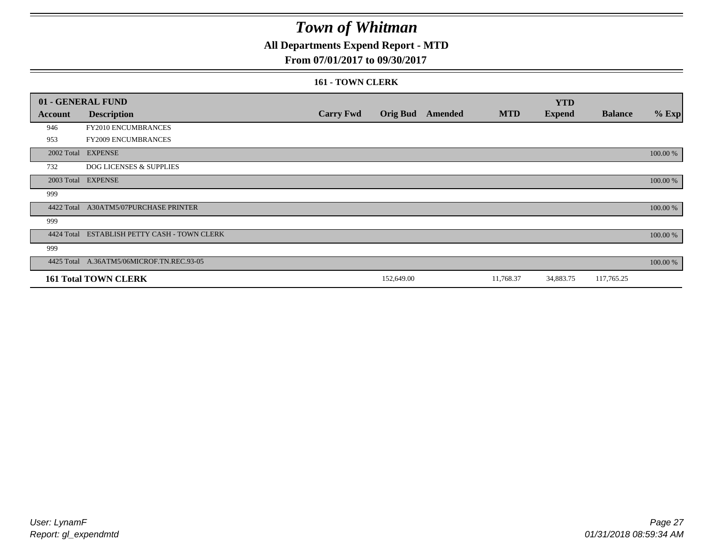### **All Departments Expend Report - MTD**

#### **From 07/01/2017 to 09/30/2017**

#### **161 - TOWN CLERK**

|            | 01 - GENERAL FUND                         |                  |                 |                |            | <b>YTD</b>    |                |          |
|------------|-------------------------------------------|------------------|-----------------|----------------|------------|---------------|----------------|----------|
| Account    | <b>Description</b>                        | <b>Carry Fwd</b> | <b>Orig Bud</b> | <b>Amended</b> | <b>MTD</b> | <b>Expend</b> | <b>Balance</b> | $%$ Exp  |
| 946        | FY2010 ENCUMBRANCES                       |                  |                 |                |            |               |                |          |
| 953        | <b>FY2009 ENCUMBRANCES</b>                |                  |                 |                |            |               |                |          |
|            | 2002 Total EXPENSE                        |                  |                 |                |            |               |                | 100.00 % |
| 732        | <b>DOG LICENSES &amp; SUPPLIES</b>        |                  |                 |                |            |               |                |          |
| 2003 Total | <b>EXPENSE</b>                            |                  |                 |                |            |               |                | 100.00 % |
| 999        |                                           |                  |                 |                |            |               |                |          |
| 4422 Total | A30ATM5/07PURCHASE PRINTER                |                  |                 |                |            |               |                | 100.00 % |
| 999        |                                           |                  |                 |                |            |               |                |          |
| 4424 Total | ESTABLISH PETTY CASH - TOWN CLERK         |                  |                 |                |            |               |                | 100.00 % |
| 999        |                                           |                  |                 |                |            |               |                |          |
|            | 4425 Total A.36ATM5/06MICROF.TN.REC.93-05 |                  |                 |                |            |               |                | 100.00 % |
|            | <b>161 Total TOWN CLERK</b>               |                  | 152,649.00      |                | 11,768.37  | 34,883.75     | 117,765.25     |          |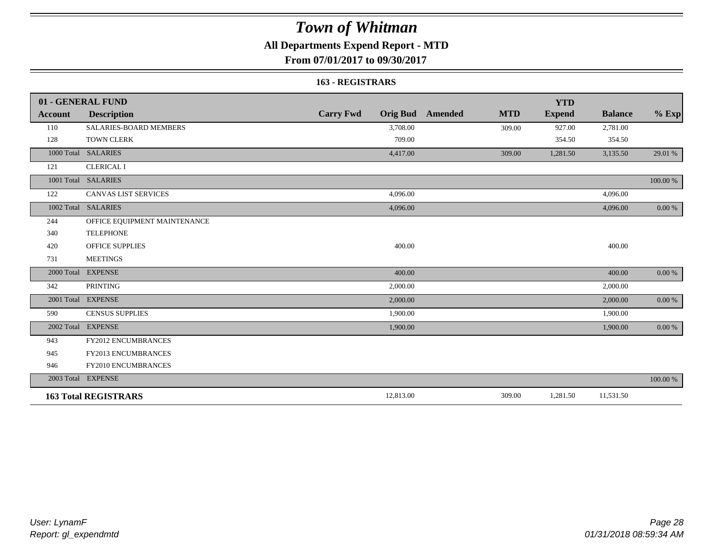### **All Departments Expend Report - MTD**

**From 07/01/2017 to 09/30/2017**

#### **163 - REGISTRARS**

|            | 01 - GENERAL FUND             |                  |                                       | <b>YTD</b>    |                |            |
|------------|-------------------------------|------------------|---------------------------------------|---------------|----------------|------------|
| Account    | <b>Description</b>            | <b>Carry Fwd</b> | <b>Orig Bud</b> Amended<br><b>MTD</b> | <b>Expend</b> | <b>Balance</b> | $%$ Exp    |
| 110        | <b>SALARIES-BOARD MEMBERS</b> | 3,708.00         | 309.00                                | 927.00        | 2,781.00       |            |
| 128        | <b>TOWN CLERK</b>             | 709.00           |                                       | 354.50        | 354.50         |            |
| 1000 Total | <b>SALARIES</b>               | 4,417.00         | 309.00                                | 1,281.50      | 3,135.50       | 29.01 %    |
| 121        | <b>CLERICAL I</b>             |                  |                                       |               |                |            |
|            | 1001 Total SALARIES           |                  |                                       |               |                | 100.00 %   |
| 122        | <b>CANVAS LIST SERVICES</b>   | 4,096.00         |                                       |               | 4,096.00       |            |
|            | 1002 Total SALARIES           | 4,096.00         |                                       |               | 4,096.00       | $0.00\ \%$ |
| 244        | OFFICE EQUIPMENT MAINTENANCE  |                  |                                       |               |                |            |
| 340        | <b>TELEPHONE</b>              |                  |                                       |               |                |            |
| 420        | <b>OFFICE SUPPLIES</b>        | 400.00           |                                       |               | 400.00         |            |
| 731        | <b>MEETINGS</b>               |                  |                                       |               |                |            |
| 2000 Total | <b>EXPENSE</b>                | 400.00           |                                       |               | 400.00         | $0.00 \%$  |
| 342        | <b>PRINTING</b>               | 2,000.00         |                                       |               | 2,000.00       |            |
|            | 2001 Total EXPENSE            | 2,000.00         |                                       |               | 2,000.00       | $0.00 \%$  |
| 590        | <b>CENSUS SUPPLIES</b>        | 1,900.00         |                                       |               | 1,900.00       |            |
| 2002 Total | <b>EXPENSE</b>                | 1,900.00         |                                       |               | 1,900.00       | 0.00 %     |
| 943        | FY2012 ENCUMBRANCES           |                  |                                       |               |                |            |
| 945        | FY2013 ENCUMBRANCES           |                  |                                       |               |                |            |
| 946        | FY2010 ENCUMBRANCES           |                  |                                       |               |                |            |
|            | 2003 Total EXPENSE            |                  |                                       |               |                | 100.00 %   |
|            | <b>163 Total REGISTRARS</b>   | 12,813.00        | 309.00                                | 1,281.50      | 11,531.50      |            |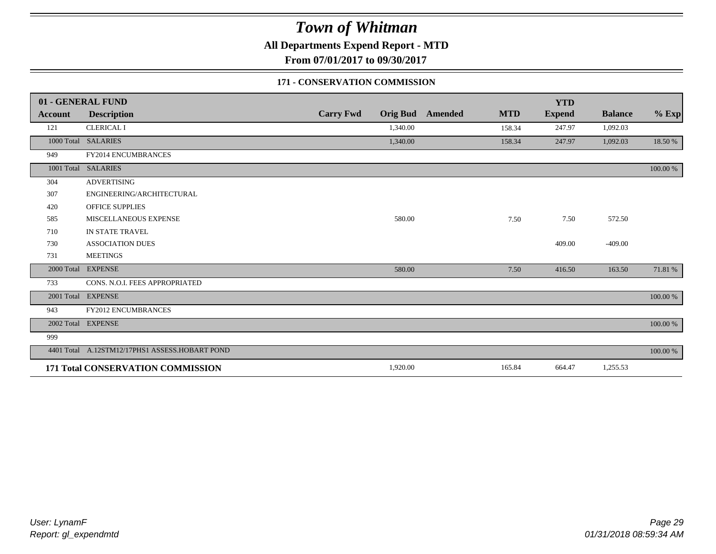**All Departments Expend Report - MTD**

**From 07/01/2017 to 09/30/2017**

#### **171 - CONSERVATION COMMISSION**

|            | 01 - GENERAL FUND                   |                  |                 |                |            | <b>YTD</b>    |                |          |
|------------|-------------------------------------|------------------|-----------------|----------------|------------|---------------|----------------|----------|
| Account    | <b>Description</b>                  | <b>Carry Fwd</b> | <b>Orig Bud</b> | <b>Amended</b> | <b>MTD</b> | <b>Expend</b> | <b>Balance</b> | $%$ Exp  |
| 121        | <b>CLERICAL I</b>                   |                  | 1,340.00        |                | 158.34     | 247.97        | 1,092.03       |          |
|            | 1000 Total SALARIES                 |                  | 1,340.00        |                | 158.34     | 247.97        | 1,092.03       | 18.50 %  |
| 949        | FY2014 ENCUMBRANCES                 |                  |                 |                |            |               |                |          |
| 1001 Total | <b>SALARIES</b>                     |                  |                 |                |            |               |                | 100.00 % |
| 304        | <b>ADVERTISING</b>                  |                  |                 |                |            |               |                |          |
| 307        | ENGINEERING/ARCHITECTURAL           |                  |                 |                |            |               |                |          |
| 420        | <b>OFFICE SUPPLIES</b>              |                  |                 |                |            |               |                |          |
| 585        | MISCELLANEOUS EXPENSE               |                  | 580.00          |                | 7.50       | 7.50          | 572.50         |          |
| 710        | IN STATE TRAVEL                     |                  |                 |                |            |               |                |          |
| 730        | <b>ASSOCIATION DUES</b>             |                  |                 |                |            | 409.00        | $-409.00$      |          |
| 731        | <b>MEETINGS</b>                     |                  |                 |                |            |               |                |          |
| 2000 Total | <b>EXPENSE</b>                      |                  | 580.00          |                | 7.50       | 416.50        | 163.50         | 71.81 %  |
| 733        | CONS. N.O.I. FEES APPROPRIATED      |                  |                 |                |            |               |                |          |
|            | 2001 Total EXPENSE                  |                  |                 |                |            |               |                | 100.00 % |
| 943        | <b>FY2012 ENCUMBRANCES</b>          |                  |                 |                |            |               |                |          |
|            | 2002 Total EXPENSE                  |                  |                 |                |            |               |                | 100.00 % |
| 999        |                                     |                  |                 |                |            |               |                |          |
| 4401 Total | A.12STM12/17PHS1 ASSESS.HOBART POND |                  |                 |                |            |               |                | 100.00 % |
|            | 171 Total CONSERVATION COMMISSION   |                  | 1,920.00        |                | 165.84     | 664.47        | 1,255.53       |          |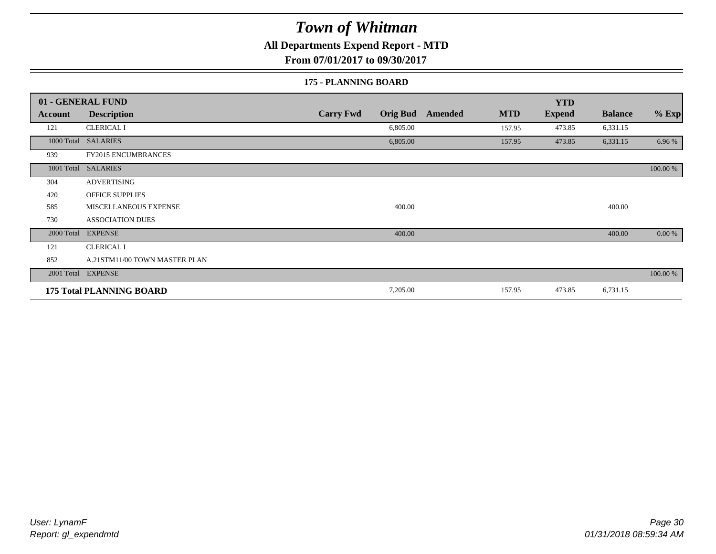### **All Departments Expend Report - MTD**

**From 07/01/2017 to 09/30/2017**

#### **175 - PLANNING BOARD**

|            | 01 - GENERAL FUND               |                                     |                              | <b>YTD</b>    |                |          |
|------------|---------------------------------|-------------------------------------|------------------------------|---------------|----------------|----------|
| Account    | <b>Description</b>              | <b>Carry Fwd</b><br><b>Orig Bud</b> | <b>MTD</b><br><b>Amended</b> | <b>Expend</b> | <b>Balance</b> | $%$ Exp  |
| 121        | <b>CLERICAL I</b>               | 6,805.00                            | 157.95                       | 473.85        | 6,331.15       |          |
|            | 1000 Total SALARIES             | 6,805.00                            | 157.95                       | 473.85        | 6,331.15       | 6.96 %   |
| 939        | <b>FY2015 ENCUMBRANCES</b>      |                                     |                              |               |                |          |
|            | 1001 Total SALARIES             |                                     |                              |               |                | 100.00 % |
| 304        | <b>ADVERTISING</b>              |                                     |                              |               |                |          |
| 420        | <b>OFFICE SUPPLIES</b>          |                                     |                              |               |                |          |
| 585        | MISCELLANEOUS EXPENSE           | 400.00                              |                              |               | 400.00         |          |
| 730        | <b>ASSOCIATION DUES</b>         |                                     |                              |               |                |          |
| 2000 Total | <b>EXPENSE</b>                  | 400.00                              |                              |               | 400.00         | 0.00 %   |
| 121        | <b>CLERICAL I</b>               |                                     |                              |               |                |          |
| 852        | A.21STM11/00 TOWN MASTER PLAN   |                                     |                              |               |                |          |
|            | 2001 Total EXPENSE              |                                     |                              |               |                | 100.00 % |
|            | <b>175 Total PLANNING BOARD</b> | 7,205.00                            | 157.95                       | 473.85        | 6,731.15       |          |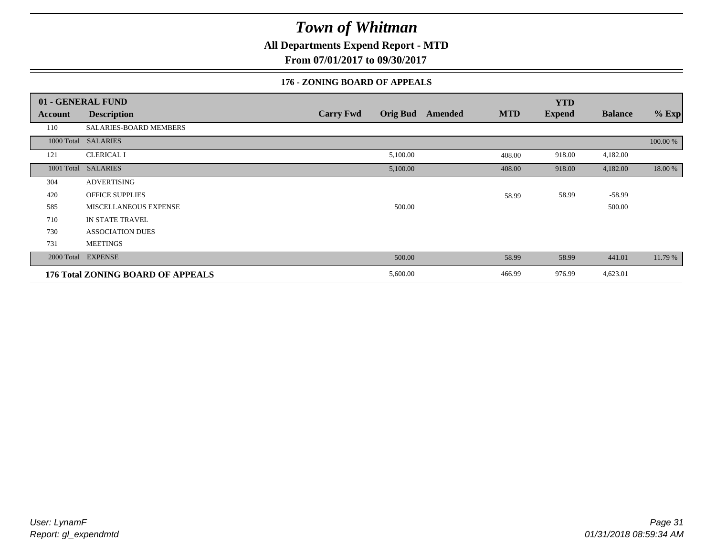**All Departments Expend Report - MTD**

**From 07/01/2017 to 09/30/2017**

#### **176 - ZONING BOARD OF APPEALS**

|            | 01 - GENERAL FUND                        |                                     |         |            | <b>YTD</b>    |                |          |
|------------|------------------------------------------|-------------------------------------|---------|------------|---------------|----------------|----------|
| Account    | <b>Description</b>                       | <b>Orig Bud</b><br><b>Carry Fwd</b> | Amended | <b>MTD</b> | <b>Expend</b> | <b>Balance</b> | $%$ Exp  |
| 110        | SALARIES-BOARD MEMBERS                   |                                     |         |            |               |                |          |
|            | 1000 Total SALARIES                      |                                     |         |            |               |                | 100.00 % |
| 121        | <b>CLERICAL I</b>                        | 5,100.00                            |         | 408.00     | 918.00        | 4,182.00       |          |
| 1001 Total | <b>SALARIES</b>                          | 5,100.00                            |         | 408.00     | 918.00        | 4,182.00       | 18.00 %  |
| 304        | ADVERTISING                              |                                     |         |            |               |                |          |
| 420        | <b>OFFICE SUPPLIES</b>                   |                                     |         | 58.99      | 58.99         | $-58.99$       |          |
| 585        | <b>MISCELLANEOUS EXPENSE</b>             | 500.00                              |         |            |               | 500.00         |          |
| 710        | IN STATE TRAVEL                          |                                     |         |            |               |                |          |
| 730        | <b>ASSOCIATION DUES</b>                  |                                     |         |            |               |                |          |
| 731        | <b>MEETINGS</b>                          |                                     |         |            |               |                |          |
|            | 2000 Total EXPENSE                       | 500.00                              |         | 58.99      | 58.99         | 441.01         | 11.79 %  |
|            | <b>176 Total ZONING BOARD OF APPEALS</b> | 5,600.00                            |         | 466.99     | 976.99        | 4,623.01       |          |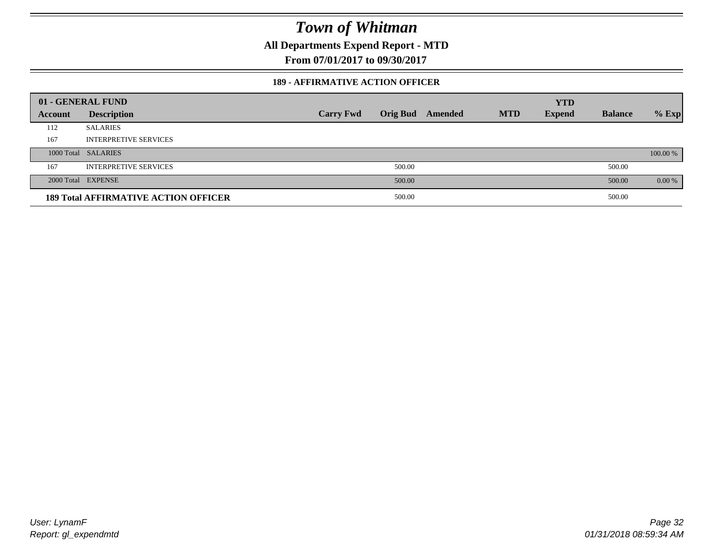**All Departments Expend Report - MTD**

**From 07/01/2017 to 09/30/2017**

#### **189 - AFFIRMATIVE ACTION OFFICER**

|         | 01 - GENERAL FUND                           |                  |                 |         |            | <b>YTD</b>    |                |          |
|---------|---------------------------------------------|------------------|-----------------|---------|------------|---------------|----------------|----------|
| Account | <b>Description</b>                          | <b>Carry Fwd</b> | <b>Orig Bud</b> | Amended | <b>MTD</b> | <b>Expend</b> | <b>Balance</b> | $%$ Exp  |
| 112     | <b>SALARIES</b>                             |                  |                 |         |            |               |                |          |
| 167     | <b>INTERPRETIVE SERVICES</b>                |                  |                 |         |            |               |                |          |
|         | 1000 Total SALARIES                         |                  |                 |         |            |               |                | 100.00 % |
| 167     | <b>INTERPRETIVE SERVICES</b>                |                  | 500.00          |         |            |               | 500.00         |          |
|         | 2000 Total EXPENSE                          |                  | 500.00          |         |            |               | 500.00         | 0.00 %   |
|         | <b>189 Total AFFIRMATIVE ACTION OFFICER</b> |                  | 500.00          |         |            |               | 500.00         |          |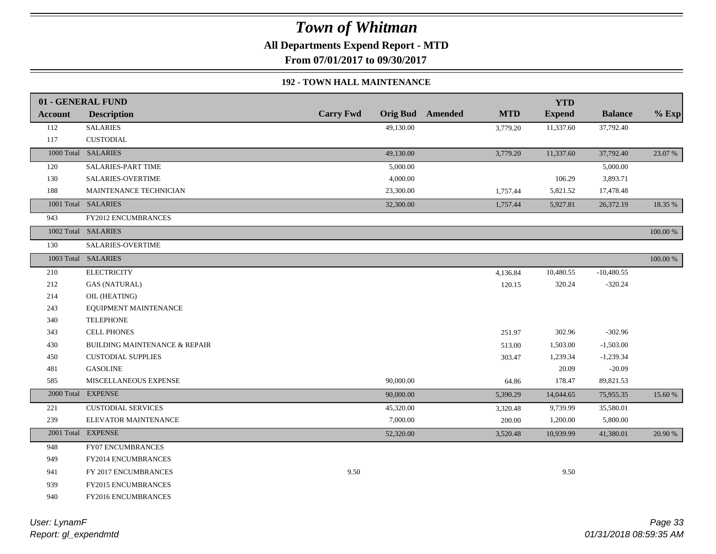**All Departments Expend Report - MTD**

**From 07/01/2017 to 09/30/2017**

#### **192 - TOWN HALL MAINTENANCE**

|                | 01 - GENERAL FUND                        |                  |           |                         |            | <b>YTD</b>    |                |             |
|----------------|------------------------------------------|------------------|-----------|-------------------------|------------|---------------|----------------|-------------|
| <b>Account</b> | <b>Description</b>                       | <b>Carry Fwd</b> |           | <b>Orig Bud</b> Amended | <b>MTD</b> | <b>Expend</b> | <b>Balance</b> | $%$ Exp     |
| 112            | <b>SALARIES</b>                          |                  | 49,130.00 |                         | 3,779.20   | 11,337.60     | 37,792.40      |             |
| 117            | <b>CUSTODIAL</b>                         |                  |           |                         |            |               |                |             |
|                | 1000 Total SALARIES                      |                  | 49,130.00 |                         | 3,779.20   | 11,337.60     | 37,792.40      | 23.07 %     |
| 120            | SALARIES-PART TIME                       |                  | 5,000.00  |                         |            |               | 5,000.00       |             |
| 130            | SALARIES-OVERTIME                        |                  | 4,000.00  |                         |            | 106.29        | 3,893.71       |             |
| 188            | MAINTENANCE TECHNICIAN                   |                  | 23,300.00 |                         | 1,757.44   | 5,821.52      | 17,478.48      |             |
|                | 1001 Total SALARIES                      |                  | 32,300.00 |                         | 1,757.44   | 5,927.81      | 26,372.19      | 18.35 %     |
| 943            | <b>FY2012 ENCUMBRANCES</b>               |                  |           |                         |            |               |                |             |
|                | 1002 Total SALARIES                      |                  |           |                         |            |               |                | 100.00 %    |
| 130            | SALARIES-OVERTIME                        |                  |           |                         |            |               |                |             |
|                | 1003 Total SALARIES                      |                  |           |                         |            |               |                | $100.00~\%$ |
| 210            | <b>ELECTRICITY</b>                       |                  |           |                         | 4,136.84   | 10,480.55     | $-10,480.55$   |             |
| 212            | <b>GAS (NATURAL)</b>                     |                  |           |                         | 120.15     | 320.24        | $-320.24$      |             |
| 214            | OIL (HEATING)                            |                  |           |                         |            |               |                |             |
| 243            | EQUIPMENT MAINTENANCE                    |                  |           |                         |            |               |                |             |
| 340            | <b>TELEPHONE</b>                         |                  |           |                         |            |               |                |             |
| 343            | <b>CELL PHONES</b>                       |                  |           |                         | 251.97     | 302.96        | $-302.96$      |             |
| 430            | <b>BUILDING MAINTENANCE &amp; REPAIR</b> |                  |           |                         | 513.00     | 1,503.00      | $-1,503.00$    |             |
| 450            | <b>CUSTODIAL SUPPLIES</b>                |                  |           |                         | 303.47     | 1,239.34      | $-1,239.34$    |             |
| 481            | <b>GASOLINE</b>                          |                  |           |                         |            | 20.09         | $-20.09$       |             |
| 585            | MISCELLANEOUS EXPENSE                    |                  | 90,000.00 |                         | 64.86      | 178.47        | 89,821.53      |             |
|                | 2000 Total EXPENSE                       |                  | 90,000.00 |                         | 5,390.29   | 14,044.65     | 75,955.35      | 15.60 %     |
| 221            | <b>CUSTODIAL SERVICES</b>                |                  | 45,320.00 |                         | 3,320.48   | 9,739.99      | 35,580.01      |             |
| 239            | ELEVATOR MAINTENANCE                     |                  | 7,000.00  |                         | 200.00     | 1,200.00      | 5,800.00       |             |
|                | 2001 Total EXPENSE                       |                  | 52,320.00 |                         | 3,520.48   | 10,939.99     | 41,380.01      | 20.90 %     |
| 948            | <b>FY07 ENCUMBRANCES</b>                 |                  |           |                         |            |               |                |             |
| 949            | <b>FY2014 ENCUMBRANCES</b>               |                  |           |                         |            |               |                |             |
| 941            | FY 2017 ENCUMBRANCES                     | 9.50             |           |                         |            | 9.50          |                |             |
| 939            | <b>FY2015 ENCUMBRANCES</b>               |                  |           |                         |            |               |                |             |
| 940            | FY2016 ENCUMBRANCES                      |                  |           |                         |            |               |                |             |
|                |                                          |                  |           |                         |            |               |                |             |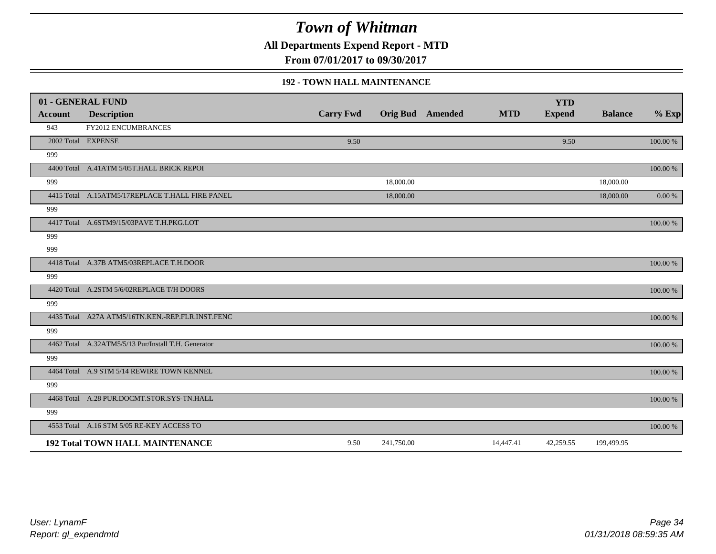**All Departments Expend Report - MTD**

**From 07/01/2017 to 09/30/2017**

#### **192 - TOWN HALL MAINTENANCE**

|                | 01 - GENERAL FUND                                   |                  |            |                         |            | <b>YTD</b>    |                |           |
|----------------|-----------------------------------------------------|------------------|------------|-------------------------|------------|---------------|----------------|-----------|
| <b>Account</b> | <b>Description</b>                                  | <b>Carry Fwd</b> |            | <b>Orig Bud</b> Amended | <b>MTD</b> | <b>Expend</b> | <b>Balance</b> | $%$ Exp   |
| 943            | FY2012 ENCUMBRANCES                                 |                  |            |                         |            |               |                |           |
|                | 2002 Total EXPENSE                                  | 9.50             |            |                         |            | 9.50          |                | 100.00 %  |
| 999            |                                                     |                  |            |                         |            |               |                |           |
|                | 4400 Total A.41ATM 5/05T.HALL BRICK REPOI           |                  |            |                         |            |               |                | 100.00 %  |
| 999            |                                                     |                  | 18,000.00  |                         |            |               | 18,000.00      |           |
|                | 4415 Total A.15ATM5/17REPLACE T.HALL FIRE PANEL     |                  | 18,000.00  |                         |            |               | 18,000.00      | $0.00 \%$ |
| 999            |                                                     |                  |            |                         |            |               |                |           |
|                | 4417 Total A.6STM9/15/03PAVE T.H.PKG.LOT            |                  |            |                         |            |               |                | 100.00 %  |
| 999            |                                                     |                  |            |                         |            |               |                |           |
| 999            |                                                     |                  |            |                         |            |               |                |           |
|                | 4418 Total A.37B ATM5/03REPLACE T.H.DOOR            |                  |            |                         |            |               |                | 100.00 %  |
| 999            |                                                     |                  |            |                         |            |               |                |           |
|                | 4420 Total A.2STM 5/6/02REPLACE T/H DOORS           |                  |            |                         |            |               |                | 100.00 %  |
| 999            |                                                     |                  |            |                         |            |               |                |           |
|                | 4435 Total A27A ATM5/16TN.KEN.-REP.FLR.INST.FENC    |                  |            |                         |            |               |                | 100.00 %  |
| 999            |                                                     |                  |            |                         |            |               |                |           |
|                | 4462 Total A.32ATM5/5/13 Pur/Install T.H. Generator |                  |            |                         |            |               |                | 100.00 %  |
| 999            |                                                     |                  |            |                         |            |               |                |           |
|                | 4464 Total A.9 STM 5/14 REWIRE TOWN KENNEL          |                  |            |                         |            |               |                | 100.00 %  |
| 999            |                                                     |                  |            |                         |            |               |                |           |
|                | 4468 Total A.28 PUR.DOCMT.STOR.SYS-TN.HALL          |                  |            |                         |            |               |                | 100.00 %  |
| 999            |                                                     |                  |            |                         |            |               |                |           |
|                | 4553 Total A.16 STM 5/05 RE-KEY ACCESS TO           |                  |            |                         |            |               |                | 100.00 %  |
|                | <b>192 Total TOWN HALL MAINTENANCE</b>              | 9.50             | 241,750.00 |                         | 14,447.41  | 42,259.55     | 199,499.95     |           |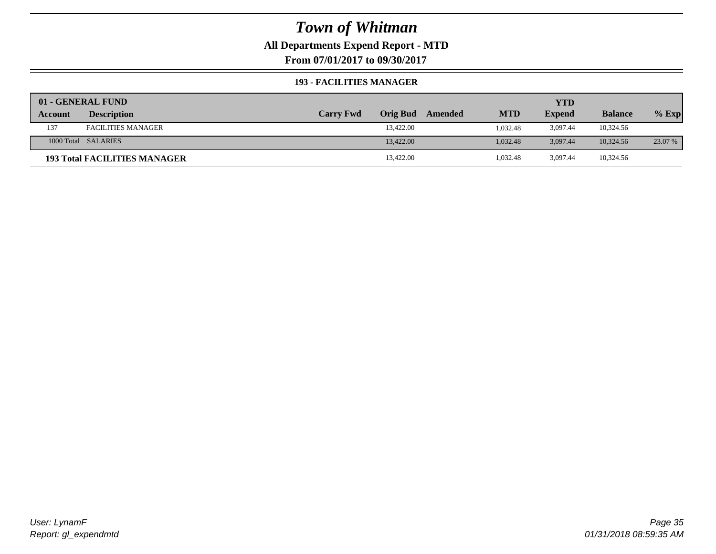### **All Departments Expend Report - MTD**

**From 07/01/2017 to 09/30/2017**

#### **193 - FACILITIES MANAGER**

|         | 01 - GENERAL FUND                   |                  |                 |         |            | YTD           |                |         |
|---------|-------------------------------------|------------------|-----------------|---------|------------|---------------|----------------|---------|
| Account | <b>Description</b>                  | <b>Carry Fwd</b> | <b>Orig Bud</b> | Amended | <b>MTD</b> | <b>Expend</b> | <b>Balance</b> | $%$ Exp |
| 137     | <b>FACILITIES MANAGER</b>           |                  | 13,422.00       |         | 1.032.48   | 3,097.44      | 10,324.56      |         |
|         | 1000 Total SALARIES                 |                  | 13,422.00       |         | 1.032.48   | 3.097.44      | 10.324.56      | 23.07 % |
|         | <b>193 Total FACILITIES MANAGER</b> |                  | 13,422.00       |         | 1,032.48   | 3.097.44      | 10,324.56      |         |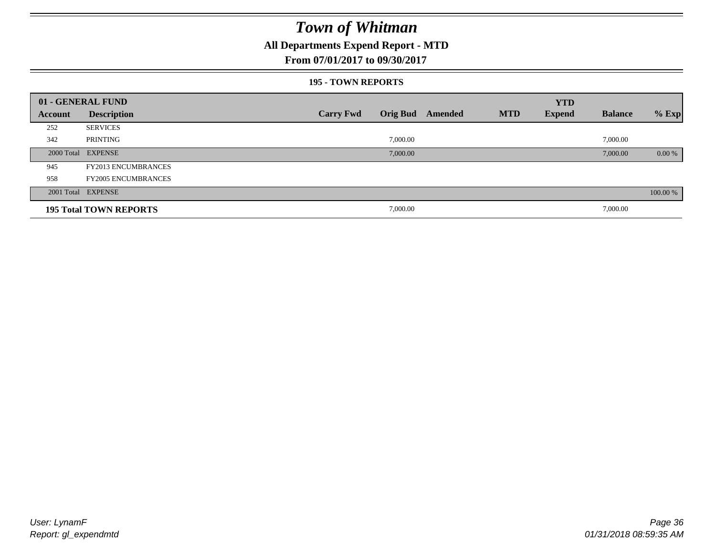### **All Departments Expend Report - MTD**

#### **From 07/01/2017 to 09/30/2017**

#### **195 - TOWN REPORTS**

|         | 01 - GENERAL FUND             |                  |          |                         |            | <b>YTD</b>    |                |          |
|---------|-------------------------------|------------------|----------|-------------------------|------------|---------------|----------------|----------|
| Account | <b>Description</b>            | <b>Carry Fwd</b> |          | <b>Orig Bud</b> Amended | <b>MTD</b> | <b>Expend</b> | <b>Balance</b> | $%$ Exp  |
| 252     | <b>SERVICES</b>               |                  |          |                         |            |               |                |          |
| 342     | PRINTING                      |                  | 7,000.00 |                         |            |               | 7,000.00       |          |
|         | 2000 Total EXPENSE            |                  | 7,000.00 |                         |            |               | 7,000.00       | $0.00\%$ |
| 945     | <b>FY2013 ENCUMBRANCES</b>    |                  |          |                         |            |               |                |          |
| 958     | <b>FY2005 ENCUMBRANCES</b>    |                  |          |                         |            |               |                |          |
|         | 2001 Total EXPENSE            |                  |          |                         |            |               |                | 100.00 % |
|         | <b>195 Total TOWN REPORTS</b> |                  | 7,000.00 |                         |            |               | 7,000.00       |          |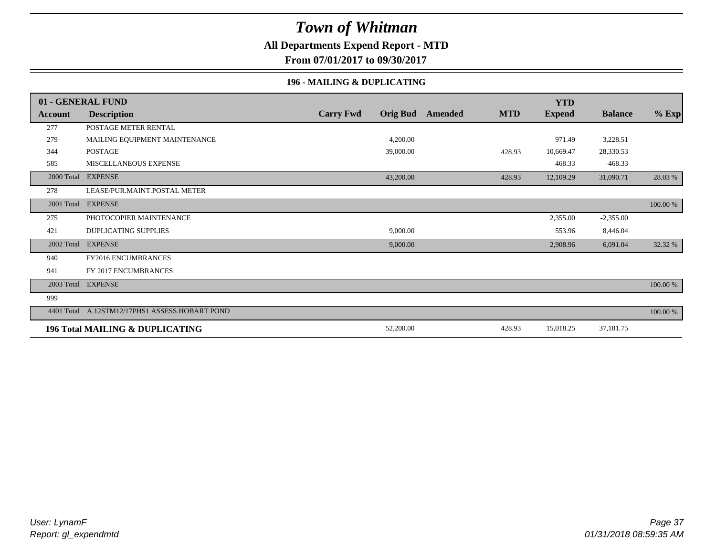### **All Departments Expend Report - MTD**

**From 07/01/2017 to 09/30/2017**

#### **196 - MAILING & DUPLICATING**

|            | 01 - GENERAL FUND                          |                  |                 |         |            | <b>YTD</b>    |                |          |
|------------|--------------------------------------------|------------------|-----------------|---------|------------|---------------|----------------|----------|
| Account    | <b>Description</b>                         | <b>Carry Fwd</b> | <b>Orig Bud</b> | Amended | <b>MTD</b> | <b>Expend</b> | <b>Balance</b> | $%$ Exp  |
| 277        | POSTAGE METER RENTAL                       |                  |                 |         |            |               |                |          |
| 279        | MAILING EQUIPMENT MAINTENANCE              |                  | 4,200.00        |         |            | 971.49        | 3,228.51       |          |
| 344        | <b>POSTAGE</b>                             |                  | 39,000.00       |         | 428.93     | 10,669.47     | 28,330.53      |          |
| 585        | MISCELLANEOUS EXPENSE                      |                  |                 |         |            | 468.33        | $-468.33$      |          |
| 2000 Total | <b>EXPENSE</b>                             |                  | 43,200.00       |         | 428.93     | 12,109.29     | 31,090.71      | 28.03 %  |
| 278        | LEASE/PUR.MAINT.POSTAL METER               |                  |                 |         |            |               |                |          |
| 2001 Total | <b>EXPENSE</b>                             |                  |                 |         |            |               |                | 100.00 % |
| 275        | PHOTOCOPIER MAINTENANCE                    |                  |                 |         |            | 2,355.00      | $-2,355.00$    |          |
| 421        | <b>DUPLICATING SUPPLIES</b>                |                  | 9,000.00        |         |            | 553.96        | 8,446.04       |          |
| 2002 Total | <b>EXPENSE</b>                             |                  | 9,000.00        |         |            | 2,908.96      | 6,091.04       | 32.32 %  |
| 940        | FY2016 ENCUMBRANCES                        |                  |                 |         |            |               |                |          |
| 941        | FY 2017 ENCUMBRANCES                       |                  |                 |         |            |               |                |          |
|            | 2003 Total EXPENSE                         |                  |                 |         |            |               |                | 100.00 % |
| 999        |                                            |                  |                 |         |            |               |                |          |
| 4401 Total | A.12STM12/17PHS1 ASSESS.HOBART POND        |                  |                 |         |            |               |                | 100.00 % |
|            | <b>196 Total MAILING &amp; DUPLICATING</b> |                  | 52,200.00       |         | 428.93     | 15,018.25     | 37,181.75      |          |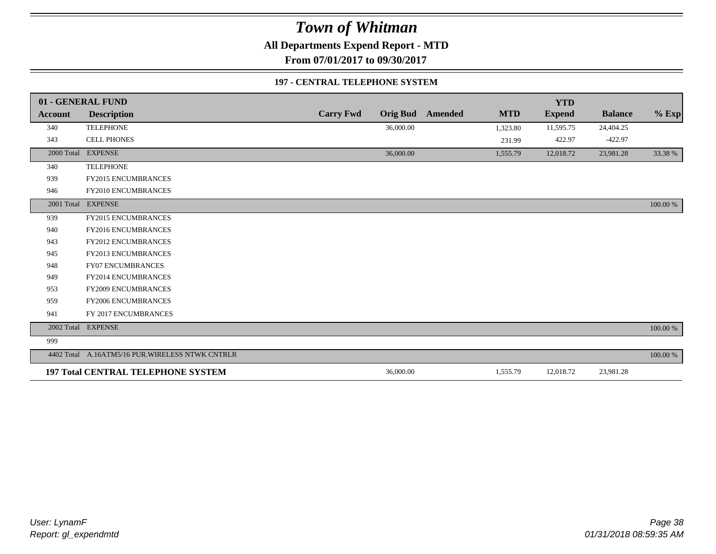**All Departments Expend Report - MTD**

**From 07/01/2017 to 09/30/2017**

#### **197 - CENTRAL TELEPHONE SYSTEM**

|                | 01 - GENERAL FUND                                |                  |                 |         |            | <b>YTD</b>    |                |             |
|----------------|--------------------------------------------------|------------------|-----------------|---------|------------|---------------|----------------|-------------|
| <b>Account</b> | <b>Description</b>                               | <b>Carry Fwd</b> | <b>Orig Bud</b> | Amended | <b>MTD</b> | <b>Expend</b> | <b>Balance</b> | $%$ Exp     |
| 340            | <b>TELEPHONE</b>                                 |                  | 36,000.00       |         | 1,323.80   | 11,595.75     | 24,404.25      |             |
| 343            | <b>CELL PHONES</b>                               |                  |                 |         | 231.99     | 422.97        | $-422.97$      |             |
| 2000 Total     | <b>EXPENSE</b>                                   |                  | 36,000.00       |         | 1,555.79   | 12,018.72     | 23,981.28      | 33.38 %     |
| 340            | <b>TELEPHONE</b>                                 |                  |                 |         |            |               |                |             |
| 939            | <b>FY2015 ENCUMBRANCES</b>                       |                  |                 |         |            |               |                |             |
| 946            | FY2010 ENCUMBRANCES                              |                  |                 |         |            |               |                |             |
|                | 2001 Total EXPENSE                               |                  |                 |         |            |               |                | 100.00 %    |
| 939            | <b>FY2015 ENCUMBRANCES</b>                       |                  |                 |         |            |               |                |             |
| 940            | FY2016 ENCUMBRANCES                              |                  |                 |         |            |               |                |             |
| 943            | FY2012 ENCUMBRANCES                              |                  |                 |         |            |               |                |             |
| 945            | FY2013 ENCUMBRANCES                              |                  |                 |         |            |               |                |             |
| 948            | <b>FY07 ENCUMBRANCES</b>                         |                  |                 |         |            |               |                |             |
| 949            | FY2014 ENCUMBRANCES                              |                  |                 |         |            |               |                |             |
| 953            | <b>FY2009 ENCUMBRANCES</b>                       |                  |                 |         |            |               |                |             |
| 959            | FY2006 ENCUMBRANCES                              |                  |                 |         |            |               |                |             |
| 941            | FY 2017 ENCUMBRANCES                             |                  |                 |         |            |               |                |             |
| 2002 Total     | <b>EXPENSE</b>                                   |                  |                 |         |            |               |                | $100.00~\%$ |
| 999            |                                                  |                  |                 |         |            |               |                |             |
|                | 4402 Total A.16ATM5/16 PUR. WIRELESS NTWK CNTRLR |                  |                 |         |            |               |                | 100.00 %    |
|                | <b>197 Total CENTRAL TELEPHONE SYSTEM</b>        |                  | 36,000.00       |         | 1,555.79   | 12,018.72     | 23,981.28      |             |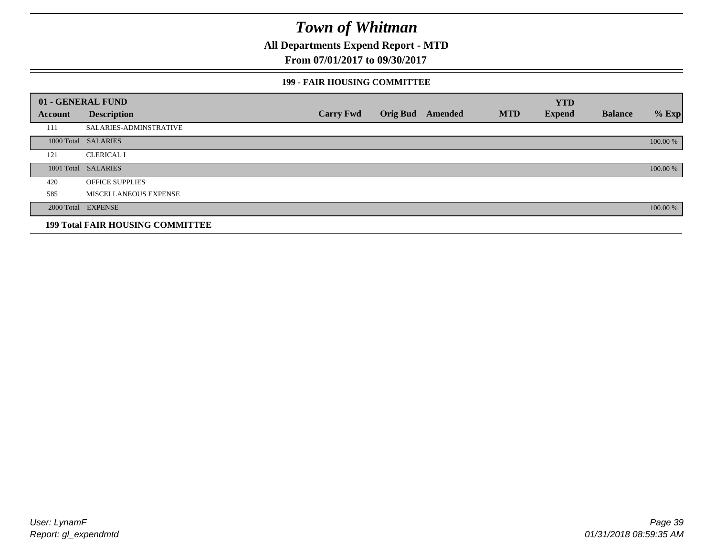**All Departments Expend Report - MTD**

**From 07/01/2017 to 09/30/2017**

#### **199 - FAIR HOUSING COMMITTEE**

|         | 01 - GENERAL FUND                       |                  |                         |            | <b>YTD</b>    |                |          |
|---------|-----------------------------------------|------------------|-------------------------|------------|---------------|----------------|----------|
| Account | <b>Description</b>                      | <b>Carry Fwd</b> | <b>Orig Bud</b> Amended | <b>MTD</b> | <b>Expend</b> | <b>Balance</b> | $%$ Exp  |
| 111     | SALARIES-ADMINSTRATIVE                  |                  |                         |            |               |                |          |
|         | 1000 Total SALARIES                     |                  |                         |            |               |                | 100.00 % |
| 121     | <b>CLERICAL I</b>                       |                  |                         |            |               |                |          |
|         | 1001 Total SALARIES                     |                  |                         |            |               |                | 100.00 % |
| 420     | <b>OFFICE SUPPLIES</b>                  |                  |                         |            |               |                |          |
| 585     | MISCELLANEOUS EXPENSE                   |                  |                         |            |               |                |          |
|         | 2000 Total EXPENSE                      |                  |                         |            |               |                | 100.00 % |
|         | <b>199 Total FAIR HOUSING COMMITTEE</b> |                  |                         |            |               |                |          |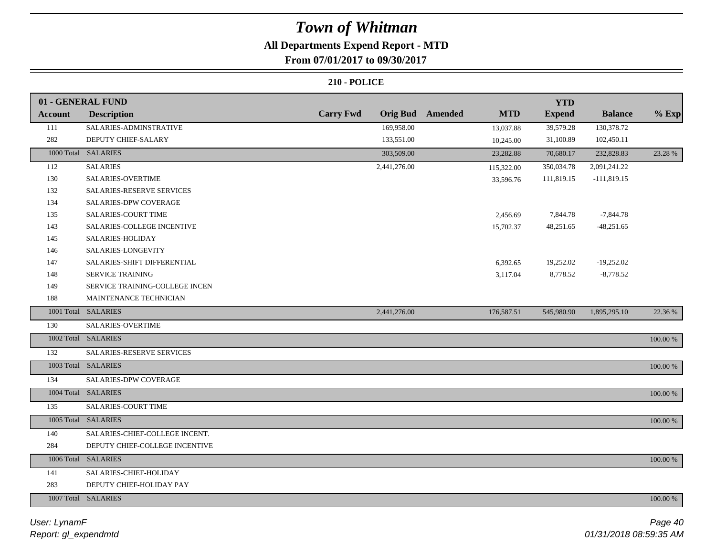### **All Departments Expend Report - MTD**

### **From 07/01/2017 to 09/30/2017**

|                  | 01 - GENERAL FUND              |                  |                 |         |            | <b>YTD</b>    |                |          |
|------------------|--------------------------------|------------------|-----------------|---------|------------|---------------|----------------|----------|
| <b>Account</b>   | <b>Description</b>             | <b>Carry Fwd</b> | <b>Orig Bud</b> | Amended | <b>MTD</b> | <b>Expend</b> | <b>Balance</b> | $%$ Exp  |
| 111              | SALARIES-ADMINSTRATIVE         |                  | 169,958.00      |         | 13,037.88  | 39,579.28     | 130,378.72     |          |
| 282              | DEPUTY CHIEF-SALARY            |                  | 133,551.00      |         | 10,245.00  | 31,100.89     | 102,450.11     |          |
|                  | 1000 Total SALARIES            |                  | 303,509.00      |         | 23,282.88  | 70,680.17     | 232,828.83     | 23.28 %  |
| 112              | <b>SALARIES</b>                |                  | 2,441,276.00    |         | 115,322.00 | 350,034.78    | 2,091,241.22   |          |
| 130              | SALARIES-OVERTIME              |                  |                 |         | 33,596.76  | 111,819.15    | $-111,819.15$  |          |
| 132              | SALARIES-RESERVE SERVICES      |                  |                 |         |            |               |                |          |
| 134              | SALARIES-DPW COVERAGE          |                  |                 |         |            |               |                |          |
| 135              | SALARIES-COURT TIME            |                  |                 |         | 2,456.69   | 7,844.78      | $-7,844.78$    |          |
| 143              | SALARIES-COLLEGE INCENTIVE     |                  |                 |         | 15,702.37  | 48,251.65     | $-48,251.65$   |          |
| 145              | SALARIES-HOLIDAY               |                  |                 |         |            |               |                |          |
| 146              | SALARIES-LONGEVITY             |                  |                 |         |            |               |                |          |
| 147              | SALARIES-SHIFT DIFFERENTIAL    |                  |                 |         | 6,392.65   | 19,252.02     | $-19,252.02$   |          |
| 148              | SERVICE TRAINING               |                  |                 |         | 3,117.04   | 8,778.52      | $-8,778.52$    |          |
| 149              | SERVICE TRAINING-COLLEGE INCEN |                  |                 |         |            |               |                |          |
| 188              | MAINTENANCE TECHNICIAN         |                  |                 |         |            |               |                |          |
|                  | 1001 Total SALARIES            |                  | 2,441,276.00    |         | 176,587.51 | 545,980.90    | 1,895,295.10   | 22.36 %  |
| 130              | SALARIES-OVERTIME              |                  |                 |         |            |               |                |          |
|                  | 1002 Total SALARIES            |                  |                 |         |            |               |                | 100.00 % |
| $\overline{132}$ | SALARIES-RESERVE SERVICES      |                  |                 |         |            |               |                |          |
|                  | 1003 Total SALARIES            |                  |                 |         |            |               |                | 100.00 % |
| 134              | SALARIES-DPW COVERAGE          |                  |                 |         |            |               |                |          |
|                  | 1004 Total SALARIES            |                  |                 |         |            |               |                | 100.00 % |
| 135              | SALARIES-COURT TIME            |                  |                 |         |            |               |                |          |
|                  | 1005 Total SALARIES            |                  |                 |         |            |               |                | 100.00 % |
| 140              | SALARIES-CHIEF-COLLEGE INCENT. |                  |                 |         |            |               |                |          |
| 284              | DEPUTY CHIEF-COLLEGE INCENTIVE |                  |                 |         |            |               |                |          |
|                  | 1006 Total SALARIES            |                  |                 |         |            |               |                | 100.00 % |
| 141              | SALARIES-CHIEF-HOLIDAY         |                  |                 |         |            |               |                |          |
| 283              | DEPUTY CHIEF-HOLIDAY PAY       |                  |                 |         |            |               |                |          |
|                  | 1007 Total SALARIES            |                  |                 |         |            |               |                | 100.00 % |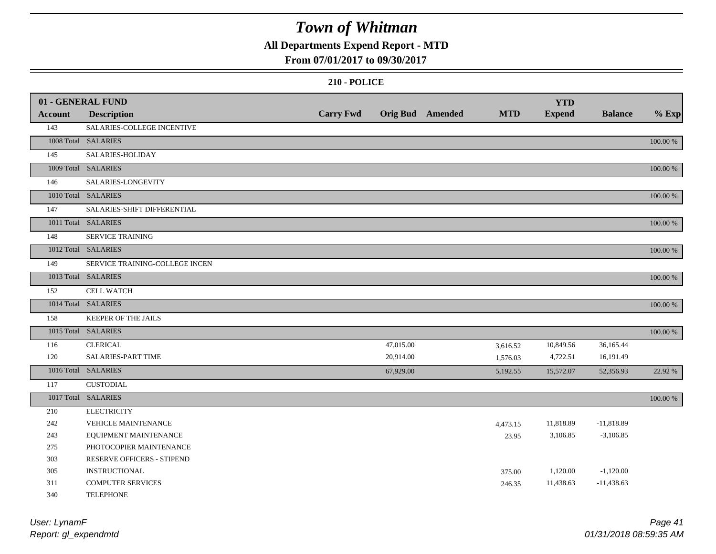### **All Departments Expend Report - MTD**

### **From 07/01/2017 to 09/30/2017**

|         | 01 - GENERAL FUND              |                  |           |                         |            | <b>YTD</b>    |                |          |
|---------|--------------------------------|------------------|-----------|-------------------------|------------|---------------|----------------|----------|
| Account | <b>Description</b>             | <b>Carry Fwd</b> |           | <b>Orig Bud</b> Amended | <b>MTD</b> | <b>Expend</b> | <b>Balance</b> | $%$ Exp  |
| 143     | SALARIES-COLLEGE INCENTIVE     |                  |           |                         |            |               |                |          |
|         | 1008 Total SALARIES            |                  |           |                         |            |               |                | 100.00 % |
| 145     | SALARIES-HOLIDAY               |                  |           |                         |            |               |                |          |
|         | 1009 Total SALARIES            |                  |           |                         |            |               |                | 100.00 % |
| 146     | SALARIES-LONGEVITY             |                  |           |                         |            |               |                |          |
|         | 1010 Total SALARIES            |                  |           |                         |            |               |                | 100.00 % |
| 147     | SALARIES-SHIFT DIFFERENTIAL    |                  |           |                         |            |               |                |          |
|         | 1011 Total SALARIES            |                  |           |                         |            |               |                | 100.00 % |
| 148     | <b>SERVICE TRAINING</b>        |                  |           |                         |            |               |                |          |
|         | 1012 Total SALARIES            |                  |           |                         |            |               |                | 100.00 % |
| 149     | SERVICE TRAINING-COLLEGE INCEN |                  |           |                         |            |               |                |          |
|         | 1013 Total SALARIES            |                  |           |                         |            |               |                | 100.00 % |
| 152     | <b>CELL WATCH</b>              |                  |           |                         |            |               |                |          |
|         | 1014 Total SALARIES            |                  |           |                         |            |               |                | 100.00 % |
| 158     | KEEPER OF THE JAILS            |                  |           |                         |            |               |                |          |
|         | 1015 Total SALARIES            |                  |           |                         |            |               |                | 100.00 % |
| 116     | <b>CLERICAL</b>                |                  | 47,015.00 |                         | 3,616.52   | 10,849.56     | 36,165.44      |          |
| 120     | SALARIES-PART TIME             |                  | 20,914.00 |                         | 1,576.03   | 4,722.51      | 16,191.49      |          |
|         | 1016 Total SALARIES            |                  | 67,929.00 |                         | 5,192.55   | 15,572.07     | 52,356.93      | 22.92 %  |
| 117     | <b>CUSTODIAL</b>               |                  |           |                         |            |               |                |          |
|         | 1017 Total SALARIES            |                  |           |                         |            |               |                | 100.00 % |
| 210     | <b>ELECTRICITY</b>             |                  |           |                         |            |               |                |          |
| 242     | VEHICLE MAINTENANCE            |                  |           |                         | 4,473.15   | 11,818.89     | $-11,818.89$   |          |
| 243     | EQUIPMENT MAINTENANCE          |                  |           |                         | 23.95      | 3,106.85      | $-3,106.85$    |          |
| 275     | PHOTOCOPIER MAINTENANCE        |                  |           |                         |            |               |                |          |
| 303     | RESERVE OFFICERS - STIPEND     |                  |           |                         |            |               |                |          |
| 305     | <b>INSTRUCTIONAL</b>           |                  |           |                         | 375.00     | 1,120.00      | $-1,120.00$    |          |
| 311     | <b>COMPUTER SERVICES</b>       |                  |           |                         | 246.35     | 11,438.63     | $-11,438.63$   |          |
| 340     | <b>TELEPHONE</b>               |                  |           |                         |            |               |                |          |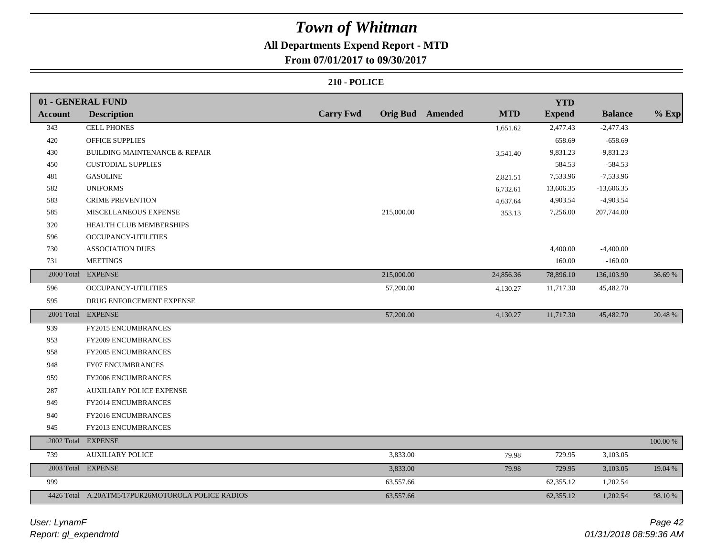### **All Departments Expend Report - MTD**

**From 07/01/2017 to 09/30/2017**

|                | 01 - GENERAL FUND                                 |                  |                  |            | <b>YTD</b>    |                |             |
|----------------|---------------------------------------------------|------------------|------------------|------------|---------------|----------------|-------------|
| <b>Account</b> | <b>Description</b>                                | <b>Carry Fwd</b> | Orig Bud Amended | <b>MTD</b> | <b>Expend</b> | <b>Balance</b> | $%$ Exp     |
| 343            | <b>CELL PHONES</b>                                |                  |                  | 1,651.62   | 2,477.43      | $-2,477.43$    |             |
| 420            | <b>OFFICE SUPPLIES</b>                            |                  |                  |            | 658.69        | $-658.69$      |             |
| 430            | <b>BUILDING MAINTENANCE &amp; REPAIR</b>          |                  |                  | 3,541.40   | 9,831.23      | $-9,831.23$    |             |
| 450            | <b>CUSTODIAL SUPPLIES</b>                         |                  |                  |            | 584.53        | $-584.53$      |             |
| 481            | <b>GASOLINE</b>                                   |                  |                  | 2,821.51   | 7,533.96      | $-7,533.96$    |             |
| 582            | <b>UNIFORMS</b>                                   |                  |                  | 6,732.61   | 13,606.35     | $-13,606.35$   |             |
| 583            | <b>CRIME PREVENTION</b>                           |                  |                  | 4,637.64   | 4,903.54      | $-4,903.54$    |             |
| 585            | MISCELLANEOUS EXPENSE                             | 215,000.00       |                  | 353.13     | 7,256.00      | 207,744.00     |             |
| 320            | HEALTH CLUB MEMBERSHIPS                           |                  |                  |            |               |                |             |
| 596            | <b>OCCUPANCY-UTILITIES</b>                        |                  |                  |            |               |                |             |
| 730            | <b>ASSOCIATION DUES</b>                           |                  |                  |            | 4,400.00      | $-4,400.00$    |             |
| 731            | <b>MEETINGS</b>                                   |                  |                  |            | 160.00        | $-160.00$      |             |
|                | 2000 Total EXPENSE                                | 215,000.00       |                  | 24,856.36  | 78,896.10     | 136,103.90     | 36.69 %     |
| 596            | OCCUPANCY-UTILITIES                               | 57,200.00        |                  | 4,130.27   | 11,717.30     | 45,482.70      |             |
| 595            | DRUG ENFORCEMENT EXPENSE                          |                  |                  |            |               |                |             |
|                | 2001 Total EXPENSE                                | 57,200.00        |                  | 4,130.27   | 11,717.30     | 45,482.70      | 20.48 %     |
| 939            | FY2015 ENCUMBRANCES                               |                  |                  |            |               |                |             |
| 953            | FY2009 ENCUMBRANCES                               |                  |                  |            |               |                |             |
| 958            | FY2005 ENCUMBRANCES                               |                  |                  |            |               |                |             |
| 948            | <b>FY07 ENCUMBRANCES</b>                          |                  |                  |            |               |                |             |
| 959            | FY2006 ENCUMBRANCES                               |                  |                  |            |               |                |             |
| 287            | <b>AUXILIARY POLICE EXPENSE</b>                   |                  |                  |            |               |                |             |
| 949            | FY2014 ENCUMBRANCES                               |                  |                  |            |               |                |             |
| 940            | FY2016 ENCUMBRANCES                               |                  |                  |            |               |                |             |
| 945            | FY2013 ENCUMBRANCES                               |                  |                  |            |               |                |             |
|                | 2002 Total EXPENSE                                |                  |                  |            |               |                | $100.00~\%$ |
| 739            | <b>AUXILIARY POLICE</b>                           | 3,833.00         |                  | 79.98      | 729.95        | 3,103.05       |             |
|                | 2003 Total EXPENSE                                | 3,833.00         |                  | 79.98      | 729.95        | 3,103.05       | 19.04 %     |
| 999            |                                                   | 63,557.66        |                  |            | 62,355.12     | 1,202.54       |             |
|                | 4426 Total A.20ATM5/17PUR26MOTOROLA POLICE RADIOS | 63,557.66        |                  |            | 62,355.12     | 1,202.54       | 98.10 %     |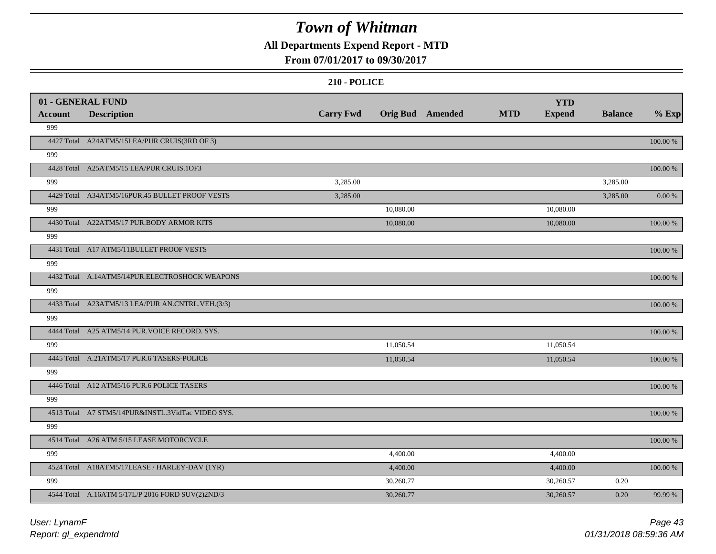### **All Departments Expend Report - MTD**

### **From 07/01/2017 to 09/30/2017**

|                | 01 - GENERAL FUND                                 |                  |                  |            | <b>YTD</b>    |                |             |
|----------------|---------------------------------------------------|------------------|------------------|------------|---------------|----------------|-------------|
| <b>Account</b> | <b>Description</b>                                | <b>Carry Fwd</b> | Orig Bud Amended | <b>MTD</b> | <b>Expend</b> | <b>Balance</b> | $%$ Exp     |
| 999            |                                                   |                  |                  |            |               |                |             |
|                | 4427 Total A24ATM5/15LEA/PUR CRUIS(3RD OF 3)      |                  |                  |            |               |                | 100.00 %    |
| 999            |                                                   |                  |                  |            |               |                |             |
|                | 4428 Total A25ATM5/15 LEA/PUR CRUIS.1OF3          |                  |                  |            |               |                | $100.00~\%$ |
| 999            |                                                   | 3,285.00         |                  |            |               | 3,285.00       |             |
|                | 4429 Total A34ATM5/16PUR.45 BULLET PROOF VESTS    | 3,285.00         |                  |            |               | 3,285.00       | $0.00~\%$   |
| 999            |                                                   |                  | 10,080.00        |            | 10,080.00     |                |             |
|                | 4430 Total A22ATM5/17 PUR.BODY ARMOR KITS         |                  | 10,080.00        |            | 10,080.00     |                | 100.00 %    |
| 999            |                                                   |                  |                  |            |               |                |             |
|                | 4431 Total A17 ATM5/11BULLET PROOF VESTS          |                  |                  |            |               |                | 100.00 %    |
| 999            |                                                   |                  |                  |            |               |                |             |
|                | 4432 Total A.14ATM5/14PUR.ELECTROSHOCK WEAPONS    |                  |                  |            |               |                | 100.00 %    |
| 999            |                                                   |                  |                  |            |               |                |             |
|                | 4433 Total A23ATM5/13 LEA/PUR AN.CNTRL.VEH.(3/3)  |                  |                  |            |               |                | 100.00 %    |
| 999            |                                                   |                  |                  |            |               |                |             |
|                | 4444 Total A25 ATM5/14 PUR. VOICE RECORD. SYS.    |                  |                  |            |               |                | 100.00 %    |
| 999            |                                                   |                  | 11,050.54        |            | 11,050.54     |                |             |
|                | 4445 Total A.21ATM5/17 PUR.6 TASERS-POLICE        |                  | 11,050.54        |            | 11,050.54     |                | 100.00 %    |
| 999            |                                                   |                  |                  |            |               |                |             |
|                | 4446 Total A12 ATM5/16 PUR.6 POLICE TASERS        |                  |                  |            |               |                | 100.00 %    |
| 999            |                                                   |                  |                  |            |               |                |             |
|                | 4513 Total A7 STM5/14PUR&INSTL.3VidTac VIDEO SYS. |                  |                  |            |               |                | 100.00 %    |
| 999            |                                                   |                  |                  |            |               |                |             |
|                | 4514 Total A26 ATM 5/15 LEASE MOTORCYCLE          |                  |                  |            |               |                | 100.00 %    |
| 999            |                                                   |                  | 4,400.00         |            | 4,400.00      |                |             |
|                | 4524 Total A18ATM5/17LEASE / HARLEY-DAV (1YR)     |                  | 4,400.00         |            | 4,400.00      |                | 100.00 %    |
| 999            |                                                   |                  | 30,260.77        |            | 30,260.57     | 0.20           |             |
|                | 4544 Total A.16ATM 5/17L/P 2016 FORD SUV(2)2ND/3  |                  | 30,260.77        |            | 30,260.57     | 0.20           | 99.99 %     |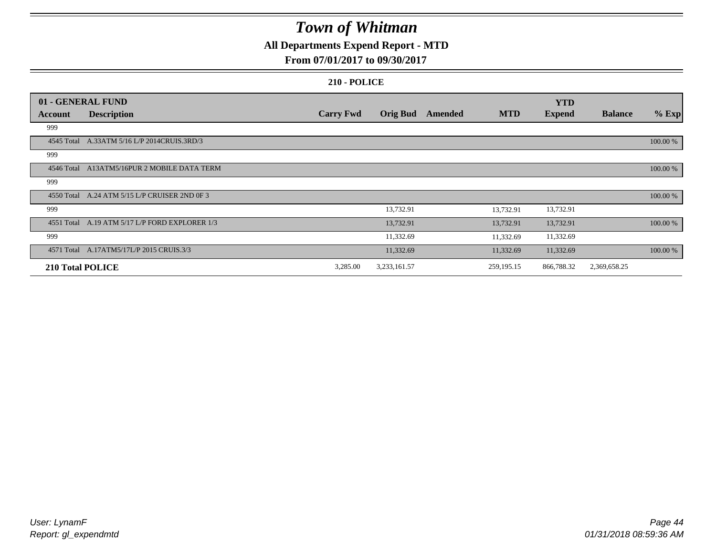### **All Departments Expend Report - MTD**

### **From 07/01/2017 to 09/30/2017**

|                         | 01 - GENERAL FUND                              |                  |                 |         |              | <b>YTD</b>    |                |          |
|-------------------------|------------------------------------------------|------------------|-----------------|---------|--------------|---------------|----------------|----------|
| Account                 | <b>Description</b>                             | <b>Carry Fwd</b> | <b>Orig Bud</b> | Amended | <b>MTD</b>   | <b>Expend</b> | <b>Balance</b> | $%$ Exp  |
| 999                     |                                                |                  |                 |         |              |               |                |          |
| 4545 Total              | A.33ATM 5/16 L/P 2014CRUIS.3RD/3               |                  |                 |         |              |               |                | 100.00 % |
| 999                     |                                                |                  |                 |         |              |               |                |          |
| 4546 Total              | A13ATM5/16PUR 2 MOBILE DATA TERM               |                  |                 |         |              |               |                | 100.00 % |
| 999                     |                                                |                  |                 |         |              |               |                |          |
| 4550 Total              | A.24 ATM 5/15 L/P CRUISER 2ND 0F 3             |                  |                 |         |              |               |                | 100.00 % |
| 999                     |                                                |                  | 13,732.91       |         | 13,732.91    | 13,732.91     |                |          |
|                         | 4551 Total A.19 ATM 5/17 L/P FORD EXPLORER 1/3 |                  | 13,732.91       |         | 13,732.91    | 13,732.91     |                | 100.00 % |
| 999                     |                                                |                  | 11,332.69       |         | 11,332.69    | 11,332.69     |                |          |
|                         | 4571 Total A.17ATM5/17L/P 2015 CRUIS.3/3       |                  | 11,332.69       |         | 11,332.69    | 11,332.69     |                | 100.00 % |
| <b>210 Total POLICE</b> |                                                | 3,285.00         | 3,233,161.57    |         | 259, 195. 15 | 866,788.32    | 2,369,658.25   |          |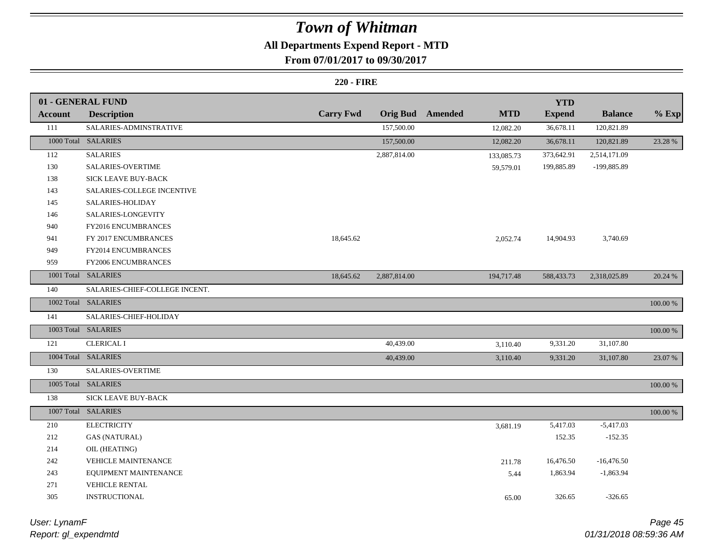### **All Departments Expend Report - MTD**

### **From 07/01/2017 to 09/30/2017**

|                | 01 - GENERAL FUND              |                  |                 |         |            | <b>YTD</b>    |                |          |
|----------------|--------------------------------|------------------|-----------------|---------|------------|---------------|----------------|----------|
| <b>Account</b> | <b>Description</b>             | <b>Carry Fwd</b> | <b>Orig Bud</b> | Amended | <b>MTD</b> | <b>Expend</b> | <b>Balance</b> | $%$ Exp  |
| 111            | SALARIES-ADMINSTRATIVE         |                  | 157,500.00      |         | 12,082.20  | 36,678.11     | 120,821.89     |          |
|                | 1000 Total SALARIES            |                  | 157,500.00      |         | 12,082.20  | 36,678.11     | 120,821.89     | 23.28 %  |
| 112            | <b>SALARIES</b>                |                  | 2,887,814.00    |         | 133,085.73 | 373,642.91    | 2,514,171.09   |          |
| 130            | SALARIES-OVERTIME              |                  |                 |         | 59,579.01  | 199,885.89    | -199,885.89    |          |
| 138            | SICK LEAVE BUY-BACK            |                  |                 |         |            |               |                |          |
| 143            | SALARIES-COLLEGE INCENTIVE     |                  |                 |         |            |               |                |          |
| 145            | SALARIES-HOLIDAY               |                  |                 |         |            |               |                |          |
| 146            | SALARIES-LONGEVITY             |                  |                 |         |            |               |                |          |
| 940            | FY2016 ENCUMBRANCES            |                  |                 |         |            |               |                |          |
| 941            | FY 2017 ENCUMBRANCES           | 18,645.62        |                 |         | 2,052.74   | 14,904.93     | 3,740.69       |          |
| 949            | FY2014 ENCUMBRANCES            |                  |                 |         |            |               |                |          |
| 959            | FY2006 ENCUMBRANCES            |                  |                 |         |            |               |                |          |
|                | 1001 Total SALARIES            | 18,645.62        | 2,887,814.00    |         | 194,717.48 | 588,433.73    | 2,318,025.89   | 20.24 %  |
| 140            | SALARIES-CHIEF-COLLEGE INCENT. |                  |                 |         |            |               |                |          |
|                | 1002 Total SALARIES            |                  |                 |         |            |               |                | 100.00 % |
| 141            | SALARIES-CHIEF-HOLIDAY         |                  |                 |         |            |               |                |          |
|                | 1003 Total SALARIES            |                  |                 |         |            |               |                | 100.00 % |
| 121            | <b>CLERICAL I</b>              |                  | 40,439.00       |         | 3,110.40   | 9,331.20      | 31,107.80      |          |
|                | 1004 Total SALARIES            |                  | 40,439.00       |         | 3,110.40   | 9,331.20      | 31,107.80      | 23.07 %  |
| 130            | <b>SALARIES-OVERTIME</b>       |                  |                 |         |            |               |                |          |
|                | 1005 Total SALARIES            |                  |                 |         |            |               |                | 100.00 % |
| 138            | SICK LEAVE BUY-BACK            |                  |                 |         |            |               |                |          |
|                | 1007 Total SALARIES            |                  |                 |         |            |               |                | 100.00 % |
| 210            | <b>ELECTRICITY</b>             |                  |                 |         | 3,681.19   | 5,417.03      | $-5,417.03$    |          |
| 212            | <b>GAS (NATURAL)</b>           |                  |                 |         |            | 152.35        | $-152.35$      |          |
| 214            | OIL (HEATING)                  |                  |                 |         |            |               |                |          |
| 242            | VEHICLE MAINTENANCE            |                  |                 |         | 211.78     | 16,476.50     | $-16,476.50$   |          |
| 243            | EQUIPMENT MAINTENANCE          |                  |                 |         | 5.44       | 1,863.94      | $-1,863.94$    |          |
| 271            | VEHICLE RENTAL                 |                  |                 |         |            |               |                |          |
| 305            | INSTRUCTIONAL                  |                  |                 |         | 65.00      | 326.65        | $-326.65$      |          |
|                |                                |                  |                 |         |            |               |                |          |

| User: LynamF         |  |
|----------------------|--|
| Report: gl_expendmtd |  |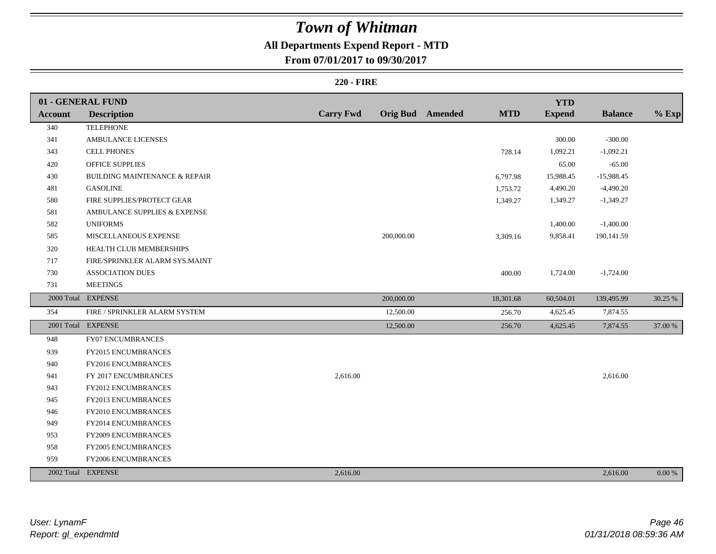### **All Departments Expend Report - MTD**

**From 07/01/2017 to 09/30/2017**

|         | 01 - GENERAL FUND                        |                  |            |                         |            | <b>YTD</b>    |                |         |
|---------|------------------------------------------|------------------|------------|-------------------------|------------|---------------|----------------|---------|
| Account | <b>Description</b>                       | <b>Carry Fwd</b> |            | <b>Orig Bud</b> Amended | <b>MTD</b> | <b>Expend</b> | <b>Balance</b> | $%$ Exp |
| 340     | <b>TELEPHONE</b>                         |                  |            |                         |            |               |                |         |
| 341     | <b>AMBULANCE LICENSES</b>                |                  |            |                         |            | 300.00        | $-300.00$      |         |
| 343     | <b>CELL PHONES</b>                       |                  |            |                         | 728.14     | 1,092.21      | $-1,092.21$    |         |
| 420     | OFFICE SUPPLIES                          |                  |            |                         |            | 65.00         | $-65.00$       |         |
| 430     | <b>BUILDING MAINTENANCE &amp; REPAIR</b> |                  |            |                         | 6,797.98   | 15,988.45     | $-15,988.45$   |         |
| 481     | <b>GASOLINE</b>                          |                  |            |                         | 1,753.72   | 4,490.20      | $-4,490.20$    |         |
| 580     | FIRE SUPPLIES/PROTECT GEAR               |                  |            |                         | 1,349.27   | 1,349.27      | $-1,349.27$    |         |
| 581     | AMBULANCE SUPPLIES & EXPENSE             |                  |            |                         |            |               |                |         |
| 582     | <b>UNIFORMS</b>                          |                  |            |                         |            | 1,400.00      | $-1,400.00$    |         |
| 585     | MISCELLANEOUS EXPENSE                    |                  | 200,000.00 |                         | 3,309.16   | 9,858.41      | 190,141.59     |         |
| 320     | HEALTH CLUB MEMBERSHIPS                  |                  |            |                         |            |               |                |         |
| 717     | FIRE/SPRINKLER ALARM SYS.MAINT           |                  |            |                         |            |               |                |         |
| 730     | <b>ASSOCIATION DUES</b>                  |                  |            |                         | 400.00     | 1,724.00      | $-1,724.00$    |         |
| 731     | <b>MEETINGS</b>                          |                  |            |                         |            |               |                |         |
|         | 2000 Total EXPENSE                       |                  | 200,000.00 |                         | 18,301.68  | 60,504.01     | 139,495.99     | 30.25 % |
| 354     | FIRE / SPRINKLER ALARM SYSTEM            |                  | 12,500.00  |                         | 256.70     | 4,625.45      | 7,874.55       |         |
|         | 2001 Total EXPENSE                       |                  | 12,500.00  |                         | 256.70     | 4,625.45      | 7,874.55       | 37.00 % |
| 948     | FY07 ENCUMBRANCES                        |                  |            |                         |            |               |                |         |
| 939     | FY2015 ENCUMBRANCES                      |                  |            |                         |            |               |                |         |
| 940     | FY2016 ENCUMBRANCES                      |                  |            |                         |            |               |                |         |
| 941     | FY 2017 ENCUMBRANCES                     | 2,616.00         |            |                         |            |               | 2,616.00       |         |
| 943     | FY2012 ENCUMBRANCES                      |                  |            |                         |            |               |                |         |
| 945     | FY2013 ENCUMBRANCES                      |                  |            |                         |            |               |                |         |
| 946     | FY2010 ENCUMBRANCES                      |                  |            |                         |            |               |                |         |
| 949     | FY2014 ENCUMBRANCES                      |                  |            |                         |            |               |                |         |
| 953     | <b>FY2009 ENCUMBRANCES</b>               |                  |            |                         |            |               |                |         |
| 958     | FY2005 ENCUMBRANCES                      |                  |            |                         |            |               |                |         |
| 959     | FY2006 ENCUMBRANCES                      |                  |            |                         |            |               |                |         |
|         | 2002 Total EXPENSE                       | 2,616.00         |            |                         |            |               | 2,616.00       | 0.00 %  |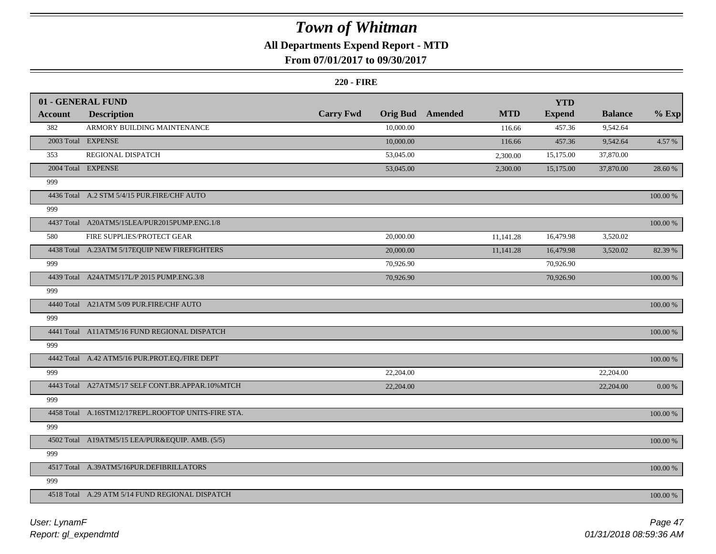### **All Departments Expend Report - MTD**

### **From 07/01/2017 to 09/30/2017**

|                | 01 - GENERAL FUND                                   |                  |                 |         |            | <b>YTD</b>    |                |             |
|----------------|-----------------------------------------------------|------------------|-----------------|---------|------------|---------------|----------------|-------------|
| <b>Account</b> | <b>Description</b>                                  | <b>Carry Fwd</b> | <b>Orig Bud</b> | Amended | <b>MTD</b> | <b>Expend</b> | <b>Balance</b> | $%$ Exp     |
| 382            | ARMORY BUILDING MAINTENANCE                         |                  | 10,000.00       |         | 116.66     | 457.36        | 9,542.64       |             |
|                | 2003 Total EXPENSE                                  |                  | 10,000.00       |         | 116.66     | 457.36        | 9,542.64       | 4.57 %      |
| 353            | REGIONAL DISPATCH                                   |                  | 53,045.00       |         | 2,300.00   | 15,175.00     | 37,870.00      |             |
|                | 2004 Total EXPENSE                                  |                  | 53,045.00       |         | 2,300.00   | 15,175.00     | 37,870.00      | 28.60 %     |
| 999            |                                                     |                  |                 |         |            |               |                |             |
|                | 4436 Total A.2 STM 5/4/15 PUR.FIRE/CHF AUTO         |                  |                 |         |            |               |                | 100.00 %    |
| 999            |                                                     |                  |                 |         |            |               |                |             |
|                | 4437 Total A20ATM5/15LEA/PUR2015PUMP.ENG.1/8        |                  |                 |         |            |               |                | 100.00 %    |
| 580            | FIRE SUPPLIES/PROTECT GEAR                          |                  | 20,000.00       |         | 11,141.28  | 16,479.98     | 3,520.02       |             |
|                | 4438 Total A.23ATM 5/17EQUIP NEW FIREFIGHTERS       |                  | 20,000.00       |         | 11,141.28  | 16,479.98     | 3,520.02       | 82.39 %     |
| 999            |                                                     |                  | 70,926.90       |         |            | 70,926.90     |                |             |
|                | 4439 Total A24ATM5/17L/P 2015 PUMP.ENG.3/8          |                  | 70,926.90       |         |            | 70,926.90     |                | 100.00 %    |
| 999            |                                                     |                  |                 |         |            |               |                |             |
|                | 4440 Total A21ATM 5/09 PUR.FIRE/CHF AUTO            |                  |                 |         |            |               |                | 100.00 %    |
| 999            |                                                     |                  |                 |         |            |               |                |             |
|                | 4441 Total A11ATM5/16 FUND REGIONAL DISPATCH        |                  |                 |         |            |               |                | 100.00 %    |
| 999            |                                                     |                  |                 |         |            |               |                |             |
|                | 4442 Total A.42 ATM5/16 PUR.PROT.EQ./FIRE DEPT      |                  |                 |         |            |               |                | 100.00 %    |
| 999            |                                                     |                  | 22,204.00       |         |            |               | 22,204.00      |             |
|                | 4443 Total A27ATM5/17 SELF CONT.BR.APPAR.10%MTCH    |                  | 22,204.00       |         |            |               | 22,204.00      | $0.00\ \%$  |
| 999            |                                                     |                  |                 |         |            |               |                |             |
|                | 4458 Total A.16STM12/17REPL.ROOFTOP UNITS-FIRE STA. |                  |                 |         |            |               |                | 100.00 %    |
| 999            |                                                     |                  |                 |         |            |               |                |             |
|                | 4502 Total A19ATM5/15 LEA/PUR&EQUIP. AMB. (5/5)     |                  |                 |         |            |               |                | 100.00 %    |
| 999            |                                                     |                  |                 |         |            |               |                |             |
|                | 4517 Total A.39ATM5/16PUR.DEFIBRILLATORS            |                  |                 |         |            |               |                | $100.00~\%$ |
| 999            |                                                     |                  |                 |         |            |               |                |             |
|                | 4518 Total A.29 ATM 5/14 FUND REGIONAL DISPATCH     |                  |                 |         |            |               |                | 100.00 %    |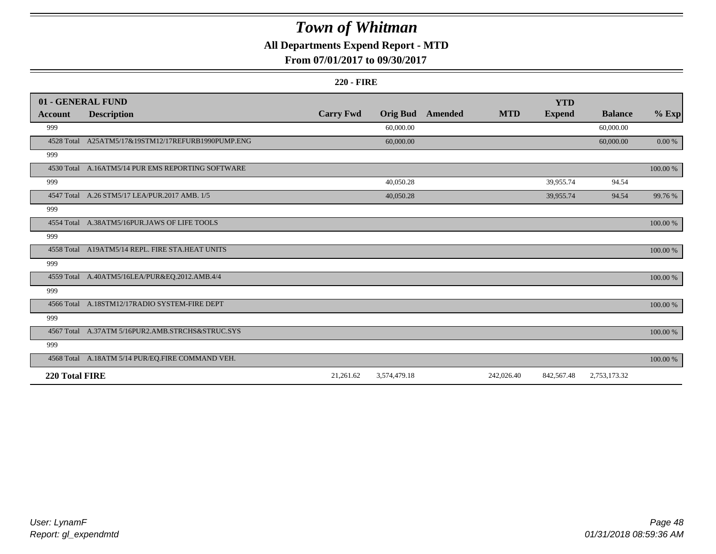### **All Departments Expend Report - MTD**

### **From 07/01/2017 to 09/30/2017**

|                | 01 - GENERAL FUND                                 |                  |                 |         |            | <b>YTD</b>    |                |             |
|----------------|---------------------------------------------------|------------------|-----------------|---------|------------|---------------|----------------|-------------|
| Account        | <b>Description</b>                                | <b>Carry Fwd</b> | <b>Orig Bud</b> | Amended | <b>MTD</b> | <b>Expend</b> | <b>Balance</b> | $%$ Exp     |
| 999            |                                                   |                  | 60,000.00       |         |            |               | 60,000.00      |             |
| 4528 Total     | A25ATM5/17&19STM12/17REFURB1990PUMP.ENG           |                  | 60,000.00       |         |            |               | 60,000.00      | 0.00 %      |
| 999            |                                                   |                  |                 |         |            |               |                |             |
|                | 4530 Total A.16ATM5/14 PUR EMS REPORTING SOFTWARE |                  |                 |         |            |               |                | $100.00~\%$ |
| 999            |                                                   |                  | 40,050.28       |         |            | 39,955.74     | 94.54          |             |
|                | 4547 Total A.26 STM5/17 LEA/PUR.2017 AMB. 1/5     |                  | 40,050.28       |         |            | 39,955.74     | 94.54          | 99.76%      |
| 999            |                                                   |                  |                 |         |            |               |                |             |
|                | 4554 Total A.38ATM5/16PUR.JAWS OF LIFE TOOLS      |                  |                 |         |            |               |                | 100.00 %    |
| 999            |                                                   |                  |                 |         |            |               |                |             |
|                | 4558 Total A19ATM5/14 REPL. FIRE STA.HEAT UNITS   |                  |                 |         |            |               |                | 100.00 %    |
| 999            |                                                   |                  |                 |         |            |               |                |             |
|                | 4559 Total A.40ATM5/16LEA/PUR&EQ.2012.AMB.4/4     |                  |                 |         |            |               |                | $100.00~\%$ |
| 999            |                                                   |                  |                 |         |            |               |                |             |
|                | 4566 Total A.18STM12/17RADIO SYSTEM-FIRE DEPT     |                  |                 |         |            |               |                | 100.00 %    |
| 999            |                                                   |                  |                 |         |            |               |                |             |
|                | 4567 Total A.37ATM 5/16PUR2.AMB.STRCHS&STRUC.SYS  |                  |                 |         |            |               |                | 100.00 %    |
| 999            |                                                   |                  |                 |         |            |               |                |             |
|                | 4568 Total A.18ATM 5/14 PUR/EQ.FIRE COMMAND VEH.  |                  |                 |         |            |               |                | 100.00 %    |
| 220 Total FIRE |                                                   | 21,261.62        | 3,574,479.18    |         | 242,026.40 | 842,567.48    | 2,753,173.32   |             |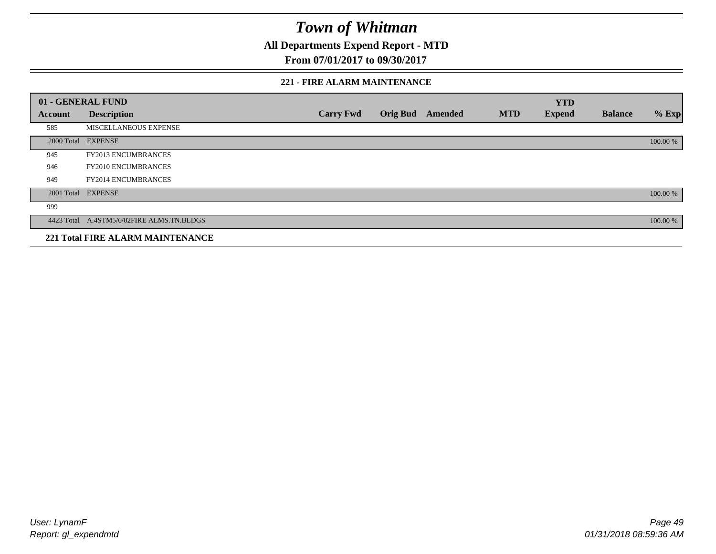**All Departments Expend Report - MTD**

**From 07/01/2017 to 09/30/2017**

#### **221 - FIRE ALARM MAINTENANCE**

|         | 01 - GENERAL FUND                         |                  |                 |         |            | <b>YTD</b>    |                |          |
|---------|-------------------------------------------|------------------|-----------------|---------|------------|---------------|----------------|----------|
| Account | <b>Description</b>                        | <b>Carry Fwd</b> | <b>Orig Bud</b> | Amended | <b>MTD</b> | <b>Expend</b> | <b>Balance</b> | $%$ Exp  |
| 585     | MISCELLANEOUS EXPENSE                     |                  |                 |         |            |               |                |          |
|         | 2000 Total EXPENSE                        |                  |                 |         |            |               |                | 100.00 % |
| 945     | <b>FY2013 ENCUMBRANCES</b>                |                  |                 |         |            |               |                |          |
| 946     | <b>FY2010 ENCUMBRANCES</b>                |                  |                 |         |            |               |                |          |
| 949     | <b>FY2014 ENCUMBRANCES</b>                |                  |                 |         |            |               |                |          |
|         | 2001 Total EXPENSE                        |                  |                 |         |            |               |                | 100.00 % |
| 999     |                                           |                  |                 |         |            |               |                |          |
|         | 4423 Total A.4STM5/6/02FIRE ALMS.TN.BLDGS |                  |                 |         |            |               |                | 100.00 % |
|         | <b>221 Total FIRE ALARM MAINTENANCE</b>   |                  |                 |         |            |               |                |          |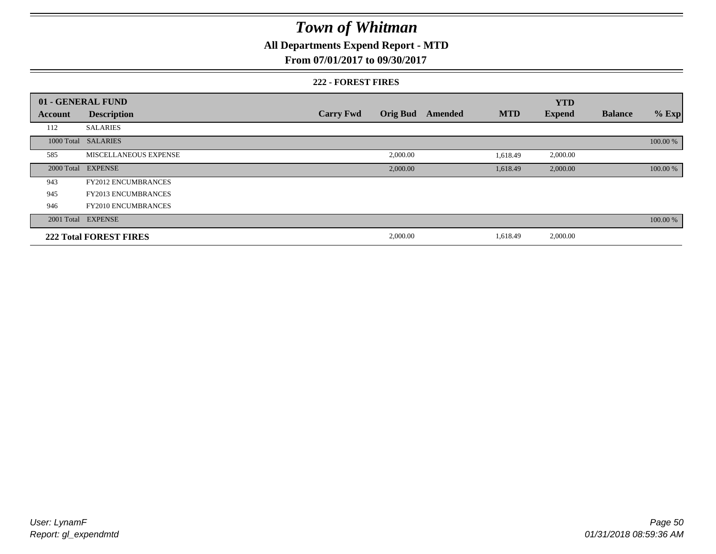### **All Departments Expend Report - MTD**

#### **From 07/01/2017 to 09/30/2017**

#### **222 - FOREST FIRES**

|         | 01 - GENERAL FUND             |                  |          |                  |            | <b>YTD</b>    |                |          |
|---------|-------------------------------|------------------|----------|------------------|------------|---------------|----------------|----------|
| Account | <b>Description</b>            | <b>Carry Fwd</b> |          | Orig Bud Amended | <b>MTD</b> | <b>Expend</b> | <b>Balance</b> | $%$ Exp  |
| 112     | <b>SALARIES</b>               |                  |          |                  |            |               |                |          |
|         | 1000 Total SALARIES           |                  |          |                  |            |               |                | 100.00 % |
| 585     | MISCELLANEOUS EXPENSE         |                  | 2,000.00 |                  | 1,618.49   | 2,000.00      |                |          |
|         | 2000 Total EXPENSE            |                  | 2,000.00 |                  | 1,618.49   | 2,000.00      |                | 100.00 % |
| 943     | <b>FY2012 ENCUMBRANCES</b>    |                  |          |                  |            |               |                |          |
| 945     | <b>FY2013 ENCUMBRANCES</b>    |                  |          |                  |            |               |                |          |
| 946     | <b>FY2010 ENCUMBRANCES</b>    |                  |          |                  |            |               |                |          |
|         | 2001 Total EXPENSE            |                  |          |                  |            |               |                | 100.00 % |
|         | <b>222 Total FOREST FIRES</b> |                  | 2,000.00 |                  | 1,618.49   | 2,000.00      |                |          |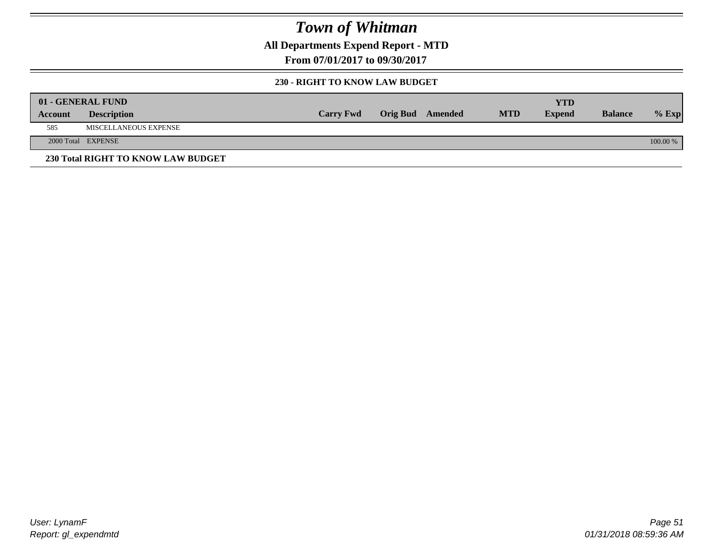**All Departments Expend Report - MTD**

**From 07/01/2017 to 09/30/2017**

#### **230 - RIGHT TO KNOW LAW BUDGET**

|         | 01 - GENERAL FUND                  |                  |                         |            | YTD           |                |            |
|---------|------------------------------------|------------------|-------------------------|------------|---------------|----------------|------------|
| Account | <b>Description</b>                 | <b>Carry Fwd</b> | <b>Orig Bud</b> Amended | <b>MTD</b> | <b>Expend</b> | <b>Balance</b> | $%$ Exp    |
| 585     | MISCELLANEOUS EXPENSE              |                  |                         |            |               |                |            |
|         | 2000 Total EXPENSE                 |                  |                         |            |               |                | $100.00\%$ |
|         | 230 Total RIGHT TO KNOW LAW BUDGET |                  |                         |            |               |                |            |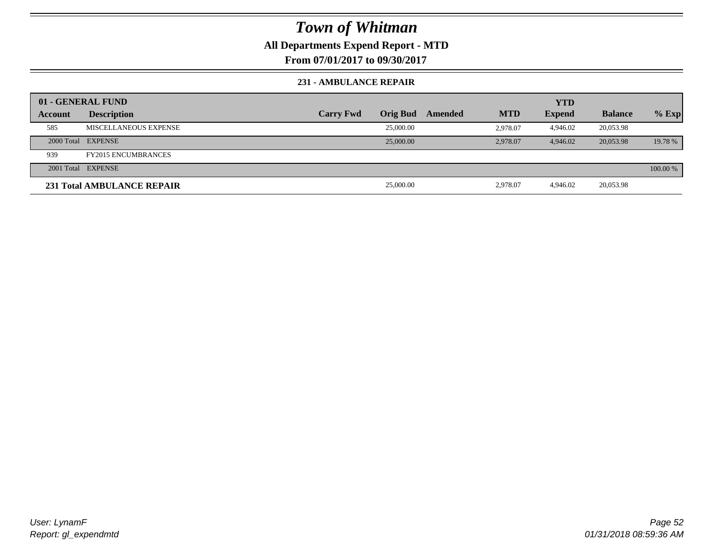### **All Departments Expend Report - MTD**

**From 07/01/2017 to 09/30/2017**

#### **231 - AMBULANCE REPAIR**

|         | 01 - GENERAL FUND          |                  |                 |         |            | <b>YTD</b>    |                |          |
|---------|----------------------------|------------------|-----------------|---------|------------|---------------|----------------|----------|
| Account | <b>Description</b>         | <b>Carry Fwd</b> | <b>Orig Bud</b> | Amended | <b>MTD</b> | <b>Expend</b> | <b>Balance</b> | $%$ Exp  |
| 585     | MISCELLANEOUS EXPENSE      |                  | 25,000.00       |         | 2.978.07   | 4.946.02      | 20,053.98      |          |
|         | 2000 Total EXPENSE         |                  | 25,000.00       |         | 2,978.07   | 4,946.02      | 20,053.98      | 19.78 %  |
| 939     | <b>FY2015 ENCUMBRANCES</b> |                  |                 |         |            |               |                |          |
|         | 2001 Total EXPENSE         |                  |                 |         |            |               |                | 100.00 % |
|         | 231 Total AMBULANCE REPAIR |                  | 25,000.00       |         | 2,978.07   | 4.946.02      | 20,053.98      |          |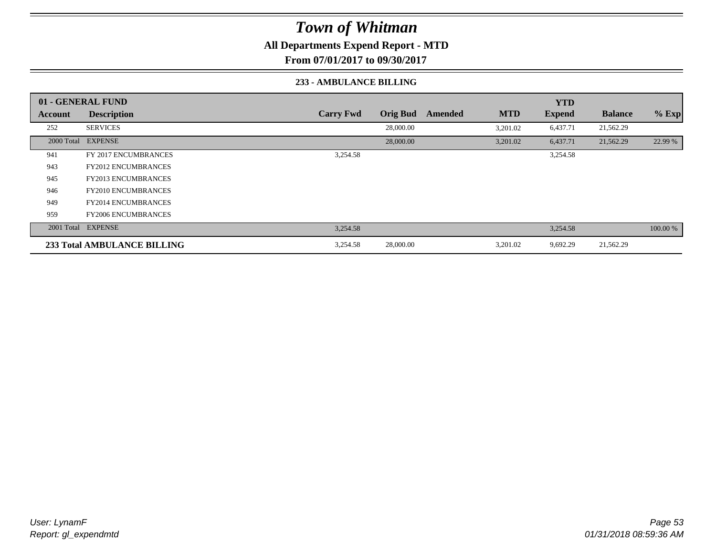### **All Departments Expend Report - MTD**

**From 07/01/2017 to 09/30/2017**

#### **233 - AMBULANCE BILLING**

|         | 01 - GENERAL FUND           |                  |                 |         |            | <b>YTD</b>    |                |          |
|---------|-----------------------------|------------------|-----------------|---------|------------|---------------|----------------|----------|
| Account | <b>Description</b>          | <b>Carry Fwd</b> | <b>Orig Bud</b> | Amended | <b>MTD</b> | <b>Expend</b> | <b>Balance</b> | $%$ Exp  |
| 252     | <b>SERVICES</b>             |                  | 28,000.00       |         | 3,201.02   | 6,437.71      | 21,562.29      |          |
|         | 2000 Total EXPENSE          |                  | 28,000.00       |         | 3,201.02   | 6,437.71      | 21,562.29      | 22.99 %  |
| 941     | FY 2017 ENCUMBRANCES        | 3,254.58         |                 |         |            | 3,254.58      |                |          |
| 943     | <b>FY2012 ENCUMBRANCES</b>  |                  |                 |         |            |               |                |          |
| 945     | <b>FY2013 ENCUMBRANCES</b>  |                  |                 |         |            |               |                |          |
| 946     | <b>FY2010 ENCUMBRANCES</b>  |                  |                 |         |            |               |                |          |
| 949     | <b>FY2014 ENCUMBRANCES</b>  |                  |                 |         |            |               |                |          |
| 959     | <b>FY2006 ENCUMBRANCES</b>  |                  |                 |         |            |               |                |          |
|         | 2001 Total EXPENSE          | 3,254.58         |                 |         |            | 3,254.58      |                | 100.00 % |
|         | 233 Total AMBULANCE BILLING | 3,254.58         | 28,000.00       |         | 3,201.02   | 9,692.29      | 21,562.29      |          |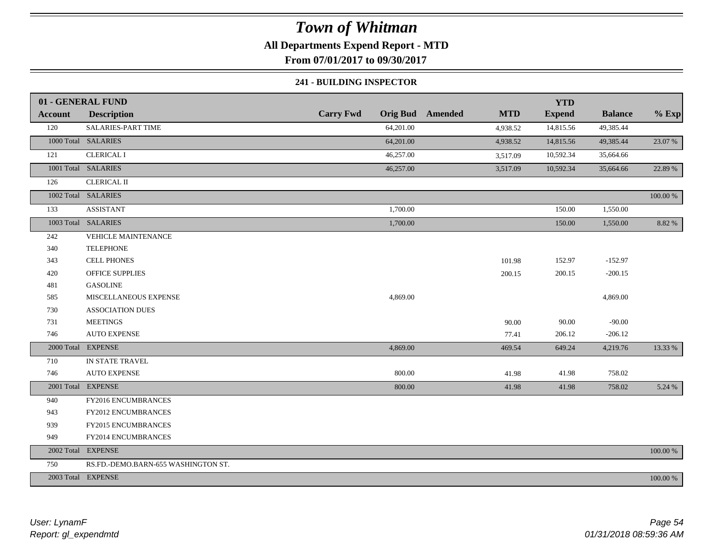### **All Departments Expend Report - MTD**

**From 07/01/2017 to 09/30/2017**

#### **241 - BUILDING INSPECTOR**

|                | 01 - GENERAL FUND                   |                  |                                       | <b>YTD</b>    |                |          |
|----------------|-------------------------------------|------------------|---------------------------------------|---------------|----------------|----------|
| <b>Account</b> | <b>Description</b>                  | <b>Carry Fwd</b> | <b>Orig Bud</b> Amended<br><b>MTD</b> | <b>Expend</b> | <b>Balance</b> | $%$ Exp  |
| 120            | SALARIES-PART TIME                  | 64,201.00        | 4,938.52                              | 14,815.56     | 49,385.44      |          |
|                | 1000 Total SALARIES                 | 64,201.00        | 4,938.52                              | 14,815.56     | 49,385.44      | 23.07 %  |
| 121            | <b>CLERICAL I</b>                   | 46,257.00        | 3,517.09                              | 10,592.34     | 35,664.66      |          |
|                | 1001 Total SALARIES                 | 46,257.00        | 3,517.09                              | 10,592.34     | 35,664.66      | 22.89 %  |
| 126            | <b>CLERICAL II</b>                  |                  |                                       |               |                |          |
|                | 1002 Total SALARIES                 |                  |                                       |               |                | 100.00 % |
| 133            | <b>ASSISTANT</b>                    | 1,700.00         |                                       | 150.00        | 1,550.00       |          |
|                | 1003 Total SALARIES                 | 1,700.00         |                                       | 150.00        | 1,550.00       | 8.82%    |
| 242            | VEHICLE MAINTENANCE                 |                  |                                       |               |                |          |
| 340            | <b>TELEPHONE</b>                    |                  |                                       |               |                |          |
| 343            | <b>CELL PHONES</b>                  |                  | 101.98                                | 152.97        | $-152.97$      |          |
| 420            | <b>OFFICE SUPPLIES</b>              |                  | 200.15                                | 200.15        | $-200.15$      |          |
| 481            | <b>GASOLINE</b>                     |                  |                                       |               |                |          |
| 585            | MISCELLANEOUS EXPENSE               | 4,869.00         |                                       |               | 4,869.00       |          |
| 730            | <b>ASSOCIATION DUES</b>             |                  |                                       |               |                |          |
| 731            | <b>MEETINGS</b>                     |                  | 90.00                                 | 90.00         | $-90.00$       |          |
| 746            | <b>AUTO EXPENSE</b>                 |                  | 77.41                                 | 206.12        | $-206.12$      |          |
|                | 2000 Total EXPENSE                  | 4,869.00         | 469.54                                | 649.24        | 4,219.76       | 13.33 %  |
| 710            | IN STATE TRAVEL                     |                  |                                       |               |                |          |
| 746            | <b>AUTO EXPENSE</b>                 | 800.00           | 41.98                                 | 41.98         | 758.02         |          |
|                | 2001 Total EXPENSE                  | 800.00           | 41.98                                 | 41.98         | 758.02         | 5.24 %   |
| 940            | FY2016 ENCUMBRANCES                 |                  |                                       |               |                |          |
| 943            | FY2012 ENCUMBRANCES                 |                  |                                       |               |                |          |
| 939            | FY2015 ENCUMBRANCES                 |                  |                                       |               |                |          |
| 949            | FY2014 ENCUMBRANCES                 |                  |                                       |               |                |          |
|                | 2002 Total EXPENSE                  |                  |                                       |               |                | 100.00 % |
| 750            | RS.FD.-DEMO.BARN-655 WASHINGTON ST. |                  |                                       |               |                |          |
|                | 2003 Total EXPENSE                  |                  |                                       |               |                | 100.00 % |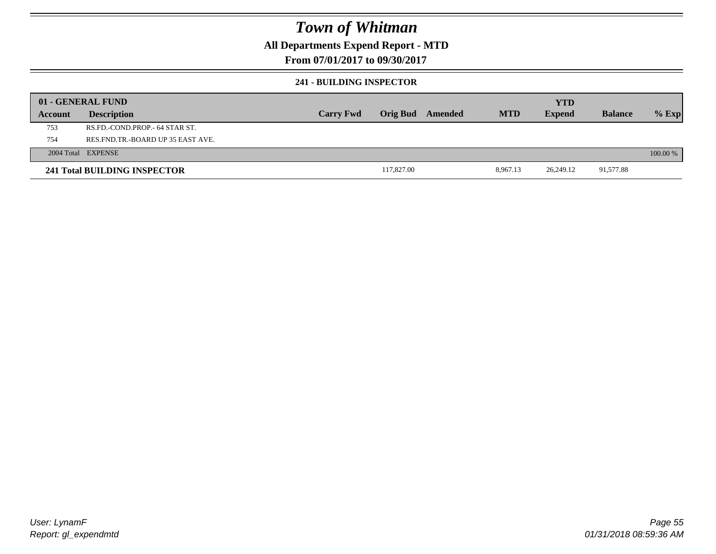### **All Departments Expend Report - MTD**

**From 07/01/2017 to 09/30/2017**

#### **241 - BUILDING INSPECTOR**

|         | 01 - GENERAL FUND                     |                  |                 |         |            | <b>YTD</b>    |                |          |
|---------|---------------------------------------|------------------|-----------------|---------|------------|---------------|----------------|----------|
| Account | <b>Description</b>                    | <b>Carry Fwd</b> | <b>Orig Bud</b> | Amended | <b>MTD</b> | <b>Expend</b> | <b>Balance</b> | $%$ Exp  |
| 753     | RS.FD.-COND.PROP.- 64 STAR ST.        |                  |                 |         |            |               |                |          |
| 754     | RES. FND. TR. - BOARD UP 35 EAST AVE. |                  |                 |         |            |               |                |          |
|         | 2004 Total EXPENSE                    |                  |                 |         |            |               |                | 100.00 % |
|         | 241 Total BUILDING INSPECTOR          |                  | 117,827.00      |         | 8,967.13   | 26.249.12     | 91,577.88      |          |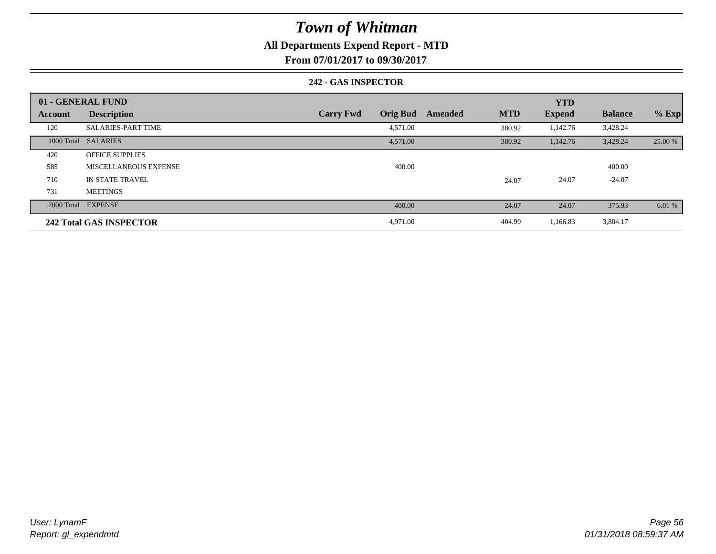### **All Departments Expend Report - MTD**

**From 07/01/2017 to 09/30/2017**

#### **242 - GAS INSPECTOR**

|                | 01 - GENERAL FUND              |                                     |                       | <b>YTD</b>    |                |         |
|----------------|--------------------------------|-------------------------------------|-----------------------|---------------|----------------|---------|
| <b>Account</b> | <b>Description</b>             | <b>Orig Bud</b><br><b>Carry Fwd</b> | <b>MTD</b><br>Amended | <b>Expend</b> | <b>Balance</b> | $%$ Exp |
| 120            | <b>SALARIES-PART TIME</b>      | 4,571.00                            | 380.92                | 1,142.76      | 3,428.24       |         |
|                | 1000 Total SALARIES            | 4,571.00                            | 380.92                | 1,142.76      | 3,428.24       | 25.00 % |
| 420            | <b>OFFICE SUPPLIES</b>         |                                     |                       |               |                |         |
| 585            | MISCELLANEOUS EXPENSE          | 400.00                              |                       |               | 400.00         |         |
| 710            | <b>IN STATE TRAVEL</b>         |                                     | 24.07                 | 24.07         | $-24.07$       |         |
| 731            | <b>MEETINGS</b>                |                                     |                       |               |                |         |
|                | 2000 Total EXPENSE             | 400.00                              | 24.07                 | 24.07         | 375.93         | 6.01%   |
|                | <b>242 Total GAS INSPECTOR</b> | 4,971.00                            | 404.99                | 1,166.83      | 3,804.17       |         |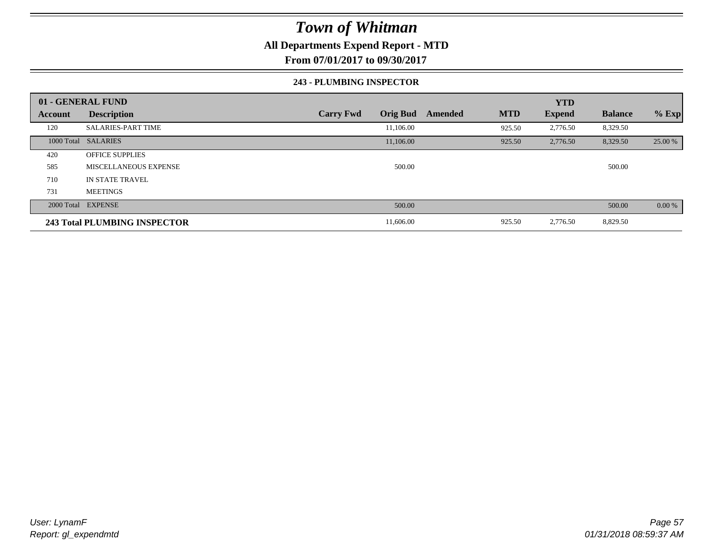### **All Departments Expend Report - MTD**

**From 07/01/2017 to 09/30/2017**

#### **243 - PLUMBING INSPECTOR**

|                | 01 - GENERAL FUND            |                                     |                       | <b>YTD</b>    |                |         |
|----------------|------------------------------|-------------------------------------|-----------------------|---------------|----------------|---------|
| <b>Account</b> | <b>Description</b>           | <b>Orig Bud</b><br><b>Carry Fwd</b> | <b>MTD</b><br>Amended | <b>Expend</b> | <b>Balance</b> | $%$ Exp |
| 120            | <b>SALARIES-PART TIME</b>    | 11,106.00                           | 925.50                | 2,776.50      | 8,329.50       |         |
|                | 1000 Total SALARIES          | 11,106.00                           | 925.50                | 2,776.50      | 8,329.50       | 25.00 % |
| 420            | <b>OFFICE SUPPLIES</b>       |                                     |                       |               |                |         |
| 585            | MISCELLANEOUS EXPENSE        | 500.00                              |                       |               | 500.00         |         |
| 710            | <b>IN STATE TRAVEL</b>       |                                     |                       |               |                |         |
| 731            | <b>MEETINGS</b>              |                                     |                       |               |                |         |
|                | 2000 Total EXPENSE           | 500.00                              |                       |               | 500.00         | 0.00%   |
|                | 243 Total PLUMBING INSPECTOR | 11,606.00                           | 925.50                | 2,776.50      | 8,829.50       |         |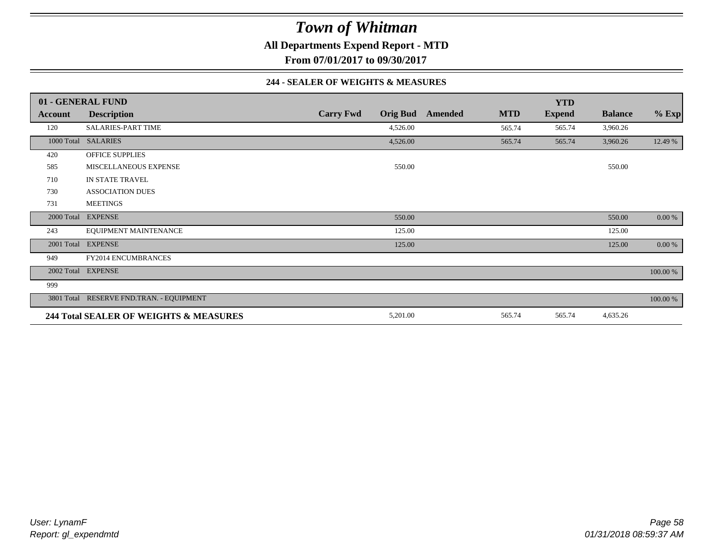**All Departments Expend Report - MTD**

**From 07/01/2017 to 09/30/2017**

#### **244 - SEALER OF WEIGHTS & MEASURES**

|         | 01 - GENERAL FUND                        |                  |                 |         |            | <b>YTD</b>    |                |          |
|---------|------------------------------------------|------------------|-----------------|---------|------------|---------------|----------------|----------|
| Account | <b>Description</b>                       | <b>Carry Fwd</b> | <b>Orig Bud</b> | Amended | <b>MTD</b> | <b>Expend</b> | <b>Balance</b> | $%$ Exp  |
| 120     | <b>SALARIES-PART TIME</b>                |                  | 4,526.00        |         | 565.74     | 565.74        | 3,960.26       |          |
|         | 1000 Total SALARIES                      |                  | 4,526.00        |         | 565.74     | 565.74        | 3,960.26       | 12.49 %  |
| 420     | <b>OFFICE SUPPLIES</b>                   |                  |                 |         |            |               |                |          |
| 585     | MISCELLANEOUS EXPENSE                    |                  | 550.00          |         |            |               | 550.00         |          |
| 710     | IN STATE TRAVEL                          |                  |                 |         |            |               |                |          |
| 730     | <b>ASSOCIATION DUES</b>                  |                  |                 |         |            |               |                |          |
| 731     | <b>MEETINGS</b>                          |                  |                 |         |            |               |                |          |
|         | 2000 Total EXPENSE                       |                  | 550.00          |         |            |               | 550.00         | 0.00 %   |
| 243     | EQUIPMENT MAINTENANCE                    |                  | 125.00          |         |            |               | 125.00         |          |
|         | 2001 Total EXPENSE                       |                  | 125.00          |         |            |               | 125.00         | 0.00 %   |
| 949     | <b>FY2014 ENCUMBRANCES</b>               |                  |                 |         |            |               |                |          |
|         | 2002 Total EXPENSE                       |                  |                 |         |            |               |                | 100.00 % |
| 999     |                                          |                  |                 |         |            |               |                |          |
|         | 3801 Total RESERVE FND.TRAN. - EQUIPMENT |                  |                 |         |            |               |                | 100.00 % |
|         | 244 Total SEALER OF WEIGHTS & MEASURES   |                  | 5,201.00        |         | 565.74     | 565.74        | 4,635.26       |          |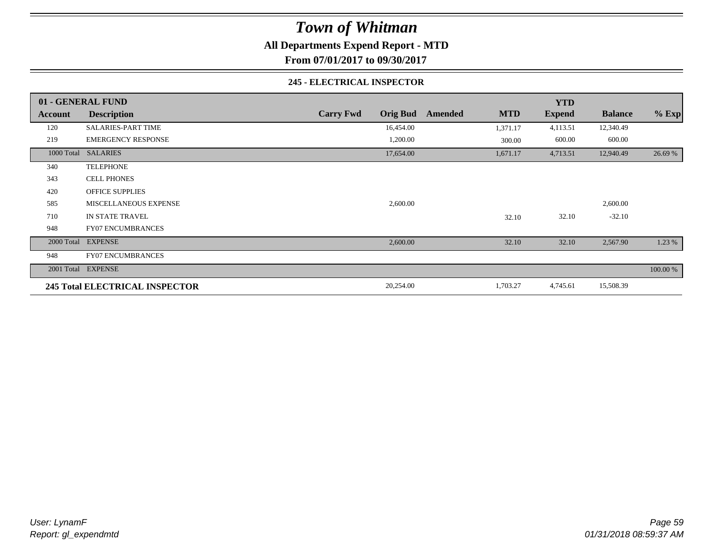**All Departments Expend Report - MTD**

**From 07/01/2017 to 09/30/2017**

#### **245 - ELECTRICAL INSPECTOR**

|         | 01 - GENERAL FUND                     |                                     |                       | <b>YTD</b>    |                |          |
|---------|---------------------------------------|-------------------------------------|-----------------------|---------------|----------------|----------|
| Account | <b>Description</b>                    | <b>Orig Bud</b><br><b>Carry Fwd</b> | <b>MTD</b><br>Amended | <b>Expend</b> | <b>Balance</b> | $%$ Exp  |
| 120     | <b>SALARIES-PART TIME</b>             | 16,454.00                           | 1,371.17              | 4,113.51      | 12,340.49      |          |
| 219     | <b>EMERGENCY RESPONSE</b>             | 1,200.00                            | 300.00                | 600.00        | 600.00         |          |
|         | 1000 Total SALARIES                   | 17,654.00                           | 1,671.17              | 4,713.51      | 12,940.49      | 26.69 %  |
| 340     | <b>TELEPHONE</b>                      |                                     |                       |               |                |          |
| 343     | <b>CELL PHONES</b>                    |                                     |                       |               |                |          |
| 420     | OFFICE SUPPLIES                       |                                     |                       |               |                |          |
| 585     | MISCELLANEOUS EXPENSE                 | 2,600.00                            |                       |               | 2,600.00       |          |
| 710     | IN STATE TRAVEL                       |                                     | 32.10                 | 32.10         | $-32.10$       |          |
| 948     | <b>FY07 ENCUMBRANCES</b>              |                                     |                       |               |                |          |
|         | 2000 Total EXPENSE                    | 2,600.00                            | 32.10                 | 32.10         | 2,567.90       | 1.23 %   |
| 948     | <b>FY07 ENCUMBRANCES</b>              |                                     |                       |               |                |          |
|         | 2001 Total EXPENSE                    |                                     |                       |               |                | 100.00 % |
|         | <b>245 Total ELECTRICAL INSPECTOR</b> | 20,254.00                           | 1,703.27              | 4,745.61      | 15,508.39      |          |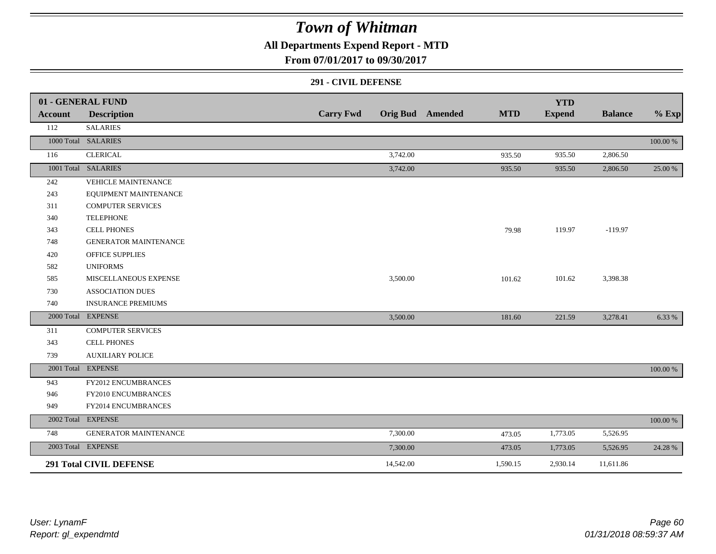### **All Departments Expend Report - MTD**

**From 07/01/2017 to 09/30/2017**

#### **291 - CIVIL DEFENSE**

|                | 01 - GENERAL FUND              |                  |           |                         |            | <b>YTD</b>    |                |          |
|----------------|--------------------------------|------------------|-----------|-------------------------|------------|---------------|----------------|----------|
| <b>Account</b> | <b>Description</b>             | <b>Carry Fwd</b> |           | <b>Orig Bud</b> Amended | <b>MTD</b> | <b>Expend</b> | <b>Balance</b> | $%$ Exp  |
| 112            | <b>SALARIES</b>                |                  |           |                         |            |               |                |          |
|                | 1000 Total SALARIES            |                  |           |                         |            |               |                | 100.00 % |
| 116            | <b>CLERICAL</b>                |                  | 3,742.00  |                         | 935.50     | 935.50        | 2,806.50       |          |
|                | 1001 Total SALARIES            |                  | 3,742.00  |                         | 935.50     | 935.50        | 2,806.50       | 25.00 %  |
| 242            | <b>VEHICLE MAINTENANCE</b>     |                  |           |                         |            |               |                |          |
| 243            | EQUIPMENT MAINTENANCE          |                  |           |                         |            |               |                |          |
| 311            | <b>COMPUTER SERVICES</b>       |                  |           |                         |            |               |                |          |
| 340            | <b>TELEPHONE</b>               |                  |           |                         |            |               |                |          |
| 343            | <b>CELL PHONES</b>             |                  |           |                         | 79.98      | 119.97        | $-119.97$      |          |
| 748            | <b>GENERATOR MAINTENANCE</b>   |                  |           |                         |            |               |                |          |
| 420            | OFFICE SUPPLIES                |                  |           |                         |            |               |                |          |
| 582            | <b>UNIFORMS</b>                |                  |           |                         |            |               |                |          |
| 585            | MISCELLANEOUS EXPENSE          |                  | 3,500.00  |                         | 101.62     | 101.62        | 3,398.38       |          |
| 730            | <b>ASSOCIATION DUES</b>        |                  |           |                         |            |               |                |          |
| 740            | <b>INSURANCE PREMIUMS</b>      |                  |           |                         |            |               |                |          |
|                | 2000 Total EXPENSE             |                  | 3,500.00  |                         | 181.60     | 221.59        | 3,278.41       | 6.33 %   |
| 311            | <b>COMPUTER SERVICES</b>       |                  |           |                         |            |               |                |          |
| 343            | <b>CELL PHONES</b>             |                  |           |                         |            |               |                |          |
| 739            | <b>AUXILIARY POLICE</b>        |                  |           |                         |            |               |                |          |
|                | 2001 Total EXPENSE             |                  |           |                         |            |               |                | 100.00 % |
| 943            | FY2012 ENCUMBRANCES            |                  |           |                         |            |               |                |          |
| 946            | FY2010 ENCUMBRANCES            |                  |           |                         |            |               |                |          |
| 949            | FY2014 ENCUMBRANCES            |                  |           |                         |            |               |                |          |
|                | 2002 Total EXPENSE             |                  |           |                         |            |               |                | 100.00 % |
| 748            | <b>GENERATOR MAINTENANCE</b>   |                  | 7,300.00  |                         | 473.05     | 1,773.05      | 5,526.95       |          |
|                | 2003 Total EXPENSE             |                  | 7,300.00  |                         | 473.05     | 1,773.05      | 5,526.95       | 24.28 %  |
|                | <b>291 Total CIVIL DEFENSE</b> |                  | 14,542.00 |                         | 1,590.15   | 2,930.14      | 11,611.86      |          |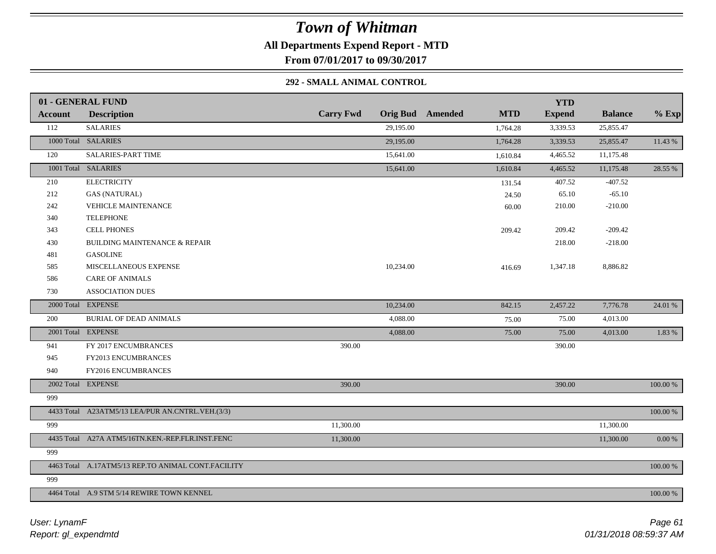**All Departments Expend Report - MTD**

**From 07/01/2017 to 09/30/2017**

### **292 - SMALL ANIMAL CONTROL**

|                | 01 - GENERAL FUND                                  |                  |                                       | <b>YTD</b>    |                |          |
|----------------|----------------------------------------------------|------------------|---------------------------------------|---------------|----------------|----------|
| <b>Account</b> | <b>Description</b>                                 | <b>Carry Fwd</b> | <b>Orig Bud</b> Amended<br><b>MTD</b> | <b>Expend</b> | <b>Balance</b> | $%$ Exp  |
| 112            | <b>SALARIES</b>                                    | 29,195.00        | 1,764.28                              | 3,339.53      | 25,855.47      |          |
|                | 1000 Total SALARIES                                | 29,195.00        | 1,764.28                              | 3,339.53      | 25,855.47      | 11.43 %  |
| 120            | SALARIES-PART TIME                                 | 15,641.00        | 1,610.84                              | 4,465.52      | 11,175.48      |          |
|                | 1001 Total SALARIES                                | 15,641.00        | 1,610.84                              | 4,465.52      | 11,175.48      | 28.55 %  |
| 210            | <b>ELECTRICITY</b>                                 |                  | 131.54                                | 407.52        | $-407.52$      |          |
| 212            | <b>GAS (NATURAL)</b>                               |                  | 24.50                                 | 65.10         | $-65.10$       |          |
| 242            | <b>VEHICLE MAINTENANCE</b>                         |                  | 60.00                                 | 210.00        | $-210.00$      |          |
| 340            | <b>TELEPHONE</b>                                   |                  |                                       |               |                |          |
| 343            | <b>CELL PHONES</b>                                 |                  | 209.42                                | 209.42        | $-209.42$      |          |
| 430            | <b>BUILDING MAINTENANCE &amp; REPAIR</b>           |                  |                                       | 218.00        | $-218.00$      |          |
| 481            | <b>GASOLINE</b>                                    |                  |                                       |               |                |          |
| 585            | MISCELLANEOUS EXPENSE                              | 10,234.00        | 416.69                                | 1,347.18      | 8,886.82       |          |
| 586            | <b>CARE OF ANIMALS</b>                             |                  |                                       |               |                |          |
| 730            | <b>ASSOCIATION DUES</b>                            |                  |                                       |               |                |          |
|                | 2000 Total EXPENSE                                 | 10,234.00        | 842.15                                | 2,457.22      | 7,776.78       | 24.01 %  |
| 200            | <b>BURIAL OF DEAD ANIMALS</b>                      | 4,088.00         | 75.00                                 | 75.00         | 4,013.00       |          |
|                | 2001 Total EXPENSE                                 | 4,088.00         | 75.00                                 | 75.00         | 4,013.00       | 1.83 %   |
| 941            | FY 2017 ENCUMBRANCES                               | 390.00           |                                       | 390.00        |                |          |
| 945            | FY2013 ENCUMBRANCES                                |                  |                                       |               |                |          |
| 940            | FY2016 ENCUMBRANCES                                |                  |                                       |               |                |          |
|                | 2002 Total EXPENSE                                 | 390.00           |                                       | 390.00        |                | 100.00 % |
| 999            |                                                    |                  |                                       |               |                |          |
|                | 4433 Total A23ATM5/13 LEA/PUR AN.CNTRL.VEH.(3/3)   |                  |                                       |               |                | 100.00 % |
| 999            |                                                    | 11,300.00        |                                       |               | 11,300.00      |          |
|                | 4435 Total A27A ATM5/16TN.KEN.-REP.FLR.INST.FENC   | 11,300.00        |                                       |               | 11,300.00      | 0.00 %   |
| 999            |                                                    |                  |                                       |               |                |          |
|                | 4463 Total A.17ATM5/13 REP.TO ANIMAL CONT.FACILITY |                  |                                       |               |                | 100.00 % |
| 999            |                                                    |                  |                                       |               |                |          |
|                | 4464 Total A.9 STM 5/14 REWIRE TOWN KENNEL         |                  |                                       |               |                | 100.00 % |
|                |                                                    |                  |                                       |               |                |          |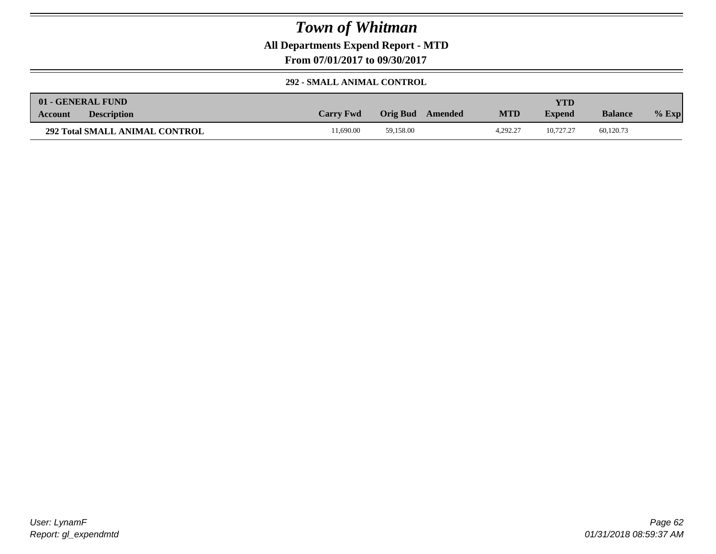**All Departments Expend Report - MTD**

**From 07/01/2017 to 09/30/2017**

#### **292 - SMALL ANIMAL CONTROL**

| 01 - GENERAL FUND                     |                  |                     |            | YTD           |                |         |
|---------------------------------------|------------------|---------------------|------------|---------------|----------------|---------|
| <b>Description</b><br><b>Account</b>  | <b>Carry Fwd</b> | Orig Bud<br>Amended | <b>MTD</b> | <b>Expend</b> | <b>Balance</b> | $%$ Exp |
| <b>292 Total SMALL ANIMAL CONTROL</b> | 1.690.00         | 59,158.00           | 4.292.27   | 10.727.27     | 60,120.73      |         |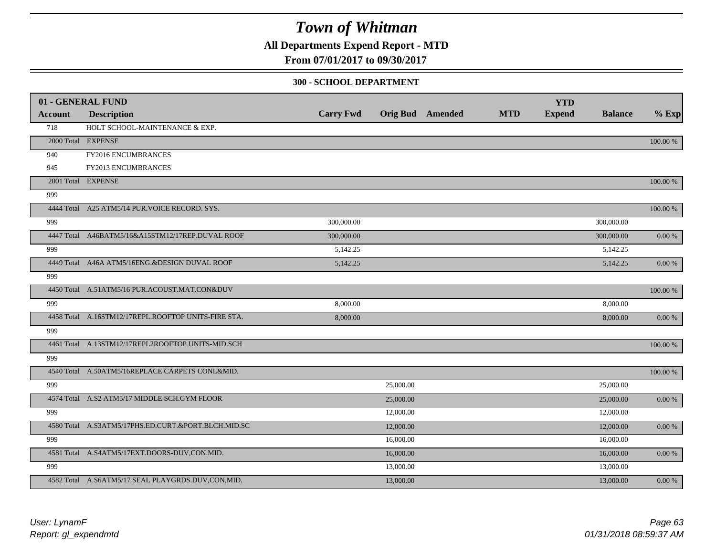### **All Departments Expend Report - MTD**

**From 07/01/2017 to 09/30/2017**

#### **300 - SCHOOL DEPARTMENT**

| Account | 01 - GENERAL FUND<br><b>Description</b>             | <b>Carry Fwd</b> |           | <b>Orig Bud</b> Amended | <b>MTD</b> | <b>YTD</b><br><b>Expend</b> | <b>Balance</b> | $%$ Exp    |
|---------|-----------------------------------------------------|------------------|-----------|-------------------------|------------|-----------------------------|----------------|------------|
| 718     | HOLT SCHOOL-MAINTENANCE & EXP.                      |                  |           |                         |            |                             |                |            |
|         | 2000 Total EXPENSE                                  |                  |           |                         |            |                             |                | 100.00 %   |
|         |                                                     |                  |           |                         |            |                             |                |            |
| 940     | FY2016 ENCUMBRANCES                                 |                  |           |                         |            |                             |                |            |
| 945     | FY2013 ENCUMBRANCES                                 |                  |           |                         |            |                             |                |            |
|         | 2001 Total EXPENSE                                  |                  |           |                         |            |                             |                | 100.00 %   |
| 999     |                                                     |                  |           |                         |            |                             |                |            |
|         | 4444 Total A25 ATM5/14 PUR. VOICE RECORD. SYS.      |                  |           |                         |            |                             |                | 100.00 %   |
| 999     |                                                     | 300,000.00       |           |                         |            |                             | 300,000.00     |            |
|         | 4447 Total A46BATM5/16&A15STM12/17REP.DUVAL ROOF    | 300,000.00       |           |                         |            |                             | 300,000.00     | 0.00 %     |
| 999     |                                                     | 5,142.25         |           |                         |            |                             | 5,142.25       |            |
|         | 4449 Total A46A ATM5/16ENG.&DESIGN DUVAL ROOF       | 5,142.25         |           |                         |            |                             | 5,142.25       | $0.00\ \%$ |
| 999     |                                                     |                  |           |                         |            |                             |                |            |
|         | 4450 Total A.51ATM5/16 PUR.ACOUST.MAT.CON&DUV       |                  |           |                         |            |                             |                | 100.00 %   |
| 999     |                                                     | 8,000.00         |           |                         |            |                             | 8,000.00       |            |
|         | 4458 Total A.16STM12/17REPL.ROOFTOP UNITS-FIRE STA. | 8,000.00         |           |                         |            |                             | 8,000.00       | $0.00\ \%$ |
| 999     |                                                     |                  |           |                         |            |                             |                |            |
|         | 4461 Total A.13STM12/17REPL2ROOFTOP UNITS-MID.SCH   |                  |           |                         |            |                             |                | 100.00 %   |
| 999     |                                                     |                  |           |                         |            |                             |                |            |
|         | 4540 Total A.50ATM5/16REPLACE CARPETS CONL&MID.     |                  |           |                         |            |                             |                | 100.00 %   |
| 999     |                                                     |                  | 25,000.00 |                         |            |                             | 25,000.00      |            |
|         | 4574 Total A.S2 ATM5/17 MIDDLE SCH.GYM FLOOR        |                  | 25,000.00 |                         |            |                             | 25,000.00      | $0.00\ \%$ |
| 999     |                                                     |                  | 12,000.00 |                         |            |                             | 12,000.00      |            |
|         | 4580 Total A.S3ATM5/17PHS.ED.CURT.&PORT.BLCH.MID.SC |                  | 12,000.00 |                         |            |                             | 12,000.00      | 0.00 %     |
| 999     |                                                     |                  | 16,000.00 |                         |            |                             | 16,000.00      |            |
|         | 4581 Total A.S4ATM5/17EXT.DOORS-DUV,CON.MID.        |                  | 16,000.00 |                         |            |                             | 16,000.00      | 0.00 %     |
| 999     |                                                     |                  | 13,000.00 |                         |            |                             | 13,000.00      |            |
|         | 4582 Total A.S6ATM5/17 SEAL PLAYGRDS.DUV,CON,MID.   |                  | 13,000.00 |                         |            |                             | 13,000.00      | $0.00\ \%$ |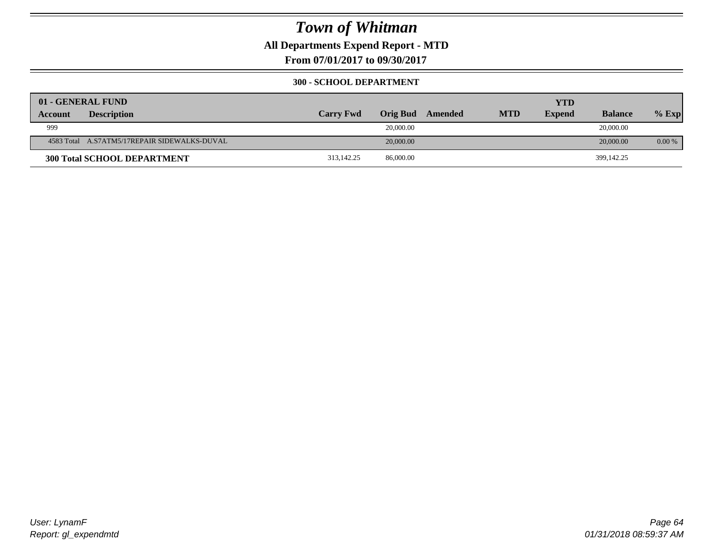**All Departments Expend Report - MTD**

**From 07/01/2017 to 09/30/2017**

#### **300 - SCHOOL DEPARTMENT**

|                | 01 - GENERAL FUND                            |                  |                 |         |            | <b>YTD</b>    |                |          |
|----------------|----------------------------------------------|------------------|-----------------|---------|------------|---------------|----------------|----------|
| <b>Account</b> | <b>Description</b>                           | <b>Carry Fwd</b> | <b>Orig Bud</b> | Amended | <b>MTD</b> | <b>Expend</b> | <b>Balance</b> | $%$ Exp  |
| 999            |                                              |                  | 20,000.00       |         |            |               | 20,000.00      |          |
|                | 4583 Total A.S7ATM5/17REPAIR SIDEWALKS-DUVAL |                  | 20,000.00       |         |            |               | 20,000.00      | $0.00\%$ |
|                | <b>300 Total SCHOOL DEPARTMENT</b>           | 313,142.25       | 86,000.00       |         |            |               | 399,142.25     |          |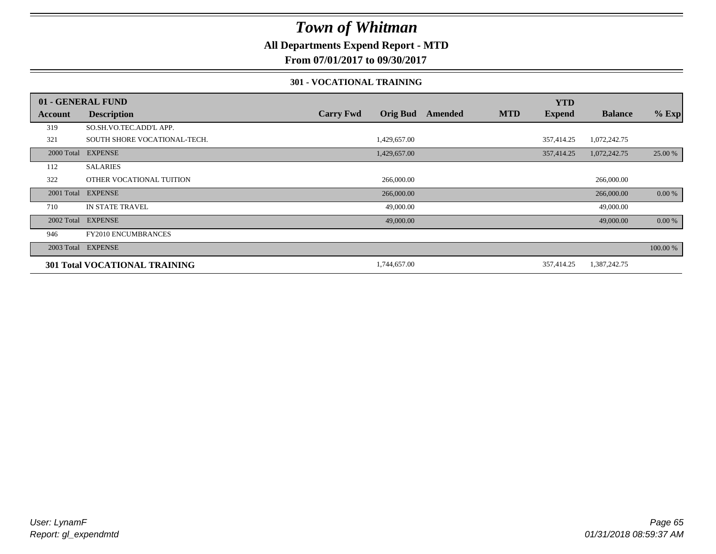### **All Departments Expend Report - MTD**

**From 07/01/2017 to 09/30/2017**

#### **301 - VOCATIONAL TRAINING**

|            | 01 - GENERAL FUND                    |                  |                 |         |            | <b>YTD</b>    |                |          |
|------------|--------------------------------------|------------------|-----------------|---------|------------|---------------|----------------|----------|
| Account    | <b>Description</b>                   | <b>Carry Fwd</b> | <b>Orig Bud</b> | Amended | <b>MTD</b> | <b>Expend</b> | <b>Balance</b> | $%$ Exp  |
| 319        | SO.SH.VO.TEC.ADD'L APP.              |                  |                 |         |            |               |                |          |
| 321        | SOUTH SHORE VOCATIONAL-TECH.         |                  | 1,429,657.00    |         |            | 357,414.25    | 1,072,242.75   |          |
| 2000 Total | <b>EXPENSE</b>                       |                  | 1,429,657.00    |         |            | 357,414.25    | 1,072,242.75   | 25.00 %  |
| 112        | <b>SALARIES</b>                      |                  |                 |         |            |               |                |          |
| 322        | OTHER VOCATIONAL TUITION             |                  | 266,000.00      |         |            |               | 266,000.00     |          |
| 2001 Total | <b>EXPENSE</b>                       |                  | 266,000.00      |         |            |               | 266,000.00     | 0.00 %   |
| 710        | <b>IN STATE TRAVEL</b>               |                  | 49,000.00       |         |            |               | 49,000.00      |          |
|            | 2002 Total EXPENSE                   |                  | 49,000.00       |         |            |               | 49,000.00      | 0.00 %   |
| 946        | FY2010 ENCUMBRANCES                  |                  |                 |         |            |               |                |          |
|            | 2003 Total EXPENSE                   |                  |                 |         |            |               |                | 100.00 % |
|            | <b>301 Total VOCATIONAL TRAINING</b> |                  | 1,744,657.00    |         |            | 357,414.25    | 1,387,242.75   |          |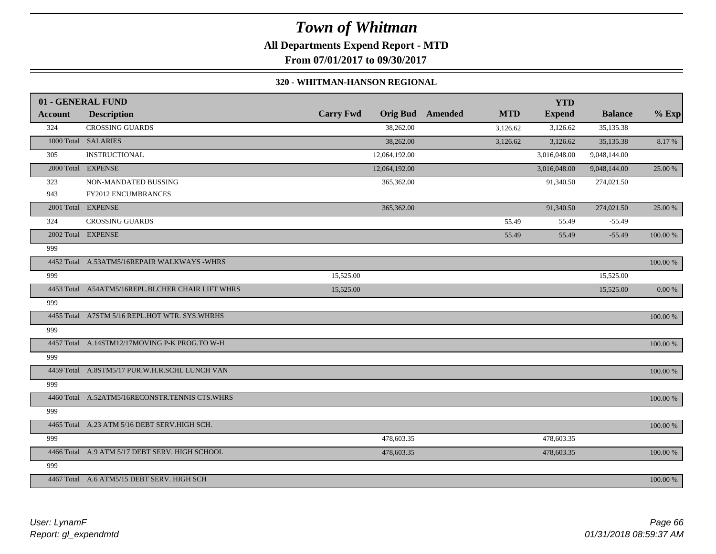**All Departments Expend Report - MTD**

**From 07/01/2017 to 09/30/2017**

#### **320 - WHITMAN-HANSON REGIONAL**

|         | 01 - GENERAL FUND                                |                  |               |                         |            | <b>YTD</b>    |                |            |
|---------|--------------------------------------------------|------------------|---------------|-------------------------|------------|---------------|----------------|------------|
| Account | <b>Description</b>                               | <b>Carry Fwd</b> |               | <b>Orig Bud</b> Amended | <b>MTD</b> | <b>Expend</b> | <b>Balance</b> | $%$ Exp    |
| 324     | <b>CROSSING GUARDS</b>                           |                  | 38,262.00     |                         | 3,126.62   | 3,126.62      | 35,135.38      |            |
|         | 1000 Total SALARIES                              |                  | 38,262.00     |                         | 3,126.62   | 3,126.62      | 35,135.38      | 8.17%      |
| 305     | <b>INSTRUCTIONAL</b>                             |                  | 12,064,192.00 |                         |            | 3,016,048.00  | 9,048,144.00   |            |
|         | 2000 Total EXPENSE                               |                  | 12,064,192.00 |                         |            | 3,016,048.00  | 9,048,144.00   | 25.00 %    |
| 323     | NON-MANDATED BUSSING                             |                  | 365,362.00    |                         |            | 91,340.50     | 274,021.50     |            |
| 943     | <b>FY2012 ENCUMBRANCES</b>                       |                  |               |                         |            |               |                |            |
|         | 2001 Total EXPENSE                               |                  | 365,362.00    |                         |            | 91,340.50     | 274,021.50     | 25.00 %    |
| 324     | <b>CROSSING GUARDS</b>                           |                  |               |                         | 55.49      | 55.49         | $-55.49$       |            |
|         | 2002 Total EXPENSE                               |                  |               |                         | 55.49      | 55.49         | $-55.49$       | 100.00 %   |
| 999     |                                                  |                  |               |                         |            |               |                |            |
|         | 4452 Total A.53ATM5/16REPAIR WALKWAYS -WHRS      |                  |               |                         |            |               |                | 100.00 %   |
| 999     |                                                  | 15,525.00        |               |                         |            |               | 15,525.00      |            |
|         | 4453 Total A54ATM5/16REPL.BLCHER CHAIR LIFT WHRS | 15,525.00        |               |                         |            |               | 15,525.00      | $0.00\ \%$ |
| 999     |                                                  |                  |               |                         |            |               |                |            |
|         | 4455 Total A7STM 5/16 REPL.HOT WTR. SYS.WHRHS    |                  |               |                         |            |               |                | 100.00 %   |
| 999     |                                                  |                  |               |                         |            |               |                |            |
|         | 4457 Total A.14STM12/17MOVING P-K PROG.TO W-H    |                  |               |                         |            |               |                | 100.00 %   |
| 999     |                                                  |                  |               |                         |            |               |                |            |
|         | 4459 Total A.8STM5/17 PUR.W.H.R.SCHL LUNCH VAN   |                  |               |                         |            |               |                | 100.00 %   |
| 999     |                                                  |                  |               |                         |            |               |                |            |
|         | 4460 Total A.52ATM5/16RECONSTR.TENNIS CTS.WHRS   |                  |               |                         |            |               |                | 100.00 %   |
| 999     |                                                  |                  |               |                         |            |               |                |            |
|         | 4465 Total A.23 ATM 5/16 DEBT SERV.HIGH SCH.     |                  |               |                         |            |               |                | 100.00 %   |
| 999     |                                                  |                  | 478,603.35    |                         |            | 478,603.35    |                |            |
|         | 4466 Total A.9 ATM 5/17 DEBT SERV. HIGH SCHOOL   |                  | 478,603.35    |                         |            | 478,603.35    |                | 100.00 %   |
| 999     |                                                  |                  |               |                         |            |               |                |            |
|         | 4467 Total A.6 ATM5/15 DEBT SERV. HIGH SCH       |                  |               |                         |            |               |                | 100.00 %   |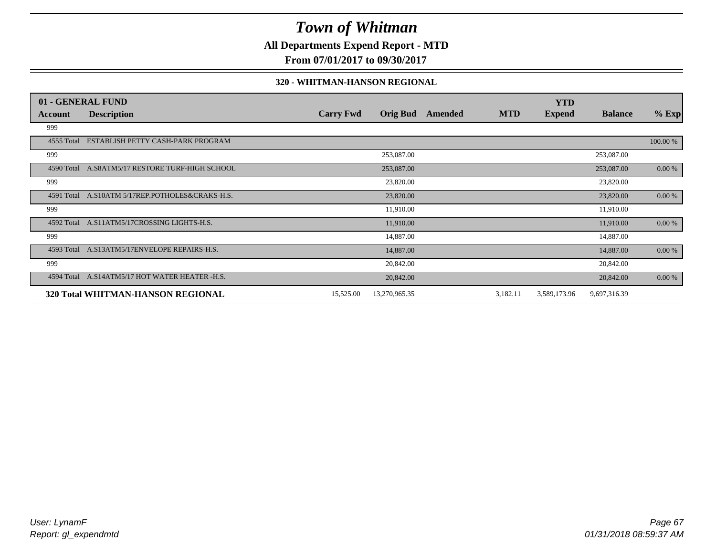**All Departments Expend Report - MTD**

**From 07/01/2017 to 09/30/2017**

#### **320 - WHITMAN-HANSON REGIONAL**

|            | 01 - GENERAL FUND                               |                  |                 |         |            | <b>YTD</b>    |                |          |
|------------|-------------------------------------------------|------------------|-----------------|---------|------------|---------------|----------------|----------|
| Account    | <b>Description</b>                              | <b>Carry Fwd</b> | <b>Orig Bud</b> | Amended | <b>MTD</b> | <b>Expend</b> | <b>Balance</b> | $%$ Exp  |
| 999        |                                                 |                  |                 |         |            |               |                |          |
| 4555 Total | ESTABLISH PETTY CASH-PARK PROGRAM               |                  |                 |         |            |               |                | 100.00 % |
| 999        |                                                 |                  | 253,087.00      |         |            |               | 253,087.00     |          |
|            | 4590 Total A.S8ATM5/17 RESTORE TURF-HIGH SCHOOL |                  | 253,087.00      |         |            |               | 253,087.00     | 0.00 %   |
| 999        |                                                 |                  | 23,820.00       |         |            |               | 23,820.00      |          |
| 4591 Total | A.S10ATM 5/17REP.POTHOLES&CRAKS-H.S.            |                  | 23,820.00       |         |            |               | 23,820.00      | 0.00 %   |
| 999        |                                                 |                  | 11,910.00       |         |            |               | 11,910.00      |          |
| 4592 Total | A.S11ATM5/17CROSSING LIGHTS-H.S.                |                  | 11,910.00       |         |            |               | 11,910.00      | 0.00 %   |
| 999        |                                                 |                  | 14,887.00       |         |            |               | 14,887.00      |          |
|            | 4593 Total A.S13ATM5/17ENVELOPE REPAIRS-H.S.    |                  | 14,887.00       |         |            |               | 14,887.00      | 0.00 %   |
| 999        |                                                 |                  | 20,842.00       |         |            |               | 20,842.00      |          |
|            | 4594 Total A.S14ATM5/17 HOT WATER HEATER -H.S.  |                  | 20,842.00       |         |            |               | 20,842.00      | 0.00 %   |
|            | 320 Total WHITMAN-HANSON REGIONAL               | 15,525.00        | 13,270,965.35   |         | 3,182.11   | 3,589,173.96  | 9,697,316.39   |          |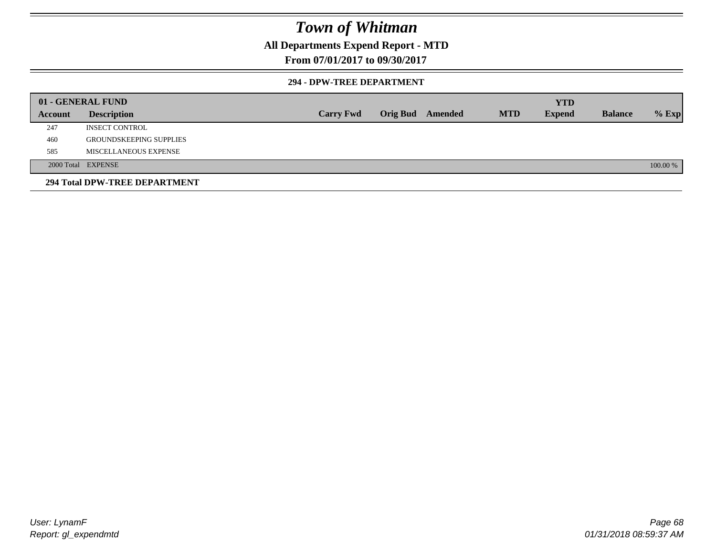### **All Departments Expend Report - MTD**

### **From 07/01/2017 to 09/30/2017**

#### **294 - DPW-TREE DEPARTMENT**

|         | 01 - GENERAL FUND              |                  |                         |            | <b>YTD</b>    |                |          |
|---------|--------------------------------|------------------|-------------------------|------------|---------------|----------------|----------|
| Account | <b>Description</b>             | <b>Carry Fwd</b> | <b>Orig Bud</b> Amended | <b>MTD</b> | <b>Expend</b> | <b>Balance</b> | $%$ Exp  |
| 247     | <b>INSECT CONTROL</b>          |                  |                         |            |               |                |          |
| 460     | <b>GROUNDSKEEPING SUPPLIES</b> |                  |                         |            |               |                |          |
| 585     | MISCELLANEOUS EXPENSE          |                  |                         |            |               |                |          |
|         | 2000 Total EXPENSE             |                  |                         |            |               |                | 100.00 % |
|         | 294 Total DPW-TREE DEPARTMENT  |                  |                         |            |               |                |          |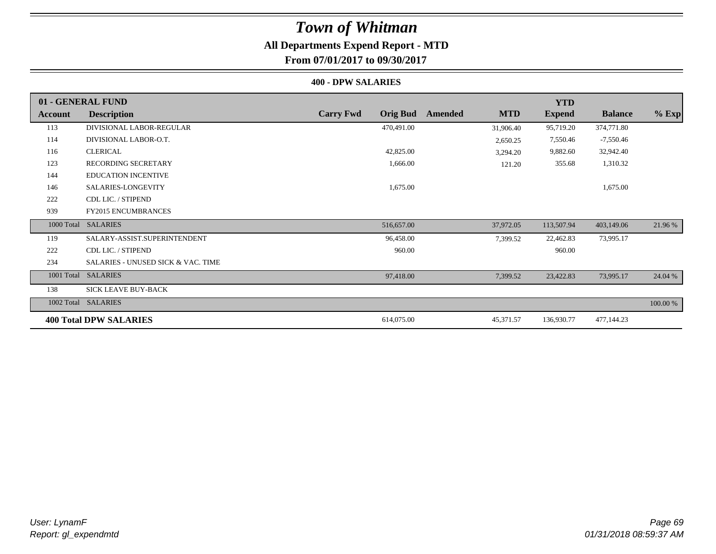### **All Departments Expend Report - MTD**

**From 07/01/2017 to 09/30/2017**

#### **400 - DPW SALARIES**

|                | 01 - GENERAL FUND                             |                                     |                       | <b>YTD</b>    |                |          |
|----------------|-----------------------------------------------|-------------------------------------|-----------------------|---------------|----------------|----------|
| <b>Account</b> | <b>Description</b>                            | <b>Carry Fwd</b><br><b>Orig Bud</b> | <b>MTD</b><br>Amended | <b>Expend</b> | <b>Balance</b> | $%$ Exp  |
| 113            | DIVISIONAL LABOR-REGULAR                      | 470,491.00                          | 31,906.40             | 95,719.20     | 374,771.80     |          |
| 114            | DIVISIONAL LABOR-O.T.                         |                                     | 2,650.25              | 7,550.46      | $-7,550.46$    |          |
| 116            | <b>CLERICAL</b>                               | 42,825.00                           | 3,294.20              | 9,882.60      | 32,942.40      |          |
| 123            | <b>RECORDING SECRETARY</b>                    | 1,666.00                            | 121.20                | 355.68        | 1,310.32       |          |
| 144            | <b>EDUCATION INCENTIVE</b>                    |                                     |                       |               |                |          |
| 146            | SALARIES-LONGEVITY                            | 1,675.00                            |                       |               | 1,675.00       |          |
| 222            | CDL LIC. / STIPEND                            |                                     |                       |               |                |          |
| 939            | <b>FY2015 ENCUMBRANCES</b>                    |                                     |                       |               |                |          |
| 1000 Total     | <b>SALARIES</b>                               | 516,657.00                          | 37,972.05             | 113,507.94    | 403,149.06     | 21.96 %  |
| 119            | SALARY-ASSIST.SUPERINTENDENT                  | 96,458.00                           | 7,399.52              | 22,462.83     | 73,995.17      |          |
| 222            | CDL LIC. / STIPEND                            | 960.00                              |                       | 960.00        |                |          |
| 234            | <b>SALARIES - UNUSED SICK &amp; VAC. TIME</b> |                                     |                       |               |                |          |
| 1001 Total     | <b>SALARIES</b>                               | 97,418.00                           | 7,399.52              | 23,422.83     | 73,995.17      | 24.04 %  |
| 138            | <b>SICK LEAVE BUY-BACK</b>                    |                                     |                       |               |                |          |
| 1002 Total     | <b>SALARIES</b>                               |                                     |                       |               |                | 100.00 % |
|                | <b>400 Total DPW SALARIES</b>                 | 614,075.00                          | 45,371.57             | 136,930.77    | 477,144.23     |          |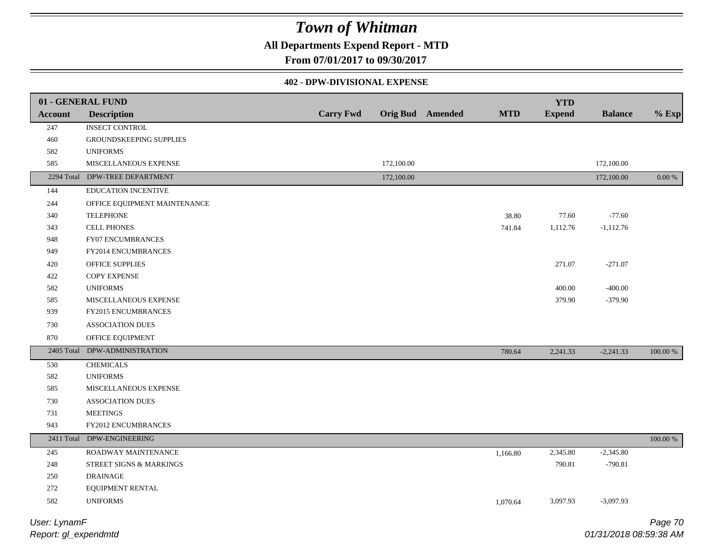### **All Departments Expend Report - MTD**

**From 07/01/2017 to 09/30/2017**

#### **402 - DPW-DIVISIONAL EXPENSE**

|                | 01 - GENERAL FUND              |                  |            |                         |            | <b>YTD</b>    |                |             |
|----------------|--------------------------------|------------------|------------|-------------------------|------------|---------------|----------------|-------------|
| <b>Account</b> | <b>Description</b>             | <b>Carry Fwd</b> |            | <b>Orig Bud</b> Amended | <b>MTD</b> | <b>Expend</b> | <b>Balance</b> | $%$ Exp     |
| 247            | <b>INSECT CONTROL</b>          |                  |            |                         |            |               |                |             |
| 460            | <b>GROUNDSKEEPING SUPPLIES</b> |                  |            |                         |            |               |                |             |
| 582            | <b>UNIFORMS</b>                |                  |            |                         |            |               |                |             |
| 585            | MISCELLANEOUS EXPENSE          |                  | 172,100.00 |                         |            |               | 172,100.00     |             |
|                | 2294 Total DPW-TREE DEPARTMENT |                  | 172,100.00 |                         |            |               | 172,100.00     | $0.00\%$    |
| 144            | EDUCATION INCENTIVE            |                  |            |                         |            |               |                |             |
| 244            | OFFICE EQUIPMENT MAINTENANCE   |                  |            |                         |            |               |                |             |
| 340            | <b>TELEPHONE</b>               |                  |            |                         | 38.80      | 77.60         | $-77.60$       |             |
| 343            | <b>CELL PHONES</b>             |                  |            |                         | 741.84     | 1,112.76      | $-1,112.76$    |             |
| 948            | FY07 ENCUMBRANCES              |                  |            |                         |            |               |                |             |
| 949            | FY2014 ENCUMBRANCES            |                  |            |                         |            |               |                |             |
| 420            | OFFICE SUPPLIES                |                  |            |                         |            | 271.07        | $-271.07$      |             |
| 422            | COPY EXPENSE                   |                  |            |                         |            |               |                |             |
| 582            | <b>UNIFORMS</b>                |                  |            |                         |            | 400.00        | $-400.00$      |             |
| 585            | MISCELLANEOUS EXPENSE          |                  |            |                         |            | 379.90        | $-379.90$      |             |
| 939            | <b>FY2015 ENCUMBRANCES</b>     |                  |            |                         |            |               |                |             |
| 730            | <b>ASSOCIATION DUES</b>        |                  |            |                         |            |               |                |             |
| 870            | OFFICE EQUIPMENT               |                  |            |                         |            |               |                |             |
| 2405 Total     | DPW-ADMINISTRATION             |                  |            |                         | 780.64     | 2,241.33      | $-2,241.33$    | 100.00 %    |
| 530            | <b>CHEMICALS</b>               |                  |            |                         |            |               |                |             |
| 582            | <b>UNIFORMS</b>                |                  |            |                         |            |               |                |             |
| 585            | MISCELLANEOUS EXPENSE          |                  |            |                         |            |               |                |             |
| 730            | <b>ASSOCIATION DUES</b>        |                  |            |                         |            |               |                |             |
| 731            | <b>MEETINGS</b>                |                  |            |                         |            |               |                |             |
| 943            | FY2012 ENCUMBRANCES            |                  |            |                         |            |               |                |             |
|                | 2411 Total DPW-ENGINEERING     |                  |            |                         |            |               |                | $100.00~\%$ |
| 245            | ROADWAY MAINTENANCE            |                  |            |                         | 1,166.80   | 2,345.80      | $-2,345.80$    |             |
| 248            | STREET SIGNS & MARKINGS        |                  |            |                         |            | 790.81        | $-790.81$      |             |
| 250            | <b>DRAINAGE</b>                |                  |            |                         |            |               |                |             |
| 272            | EQUIPMENT RENTAL               |                  |            |                         |            |               |                |             |
| 582            | <b>UNIFORMS</b>                |                  |            |                         | 1,070.64   | 3,097.93      | $-3,097.93$    |             |
|                |                                |                  |            |                         |            |               |                |             |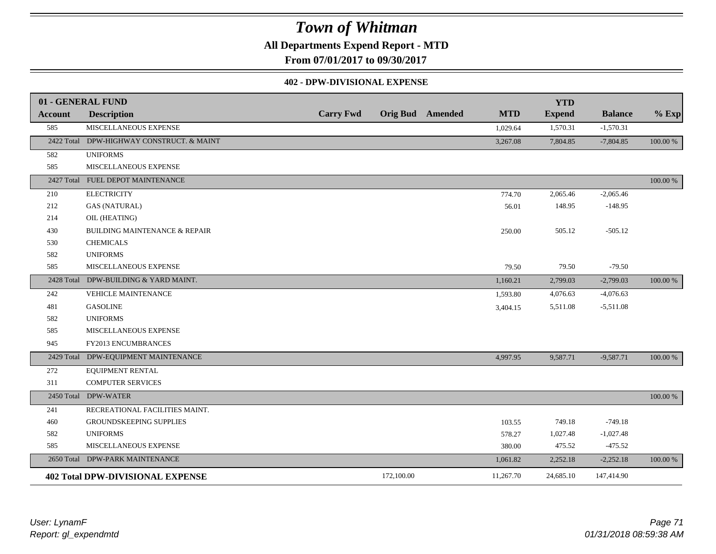**All Departments Expend Report - MTD**

**From 07/01/2017 to 09/30/2017**

#### **402 - DPW-DIVISIONAL EXPENSE**

|            | 01 - GENERAL FUND                         |                  |            |                         |            | <b>YTD</b>    |                |          |
|------------|-------------------------------------------|------------------|------------|-------------------------|------------|---------------|----------------|----------|
| Account    | <b>Description</b>                        | <b>Carry Fwd</b> |            | <b>Orig Bud</b> Amended | <b>MTD</b> | <b>Expend</b> | <b>Balance</b> | $%$ Exp  |
| 585        | MISCELLANEOUS EXPENSE                     |                  |            |                         | 1,029.64   | 1,570.31      | $-1,570.31$    |          |
|            | 2422 Total DPW-HIGHWAY CONSTRUCT. & MAINT |                  |            |                         | 3,267.08   | 7,804.85      | $-7,804.85$    | 100.00 % |
| 582        | <b>UNIFORMS</b>                           |                  |            |                         |            |               |                |          |
| 585        | MISCELLANEOUS EXPENSE                     |                  |            |                         |            |               |                |          |
|            | 2427 Total FUEL DEPOT MAINTENANCE         |                  |            |                         |            |               |                | 100.00 % |
| 210        | <b>ELECTRICITY</b>                        |                  |            |                         | 774.70     | 2,065.46      | $-2,065.46$    |          |
| 212        | <b>GAS (NATURAL)</b>                      |                  |            |                         | 56.01      | 148.95        | $-148.95$      |          |
| 214        | OIL (HEATING)                             |                  |            |                         |            |               |                |          |
| 430        | <b>BUILDING MAINTENANCE &amp; REPAIR</b>  |                  |            |                         | 250.00     | 505.12        | $-505.12$      |          |
| 530        | <b>CHEMICALS</b>                          |                  |            |                         |            |               |                |          |
| 582        | <b>UNIFORMS</b>                           |                  |            |                         |            |               |                |          |
| 585        | MISCELLANEOUS EXPENSE                     |                  |            |                         | 79.50      | 79.50         | $-79.50$       |          |
| 2428 Total | DPW-BUILDING & YARD MAINT.                |                  |            |                         | 1,160.21   | 2,799.03      | $-2,799.03$    | 100.00 % |
| 242        | <b>VEHICLE MAINTENANCE</b>                |                  |            |                         | 1,593.80   | 4,076.63      | $-4,076.63$    |          |
| 481        | <b>GASOLINE</b>                           |                  |            |                         | 3,404.15   | 5,511.08      | $-5,511.08$    |          |
| 582        | <b>UNIFORMS</b>                           |                  |            |                         |            |               |                |          |
| 585        | MISCELLANEOUS EXPENSE                     |                  |            |                         |            |               |                |          |
| 945        | FY2013 ENCUMBRANCES                       |                  |            |                         |            |               |                |          |
|            | 2429 Total DPW-EQUIPMENT MAINTENANCE      |                  |            |                         | 4,997.95   | 9,587.71      | $-9,587.71$    | 100.00 % |
| 272        | <b>EQUIPMENT RENTAL</b>                   |                  |            |                         |            |               |                |          |
| 311        | COMPUTER SERVICES                         |                  |            |                         |            |               |                |          |
|            | 2450 Total DPW-WATER                      |                  |            |                         |            |               |                | 100.00 % |
| 241        | RECREATIONAL FACILITIES MAINT.            |                  |            |                         |            |               |                |          |
| 460        | <b>GROUNDSKEEPING SUPPLIES</b>            |                  |            |                         | 103.55     | 749.18        | $-749.18$      |          |
| 582        | <b>UNIFORMS</b>                           |                  |            |                         | 578.27     | 1,027.48      | $-1,027.48$    |          |
| 585        | MISCELLANEOUS EXPENSE                     |                  |            |                         | 380.00     | 475.52        | $-475.52$      |          |
|            | 2650 Total DPW-PARK MAINTENANCE           |                  |            |                         | 1,061.82   | 2,252.18      | $-2,252.18$    | 100.00 % |
|            | <b>402 Total DPW-DIVISIONAL EXPENSE</b>   |                  | 172,100.00 |                         | 11,267.70  | 24,685.10     | 147,414.90     |          |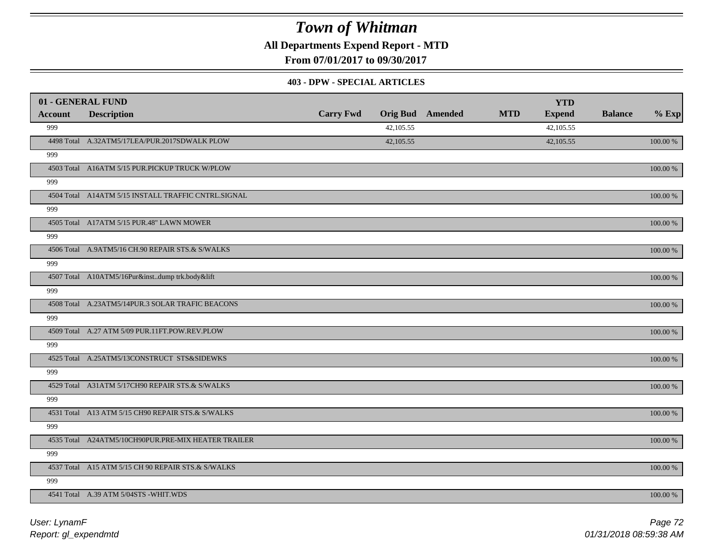**All Departments Expend Report - MTD**

**From 07/01/2017 to 09/30/2017**

#### **403 - DPW - SPECIAL ARTICLES**

|                | 01 - GENERAL FUND                                   |                  |           |                         |            | <b>YTD</b>    |                |             |
|----------------|-----------------------------------------------------|------------------|-----------|-------------------------|------------|---------------|----------------|-------------|
| <b>Account</b> | <b>Description</b>                                  | <b>Carry Fwd</b> |           | <b>Orig Bud</b> Amended | <b>MTD</b> | <b>Expend</b> | <b>Balance</b> | $%$ Exp     |
| 999            |                                                     |                  | 42,105.55 |                         |            | 42,105.55     |                |             |
|                | 4498 Total A.32ATM5/17LEA/PUR.2017SDWALK PLOW       |                  | 42,105.55 |                         |            | 42,105.55     |                | 100.00 %    |
| 999            |                                                     |                  |           |                         |            |               |                |             |
|                | 4503 Total A16ATM 5/15 PUR.PICKUP TRUCK W/PLOW      |                  |           |                         |            |               |                | 100.00 %    |
| 999            |                                                     |                  |           |                         |            |               |                |             |
|                | 4504 Total A14ATM 5/15 INSTALL TRAFFIC CNTRL.SIGNAL |                  |           |                         |            |               |                | 100.00 %    |
| 999            |                                                     |                  |           |                         |            |               |                |             |
|                | 4505 Total A17ATM 5/15 PUR.48" LAWN MOWER           |                  |           |                         |            |               |                | 100.00 %    |
| 999            |                                                     |                  |           |                         |            |               |                |             |
|                | 4506 Total A.9ATM5/16 CH.90 REPAIR STS.& S/WALKS    |                  |           |                         |            |               |                | 100.00 %    |
| 999            |                                                     |                  |           |                         |            |               |                |             |
|                | 4507 Total A10ATM5/16Pur&instdump trk.body&lift     |                  |           |                         |            |               |                | 100.00 %    |
| 999            |                                                     |                  |           |                         |            |               |                |             |
|                | 4508 Total A.23ATM5/14PUR.3 SOLAR TRAFIC BEACONS    |                  |           |                         |            |               |                | 100.00 %    |
| 999            |                                                     |                  |           |                         |            |               |                |             |
|                | 4509 Total A.27 ATM 5/09 PUR.11FT.POW.REV.PLOW      |                  |           |                         |            |               |                | 100.00 %    |
| 999            |                                                     |                  |           |                         |            |               |                |             |
|                | 4525 Total A.25ATM5/13CONSTRUCT STS&SIDEWKS         |                  |           |                         |            |               |                | 100.00 %    |
| 999            |                                                     |                  |           |                         |            |               |                |             |
|                | 4529 Total A31ATM 5/17CH90 REPAIR STS.& S/WALKS     |                  |           |                         |            |               |                | 100.00 %    |
| 999            |                                                     |                  |           |                         |            |               |                |             |
|                | 4531 Total A13 ATM 5/15 CH90 REPAIR STS.& S/WALKS   |                  |           |                         |            |               |                | 100.00 %    |
| 999            |                                                     |                  |           |                         |            |               |                |             |
|                | 4535 Total A24ATM5/10CH90PUR.PRE-MIX HEATER TRAILER |                  |           |                         |            |               |                | $100.00~\%$ |
| 999            |                                                     |                  |           |                         |            |               |                |             |
|                | 4537 Total A15 ATM 5/15 CH 90 REPAIR STS.& S/WALKS  |                  |           |                         |            |               |                | 100.00 %    |
| 999            |                                                     |                  |           |                         |            |               |                |             |
|                | 4541 Total A.39 ATM 5/04STS -WHIT.WDS               |                  |           |                         |            |               |                | 100.00 %    |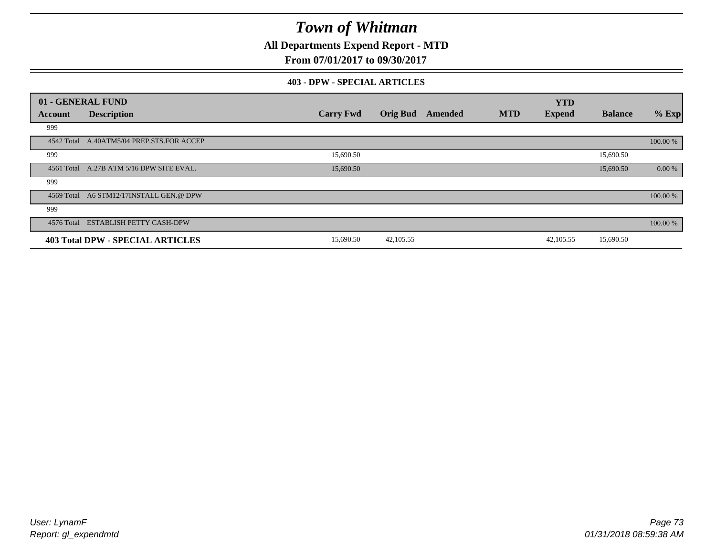**All Departments Expend Report - MTD**

**From 07/01/2017 to 09/30/2017**

### **403 - DPW - SPECIAL ARTICLES**

|            | 01 - GENERAL FUND                         |                  |                 |         |            | <b>YTD</b>    |                |          |
|------------|-------------------------------------------|------------------|-----------------|---------|------------|---------------|----------------|----------|
| Account    | <b>Description</b>                        | <b>Carry Fwd</b> | <b>Orig Bud</b> | Amended | <b>MTD</b> | <b>Expend</b> | <b>Balance</b> | $%$ Exp  |
| 999        |                                           |                  |                 |         |            |               |                |          |
|            | 4542 Total A.40ATM5/04 PREP.STS.FOR ACCEP |                  |                 |         |            |               |                | 100.00 % |
| 999        |                                           | 15,690.50        |                 |         |            |               | 15,690.50      |          |
|            | 4561 Total A.27B ATM 5/16 DPW SITE EVAL.  | 15,690.50        |                 |         |            |               | 15,690.50      | 0.00 %   |
| 999        |                                           |                  |                 |         |            |               |                |          |
|            | 4569 Total A6 STM12/17INSTALL GEN.@ DPW   |                  |                 |         |            |               |                | 100.00 % |
| 999        |                                           |                  |                 |         |            |               |                |          |
| 4576 Total | <b>ESTABLISH PETTY CASH-DPW</b>           |                  |                 |         |            |               |                | 100.00 % |
|            | <b>403 Total DPW - SPECIAL ARTICLES</b>   | 15,690.50        | 42,105.55       |         |            | 42,105.55     | 15,690.50      |          |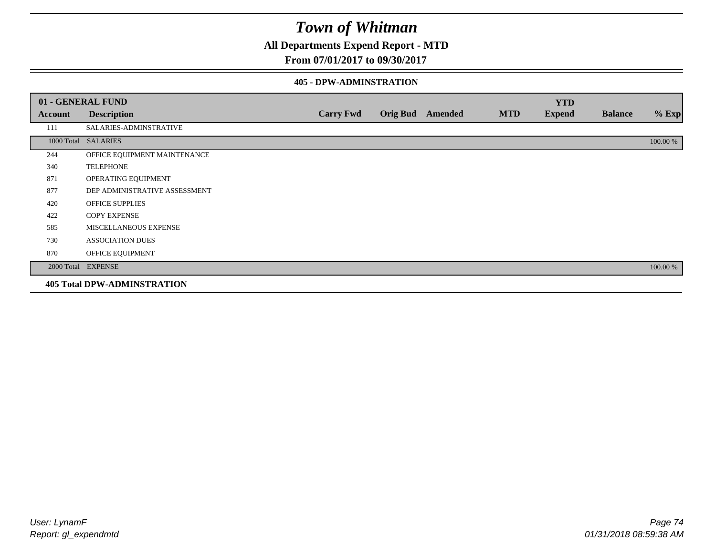## **All Departments Expend Report - MTD**

### **From 07/01/2017 to 09/30/2017**

### **405 - DPW-ADMINSTRATION**

|         | 01 - GENERAL FUND                  |                  |                         |            | <b>YTD</b>    |                |          |
|---------|------------------------------------|------------------|-------------------------|------------|---------------|----------------|----------|
| Account | <b>Description</b>                 | <b>Carry Fwd</b> | <b>Orig Bud</b> Amended | <b>MTD</b> | <b>Expend</b> | <b>Balance</b> | $%$ Exp  |
| 111     | SALARIES-ADMINSTRATIVE             |                  |                         |            |               |                |          |
|         | 1000 Total SALARIES                |                  |                         |            |               |                | 100.00 % |
| 244     | OFFICE EQUIPMENT MAINTENANCE       |                  |                         |            |               |                |          |
| 340     | <b>TELEPHONE</b>                   |                  |                         |            |               |                |          |
| 871     | OPERATING EQUIPMENT                |                  |                         |            |               |                |          |
| 877     | DEP ADMINISTRATIVE ASSESSMENT      |                  |                         |            |               |                |          |
| 420     | OFFICE SUPPLIES                    |                  |                         |            |               |                |          |
| 422     | <b>COPY EXPENSE</b>                |                  |                         |            |               |                |          |
| 585     | MISCELLANEOUS EXPENSE              |                  |                         |            |               |                |          |
| 730     | <b>ASSOCIATION DUES</b>            |                  |                         |            |               |                |          |
| 870     | OFFICE EQUIPMENT                   |                  |                         |            |               |                |          |
|         | 2000 Total EXPENSE                 |                  |                         |            |               |                | 100.00 % |
|         | <b>405 Total DPW-ADMINSTRATION</b> |                  |                         |            |               |                |          |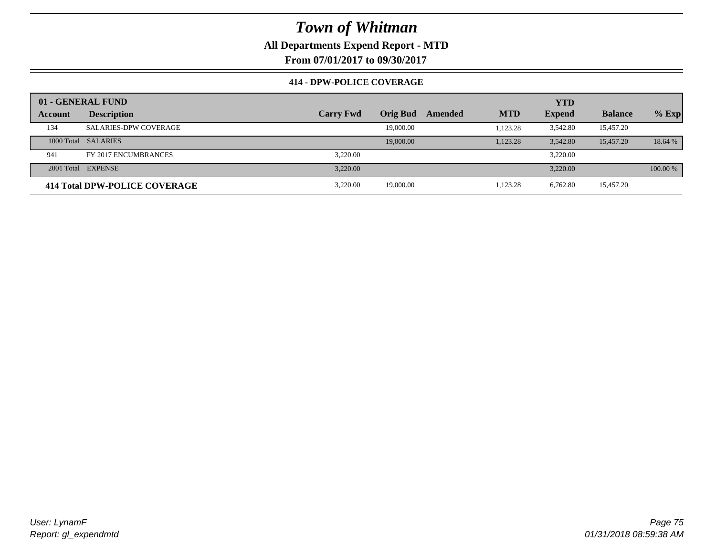**All Departments Expend Report - MTD**

**From 07/01/2017 to 09/30/2017**

### **414 - DPW-POLICE COVERAGE**

|         | 01 - GENERAL FUND             |                  |                 |         |            | <b>YTD</b>    |                |          |
|---------|-------------------------------|------------------|-----------------|---------|------------|---------------|----------------|----------|
| Account | <b>Description</b>            | <b>Carry Fwd</b> | <b>Orig Bud</b> | Amended | <b>MTD</b> | <b>Expend</b> | <b>Balance</b> | $%$ Exp  |
| 134     | <b>SALARIES-DPW COVERAGE</b>  |                  | 19,000.00       |         | 1.123.28   | 3,542.80      | 15,457.20      |          |
|         | 1000 Total SALARIES           |                  | 19,000.00       |         | 1,123.28   | 3.542.80      | 15,457.20      | 18.64 %  |
| 941     | FY 2017 ENCUMBRANCES          | 3.220.00         |                 |         |            | 3.220.00      |                |          |
|         | 2001 Total EXPENSE            | 3.220.00         |                 |         |            | 3.220.00      |                | 100.00 % |
|         | 414 Total DPW-POLICE COVERAGE | 3.220.00         | 19,000.00       |         | 1,123.28   | 6.762.80      | 15,457.20      |          |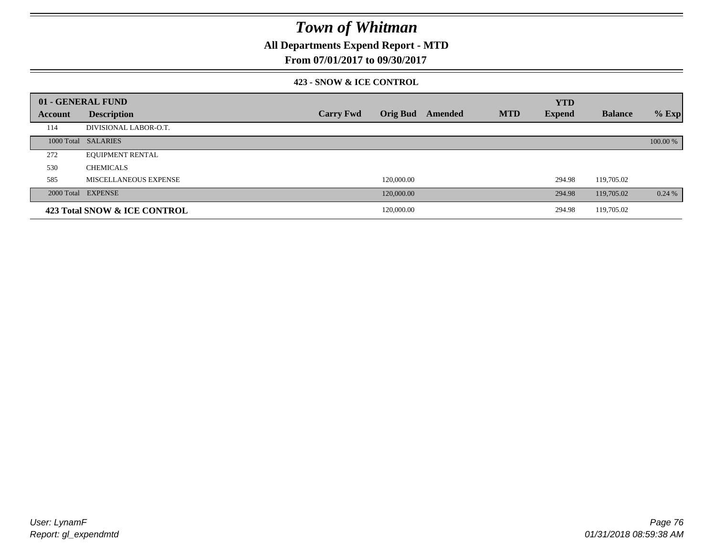## **All Departments Expend Report - MTD**

### **From 07/01/2017 to 09/30/2017**

### **423 - SNOW & ICE CONTROL**

|         | 01 - GENERAL FUND            |                  |            |                         |            | <b>YTD</b>    |                |          |
|---------|------------------------------|------------------|------------|-------------------------|------------|---------------|----------------|----------|
| Account | <b>Description</b>           | <b>Carry Fwd</b> |            | <b>Orig Bud</b> Amended | <b>MTD</b> | <b>Expend</b> | <b>Balance</b> | $%$ Exp  |
| 114     | DIVISIONAL LABOR-O.T.        |                  |            |                         |            |               |                |          |
|         | 1000 Total SALARIES          |                  |            |                         |            |               |                | 100.00 % |
| 272     | <b>EQUIPMENT RENTAL</b>      |                  |            |                         |            |               |                |          |
| 530     | <b>CHEMICALS</b>             |                  |            |                         |            |               |                |          |
| 585     | MISCELLANEOUS EXPENSE        |                  | 120,000.00 |                         |            | 294.98        | 119,705.02     |          |
|         | 2000 Total EXPENSE           |                  | 120,000.00 |                         |            | 294.98        | 119,705.02     | 0.24%    |
|         | 423 Total SNOW & ICE CONTROL |                  | 120,000.00 |                         |            | 294.98        | 119,705.02     |          |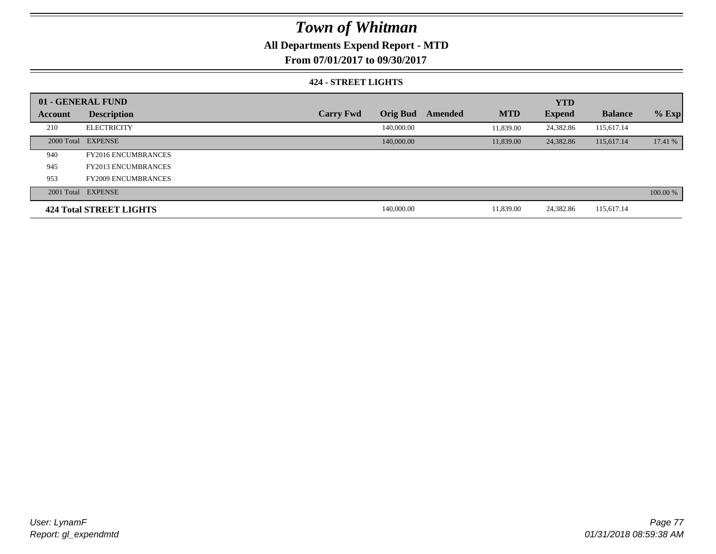## **All Departments Expend Report - MTD**

**From 07/01/2017 to 09/30/2017**

### **424 - STREET LIGHTS**

|         | 01 - GENERAL FUND              |                  |                 |         |            | <b>YTD</b>    |                |          |
|---------|--------------------------------|------------------|-----------------|---------|------------|---------------|----------------|----------|
| Account | <b>Description</b>             | <b>Carry Fwd</b> | <b>Orig Bud</b> | Amended | <b>MTD</b> | <b>Expend</b> | <b>Balance</b> | $%$ Exp  |
| 210     | <b>ELECTRICITY</b>             |                  | 140,000.00      |         | 11.839.00  | 24,382.86     | 115,617.14     |          |
|         | 2000 Total EXPENSE             |                  | 140,000.00      |         | 11,839.00  | 24,382.86     | 115,617.14     | 17.41 %  |
| 940     | <b>FY2016 ENCUMBRANCES</b>     |                  |                 |         |            |               |                |          |
| 945     | <b>FY2013 ENCUMBRANCES</b>     |                  |                 |         |            |               |                |          |
| 953     | <b>FY2009 ENCUMBRANCES</b>     |                  |                 |         |            |               |                |          |
|         | 2001 Total EXPENSE             |                  |                 |         |            |               |                | 100.00 % |
|         | <b>424 Total STREET LIGHTS</b> |                  | 140,000.00      |         | 11,839.00  | 24,382.86     | 115,617.14     |          |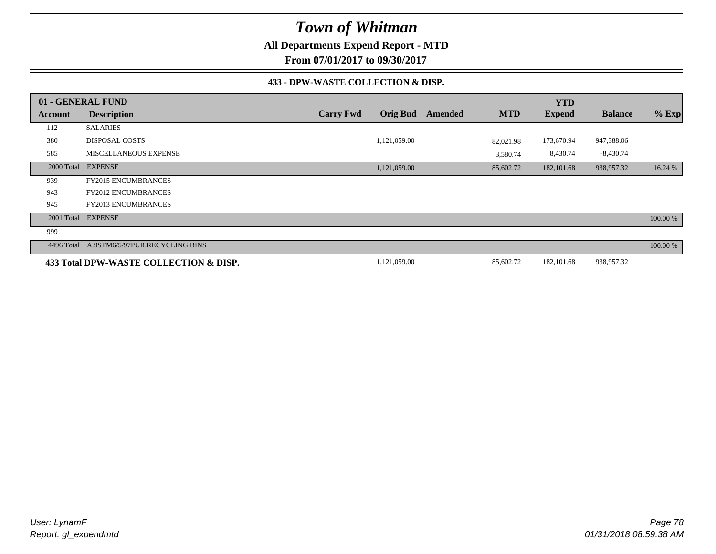**All Departments Expend Report - MTD**

**From 07/01/2017 to 09/30/2017**

### **433 - DPW-WASTE COLLECTION & DISP.**

|                | 01 - GENERAL FUND                      |                  |                 |         |            | <b>YTD</b>    |                |          |
|----------------|----------------------------------------|------------------|-----------------|---------|------------|---------------|----------------|----------|
| <b>Account</b> | <b>Description</b>                     | <b>Carry Fwd</b> | <b>Orig Bud</b> | Amended | <b>MTD</b> | <b>Expend</b> | <b>Balance</b> | $%$ Exp  |
| 112            | <b>SALARIES</b>                        |                  |                 |         |            |               |                |          |
| 380            | <b>DISPOSAL COSTS</b>                  |                  | 1,121,059.00    |         | 82,021.98  | 173,670.94    | 947,388.06     |          |
| 585            | <b>MISCELLANEOUS EXPENSE</b>           |                  |                 |         | 3,580.74   | 8,430.74      | $-8,430.74$    |          |
| 2000 Total     | <b>EXPENSE</b>                         |                  | 1,121,059.00    |         | 85,602.72  | 182, 101.68   | 938,957.32     | 16.24 %  |
| 939            | <b>FY2015 ENCUMBRANCES</b>             |                  |                 |         |            |               |                |          |
| 943            | <b>FY2012 ENCUMBRANCES</b>             |                  |                 |         |            |               |                |          |
| 945            | <b>FY2013 ENCUMBRANCES</b>             |                  |                 |         |            |               |                |          |
| 2001 Total     | <b>EXPENSE</b>                         |                  |                 |         |            |               |                | 100.00 % |
| 999            |                                        |                  |                 |         |            |               |                |          |
| 4496 Total     | A.9STM6/5/97PUR.RECYCLING BINS         |                  |                 |         |            |               |                | 100.00 % |
|                | 433 Total DPW-WASTE COLLECTION & DISP. |                  | 1,121,059.00    |         | 85,602.72  | 182, 101.68   | 938,957.32     |          |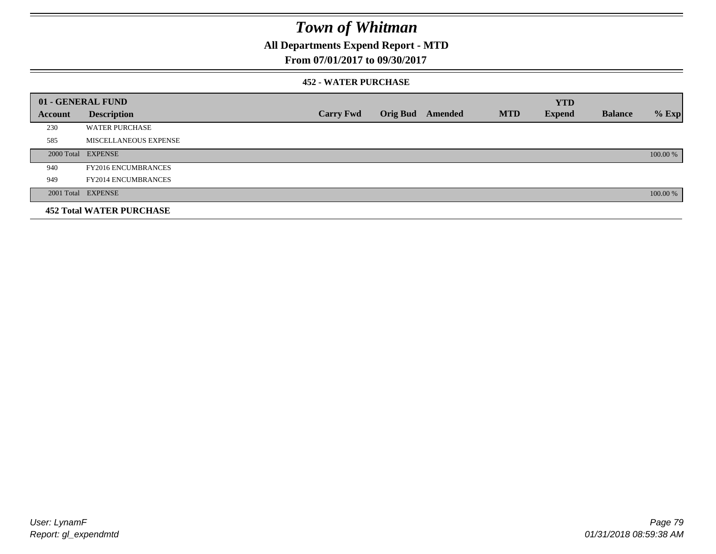## **All Departments Expend Report - MTD**

## **From 07/01/2017 to 09/30/2017**

### **452 - WATER PURCHASE**

|         | 01 - GENERAL FUND               |                  |                 |         |            | <b>YTD</b>    |                |          |
|---------|---------------------------------|------------------|-----------------|---------|------------|---------------|----------------|----------|
| Account | <b>Description</b>              | <b>Carry Fwd</b> | <b>Orig Bud</b> | Amended | <b>MTD</b> | <b>Expend</b> | <b>Balance</b> | $%$ Exp  |
| 230     | <b>WATER PURCHASE</b>           |                  |                 |         |            |               |                |          |
| 585     | MISCELLANEOUS EXPENSE           |                  |                 |         |            |               |                |          |
|         | 2000 Total EXPENSE              |                  |                 |         |            |               |                | 100.00 % |
| 940     | <b>FY2016 ENCUMBRANCES</b>      |                  |                 |         |            |               |                |          |
| 949     | <b>FY2014 ENCUMBRANCES</b>      |                  |                 |         |            |               |                |          |
|         | 2001 Total EXPENSE              |                  |                 |         |            |               |                | 100.00 % |
|         | <b>452 Total WATER PURCHASE</b> |                  |                 |         |            |               |                |          |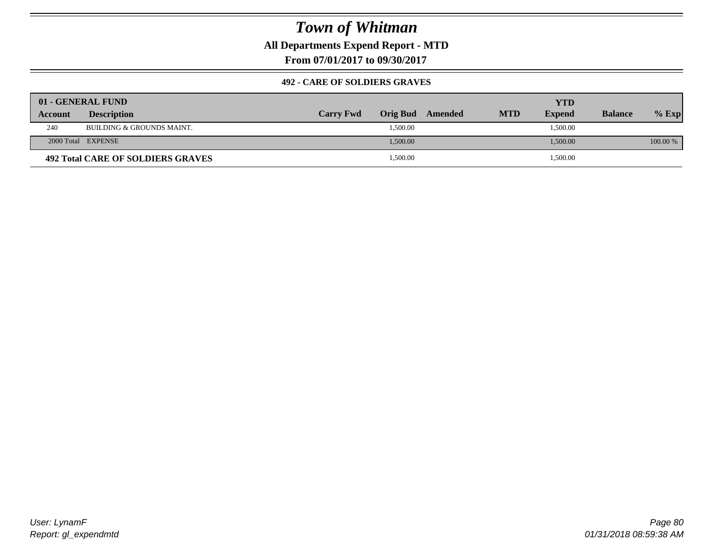**All Departments Expend Report - MTD**

**From 07/01/2017 to 09/30/2017**

### **492 - CARE OF SOLDIERS GRAVES**

|         | 01 - GENERAL FUND                        |                  |          |         |            | YTD           |                |          |
|---------|------------------------------------------|------------------|----------|---------|------------|---------------|----------------|----------|
| Account | <b>Description</b>                       | <b>Carry Fwd</b> | Orig Bud | Amended | <b>MTD</b> | <b>Expend</b> | <b>Balance</b> | $%$ Exp  |
| 240     | BUILDING & GROUNDS MAINT.                |                  | 1,500.00 |         |            | 1,500.00      |                |          |
|         | 2000 Total EXPENSE                       |                  | 1,500.00 |         |            | 1,500.00      |                | 100.00 % |
|         | <b>492 Total CARE OF SOLDIERS GRAVES</b> |                  | 1,500.00 |         |            | 1,500.00      |                |          |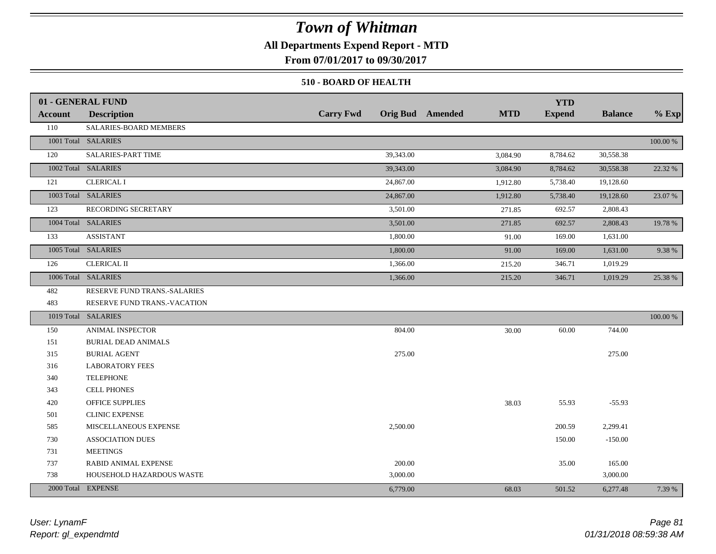## **All Departments Expend Report - MTD**

**From 07/01/2017 to 09/30/2017**

### **510 - BOARD OF HEALTH**

|                | 01 - GENERAL FUND            |                  |                                       | <b>YTD</b>    |                |             |
|----------------|------------------------------|------------------|---------------------------------------|---------------|----------------|-------------|
| <b>Account</b> | <b>Description</b>           | <b>Carry Fwd</b> | <b>MTD</b><br><b>Orig Bud</b> Amended | <b>Expend</b> | <b>Balance</b> | $%$ Exp     |
| 110            | SALARIES-BOARD MEMBERS       |                  |                                       |               |                |             |
|                | 1001 Total SALARIES          |                  |                                       |               |                | 100.00 %    |
| 120            | SALARIES-PART TIME           | 39,343.00        | 3,084.90                              | 8,784.62      | 30,558.38      |             |
|                | 1002 Total SALARIES          | 39,343.00        | 3,084.90                              | 8,784.62      | 30,558.38      | 22.32 %     |
| 121            | <b>CLERICAL I</b>            | 24,867.00        | 1,912.80                              | 5,738.40      | 19,128.60      |             |
|                | 1003 Total SALARIES          | 24,867.00        | 1,912.80                              | 5,738.40      | 19,128.60      | 23.07 %     |
| 123            | RECORDING SECRETARY          | 3,501.00         | 271.85                                | 692.57        | 2,808.43       |             |
|                | 1004 Total SALARIES          | 3,501.00         | 271.85                                | 692.57        | 2,808.43       | 19.78 %     |
| 133            | <b>ASSISTANT</b>             | 1,800.00         | 91.00                                 | 169.00        | 1,631.00       |             |
|                | 1005 Total SALARIES          | 1,800.00         | 91.00                                 | 169.00        | 1,631.00       | 9.38 %      |
| 126            | <b>CLERICAL II</b>           | 1,366.00         | 215.20                                | 346.71        | 1,019.29       |             |
|                | 1006 Total SALARIES          | 1,366.00         | 215.20                                | 346.71        | 1,019.29       | 25.38 %     |
| 482            | RESERVE FUND TRANS.-SALARIES |                  |                                       |               |                |             |
| 483            | RESERVE FUND TRANS.-VACATION |                  |                                       |               |                |             |
|                | 1019 Total SALARIES          |                  |                                       |               |                | $100.00~\%$ |
| 150            | <b>ANIMAL INSPECTOR</b>      | 804.00           | 30.00                                 | 60.00         | 744.00         |             |
| 151            | <b>BURIAL DEAD ANIMALS</b>   |                  |                                       |               |                |             |
| 315            | <b>BURIAL AGENT</b>          | 275.00           |                                       |               | 275.00         |             |
| 316            | <b>LABORATORY FEES</b>       |                  |                                       |               |                |             |
| 340            | <b>TELEPHONE</b>             |                  |                                       |               |                |             |
| 343            | <b>CELL PHONES</b>           |                  |                                       |               |                |             |
| 420            | <b>OFFICE SUPPLIES</b>       |                  | 38.03                                 | 55.93         | $-55.93$       |             |
| 501            | <b>CLINIC EXPENSE</b>        |                  |                                       |               |                |             |
| 585            | MISCELLANEOUS EXPENSE        | 2,500.00         |                                       | 200.59        | 2,299.41       |             |
| 730            | <b>ASSOCIATION DUES</b>      |                  |                                       | 150.00        | $-150.00$      |             |
| 731            | <b>MEETINGS</b>              |                  |                                       |               |                |             |
| 737            | RABID ANIMAL EXPENSE         | 200.00           |                                       | 35.00         | 165.00         |             |
| 738            | HOUSEHOLD HAZARDOUS WASTE    | 3,000.00         |                                       |               | 3,000.00       |             |
|                | 2000 Total EXPENSE           | 6,779.00         | 68.03                                 | 501.52        | 6,277.48       | 7.39 %      |

*Report: gl\_expendmtd User: LynamF*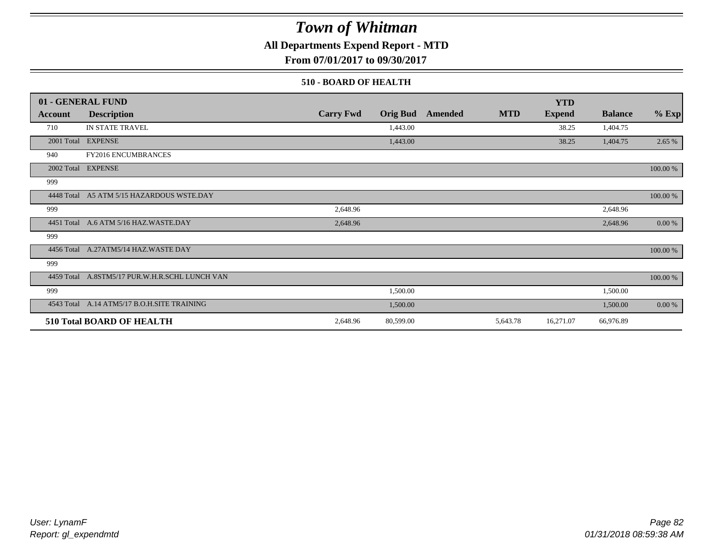## **All Departments Expend Report - MTD**

**From 07/01/2017 to 09/30/2017**

### **510 - BOARD OF HEALTH**

|            | 01 - GENERAL FUND                           |                  |                 |         |            | <b>YTD</b>    |                |           |
|------------|---------------------------------------------|------------------|-----------------|---------|------------|---------------|----------------|-----------|
| Account    | <b>Description</b>                          | <b>Carry Fwd</b> | <b>Orig Bud</b> | Amended | <b>MTD</b> | <b>Expend</b> | <b>Balance</b> | $%$ Exp   |
| 710        | IN STATE TRAVEL                             |                  | 1,443.00        |         |            | 38.25         | 1,404.75       |           |
|            | 2001 Total EXPENSE                          |                  | 1,443.00        |         |            | 38.25         | 1,404.75       | 2.65 %    |
| 940        | FY2016 ENCUMBRANCES                         |                  |                 |         |            |               |                |           |
|            | 2002 Total EXPENSE                          |                  |                 |         |            |               |                | 100.00 %  |
| 999        |                                             |                  |                 |         |            |               |                |           |
| 4448 Total | A5 ATM 5/15 HAZARDOUS WSTE.DAY              |                  |                 |         |            |               |                | 100.00 %  |
| 999        |                                             | 2,648.96         |                 |         |            |               | 2,648.96       |           |
|            | 4451 Total A.6 ATM 5/16 HAZ.WASTE.DAY       | 2,648.96         |                 |         |            |               | 2,648.96       | $0.00 \%$ |
| 999        |                                             |                  |                 |         |            |               |                |           |
| 4456 Total | A.27ATM5/14 HAZ.WASTE DAY                   |                  |                 |         |            |               |                | 100.00 %  |
| 999        |                                             |                  |                 |         |            |               |                |           |
| 4459 Total | A.8STM5/17 PUR.W.H.R.SCHL LUNCH VAN         |                  |                 |         |            |               |                | 100.00 %  |
| 999        |                                             |                  | 1,500.00        |         |            |               | 1,500.00       |           |
|            | 4543 Total A.14 ATM5/17 B.O.H.SITE TRAINING |                  | 1,500.00        |         |            |               | 1,500.00       | $0.00 \%$ |
|            | <b>510 Total BOARD OF HEALTH</b>            | 2,648.96         | 80,599.00       |         | 5,643.78   | 16,271.07     | 66,976.89      |           |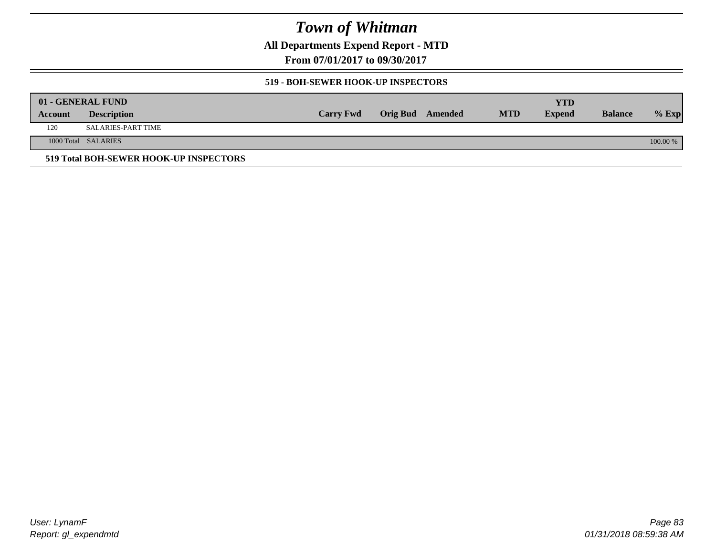**All Departments Expend Report - MTD**

**From 07/01/2017 to 09/30/2017**

### **519 - BOH-SEWER HOOK-UP INSPECTORS**

|         | 01 - GENERAL FUND                      |                  |                  |            | YTD           |                |            |
|---------|----------------------------------------|------------------|------------------|------------|---------------|----------------|------------|
| Account | <b>Description</b>                     | <b>Carry Fwd</b> | Orig Bud Amended | <b>MTD</b> | <b>Expend</b> | <b>Balance</b> | $%$ Exp    |
| 120     | <b>SALARIES-PART TIME</b>              |                  |                  |            |               |                |            |
|         | 1000 Total SALARIES                    |                  |                  |            |               |                | $100.00\%$ |
|         | 519 Total BOH-SEWER HOOK-UP INSPECTORS |                  |                  |            |               |                |            |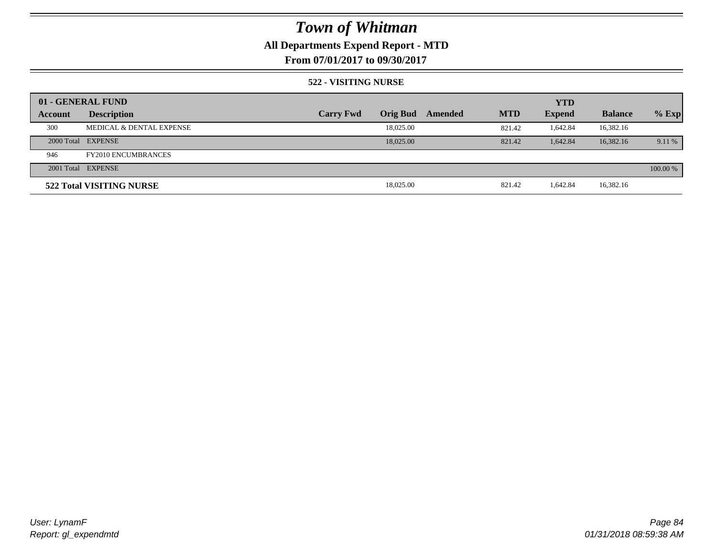## **All Departments Expend Report - MTD**

**From 07/01/2017 to 09/30/2017**

### **522 - VISITING NURSE**

|         | 01 - GENERAL FUND          |                  |                 |         |            | <b>YTD</b>    |                |          |
|---------|----------------------------|------------------|-----------------|---------|------------|---------------|----------------|----------|
| Account | <b>Description</b>         | <b>Carry Fwd</b> | <b>Orig Bud</b> | Amended | <b>MTD</b> | <b>Expend</b> | <b>Balance</b> | $%$ Exp  |
| 300     | MEDICAL & DENTAL EXPENSE   |                  | 18,025.00       |         | 821.42     | 1,642.84      | 16,382.16      |          |
|         | 2000 Total EXPENSE         |                  | 18,025,00       |         | 821.42     | 1.642.84      | 16,382.16      | 9.11 %   |
| 946     | <b>FY2010 ENCUMBRANCES</b> |                  |                 |         |            |               |                |          |
|         | 2001 Total EXPENSE         |                  |                 |         |            |               |                | 100.00 % |
|         | 522 Total VISITING NURSE   |                  | 18,025.00       |         | 821.42     | 1.642.84      | 16,382.16      |          |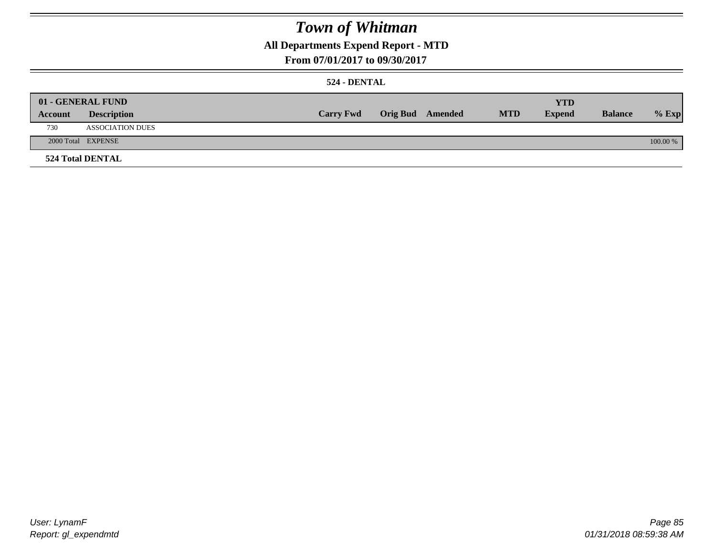## **All Departments Expend Report - MTD**

### **From 07/01/2017 to 09/30/2017**

### **524 - DENTAL**

|         | 01 - GENERAL FUND       |                  |                  |            | <b>YTD</b>    |                |          |
|---------|-------------------------|------------------|------------------|------------|---------------|----------------|----------|
| Account | <b>Description</b>      | <b>Carry Fwd</b> | Orig Bud Amended | <b>MTD</b> | <b>Expend</b> | <b>Balance</b> | $%$ Exp  |
| 730     | <b>ASSOCIATION DUES</b> |                  |                  |            |               |                |          |
|         | 2000 Total EXPENSE      |                  |                  |            |               |                | 100.00 % |
|         | <b>524 Total DENTAL</b> |                  |                  |            |               |                |          |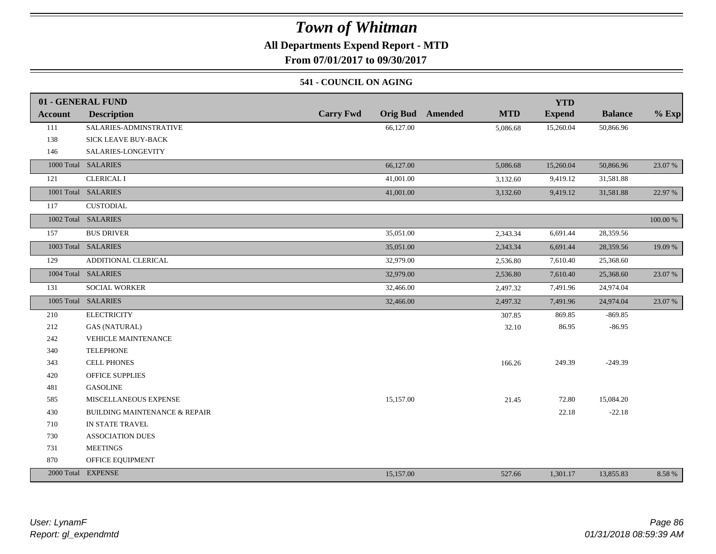## **All Departments Expend Report - MTD**

**From 07/01/2017 to 09/30/2017**

### **541 - COUNCIL ON AGING**

|         | 01 - GENERAL FUND                        |                                     |                       | <b>YTD</b>    |                |          |
|---------|------------------------------------------|-------------------------------------|-----------------------|---------------|----------------|----------|
| Account | <b>Description</b>                       | <b>Carry Fwd</b><br><b>Orig Bud</b> | <b>MTD</b><br>Amended | <b>Expend</b> | <b>Balance</b> | $%$ Exp  |
| 111     | SALARIES-ADMINSTRATIVE                   | 66,127.00                           | 5,086.68              | 15,260.04     | 50,866.96      |          |
| 138     | <b>SICK LEAVE BUY-BACK</b>               |                                     |                       |               |                |          |
| 146     | SALARIES-LONGEVITY                       |                                     |                       |               |                |          |
|         | 1000 Total SALARIES                      | 66,127.00                           | 5,086.68              | 15,260.04     | 50,866.96      | 23.07 %  |
| 121     | <b>CLERICAL I</b>                        | 41,001.00                           | 3,132.60              | 9,419.12      | 31,581.88      |          |
|         | 1001 Total SALARIES                      | 41,001.00                           | 3,132.60              | 9,419.12      | 31,581.88      | 22.97 %  |
| 117     | <b>CUSTODIAL</b>                         |                                     |                       |               |                |          |
|         | 1002 Total SALARIES                      |                                     |                       |               |                | 100.00 % |
| 157     | <b>BUS DRIVER</b>                        | 35,051.00                           | 2,343.34              | 6,691.44      | 28,359.56      |          |
|         | 1003 Total SALARIES                      | 35,051.00                           | 2,343.34              | 6,691.44      | 28,359.56      | 19.09 %  |
| 129     | ADDITIONAL CLERICAL                      | 32,979.00                           | 2,536.80              | 7,610.40      | 25,368.60      |          |
|         | 1004 Total SALARIES                      | 32,979.00                           | 2,536.80              | 7,610.40      | 25,368.60      | 23.07 %  |
| 131     | <b>SOCIAL WORKER</b>                     | 32,466.00                           | 2,497.32              | 7,491.96      | 24,974.04      |          |
|         | 1005 Total SALARIES                      | 32,466.00                           | 2,497.32              | 7,491.96      | 24,974.04      | 23.07 %  |
| 210     | <b>ELECTRICITY</b>                       |                                     | 307.85                | 869.85        | $-869.85$      |          |
| 212     | <b>GAS (NATURAL)</b>                     |                                     | 32.10                 | 86.95         | $-86.95$       |          |
| 242     | <b>VEHICLE MAINTENANCE</b>               |                                     |                       |               |                |          |
| 340     | <b>TELEPHONE</b>                         |                                     |                       |               |                |          |
| 343     | <b>CELL PHONES</b>                       |                                     | 166.26                | 249.39        | $-249.39$      |          |
| 420     | <b>OFFICE SUPPLIES</b>                   |                                     |                       |               |                |          |
| 481     | <b>GASOLINE</b>                          |                                     |                       |               |                |          |
| 585     | MISCELLANEOUS EXPENSE                    | 15,157.00                           | 21.45                 | 72.80         | 15,084.20      |          |
| 430     | <b>BUILDING MAINTENANCE &amp; REPAIR</b> |                                     |                       | 22.18         | $-22.18$       |          |
| 710     | IN STATE TRAVEL                          |                                     |                       |               |                |          |
| 730     | <b>ASSOCIATION DUES</b>                  |                                     |                       |               |                |          |
| 731     | <b>MEETINGS</b>                          |                                     |                       |               |                |          |
| 870     | OFFICE EQUIPMENT                         |                                     |                       |               |                |          |
|         | 2000 Total EXPENSE                       | 15,157.00                           | 527.66                | 1,301.17      | 13,855.83      | 8.58%    |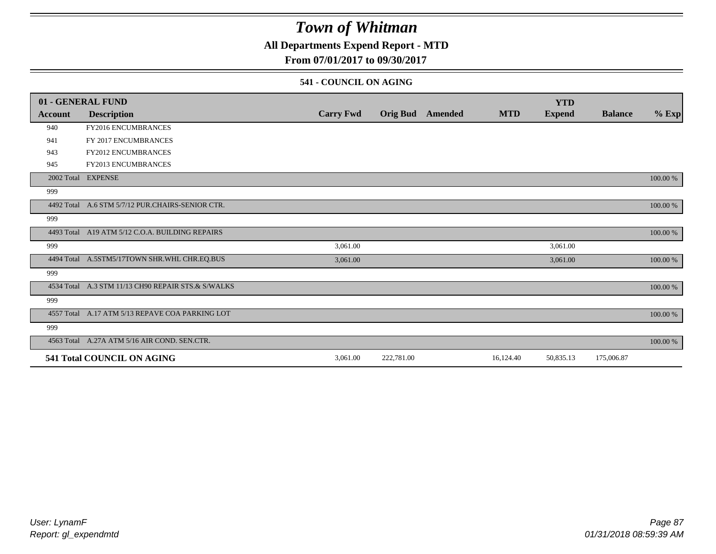## **All Departments Expend Report - MTD**

## **From 07/01/2017 to 09/30/2017**

### **541 - COUNCIL ON AGING**

|            | 01 - GENERAL FUND                                  |                  |                 |                |            | <b>YTD</b>    |                |          |
|------------|----------------------------------------------------|------------------|-----------------|----------------|------------|---------------|----------------|----------|
| Account    | <b>Description</b>                                 | <b>Carry Fwd</b> | <b>Orig Bud</b> | <b>Amended</b> | <b>MTD</b> | <b>Expend</b> | <b>Balance</b> | $%$ Exp  |
| 940        | FY2016 ENCUMBRANCES                                |                  |                 |                |            |               |                |          |
| 941        | FY 2017 ENCUMBRANCES                               |                  |                 |                |            |               |                |          |
| 943        | FY2012 ENCUMBRANCES                                |                  |                 |                |            |               |                |          |
| 945        | <b>FY2013 ENCUMBRANCES</b>                         |                  |                 |                |            |               |                |          |
|            | 2002 Total EXPENSE                                 |                  |                 |                |            |               |                | 100.00 % |
| 999        |                                                    |                  |                 |                |            |               |                |          |
| 4492 Total | A.6 STM 5/7/12 PUR.CHAIRS-SENIOR CTR.              |                  |                 |                |            |               |                | 100.00 % |
| 999        |                                                    |                  |                 |                |            |               |                |          |
|            | 4493 Total A19 ATM 5/12 C.O.A. BUILDING REPAIRS    |                  |                 |                |            |               |                | 100.00 % |
| 999        |                                                    | 3,061.00         |                 |                |            | 3,061.00      |                |          |
|            | 4494 Total A.5STM5/17TOWN SHR.WHL CHR.EQ.BUS       | 3,061.00         |                 |                |            | 3,061.00      |                | 100.00 % |
| 999        |                                                    |                  |                 |                |            |               |                |          |
|            | 4534 Total A.3 STM 11/13 CH90 REPAIR STS.& S/WALKS |                  |                 |                |            |               |                | 100.00 % |
| 999        |                                                    |                  |                 |                |            |               |                |          |
|            | 4557 Total A.17 ATM 5/13 REPAVE COA PARKING LOT    |                  |                 |                |            |               |                | 100.00 % |
| 999        |                                                    |                  |                 |                |            |               |                |          |
|            | 4563 Total A.27A ATM 5/16 AIR COND. SEN.CTR.       |                  |                 |                |            |               |                | 100.00 % |
|            | 541 Total COUNCIL ON AGING                         | 3,061.00         | 222,781.00      |                | 16,124.40  | 50,835.13     | 175,006.87     |          |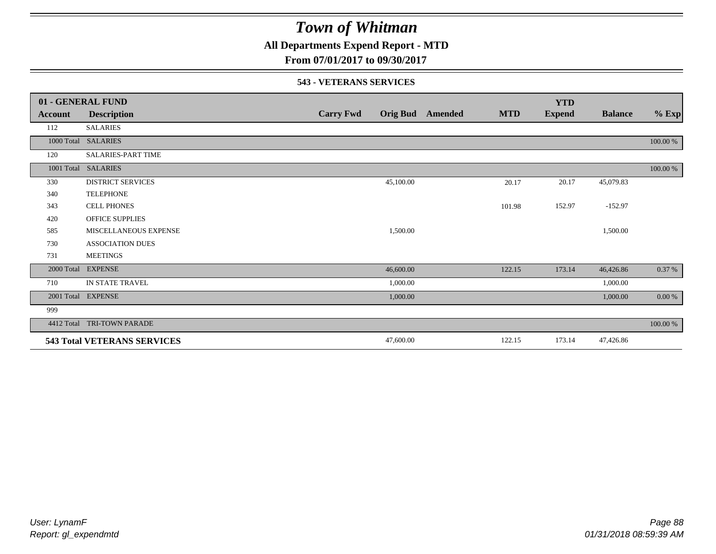## **All Departments Expend Report - MTD**

**From 07/01/2017 to 09/30/2017**

### **543 - VETERANS SERVICES**

|            | 01 - GENERAL FUND                  |                  |           |                  |            | <b>YTD</b>    |                |          |
|------------|------------------------------------|------------------|-----------|------------------|------------|---------------|----------------|----------|
| Account    | <b>Description</b>                 | <b>Carry Fwd</b> |           | Orig Bud Amended | <b>MTD</b> | <b>Expend</b> | <b>Balance</b> | $%$ Exp  |
| 112        | <b>SALARIES</b>                    |                  |           |                  |            |               |                |          |
| 1000 Total | <b>SALARIES</b>                    |                  |           |                  |            |               |                | 100.00 % |
| 120        | <b>SALARIES-PART TIME</b>          |                  |           |                  |            |               |                |          |
| 1001 Total | <b>SALARIES</b>                    |                  |           |                  |            |               |                | 100.00 % |
| 330        | <b>DISTRICT SERVICES</b>           |                  | 45,100.00 |                  | 20.17      | 20.17         | 45,079.83      |          |
| 340        | <b>TELEPHONE</b>                   |                  |           |                  |            |               |                |          |
| 343        | <b>CELL PHONES</b>                 |                  |           |                  | 101.98     | 152.97        | $-152.97$      |          |
| 420        | <b>OFFICE SUPPLIES</b>             |                  |           |                  |            |               |                |          |
| 585        | MISCELLANEOUS EXPENSE              |                  | 1,500.00  |                  |            |               | 1,500.00       |          |
| 730        | <b>ASSOCIATION DUES</b>            |                  |           |                  |            |               |                |          |
| 731        | <b>MEETINGS</b>                    |                  |           |                  |            |               |                |          |
| 2000 Total | <b>EXPENSE</b>                     |                  | 46,600.00 |                  | 122.15     | 173.14        | 46,426.86      | 0.37 %   |
| 710        | IN STATE TRAVEL                    |                  | 1,000.00  |                  |            |               | 1,000.00       |          |
| 2001 Total | <b>EXPENSE</b>                     |                  | 1,000.00  |                  |            |               | 1,000.00       | 0.00 %   |
| 999        |                                    |                  |           |                  |            |               |                |          |
| 4412 Total | TRI-TOWN PARADE                    |                  |           |                  |            |               |                | 100.00 % |
|            | <b>543 Total VETERANS SERVICES</b> |                  | 47,600.00 |                  | 122.15     | 173.14        | 47,426.86      |          |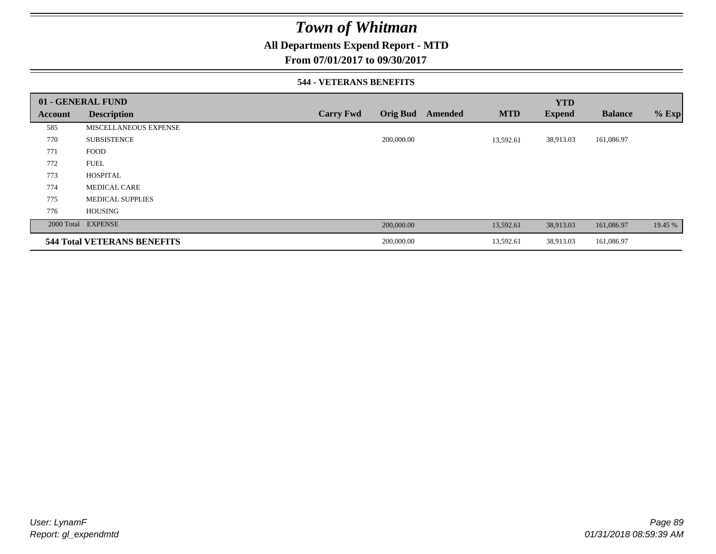## **All Departments Expend Report - MTD**

**From 07/01/2017 to 09/30/2017**

### **544 - VETERANS BENEFITS**

|         | 01 - GENERAL FUND                  |                  |                 |         |            | <b>YTD</b>    |                |         |
|---------|------------------------------------|------------------|-----------------|---------|------------|---------------|----------------|---------|
| Account | <b>Description</b>                 | <b>Carry Fwd</b> | <b>Orig Bud</b> | Amended | <b>MTD</b> | <b>Expend</b> | <b>Balance</b> | $%$ Exp |
| 585     | <b>MISCELLANEOUS EXPENSE</b>       |                  |                 |         |            |               |                |         |
| 770     | <b>SUBSISTENCE</b>                 |                  | 200,000.00      |         | 13,592.61  | 38,913.03     | 161,086.97     |         |
| 771     | <b>FOOD</b>                        |                  |                 |         |            |               |                |         |
| 772     | <b>FUEL</b>                        |                  |                 |         |            |               |                |         |
| 773     | <b>HOSPITAL</b>                    |                  |                 |         |            |               |                |         |
| 774     | <b>MEDICAL CARE</b>                |                  |                 |         |            |               |                |         |
| 775     | <b>MEDICAL SUPPLIES</b>            |                  |                 |         |            |               |                |         |
| 776     | <b>HOUSING</b>                     |                  |                 |         |            |               |                |         |
|         | 2000 Total EXPENSE                 |                  | 200,000.00      |         | 13,592.61  | 38,913.03     | 161,086.97     | 19.45 % |
|         | <b>544 Total VETERANS BENEFITS</b> |                  | 200,000.00      |         | 13,592.61  | 38,913.03     | 161,086.97     |         |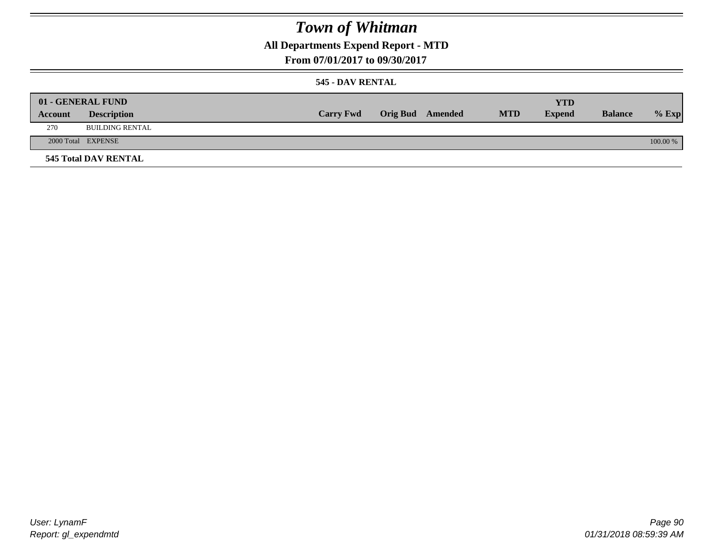## **All Departments Expend Report - MTD**

**From 07/01/2017 to 09/30/2017**

### **545 - DAV RENTAL**

|         | 01 - GENERAL FUND           |                  |                         |            | <b>YTD</b>    |                |          |
|---------|-----------------------------|------------------|-------------------------|------------|---------------|----------------|----------|
| Account | <b>Description</b>          | <b>Carry Fwd</b> | <b>Orig Bud</b> Amended | <b>MTD</b> | <b>Expend</b> | <b>Balance</b> | $%$ Exp  |
| 270     | BUILDING RENTAL             |                  |                         |            |               |                |          |
|         | 2000 Total EXPENSE          |                  |                         |            |               |                | 100.00 % |
|         | <b>545 Total DAV RENTAL</b> |                  |                         |            |               |                |          |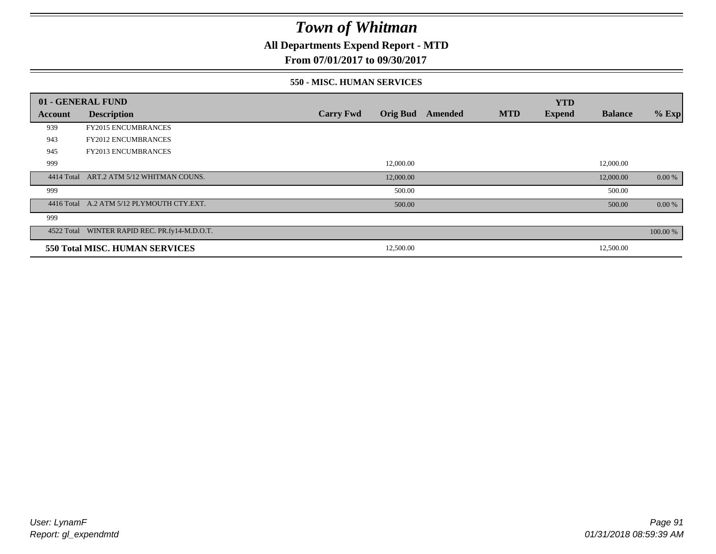**All Departments Expend Report - MTD**

## **From 07/01/2017 to 09/30/2017**

### **550 - MISC. HUMAN SERVICES**

|         | 01 - GENERAL FUND                             |                  |                 |                |            | <b>YTD</b>    |                |          |
|---------|-----------------------------------------------|------------------|-----------------|----------------|------------|---------------|----------------|----------|
| Account | <b>Description</b>                            | <b>Carry Fwd</b> | <b>Orig Bud</b> | <b>Amended</b> | <b>MTD</b> | <b>Expend</b> | <b>Balance</b> | $%$ Exp  |
| 939     | <b>FY2015 ENCUMBRANCES</b>                    |                  |                 |                |            |               |                |          |
| 943     | <b>FY2012 ENCUMBRANCES</b>                    |                  |                 |                |            |               |                |          |
| 945     | <b>FY2013 ENCUMBRANCES</b>                    |                  |                 |                |            |               |                |          |
| 999     |                                               |                  | 12,000.00       |                |            |               | 12,000.00      |          |
|         | 4414 Total ART.2 ATM 5/12 WHITMAN COUNS.      |                  | 12,000.00       |                |            |               | 12,000.00      | 0.00 %   |
| 999     |                                               |                  | 500.00          |                |            |               | 500.00         |          |
|         | 4416 Total A.2 ATM 5/12 PLYMOUTH CTY.EXT.     |                  | 500.00          |                |            |               | 500.00         | 0.00 %   |
| 999     |                                               |                  |                 |                |            |               |                |          |
|         | 4522 Total WINTER RAPID REC. PR.fy14-M.D.O.T. |                  |                 |                |            |               |                | 100.00 % |
|         | 550 Total MISC. HUMAN SERVICES                |                  | 12,500.00       |                |            |               | 12,500.00      |          |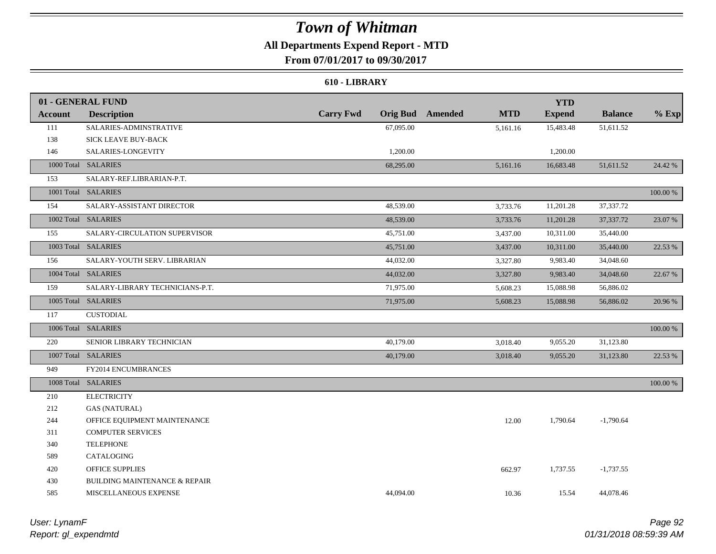## **All Departments Expend Report - MTD**

**From 07/01/2017 to 09/30/2017**

### **610 - LIBRARY**

|                | 01 - GENERAL FUND                        |                  |                                       | <b>YTD</b>    |                |          |
|----------------|------------------------------------------|------------------|---------------------------------------|---------------|----------------|----------|
| <b>Account</b> | <b>Description</b>                       | <b>Carry Fwd</b> | <b>Orig Bud</b> Amended<br><b>MTD</b> | <b>Expend</b> | <b>Balance</b> | $%$ Exp  |
| 111            | SALARIES-ADMINSTRATIVE                   | 67,095.00        | 5,161.16                              | 15,483.48     | 51,611.52      |          |
| 138            | SICK LEAVE BUY-BACK                      |                  |                                       |               |                |          |
| 146            | SALARIES-LONGEVITY                       | 1,200.00         |                                       | 1,200.00      |                |          |
|                | 1000 Total SALARIES                      | 68,295.00        | 5,161.16                              | 16,683.48     | 51,611.52      | 24.42 %  |
| 153            | SALARY-REF.LIBRARIAN-P.T.                |                  |                                       |               |                |          |
|                | 1001 Total SALARIES                      |                  |                                       |               |                | 100.00 % |
| 154            | SALARY-ASSISTANT DIRECTOR                | 48,539.00        | 3,733.76                              | 11,201.28     | 37,337.72      |          |
|                | 1002 Total SALARIES                      | 48,539.00        | 3,733.76                              | 11,201.28     | 37,337.72      | 23.07 %  |
| 155            | SALARY-CIRCULATION SUPERVISOR            | 45,751.00        | 3,437.00                              | 10,311.00     | 35,440.00      |          |
|                | 1003 Total SALARIES                      | 45,751.00        | 3,437.00                              | 10,311.00     | 35,440.00      | 22.53 %  |
| 156            | SALARY-YOUTH SERV. LIBRARIAN             | 44,032.00        | 3,327.80                              | 9,983.40      | 34,048.60      |          |
|                | 1004 Total SALARIES                      | 44,032.00        | 3,327.80                              | 9,983.40      | 34,048.60      | 22.67 %  |
| 159            | SALARY-LIBRARY TECHNICIANS-P.T.          | 71,975.00        | 5,608.23                              | 15,088.98     | 56,886.02      |          |
|                | 1005 Total SALARIES                      | 71,975.00        | 5,608.23                              | 15,088.98     | 56,886.02      | 20.96 %  |
| 117            | <b>CUSTODIAL</b>                         |                  |                                       |               |                |          |
|                | 1006 Total SALARIES                      |                  |                                       |               |                | 100.00 % |
| 220            | SENIOR LIBRARY TECHNICIAN                | 40,179.00        | 3,018.40                              | 9,055.20      | 31,123.80      |          |
|                | 1007 Total SALARIES                      | 40,179.00        | 3,018.40                              | 9,055.20      | 31,123.80      | 22.53 %  |
| 949            | FY2014 ENCUMBRANCES                      |                  |                                       |               |                |          |
|                | 1008 Total SALARIES                      |                  |                                       |               |                | 100.00 % |
| 210            | <b>ELECTRICITY</b>                       |                  |                                       |               |                |          |
| 212            | <b>GAS (NATURAL)</b>                     |                  |                                       |               |                |          |
| 244            | OFFICE EQUIPMENT MAINTENANCE             |                  | 12.00                                 | 1,790.64      | $-1,790.64$    |          |
| 311            | <b>COMPUTER SERVICES</b>                 |                  |                                       |               |                |          |
| 340            | <b>TELEPHONE</b>                         |                  |                                       |               |                |          |
| 589            | CATALOGING                               |                  |                                       |               |                |          |
| 420            | <b>OFFICE SUPPLIES</b>                   |                  | 662.97                                | 1,737.55      | $-1,737.55$    |          |
| 430            | <b>BUILDING MAINTENANCE &amp; REPAIR</b> |                  |                                       |               |                |          |
| 585            | MISCELLANEOUS EXPENSE                    | 44,094.00        | 10.36                                 | 15.54         | 44,078.46      |          |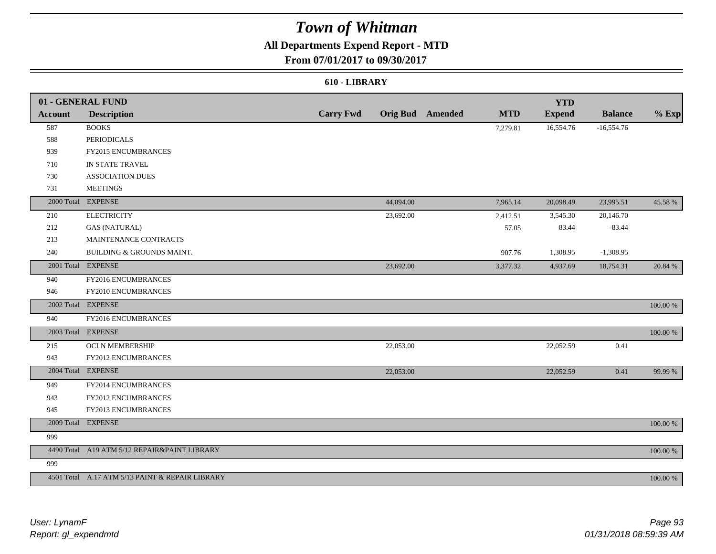## **All Departments Expend Report - MTD**

## **From 07/01/2017 to 09/30/2017**

### **610 - LIBRARY**

|                | 01 - GENERAL FUND                               |                  |           |                         |            | <b>YTD</b>    |                |             |
|----------------|-------------------------------------------------|------------------|-----------|-------------------------|------------|---------------|----------------|-------------|
| <b>Account</b> | <b>Description</b>                              | <b>Carry Fwd</b> |           | <b>Orig Bud</b> Amended | <b>MTD</b> | <b>Expend</b> | <b>Balance</b> | $%$ Exp     |
| 587            | <b>BOOKS</b>                                    |                  |           |                         | 7,279.81   | 16,554.76     | $-16,554.76$   |             |
| 588            | <b>PERIODICALS</b>                              |                  |           |                         |            |               |                |             |
| 939            | FY2015 ENCUMBRANCES                             |                  |           |                         |            |               |                |             |
| 710            | IN STATE TRAVEL                                 |                  |           |                         |            |               |                |             |
| 730            | <b>ASSOCIATION DUES</b>                         |                  |           |                         |            |               |                |             |
| 731            | <b>MEETINGS</b>                                 |                  |           |                         |            |               |                |             |
|                | 2000 Total EXPENSE                              |                  | 44,094.00 |                         | 7,965.14   | 20,098.49     | 23,995.51      | 45.58 %     |
| 210            | <b>ELECTRICITY</b>                              |                  | 23,692.00 |                         | 2,412.51   | 3,545.30      | 20,146.70      |             |
| 212            | <b>GAS (NATURAL)</b>                            |                  |           |                         | 57.05      | 83.44         | $-83.44$       |             |
| 213            | MAINTENANCE CONTRACTS                           |                  |           |                         |            |               |                |             |
| 240            | BUILDING & GROUNDS MAINT.                       |                  |           |                         | 907.76     | 1,308.95      | $-1,308.95$    |             |
|                | 2001 Total EXPENSE                              |                  | 23,692.00 |                         | 3,377.32   | 4,937.69      | 18,754.31      | 20.84 %     |
| 940            | FY2016 ENCUMBRANCES                             |                  |           |                         |            |               |                |             |
| 946            | FY2010 ENCUMBRANCES                             |                  |           |                         |            |               |                |             |
|                | 2002 Total EXPENSE                              |                  |           |                         |            |               |                | 100.00 %    |
| 940            | FY2016 ENCUMBRANCES                             |                  |           |                         |            |               |                |             |
|                | 2003 Total EXPENSE                              |                  |           |                         |            |               |                | 100.00 %    |
| 215            | <b>OCLN MEMBERSHIP</b>                          |                  | 22,053.00 |                         |            | 22,052.59     | 0.41           |             |
| 943            | FY2012 ENCUMBRANCES                             |                  |           |                         |            |               |                |             |
|                | 2004 Total EXPENSE                              |                  | 22,053.00 |                         |            | 22,052.59     | 0.41           | 99.99%      |
| 949            | FY2014 ENCUMBRANCES                             |                  |           |                         |            |               |                |             |
| 943            | <b>FY2012 ENCUMBRANCES</b>                      |                  |           |                         |            |               |                |             |
| 945            | FY2013 ENCUMBRANCES                             |                  |           |                         |            |               |                |             |
|                | 2009 Total EXPENSE                              |                  |           |                         |            |               |                | 100.00 %    |
| 999            |                                                 |                  |           |                         |            |               |                |             |
|                | 4490 Total A19 ATM 5/12 REPAIR&PAINT LIBRARY    |                  |           |                         |            |               |                | $100.00~\%$ |
| 999            |                                                 |                  |           |                         |            |               |                |             |
|                | 4501 Total A.17 ATM 5/13 PAINT & REPAIR LIBRARY |                  |           |                         |            |               |                | 100.00 %    |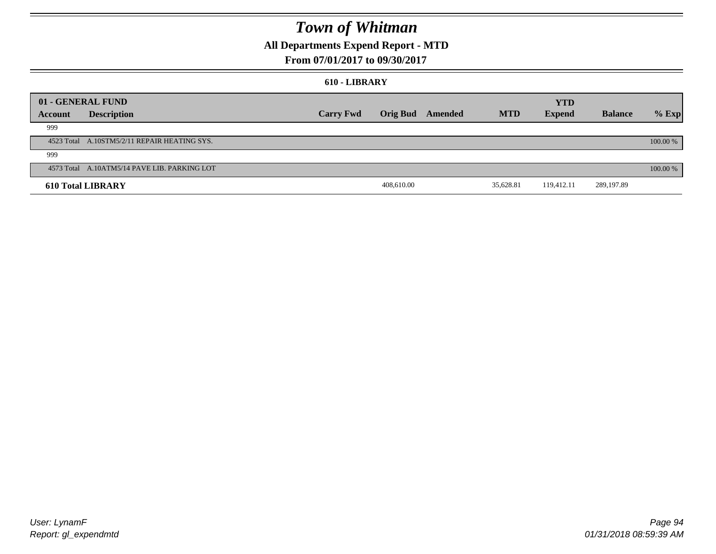## **All Departments Expend Report - MTD**

## **From 07/01/2017 to 09/30/2017**

#### **610 - LIBRARY**

|         | 01 - GENERAL FUND                            |                  |            |                         |            | <b>YTD</b>    |                |          |
|---------|----------------------------------------------|------------------|------------|-------------------------|------------|---------------|----------------|----------|
| Account | <b>Description</b>                           | <b>Carry Fwd</b> |            | <b>Orig Bud</b> Amended | <b>MTD</b> | <b>Expend</b> | <b>Balance</b> | $%$ Exp  |
| 999     |                                              |                  |            |                         |            |               |                |          |
|         | 4523 Total A.10STM5/2/11 REPAIR HEATING SYS. |                  |            |                         |            |               |                | 100.00 % |
| 999     |                                              |                  |            |                         |            |               |                |          |
|         | 4573 Total A.10ATM5/14 PAVE LIB. PARKING LOT |                  |            |                         |            |               |                | 100.00 % |
|         | <b>610 Total LIBRARY</b>                     |                  | 408,610.00 |                         | 35,628.81  | 119,412.11    | 289,197.89     |          |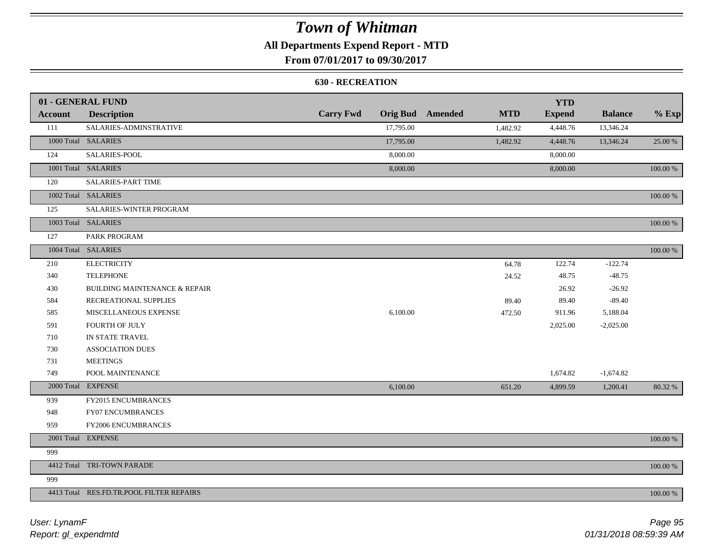## **All Departments Expend Report - MTD**

**From 07/01/2017 to 09/30/2017**

### **630 - RECREATION**

|                | 01 - GENERAL FUND                        |                  |           |                         |            | <b>YTD</b>    |                |          |
|----------------|------------------------------------------|------------------|-----------|-------------------------|------------|---------------|----------------|----------|
| <b>Account</b> | <b>Description</b>                       | <b>Carry Fwd</b> |           | <b>Orig Bud</b> Amended | <b>MTD</b> | <b>Expend</b> | <b>Balance</b> | $%$ Exp  |
| 111            | SALARIES-ADMINSTRATIVE                   |                  | 17,795.00 |                         | 1,482.92   | 4,448.76      | 13,346.24      |          |
|                | 1000 Total SALARIES                      |                  | 17,795.00 |                         | 1,482.92   | 4,448.76      | 13,346.24      | 25.00 %  |
| 124            | SALARIES-POOL                            |                  | 8,000.00  |                         |            | 8,000.00      |                |          |
|                | 1001 Total SALARIES                      |                  | 8,000.00  |                         |            | 8,000.00      |                | 100.00 % |
| 120            | SALARIES-PART TIME                       |                  |           |                         |            |               |                |          |
|                | 1002 Total SALARIES                      |                  |           |                         |            |               |                | 100.00 % |
| 125            | SALARIES-WINTER PROGRAM                  |                  |           |                         |            |               |                |          |
|                | 1003 Total SALARIES                      |                  |           |                         |            |               |                | 100.00 % |
| 127            | PARK PROGRAM                             |                  |           |                         |            |               |                |          |
|                | 1004 Total SALARIES                      |                  |           |                         |            |               |                | 100.00 % |
| 210            | <b>ELECTRICITY</b>                       |                  |           |                         | 64.78      | 122.74        | $-122.74$      |          |
| 340            | <b>TELEPHONE</b>                         |                  |           |                         | 24.52      | 48.75         | $-48.75$       |          |
| 430            | <b>BUILDING MAINTENANCE &amp; REPAIR</b> |                  |           |                         |            | 26.92         | $-26.92$       |          |
| 584            | RECREATIONAL SUPPLIES                    |                  |           |                         | 89.40      | 89.40         | $-89.40$       |          |
| 585            | MISCELLANEOUS EXPENSE                    |                  | 6,100.00  |                         | 472.50     | 911.96        | 5,188.04       |          |
| 591            | <b>FOURTH OF JULY</b>                    |                  |           |                         |            | 2,025.00      | $-2,025.00$    |          |
| 710            | IN STATE TRAVEL                          |                  |           |                         |            |               |                |          |
| 730            | <b>ASSOCIATION DUES</b>                  |                  |           |                         |            |               |                |          |
| 731            | <b>MEETINGS</b>                          |                  |           |                         |            |               |                |          |
| 749            | POOL MAINTENANCE                         |                  |           |                         |            | 1,674.82      | $-1,674.82$    |          |
|                | 2000 Total EXPENSE                       |                  | 6,100.00  |                         | 651.20     | 4,899.59      | 1,200.41       | 80.32 %  |
| 939            | FY2015 ENCUMBRANCES                      |                  |           |                         |            |               |                |          |
| 948            | FY07 ENCUMBRANCES                        |                  |           |                         |            |               |                |          |
| 959            | FY2006 ENCUMBRANCES                      |                  |           |                         |            |               |                |          |
|                | 2001 Total EXPENSE                       |                  |           |                         |            |               |                | 100.00 % |
| 999            |                                          |                  |           |                         |            |               |                |          |
|                | 4412 Total TRI-TOWN PARADE               |                  |           |                         |            |               |                | 100.00 % |
| 999            |                                          |                  |           |                         |            |               |                |          |
|                | 4413 Total RES.FD.TR.POOL FILTER REPAIRS |                  |           |                         |            |               |                | 100.00 % |

*Report: gl\_expendmtd User: LynamF*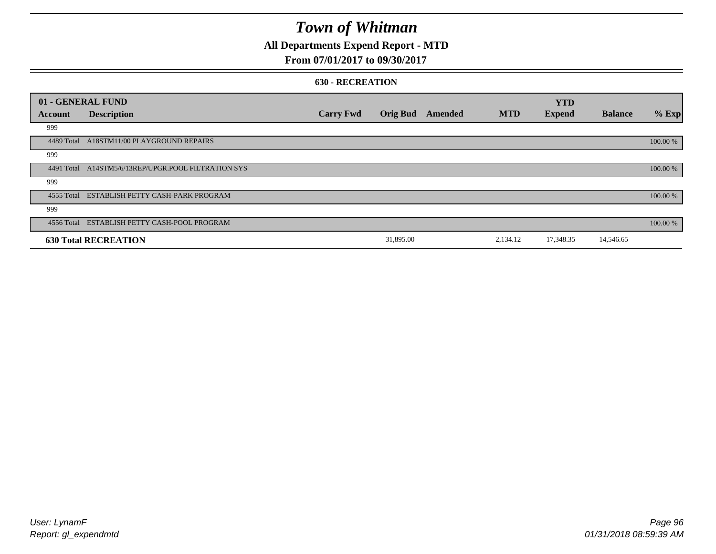## **All Departments Expend Report - MTD**

## **From 07/01/2017 to 09/30/2017**

#### **630 - RECREATION**

|         | 01 - GENERAL FUND                                   |                  |                 |         |            | <b>YTD</b>    |                |          |
|---------|-----------------------------------------------------|------------------|-----------------|---------|------------|---------------|----------------|----------|
| Account | <b>Description</b>                                  | <b>Carry Fwd</b> | <b>Orig Bud</b> | Amended | <b>MTD</b> | <b>Expend</b> | <b>Balance</b> | $%$ Exp  |
| 999     |                                                     |                  |                 |         |            |               |                |          |
|         | 4489 Total A18STM11/00 PLAYGROUND REPAIRS           |                  |                 |         |            |               |                | 100.00 % |
| 999     |                                                     |                  |                 |         |            |               |                |          |
|         | 4491 Total A14STM5/6/13REP/UPGR.POOL FILTRATION SYS |                  |                 |         |            |               |                | 100.00 % |
| 999     |                                                     |                  |                 |         |            |               |                |          |
|         | 4555 Total ESTABLISH PETTY CASH-PARK PROGRAM        |                  |                 |         |            |               |                | 100.00 % |
| 999     |                                                     |                  |                 |         |            |               |                |          |
|         | 4556 Total ESTABLISH PETTY CASH-POOL PROGRAM        |                  |                 |         |            |               |                | 100.00 % |
|         | <b>630 Total RECREATION</b>                         |                  | 31,895.00       |         | 2,134.12   | 17,348.35     | 14,546.65      |          |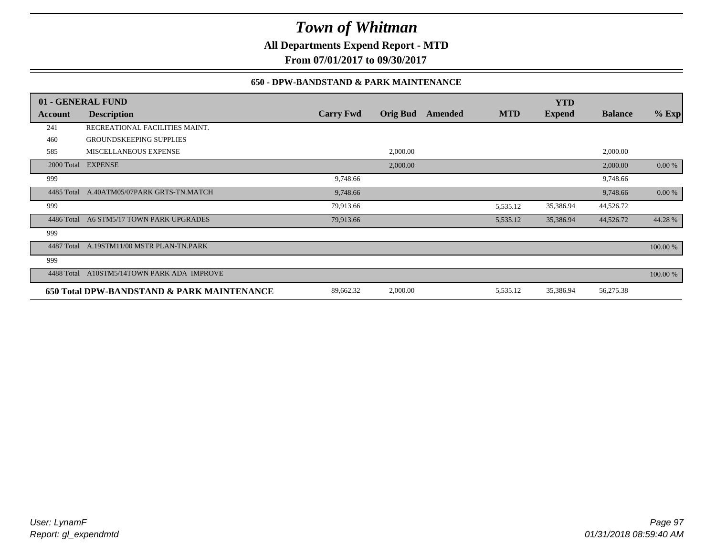**All Departments Expend Report - MTD**

**From 07/01/2017 to 09/30/2017**

## **650 - DPW-BANDSTAND & PARK MAINTENANCE**

|            | 01 - GENERAL FUND                          |                  |                 |         |            | <b>YTD</b>    |                |          |
|------------|--------------------------------------------|------------------|-----------------|---------|------------|---------------|----------------|----------|
| Account    | <b>Description</b>                         | <b>Carry Fwd</b> | <b>Orig Bud</b> | Amended | <b>MTD</b> | <b>Expend</b> | <b>Balance</b> | $%$ Exp  |
| 241        | RECREATIONAL FACILITIES MAINT.             |                  |                 |         |            |               |                |          |
| 460        | <b>GROUNDSKEEPING SUPPLIES</b>             |                  |                 |         |            |               |                |          |
| 585        | MISCELLANEOUS EXPENSE                      |                  | 2,000.00        |         |            |               | 2,000.00       |          |
|            | 2000 Total EXPENSE                         |                  | 2,000.00        |         |            |               | 2,000.00       | 0.00 %   |
| 999        |                                            | 9,748.66         |                 |         |            |               | 9,748.66       |          |
| 4485 Total | A.40ATM05/07PARK GRTS-TN.MATCH             | 9,748.66         |                 |         |            |               | 9,748.66       | 0.00 %   |
| 999        |                                            | 79,913.66        |                 |         | 5,535.12   | 35,386.94     | 44,526.72      |          |
| 4486 Total | A6 STM5/17 TOWN PARK UPGRADES              | 79,913.66        |                 |         | 5,535.12   | 35,386.94     | 44,526.72      | 44.28%   |
| 999        |                                            |                  |                 |         |            |               |                |          |
| 4487 Total | A.19STM11/00 MSTR PLAN-TN.PARK             |                  |                 |         |            |               |                | 100.00 % |
| 999        |                                            |                  |                 |         |            |               |                |          |
| 4488 Total | A10STM5/14TOWN PARK ADA IMPROVE            |                  |                 |         |            |               |                | 100.00 % |
|            | 650 Total DPW-BANDSTAND & PARK MAINTENANCE | 89,662.32        | 2,000.00        |         | 5,535.12   | 35,386.94     | 56,275.38      |          |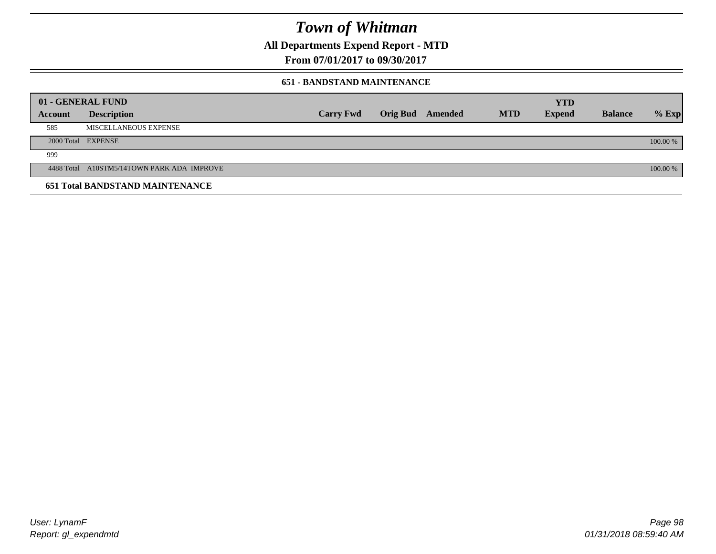**All Departments Expend Report - MTD**

**From 07/01/2017 to 09/30/2017**

### **651 - BANDSTAND MAINTENANCE**

| 01 - GENERAL FUND |                                            |                  |                         |            | <b>YTD</b>    |                |          |
|-------------------|--------------------------------------------|------------------|-------------------------|------------|---------------|----------------|----------|
| <b>Account</b>    | <b>Description</b>                         | <b>Carry Fwd</b> | <b>Orig Bud</b> Amended | <b>MTD</b> | <b>Expend</b> | <b>Balance</b> | $%$ Exp  |
| 585               | MISCELLANEOUS EXPENSE                      |                  |                         |            |               |                |          |
|                   | 2000 Total EXPENSE                         |                  |                         |            |               |                | 100.00 % |
| 999               |                                            |                  |                         |            |               |                |          |
|                   | 4488 Total A10STM5/14TOWN PARK ADA IMPROVE |                  |                         |            |               |                | 100.00 % |
|                   | <b>651 Total BANDSTAND MAINTENANCE</b>     |                  |                         |            |               |                |          |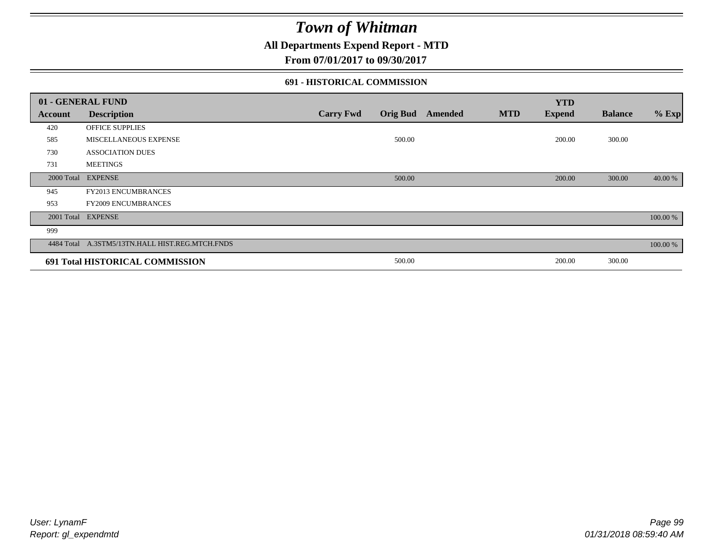## **All Departments Expend Report - MTD**

**From 07/01/2017 to 09/30/2017**

### **691 - HISTORICAL COMMISSION**

|            | 01 - GENERAL FUND                               |                  |                 |                |            | <b>YTD</b>    |                |          |
|------------|-------------------------------------------------|------------------|-----------------|----------------|------------|---------------|----------------|----------|
| Account    | <b>Description</b>                              | <b>Carry Fwd</b> | <b>Orig Bud</b> | <b>Amended</b> | <b>MTD</b> | <b>Expend</b> | <b>Balance</b> | $%$ Exp  |
| 420        | OFFICE SUPPLIES                                 |                  |                 |                |            |               |                |          |
| 585        | MISCELLANEOUS EXPENSE                           |                  | 500.00          |                |            | 200.00        | 300.00         |          |
| 730        | <b>ASSOCIATION DUES</b>                         |                  |                 |                |            |               |                |          |
| 731        | <b>MEETINGS</b>                                 |                  |                 |                |            |               |                |          |
| 2000 Total | <b>EXPENSE</b>                                  |                  | 500.00          |                |            | 200.00        | 300.00         | 40.00 %  |
| 945        | <b>FY2013 ENCUMBRANCES</b>                      |                  |                 |                |            |               |                |          |
| 953        | <b>FY2009 ENCUMBRANCES</b>                      |                  |                 |                |            |               |                |          |
| 2001 Total | <b>EXPENSE</b>                                  |                  |                 |                |            |               |                | 100.00 % |
| 999        |                                                 |                  |                 |                |            |               |                |          |
|            | 4484 Total A.3STM5/13TN.HALL HIST.REG.MTCH.FNDS |                  |                 |                |            |               |                | 100.00 % |
|            | 691 Total HISTORICAL COMMISSION                 |                  | 500.00          |                |            | 200.00        | 300.00         |          |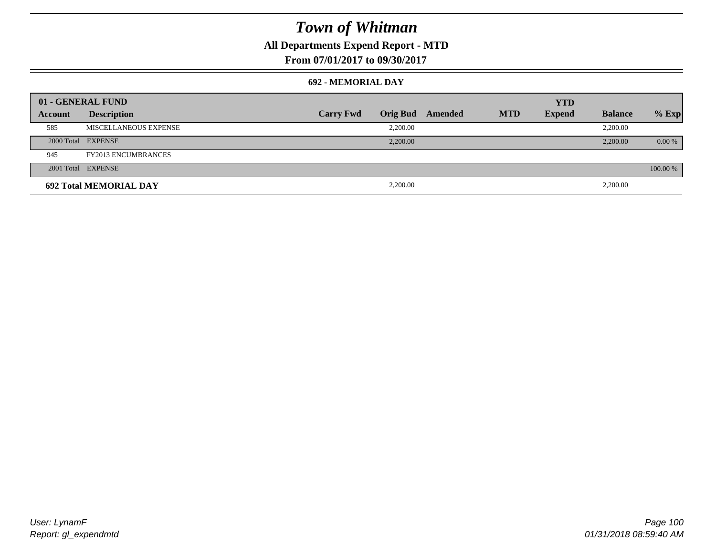## **All Departments Expend Report - MTD**

**From 07/01/2017 to 09/30/2017**

### **692 - MEMORIAL DAY**

|         | 01 - GENERAL FUND             |                  |                 |         |            | <b>YTD</b>    |                |          |
|---------|-------------------------------|------------------|-----------------|---------|------------|---------------|----------------|----------|
| Account | <b>Description</b>            | <b>Carry Fwd</b> | <b>Orig Bud</b> | Amended | <b>MTD</b> | <b>Expend</b> | <b>Balance</b> | $%$ Exp  |
| 585     | MISCELLANEOUS EXPENSE         |                  | 2.200.00        |         |            |               | 2,200.00       |          |
|         | 2000 Total EXPENSE            |                  | 2,200.00        |         |            |               | 2,200.00       | 0.00 %   |
| 945     | <b>FY2013 ENCUMBRANCES</b>    |                  |                 |         |            |               |                |          |
|         | 2001 Total EXPENSE            |                  |                 |         |            |               |                | 100.00 % |
|         | <b>692 Total MEMORIAL DAY</b> |                  | 2,200.00        |         |            |               | 2,200.00       |          |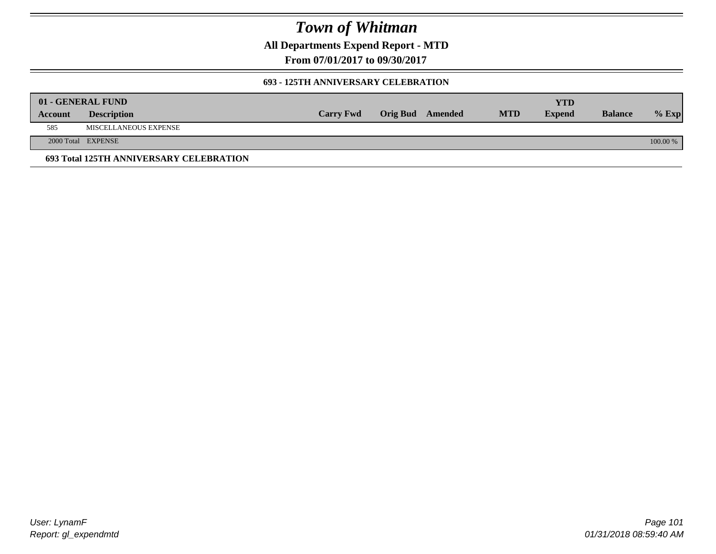**All Departments Expend Report - MTD**

**From 07/01/2017 to 09/30/2017**

### **693 - 125TH ANNIVERSARY CELEBRATION**

|                | 01 - GENERAL FUND                       |                  |                         |            | YTD           |                |          |
|----------------|-----------------------------------------|------------------|-------------------------|------------|---------------|----------------|----------|
| <b>Account</b> | <b>Description</b>                      | <b>Carry Fwd</b> | <b>Orig Bud</b> Amended | <b>MTD</b> | <b>Expend</b> | <b>Balance</b> | $%$ Exp  |
| 585            | MISCELLANEOUS EXPENSE                   |                  |                         |            |               |                |          |
|                | 2000 Total EXPENSE                      |                  |                         |            |               |                | 100.00 % |
|                | 693 Total 125TH ANNIVERSARY CELEBRATION |                  |                         |            |               |                |          |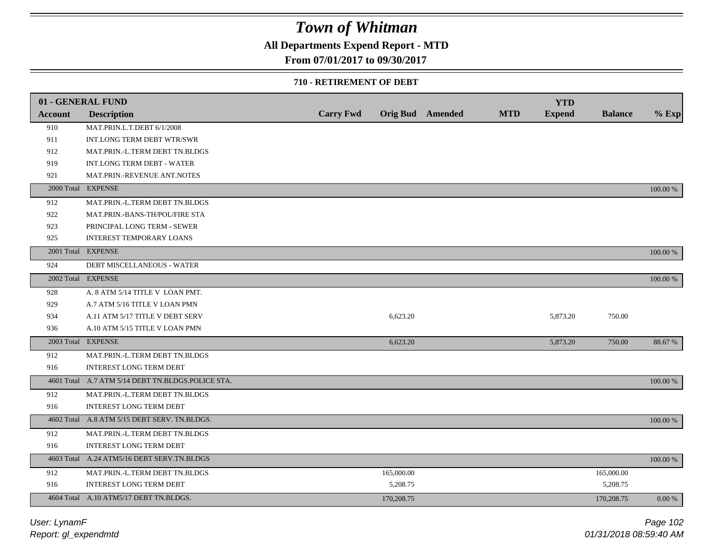## **All Departments Expend Report - MTD**

## **From 07/01/2017 to 09/30/2017**

#### **710 - RETIREMENT OF DEBT**

|                | 01 - GENERAL FUND                                 |                  |            |                         |            | <b>YTD</b>    |                |          |
|----------------|---------------------------------------------------|------------------|------------|-------------------------|------------|---------------|----------------|----------|
| <b>Account</b> | <b>Description</b>                                | <b>Carry Fwd</b> |            | <b>Orig Bud</b> Amended | <b>MTD</b> | <b>Expend</b> | <b>Balance</b> | $%$ Exp  |
| 910            | MAT.PRIN.L.T.DEBT 6/1/2008                        |                  |            |                         |            |               |                |          |
| 911            | INT.LONG TERM DEBT WTR/SWR                        |                  |            |                         |            |               |                |          |
| 912            | MAT.PRIN.-L.TERM DEBT TN.BLDGS                    |                  |            |                         |            |               |                |          |
| 919            | <b>INT.LONG TERM DEBT - WATER</b>                 |                  |            |                         |            |               |                |          |
| 921            | MAT.PRIN.-REVENUE ANT.NOTES                       |                  |            |                         |            |               |                |          |
|                | 2000 Total EXPENSE                                |                  |            |                         |            |               |                | 100.00 % |
| 912            | MAT.PRIN.-L.TERM DEBT TN.BLDGS                    |                  |            |                         |            |               |                |          |
| 922            | MAT.PRIN.-BANS-TH/POL/FIRE STA                    |                  |            |                         |            |               |                |          |
| 923            | PRINCIPAL LONG TERM - SEWER                       |                  |            |                         |            |               |                |          |
| 925            | INTEREST TEMPORARY LOANS                          |                  |            |                         |            |               |                |          |
|                | 2001 Total EXPENSE                                |                  |            |                         |            |               |                | 100.00 % |
| 924            | DEBT MISCELLANEOUS - WATER                        |                  |            |                         |            |               |                |          |
|                | 2002 Total EXPENSE                                |                  |            |                         |            |               |                | 100.00 % |
| 928            | A. 8 ATM 5/14 TITLE V LOAN PMT.                   |                  |            |                         |            |               |                |          |
| 929            | A.7 ATM 5/16 TITLE V LOAN PMN                     |                  |            |                         |            |               |                |          |
| 934            | A.11 ATM 5/17 TITLE V DEBT SERV                   |                  | 6,623.20   |                         |            | 5,873.20      | 750.00         |          |
| 936            | A.10 ATM 5/15 TITLE V LOAN PMN                    |                  |            |                         |            |               |                |          |
|                | 2003 Total EXPENSE                                |                  | 6,623.20   |                         |            | 5,873.20      | 750.00         | 88.67 %  |
| 912            | MAT.PRIN.-L.TERM DEBT TN.BLDGS                    |                  |            |                         |            |               |                |          |
| 916            | <b>INTEREST LONG TERM DEBT</b>                    |                  |            |                         |            |               |                |          |
|                | 4601 Total A.7 ATM 5/14 DEBT TN.BLDGS.POLICE STA. |                  |            |                         |            |               |                | 100.00 % |
| 912            | MAT.PRIN.-L.TERM DEBT TN.BLDGS                    |                  |            |                         |            |               |                |          |
| 916            | <b>INTEREST LONG TERM DEBT</b>                    |                  |            |                         |            |               |                |          |
|                | 4602 Total A.8 ATM 5/15 DEBT SERV. TN.BLDGS.      |                  |            |                         |            |               |                | 100.00 % |
| 912            | MAT.PRIN.-L.TERM DEBT TN.BLDGS                    |                  |            |                         |            |               |                |          |
| 916            | INTEREST LONG TERM DEBT                           |                  |            |                         |            |               |                |          |
|                | 4603 Total A.24 ATM5/16 DEBT SERV.TN.BLDGS        |                  |            |                         |            |               |                | 100.00 % |
| 912            | MAT.PRIN.-L.TERM DEBT TN.BLDGS                    |                  | 165,000.00 |                         |            |               | 165,000.00     |          |
| 916            | <b>INTEREST LONG TERM DEBT</b>                    |                  | 5,208.75   |                         |            |               | 5,208.75       |          |
|                | 4604 Total A.10 ATM5/17 DEBT TN.BLDGS.            |                  | 170,208.75 |                         |            |               | 170,208.75     | 0.00 %   |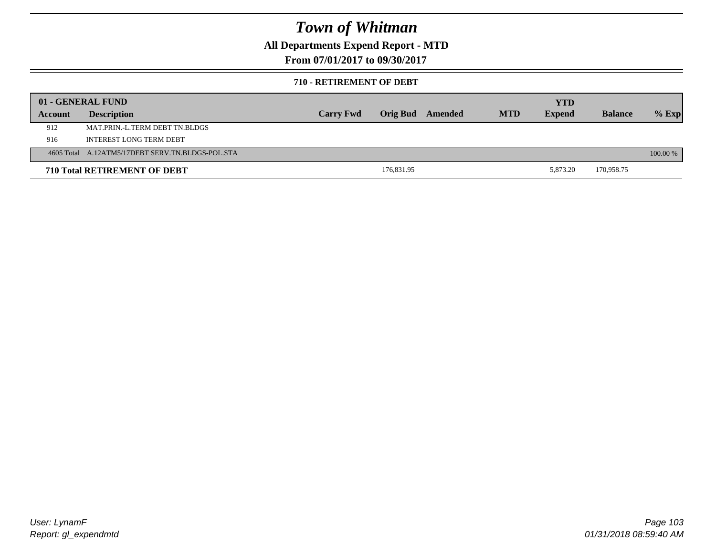## **All Departments Expend Report - MTD**

**From 07/01/2017 to 09/30/2017**

### **710 - RETIREMENT OF DEBT**

|         | 01 - GENERAL FUND                                |                  |            |         |            | YTD           |                |          |
|---------|--------------------------------------------------|------------------|------------|---------|------------|---------------|----------------|----------|
| Account | <b>Description</b>                               | <b>Carry Fwd</b> | Orig Bud   | Amended | <b>MTD</b> | <b>Expend</b> | <b>Balance</b> | $%$ Exp  |
| 912     | MAT.PRIN.-L.TERM DEBT TN.BLDGS                   |                  |            |         |            |               |                |          |
| 916     | INTEREST LONG TERM DEBT                          |                  |            |         |            |               |                |          |
|         | 4605 Total A.12ATM5/17DEBT SERV.TN.BLDGS-POL.STA |                  |            |         |            |               |                | 100.00 % |
|         | <b>710 Total RETIREMENT OF DEBT</b>              |                  | 176,831.95 |         |            | 5.873.20      | 170,958.75     |          |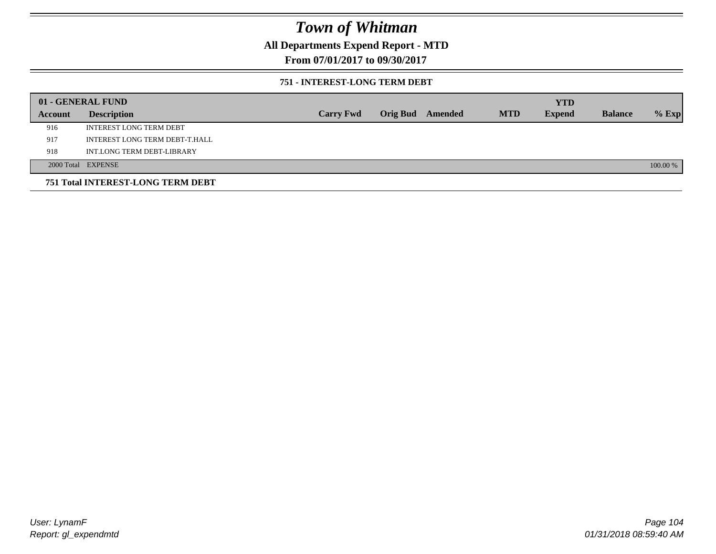**All Departments Expend Report - MTD**

**From 07/01/2017 to 09/30/2017**

### **751 - INTEREST-LONG TERM DEBT**

|         | 01 - GENERAL FUND                 |                  |  |                  |            | <b>YTD</b>    |                |          |
|---------|-----------------------------------|------------------|--|------------------|------------|---------------|----------------|----------|
| Account | <b>Description</b>                | <b>Carry Fwd</b> |  | Orig Bud Amended | <b>MTD</b> | <b>Expend</b> | <b>Balance</b> | $%$ Exp  |
| 916     | <b>INTEREST LONG TERM DEBT</b>    |                  |  |                  |            |               |                |          |
| 917     | INTEREST LONG TERM DEBT-T.HALL    |                  |  |                  |            |               |                |          |
| 918     | INT.LONG TERM DEBT-LIBRARY        |                  |  |                  |            |               |                |          |
|         | 2000 Total EXPENSE                |                  |  |                  |            |               |                | 100.00 % |
|         | 751 Total INTEREST-LONG TERM DEBT |                  |  |                  |            |               |                |          |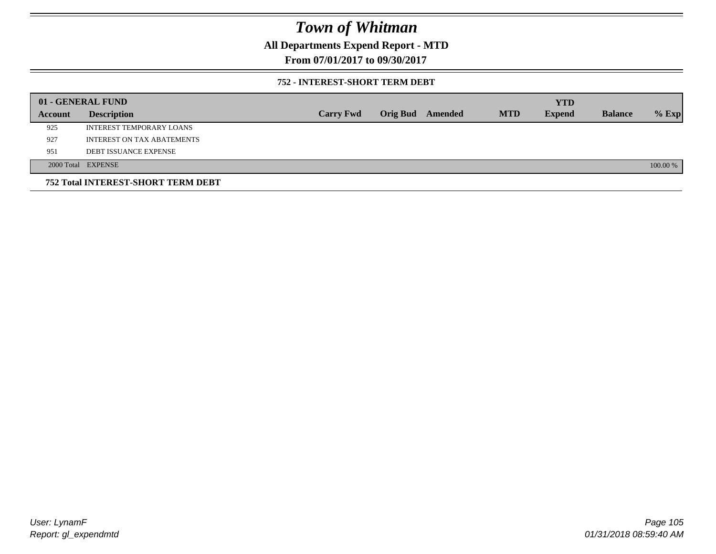**All Departments Expend Report - MTD**

**From 07/01/2017 to 09/30/2017**

### **752 - INTEREST-SHORT TERM DEBT**

|         | 01 - GENERAL FUND                         |                  |                 |         |            | <b>YTD</b>    |                |          |
|---------|-------------------------------------------|------------------|-----------------|---------|------------|---------------|----------------|----------|
| Account | <b>Description</b>                        | <b>Carry Fwd</b> | <b>Orig Bud</b> | Amended | <b>MTD</b> | <b>Expend</b> | <b>Balance</b> | $%$ Exp  |
| 925     | INTEREST TEMPORARY LOANS                  |                  |                 |         |            |               |                |          |
| 927     | INTEREST ON TAX ABATEMENTS                |                  |                 |         |            |               |                |          |
| 951     | <b>DEBT ISSUANCE EXPENSE</b>              |                  |                 |         |            |               |                |          |
|         | 2000 Total EXPENSE                        |                  |                 |         |            |               |                | 100.00 % |
|         | <b>752 Total INTEREST-SHORT TERM DEBT</b> |                  |                 |         |            |               |                |          |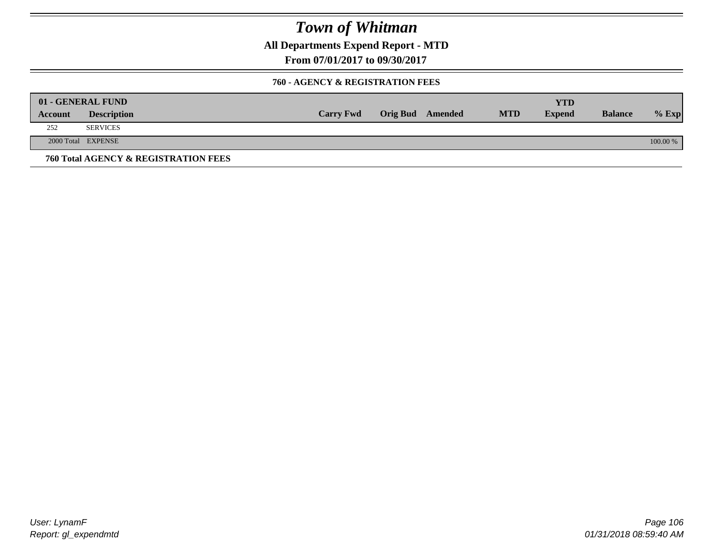**All Departments Expend Report - MTD**

**From 07/01/2017 to 09/30/2017**

### **760 - AGENCY & REGISTRATION FEES**

|         | 01 - GENERAL FUND                    |                  |                  |            | YTD           |                |          |
|---------|--------------------------------------|------------------|------------------|------------|---------------|----------------|----------|
| Account | <b>Description</b>                   | <b>Carry Fwd</b> | Orig Bud Amended | <b>MTD</b> | <b>Expend</b> | <b>Balance</b> | $%$ Exp  |
| 252     | <b>SERVICES</b>                      |                  |                  |            |               |                |          |
|         | 2000 Total EXPENSE                   |                  |                  |            |               |                | 100.00 % |
|         | 760 Total AGENCY & REGISTRATION FEES |                  |                  |            |               |                |          |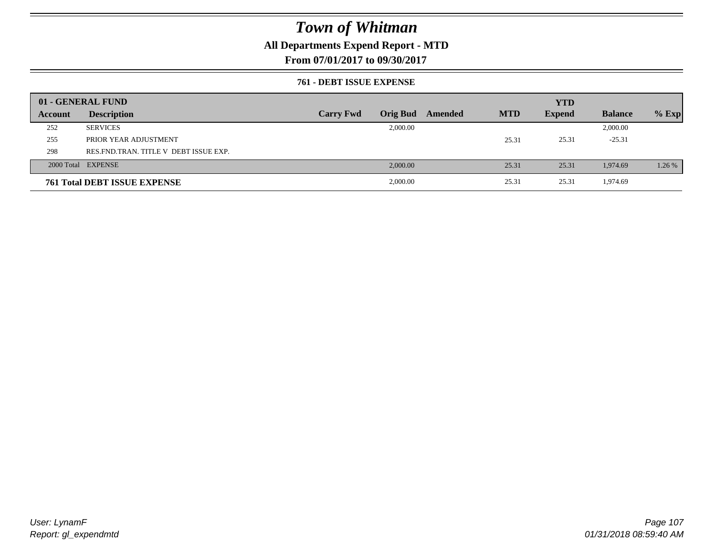## **All Departments Expend Report - MTD**

**From 07/01/2017 to 09/30/2017**

### **761 - DEBT ISSUE EXPENSE**

|         | 01 - GENERAL FUND                       |                  |          |                         |            | <b>YTD</b>    |                |         |
|---------|-----------------------------------------|------------------|----------|-------------------------|------------|---------------|----------------|---------|
| Account | <b>Description</b>                      | <b>Carry Fwd</b> |          | <b>Orig Bud</b> Amended | <b>MTD</b> | <b>Expend</b> | <b>Balance</b> | $%$ Exp |
| 252     | <b>SERVICES</b>                         |                  | 2,000.00 |                         |            |               | 2,000.00       |         |
| 255     | PRIOR YEAR ADJUSTMENT                   |                  |          |                         | 25.31      | 25.31         | $-25.31$       |         |
| 298     | RES. FND. TRAN. TITLE V DEBT ISSUE EXP. |                  |          |                         |            |               |                |         |
|         | 2000 Total EXPENSE                      |                  | 2,000.00 |                         | 25.31      | 25.31         | 1,974.69       | 1.26 %  |
|         | <b>761 Total DEBT ISSUE EXPENSE</b>     |                  | 2,000.00 |                         | 25.31      | 25.31         | 1,974.69       |         |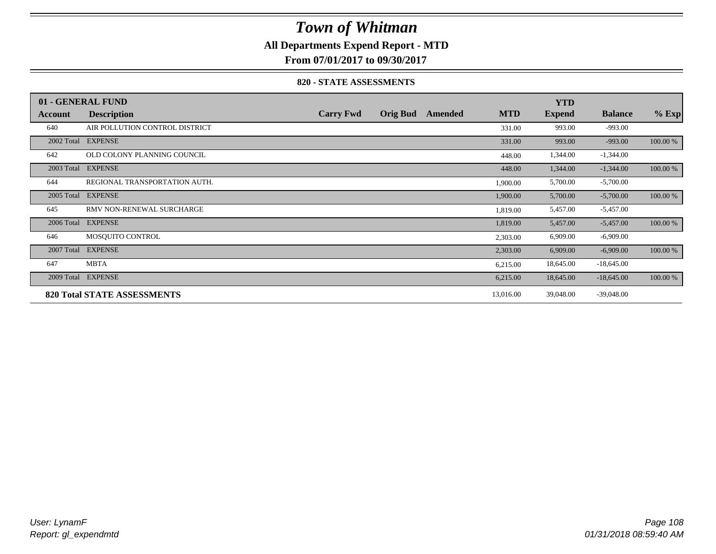## **All Departments Expend Report - MTD**

**From 07/01/2017 to 09/30/2017**

### **820 - STATE ASSESSMENTS**

|            | 01 - GENERAL FUND                  |                  |                 |         |            | <b>YTD</b>    |                |          |
|------------|------------------------------------|------------------|-----------------|---------|------------|---------------|----------------|----------|
| Account    | <b>Description</b>                 | <b>Carry Fwd</b> | <b>Orig Bud</b> | Amended | <b>MTD</b> | <b>Expend</b> | <b>Balance</b> | $%$ Exp  |
| 640        | AIR POLLUTION CONTROL DISTRICT     |                  |                 |         | 331.00     | 993.00        | $-993.00$      |          |
| 2002 Total | <b>EXPENSE</b>                     |                  |                 |         | 331.00     | 993.00        | $-993.00$      | 100.00 % |
| 642        | OLD COLONY PLANNING COUNCIL        |                  |                 |         | 448.00     | 1,344.00      | $-1,344.00$    |          |
| 2003 Total | <b>EXPENSE</b>                     |                  |                 |         | 448.00     | 1,344.00      | $-1,344.00$    | 100.00 % |
| 644        | REGIONAL TRANSPORTATION AUTH.      |                  |                 |         | 1,900.00   | 5,700.00      | $-5,700.00$    |          |
| 2005 Total | <b>EXPENSE</b>                     |                  |                 |         | 1,900.00   | 5,700.00      | $-5,700.00$    | 100.00 % |
| 645        | RMV NON-RENEWAL SURCHARGE          |                  |                 |         | 1,819.00   | 5,457.00      | $-5,457.00$    |          |
| 2006 Total | <b>EXPENSE</b>                     |                  |                 |         | 1,819.00   | 5,457.00      | $-5,457.00$    | 100.00 % |
| 646        | MOSOUITO CONTROL                   |                  |                 |         | 2,303.00   | 6,909.00      | $-6,909.00$    |          |
| 2007 Total | <b>EXPENSE</b>                     |                  |                 |         | 2,303.00   | 6,909.00      | $-6,909.00$    | 100.00 % |
| 647        | <b>MBTA</b>                        |                  |                 |         | 6,215.00   | 18,645.00     | $-18,645.00$   |          |
| 2009 Total | <b>EXPENSE</b>                     |                  |                 |         | 6,215.00   | 18,645.00     | $-18,645.00$   | 100.00 % |
|            | <b>820 Total STATE ASSESSMENTS</b> |                  |                 |         | 13,016.00  | 39,048.00     | $-39,048.00$   |          |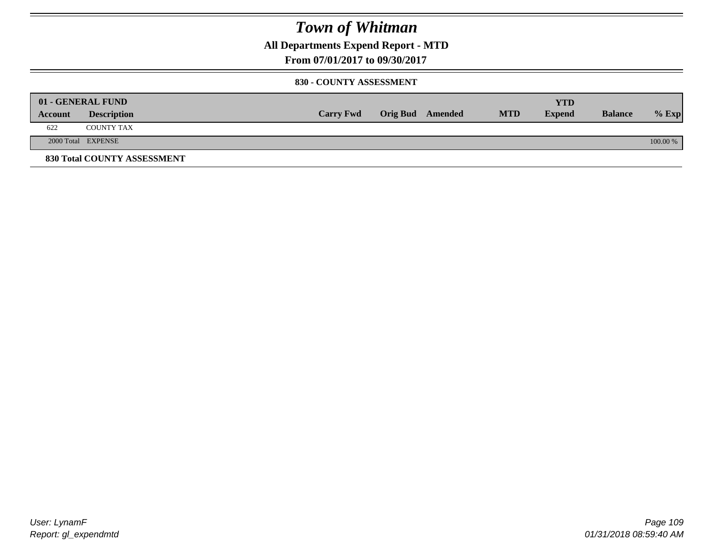**All Departments Expend Report - MTD**

**From 07/01/2017 to 09/30/2017**

#### **830 - COUNTY ASSESSMENT**

|         | 01 - GENERAL FUND           |                  |                         |            | <b>YTD</b>    |                |          |
|---------|-----------------------------|------------------|-------------------------|------------|---------------|----------------|----------|
| Account | <b>Description</b>          | <b>Carry Fwd</b> | <b>Orig Bud</b> Amended | <b>MTD</b> | <b>Expend</b> | <b>Balance</b> | $%$ Exp  |
| 622     | <b>COUNTY TAX</b>           |                  |                         |            |               |                |          |
|         | 2000 Total EXPENSE          |                  |                         |            |               |                | 100.00 % |
|         | 830 Total COUNTY ASSESSMENT |                  |                         |            |               |                |          |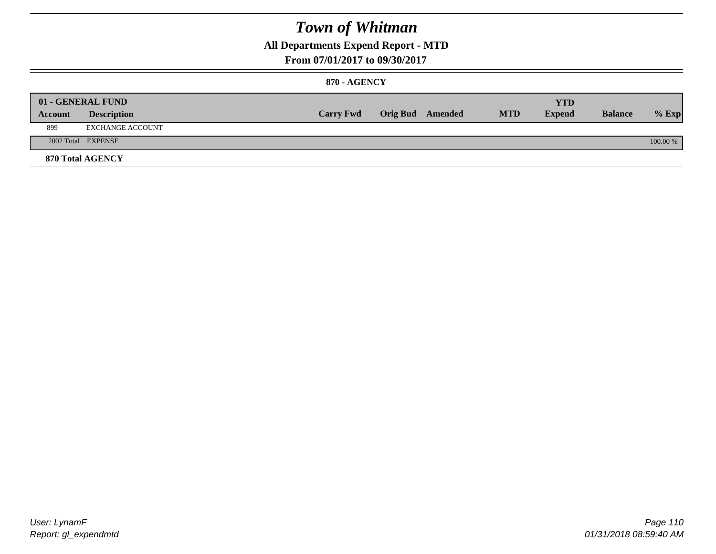### **All Departments Expend Report - MTD**

#### **From 07/01/2017 to 09/30/2017**

#### **870 - AGENCY**

|         | 01 - GENERAL FUND  |                  |                         |            | <b>YTD</b>    |                |          |
|---------|--------------------|------------------|-------------------------|------------|---------------|----------------|----------|
| Account | <b>Description</b> | <b>Carry Fwd</b> | <b>Orig Bud</b> Amended | <b>MTD</b> | <b>Expend</b> | <b>Balance</b> | $%$ Exp  |
| 899     | EXCHANGE ACCOUNT   |                  |                         |            |               |                |          |
|         | 2002 Total EXPENSE |                  |                         |            |               |                | 100.00 % |
|         | 870 Total AGENCY   |                  |                         |            |               |                |          |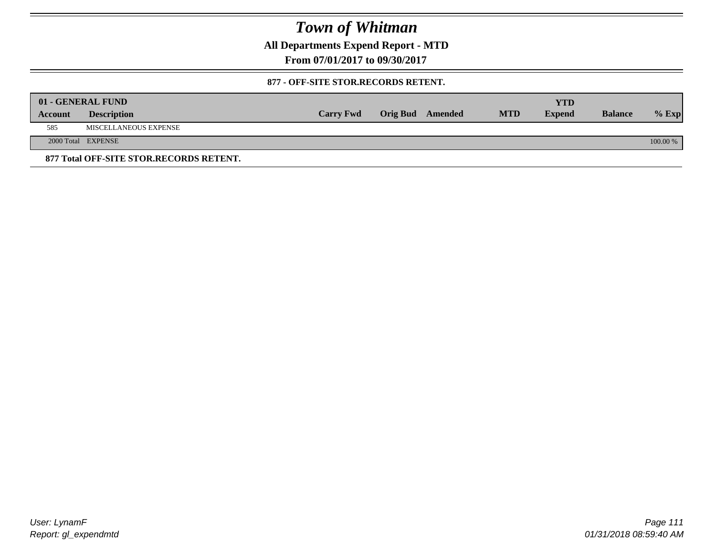**All Departments Expend Report - MTD**

**From 07/01/2017 to 09/30/2017**

#### **877 - OFF-SITE STOR.RECORDS RETENT.**

|         | 01 - GENERAL FUND                       |                  |                         |            | YTD           |                |          |
|---------|-----------------------------------------|------------------|-------------------------|------------|---------------|----------------|----------|
| Account | <b>Description</b>                      | <b>Carry Fwd</b> | <b>Orig Bud</b> Amended | <b>MTD</b> | <b>Expend</b> | <b>Balance</b> | $%$ Exp  |
| 585     | MISCELLANEOUS EXPENSE                   |                  |                         |            |               |                |          |
|         | 2000 Total EXPENSE                      |                  |                         |            |               |                | 100.00 % |
|         | 877 Total OFF-SITE STOR.RECORDS RETENT. |                  |                         |            |               |                |          |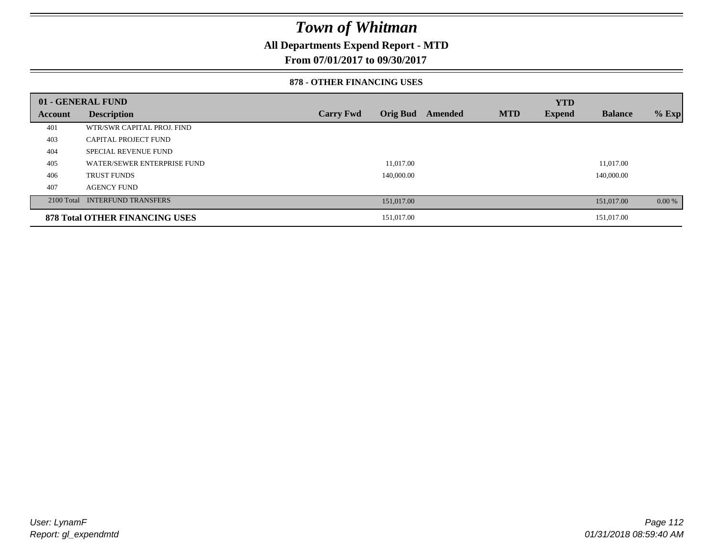### **All Departments Expend Report - MTD**

**From 07/01/2017 to 09/30/2017**

#### **878 - OTHER FINANCING USES**

|         | 01 - GENERAL FUND                     |                  |                 |         |            | <b>YTD</b>    |                |         |
|---------|---------------------------------------|------------------|-----------------|---------|------------|---------------|----------------|---------|
| Account | <b>Description</b>                    | <b>Carry Fwd</b> | <b>Orig Bud</b> | Amended | <b>MTD</b> | <b>Expend</b> | <b>Balance</b> | $%$ Exp |
| 401     | WTR/SWR CAPITAL PROJ. FIND            |                  |                 |         |            |               |                |         |
| 403     | CAPITAL PROJECT FUND                  |                  |                 |         |            |               |                |         |
| 404     | <b>SPECIAL REVENUE FUND</b>           |                  |                 |         |            |               |                |         |
| 405     | WATER/SEWER ENTERPRISE FUND           |                  | 11,017.00       |         |            |               | 11,017.00      |         |
| 406     | <b>TRUST FUNDS</b>                    |                  | 140,000.00      |         |            |               | 140,000.00     |         |
| 407     | <b>AGENCY FUND</b>                    |                  |                 |         |            |               |                |         |
|         | 2100 Total INTERFUND TRANSFERS        |                  | 151,017.00      |         |            |               | 151,017.00     | 0.00 %  |
|         | <b>878 Total OTHER FINANCING USES</b> |                  | 151,017.00      |         |            |               | 151,017.00     |         |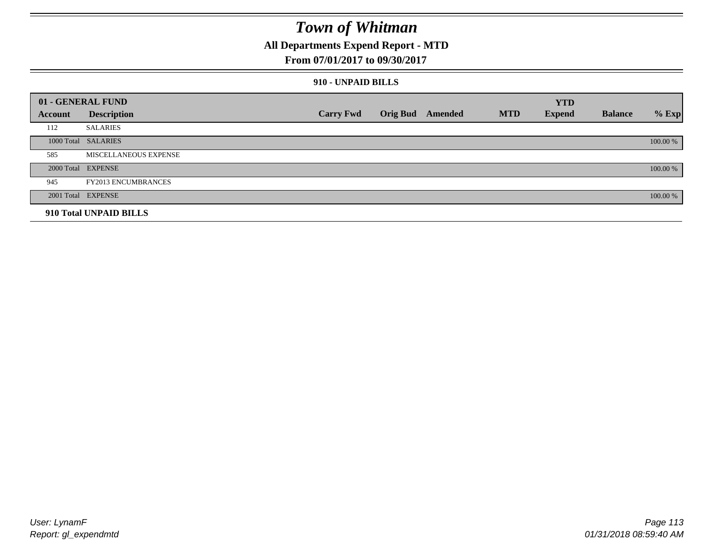### **All Departments Expend Report - MTD**

#### **From 07/01/2017 to 09/30/2017**

#### **910 - UNPAID BILLS**

|         | 01 - GENERAL FUND            |                  |                  |            | <b>YTD</b>    |                |          |
|---------|------------------------------|------------------|------------------|------------|---------------|----------------|----------|
| Account | <b>Description</b>           | <b>Carry Fwd</b> | Orig Bud Amended | <b>MTD</b> | <b>Expend</b> | <b>Balance</b> | $%$ Exp  |
| 112     | <b>SALARIES</b>              |                  |                  |            |               |                |          |
|         | 1000 Total SALARIES          |                  |                  |            |               |                | 100.00 % |
| 585     | <b>MISCELLANEOUS EXPENSE</b> |                  |                  |            |               |                |          |
|         | 2000 Total EXPENSE           |                  |                  |            |               |                | 100.00 % |
| 945     | <b>FY2013 ENCUMBRANCES</b>   |                  |                  |            |               |                |          |
|         | 2001 Total EXPENSE           |                  |                  |            |               |                | 100.00 % |
|         | 910 Total UNPAID BILLS       |                  |                  |            |               |                |          |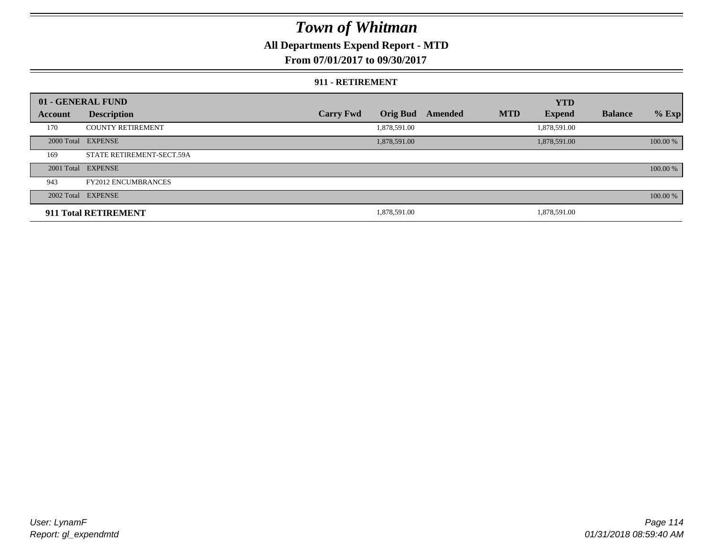### **All Departments Expend Report - MTD**

**From 07/01/2017 to 09/30/2017**

#### **911 - RETIREMENT**

|         | 01 - GENERAL FUND          |                  |                 |         |            | <b>YTD</b>    |                |          |
|---------|----------------------------|------------------|-----------------|---------|------------|---------------|----------------|----------|
| Account | <b>Description</b>         | <b>Carry Fwd</b> | <b>Orig Bud</b> | Amended | <b>MTD</b> | <b>Expend</b> | <b>Balance</b> | $%$ Exp  |
| 170     | <b>COUNTY RETIREMENT</b>   |                  | 1,878,591.00    |         |            | 1,878,591.00  |                |          |
|         | 2000 Total EXPENSE         |                  | 1,878,591.00    |         |            | 1,878,591.00  |                | 100.00 % |
| 169     | STATE RETIREMENT-SECT.59A  |                  |                 |         |            |               |                |          |
|         | 2001 Total EXPENSE         |                  |                 |         |            |               |                | 100.00 % |
| 943     | <b>FY2012 ENCUMBRANCES</b> |                  |                 |         |            |               |                |          |
|         | 2002 Total EXPENSE         |                  |                 |         |            |               |                | 100.00 % |
|         | 911 Total RETIREMENT       |                  | 1,878,591.00    |         |            | 1.878.591.00  |                |          |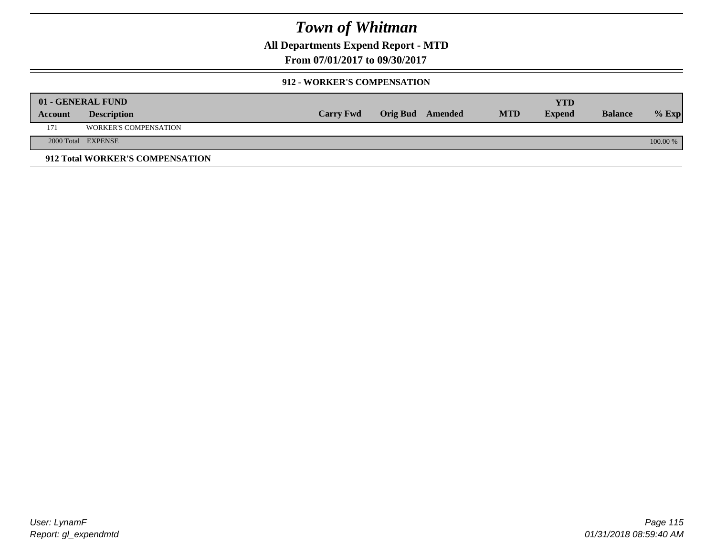**All Departments Expend Report - MTD**

**From 07/01/2017 to 09/30/2017**

### **912 - WORKER'S COMPENSATION**

|         | 01 - GENERAL FUND               |                  |                  |            | <b>YTD</b>    |                |          |
|---------|---------------------------------|------------------|------------------|------------|---------------|----------------|----------|
| Account | <b>Description</b>              | <b>Carry Fwd</b> | Orig Bud Amended | <b>MTD</b> | <b>Expend</b> | <b>Balance</b> | $%$ Exp  |
| 171     | <b>WORKER'S COMPENSATION</b>    |                  |                  |            |               |                |          |
|         | 2000 Total EXPENSE              |                  |                  |            |               |                | 100.00 % |
|         | 912 Total WORKER'S COMPENSATION |                  |                  |            |               |                |          |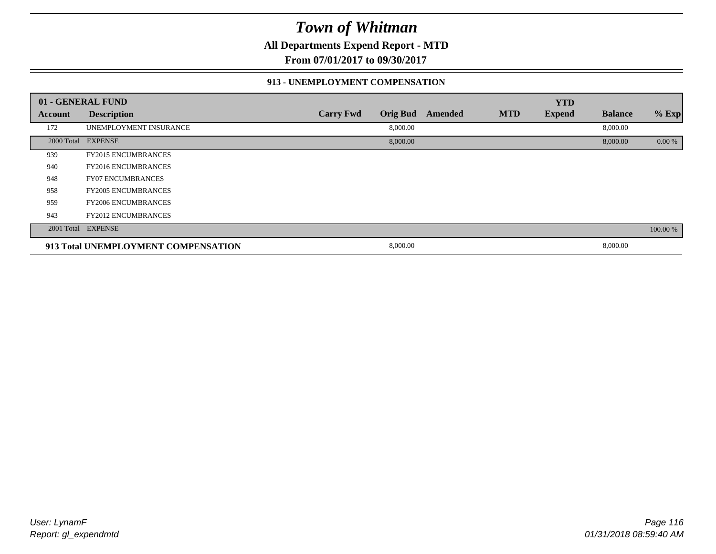**All Departments Expend Report - MTD**

**From 07/01/2017 to 09/30/2017**

#### **913 - UNEMPLOYMENT COMPENSATION**

|                | 01 - GENERAL FUND                   |                  |                 |         |            | <b>YTD</b>    |                |          |
|----------------|-------------------------------------|------------------|-----------------|---------|------------|---------------|----------------|----------|
| <b>Account</b> | <b>Description</b>                  | <b>Carry Fwd</b> | <b>Orig Bud</b> | Amended | <b>MTD</b> | <b>Expend</b> | <b>Balance</b> | % Exp    |
| 172            | UNEMPLOYMENT INSURANCE              |                  | 8,000.00        |         |            |               | 8,000.00       |          |
|                | 2000 Total EXPENSE                  |                  | 8,000.00        |         |            |               | 8,000.00       | 0.00 %   |
| 939            | <b>FY2015 ENCUMBRANCES</b>          |                  |                 |         |            |               |                |          |
| 940            | <b>FY2016 ENCUMBRANCES</b>          |                  |                 |         |            |               |                |          |
| 948            | <b>FY07 ENCUMBRANCES</b>            |                  |                 |         |            |               |                |          |
| 958            | <b>FY2005 ENCUMBRANCES</b>          |                  |                 |         |            |               |                |          |
| 959            | <b>FY2006 ENCUMBRANCES</b>          |                  |                 |         |            |               |                |          |
| 943            | <b>FY2012 ENCUMBRANCES</b>          |                  |                 |         |            |               |                |          |
|                | 2001 Total EXPENSE                  |                  |                 |         |            |               |                | 100.00 % |
|                | 913 Total UNEMPLOYMENT COMPENSATION |                  | 8,000.00        |         |            |               | 8,000.00       |          |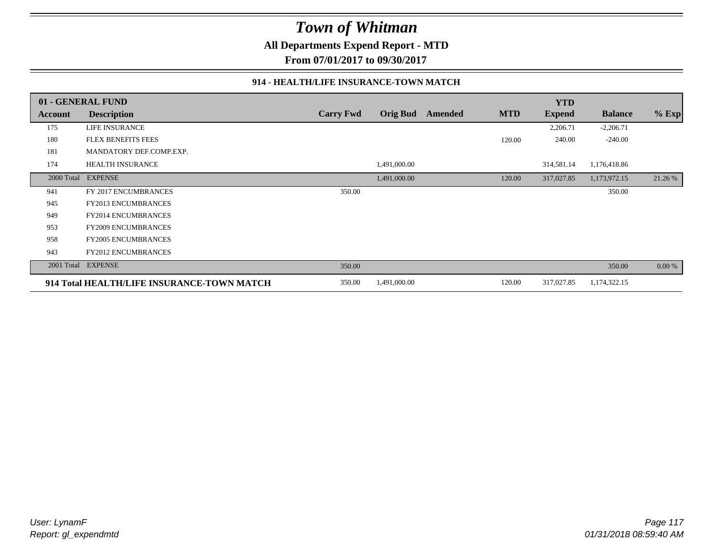**All Departments Expend Report - MTD**

**From 07/01/2017 to 09/30/2017**

#### **914 - HEALTH/LIFE INSURANCE-TOWN MATCH**

|            | 01 - GENERAL FUND                          |                  |                 |         |            | <b>YTD</b>    |                |         |
|------------|--------------------------------------------|------------------|-----------------|---------|------------|---------------|----------------|---------|
| Account    | <b>Description</b>                         | <b>Carry Fwd</b> | <b>Orig Bud</b> | Amended | <b>MTD</b> | <b>Expend</b> | <b>Balance</b> | $%$ Exp |
| 175        | LIFE INSURANCE                             |                  |                 |         |            | 2,206.71      | $-2,206.71$    |         |
| 180        | <b>FLEX BENEFITS FEES</b>                  |                  |                 |         | 120.00     | 240.00        | $-240.00$      |         |
| 181        | MANDATORY DEF.COMP.EXP.                    |                  |                 |         |            |               |                |         |
| 174        | <b>HEALTH INSURANCE</b>                    |                  | 1,491,000.00    |         |            | 314,581.14    | 1,176,418.86   |         |
| 2000 Total | <b>EXPENSE</b>                             |                  | 1,491,000.00    |         | 120.00     | 317,027.85    | 1,173,972.15   | 21.26 % |
| 941        | FY 2017 ENCUMBRANCES                       | 350.00           |                 |         |            |               | 350.00         |         |
| 945        | FY2013 ENCUMBRANCES                        |                  |                 |         |            |               |                |         |
| 949        | <b>FY2014 ENCUMBRANCES</b>                 |                  |                 |         |            |               |                |         |
| 953        | <b>FY2009 ENCUMBRANCES</b>                 |                  |                 |         |            |               |                |         |
| 958        | <b>FY2005 ENCUMBRANCES</b>                 |                  |                 |         |            |               |                |         |
| 943        | <b>FY2012 ENCUMBRANCES</b>                 |                  |                 |         |            |               |                |         |
| 2001 Total | <b>EXPENSE</b>                             | 350.00           |                 |         |            |               | 350.00         | 0.00 %  |
|            | 914 Total HEALTH/LIFE INSURANCE-TOWN MATCH |                  | 1,491,000.00    |         | 120.00     | 317,027.85    | 1,174,322.15   |         |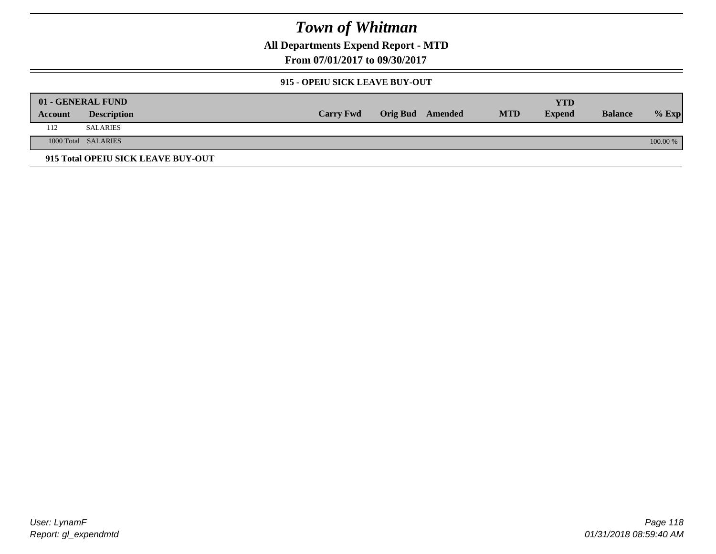**All Departments Expend Report - MTD**

**From 07/01/2017 to 09/30/2017**

### **915 - OPEIU SICK LEAVE BUY-OUT**

|         | 01 - GENERAL FUND                  |                  |                         |            | YTD           |                |          |
|---------|------------------------------------|------------------|-------------------------|------------|---------------|----------------|----------|
| Account | <b>Description</b>                 | <b>Carry Fwd</b> | <b>Orig Bud</b> Amended | <b>MTD</b> | <b>Expend</b> | <b>Balance</b> | $%$ Exp  |
| 112     | SALARIES                           |                  |                         |            |               |                |          |
|         | 1000 Total SALARIES                |                  |                         |            |               |                | 100.00 % |
|         | 915 Total OPEIU SICK LEAVE BUY-OUT |                  |                         |            |               |                |          |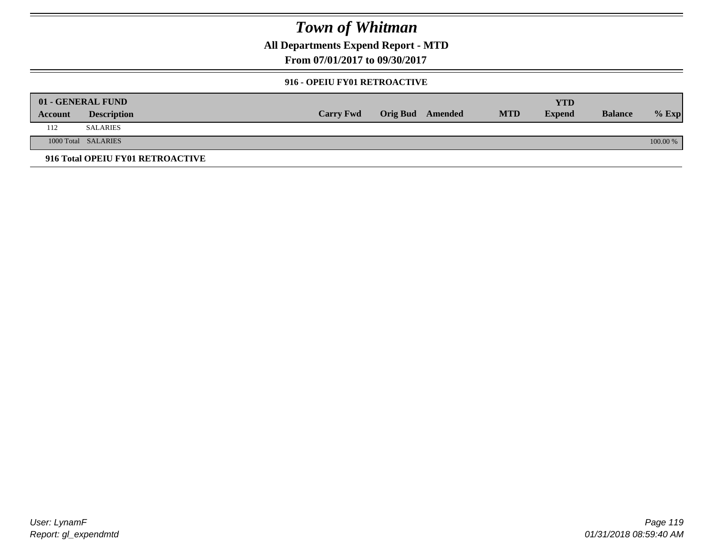**All Departments Expend Report - MTD**

**From 07/01/2017 to 09/30/2017**

#### **916 - OPEIU FY01 RETROACTIVE**

|         | 01 - GENERAL FUND                |                  |                         |            | YTD           |                |          |
|---------|----------------------------------|------------------|-------------------------|------------|---------------|----------------|----------|
| Account | <b>Description</b>               | <b>Carry Fwd</b> | <b>Orig Bud</b> Amended | <b>MTD</b> | <b>Expend</b> | <b>Balance</b> | $%$ Exp  |
| 112     | <b>SALARIES</b>                  |                  |                         |            |               |                |          |
|         | 1000 Total SALARIES              |                  |                         |            |               |                | 100.00 % |
|         | 916 Total OPEIU FY01 RETROACTIVE |                  |                         |            |               |                |          |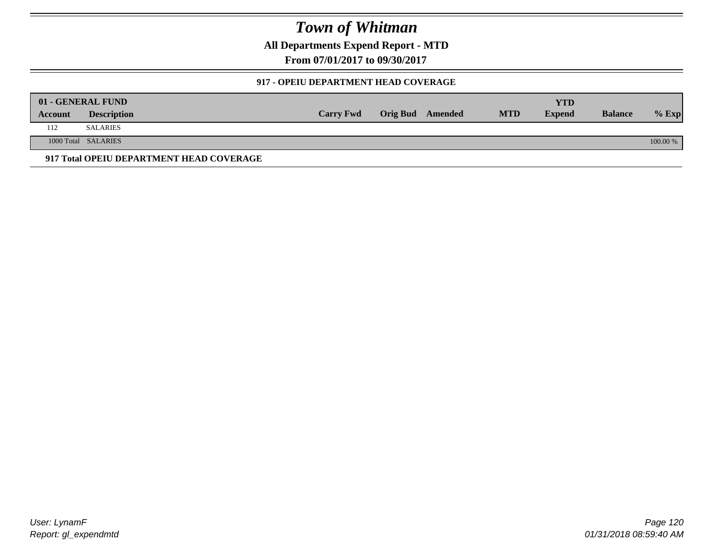**All Departments Expend Report - MTD**

**From 07/01/2017 to 09/30/2017**

### **917 - OPEIU DEPARTMENT HEAD COVERAGE**

|         | 01 - GENERAL FUND                        |                  |                  |            | <b>YTD</b>    |                |          |
|---------|------------------------------------------|------------------|------------------|------------|---------------|----------------|----------|
| Account | <b>Description</b>                       | <b>Carry Fwd</b> | Orig Bud Amended | <b>MTD</b> | <b>Expend</b> | <b>Balance</b> | $%$ Exp  |
| 112     | SALARIES                                 |                  |                  |            |               |                |          |
|         | 1000 Total SALARIES                      |                  |                  |            |               |                | 100.00 % |
|         | 917 Total OPEIU DEPARTMENT HEAD COVERAGE |                  |                  |            |               |                |          |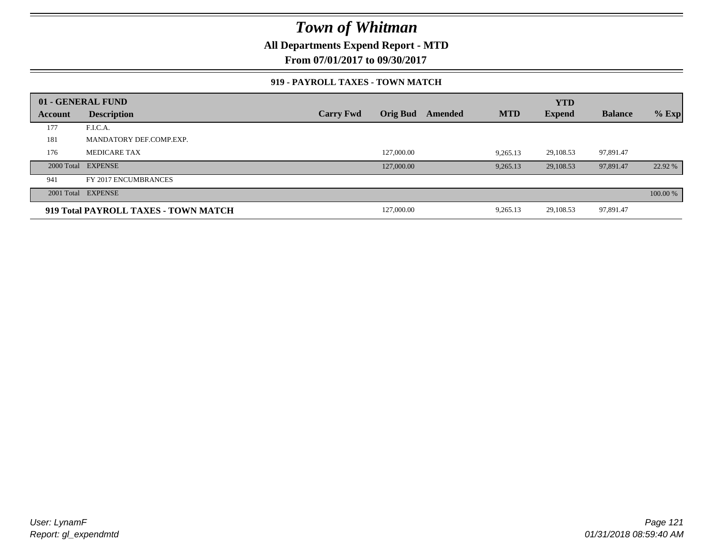**All Departments Expend Report - MTD**

**From 07/01/2017 to 09/30/2017**

#### **919 - PAYROLL TAXES - TOWN MATCH**

|         | 01 - GENERAL FUND                    |                  |            |         |            | <b>YTD</b>    |                |          |
|---------|--------------------------------------|------------------|------------|---------|------------|---------------|----------------|----------|
| Account | <b>Description</b>                   | <b>Carry Fwd</b> | Orig Bud   | Amended | <b>MTD</b> | <b>Expend</b> | <b>Balance</b> | $%$ Exp  |
| 177     | F.I.C.A.                             |                  |            |         |            |               |                |          |
| 181     | MANDATORY DEF.COMP.EXP.              |                  |            |         |            |               |                |          |
| 176     | <b>MEDICARE TAX</b>                  |                  | 127,000.00 |         | 9,265.13   | 29,108.53     | 97,891.47      |          |
|         | 2000 Total EXPENSE                   |                  | 127,000.00 |         | 9,265.13   | 29,108.53     | 97,891.47      | 22.92 %  |
| 941     | FY 2017 ENCUMBRANCES                 |                  |            |         |            |               |                |          |
|         | 2001 Total EXPENSE                   |                  |            |         |            |               |                | 100.00 % |
|         | 919 Total PAYROLL TAXES - TOWN MATCH |                  | 127,000.00 |         | 9,265.13   | 29,108.53     | 97,891.47      |          |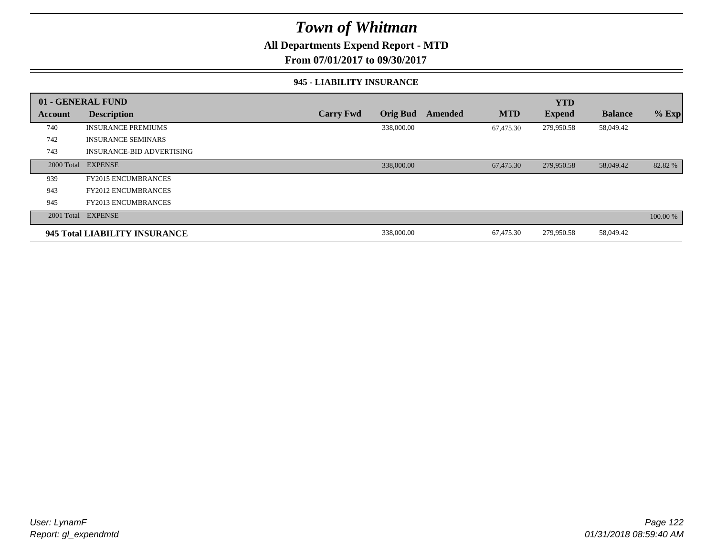### **All Departments Expend Report - MTD**

**From 07/01/2017 to 09/30/2017**

#### **945 - LIABILITY INSURANCE**

|         | 01 - GENERAL FUND                |                  |                 |         |            | <b>YTD</b>    |                |          |
|---------|----------------------------------|------------------|-----------------|---------|------------|---------------|----------------|----------|
| Account | <b>Description</b>               | <b>Carry Fwd</b> | <b>Orig Bud</b> | Amended | <b>MTD</b> | <b>Expend</b> | <b>Balance</b> | $%$ Exp  |
| 740     | <b>INSURANCE PREMIUMS</b>        |                  | 338,000.00      |         | 67,475.30  | 279,950.58    | 58,049.42      |          |
| 742     | <b>INSURANCE SEMINARS</b>        |                  |                 |         |            |               |                |          |
| 743     | <b>INSURANCE-BID ADVERTISING</b> |                  |                 |         |            |               |                |          |
|         | 2000 Total EXPENSE               |                  | 338,000.00      |         | 67,475.30  | 279,950.58    | 58,049.42      | 82.82 %  |
| 939     | <b>FY2015 ENCUMBRANCES</b>       |                  |                 |         |            |               |                |          |
| 943     | <b>FY2012 ENCUMBRANCES</b>       |                  |                 |         |            |               |                |          |
| 945     | <b>FY2013 ENCUMBRANCES</b>       |                  |                 |         |            |               |                |          |
|         | 2001 Total EXPENSE               |                  |                 |         |            |               |                | 100.00 % |
|         | 945 Total LIABILITY INSURANCE    |                  | 338,000.00      |         | 67,475.30  | 279,950.58    | 58,049.42      |          |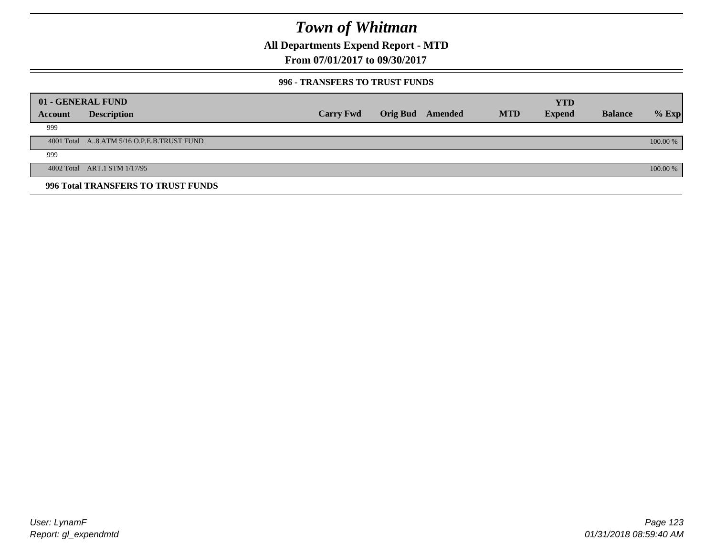**All Departments Expend Report - MTD**

**From 07/01/2017 to 09/30/2017**

#### **996 - TRANSFERS TO TRUST FUNDS**

|         | 01 - GENERAL FUND                         |                  |                         |            | <b>YTD</b>    |                |            |
|---------|-------------------------------------------|------------------|-------------------------|------------|---------------|----------------|------------|
| Account | <b>Description</b>                        | <b>Carry Fwd</b> | <b>Orig Bud</b> Amended | <b>MTD</b> | <b>Expend</b> | <b>Balance</b> | $%$ Exp    |
| 999     |                                           |                  |                         |            |               |                |            |
|         | 4001 Total A8 ATM 5/16 O.P.E.B.TRUST FUND |                  |                         |            |               |                | $100.00\%$ |
| 999     |                                           |                  |                         |            |               |                |            |
|         | 4002 Total ART.1 STM 1/17/95              |                  |                         |            |               |                | 100.00 %   |
|         | 996 Total TRANSFERS TO TRUST FUNDS        |                  |                         |            |               |                |            |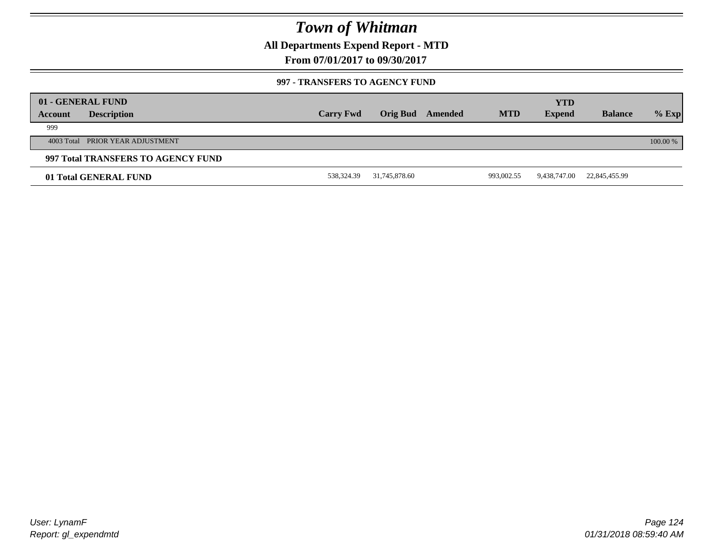**All Departments Expend Report - MTD**

**From 07/01/2017 to 09/30/2017**

#### **997 - TRANSFERS TO AGENCY FUND**

|         | 01 - GENERAL FUND                  |                  |                 |         |            | <b>YTD</b>    |                |            |
|---------|------------------------------------|------------------|-----------------|---------|------------|---------------|----------------|------------|
| Account | <b>Description</b>                 | <b>Carry Fwd</b> | <b>Orig Bud</b> | Amended | <b>MTD</b> | <b>Expend</b> | <b>Balance</b> | $%$ Exp    |
| 999     |                                    |                  |                 |         |            |               |                |            |
|         | 4003 Total PRIOR YEAR ADJUSTMENT   |                  |                 |         |            |               |                | $100.00\%$ |
|         | 997 Total TRANSFERS TO AGENCY FUND |                  |                 |         |            |               |                |            |
|         | 01 Total GENERAL FUND              | 538,324.39       | 31,745,878.60   |         | 993,002.55 | 9,438,747.00  | 22,845,455.99  |            |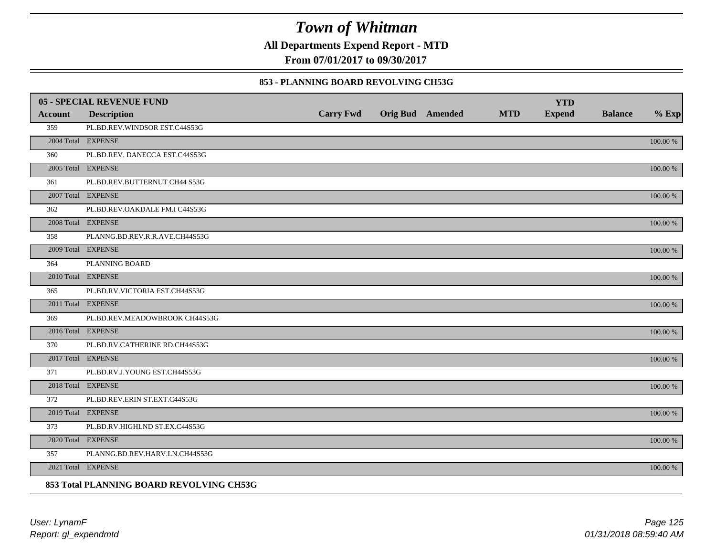**All Departments Expend Report - MTD**

**From 07/01/2017 to 09/30/2017**

#### **853 - PLANNING BOARD REVOLVING CH53G**

|                | <b>05 - SPECIAL REVENUE FUND</b>         |                  |                  |            | <b>YTD</b>    |                |             |
|----------------|------------------------------------------|------------------|------------------|------------|---------------|----------------|-------------|
| <b>Account</b> | <b>Description</b>                       | <b>Carry Fwd</b> | Orig Bud Amended | <b>MTD</b> | <b>Expend</b> | <b>Balance</b> | $%$ Exp     |
| 359            | PL.BD.REV.WINDSOR EST.C44S53G            |                  |                  |            |               |                |             |
|                | 2004 Total EXPENSE                       |                  |                  |            |               |                | 100.00 %    |
| 360            | PL.BD.REV. DANECCA EST.C44S53G           |                  |                  |            |               |                |             |
|                | 2005 Total EXPENSE                       |                  |                  |            |               |                | 100.00 %    |
| 361            | PL.BD.REV.BUTTERNUT CH44 S53G            |                  |                  |            |               |                |             |
|                | 2007 Total EXPENSE                       |                  |                  |            |               |                | 100.00 %    |
| 362            | PL.BD.REV.OAKDALE FM.I C44S53G           |                  |                  |            |               |                |             |
|                | 2008 Total EXPENSE                       |                  |                  |            |               |                | 100.00 %    |
| 358            | PLANNG.BD.REV.R.R.AVE.CH44S53G           |                  |                  |            |               |                |             |
|                | 2009 Total EXPENSE                       |                  |                  |            |               |                | $100.00~\%$ |
| 364            | PLANNING BOARD                           |                  |                  |            |               |                |             |
|                | 2010 Total EXPENSE                       |                  |                  |            |               |                | $100.00~\%$ |
| 365            | PL.BD.RV.VICTORIA EST.CH44S53G           |                  |                  |            |               |                |             |
|                | 2011 Total EXPENSE                       |                  |                  |            |               |                | 100.00 %    |
| 369            | PL.BD.REV.MEADOWBROOK CH44S53G           |                  |                  |            |               |                |             |
|                | 2016 Total EXPENSE                       |                  |                  |            |               |                | 100.00 %    |
| 370            | PL.BD.RV.CATHERINE RD.CH44S53G           |                  |                  |            |               |                |             |
|                | 2017 Total EXPENSE                       |                  |                  |            |               |                | 100.00 %    |
| 371            | PL.BD.RV.J.YOUNG EST.CH44S53G            |                  |                  |            |               |                |             |
|                | 2018 Total EXPENSE                       |                  |                  |            |               |                | 100.00 %    |
| 372            | PL.BD.REV.ERIN ST.EXT.C44S53G            |                  |                  |            |               |                |             |
|                | 2019 Total EXPENSE                       |                  |                  |            |               |                | $100.00~\%$ |
| 373            | PL.BD.RV.HIGHLND ST.EX.C44S53G           |                  |                  |            |               |                |             |
|                | 2020 Total EXPENSE                       |                  |                  |            |               |                | 100.00 %    |
| 357            | PLANNG.BD.REV.HARV.LN.CH44S53G           |                  |                  |            |               |                |             |
|                | 2021 Total EXPENSE                       |                  |                  |            |               |                | 100.00 %    |
|                | 853 Total PLANNING BOARD REVOLVING CH53G |                  |                  |            |               |                |             |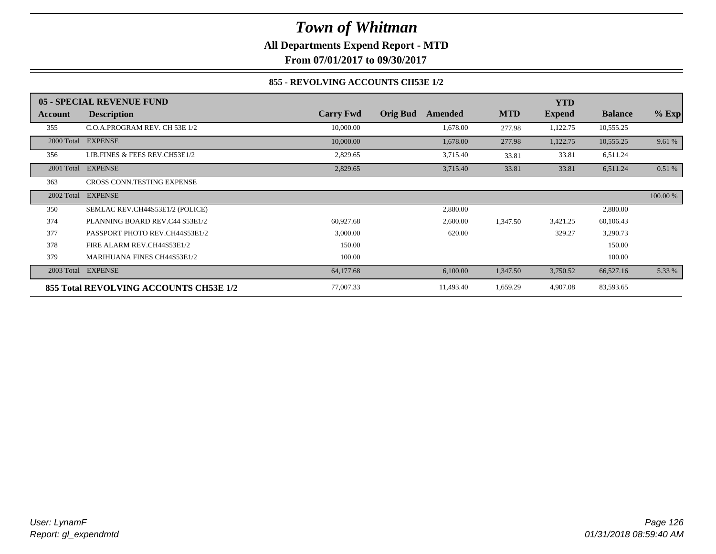**All Departments Expend Report - MTD**

**From 07/01/2017 to 09/30/2017**

### **855 - REVOLVING ACCOUNTS CH53E 1/2**

|            | 05 - SPECIAL REVENUE FUND              |                  |                            |            | <b>YTD</b>    |                |          |
|------------|----------------------------------------|------------------|----------------------------|------------|---------------|----------------|----------|
| Account    | <b>Description</b>                     | <b>Carry Fwd</b> | <b>Orig Bud</b><br>Amended | <b>MTD</b> | <b>Expend</b> | <b>Balance</b> | $%$ Exp  |
| 355        | C.O.A.PROGRAM REV. CH 53E 1/2          | 10,000.00        | 1,678.00                   | 277.98     | 1,122.75      | 10,555.25      |          |
| 2000 Total | <b>EXPENSE</b>                         | 10,000.00        | 1,678.00                   | 277.98     | 1,122.75      | 10,555.25      | 9.61 %   |
| 356        | LIB.FINES & FEES REV.CH53E1/2          | 2,829.65         | 3,715.40                   | 33.81      | 33.81         | 6,511.24       |          |
| 2001 Total | <b>EXPENSE</b>                         | 2,829.65         | 3,715.40                   | 33.81      | 33.81         | 6,511.24       | 0.51%    |
| 363        | <b>CROSS CONN.TESTING EXPENSE</b>      |                  |                            |            |               |                |          |
| 2002 Total | <b>EXPENSE</b>                         |                  |                            |            |               |                | 100.00 % |
| 350        | SEMLAC REV.CH44S53E1/2 (POLICE)        |                  | 2,880.00                   |            |               | 2,880.00       |          |
| 374        | PLANNING BOARD REV.C44 S53E1/2         | 60,927.68        | 2,600.00                   | 1,347.50   | 3,421.25      | 60,106.43      |          |
| 377        | PASSPORT PHOTO REV.CH44S53E1/2         | 3,000.00         | 620.00                     |            | 329.27        | 3,290.73       |          |
| 378        | FIRE ALARM REV.CH44S53E1/2             | 150.00           |                            |            |               | 150.00         |          |
| 379        | <b>MARIHUANA FINES CH44S53E1/2</b>     | 100.00           |                            |            |               | 100.00         |          |
| 2003 Total | <b>EXPENSE</b>                         | 64,177.68        | 6,100.00                   | 1,347.50   | 3,750.52      | 66,527.16      | 5.33 %   |
|            | 855 Total REVOLVING ACCOUNTS CH53E 1/2 | 77,007.33        | 11,493.40                  | 1,659.29   | 4,907.08      | 83,593.65      |          |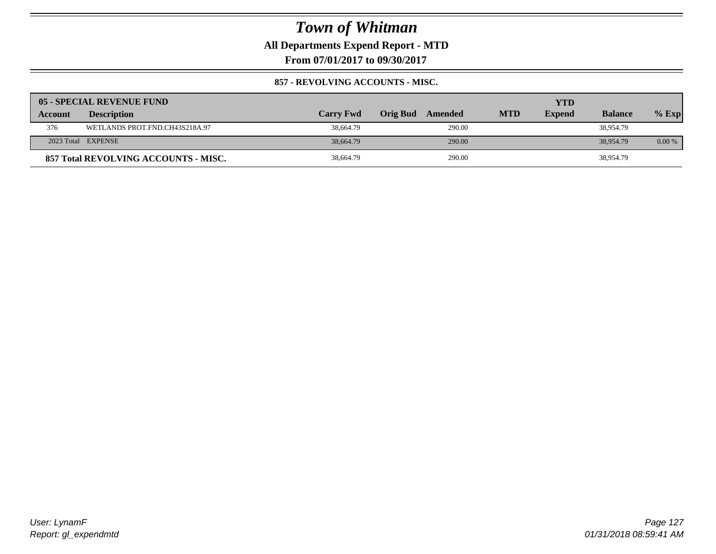**All Departments Expend Report - MTD**

**From 07/01/2017 to 09/30/2017**

### **857 - REVOLVING ACCOUNTS - MISC.**

|                | 05 - SPECIAL REVENUE FUND            |                  |                     |            | YTD           |                |          |
|----------------|--------------------------------------|------------------|---------------------|------------|---------------|----------------|----------|
| <b>Account</b> | <b>Description</b>                   | <b>Carry Fwd</b> | Orig Bud<br>Amended | <b>MTD</b> | <b>Expend</b> | <b>Balance</b> | $%$ Exp  |
| 376            | WETLANDS PROT.FND.CH43S218A.97       | 38,664.79        | 290.00              |            |               | 38,954.79      |          |
|                | 2023 Total EXPENSE                   | 38,664.79        | 290.00              |            |               | 38,954.79      | $0.00\%$ |
|                | 857 Total REVOLVING ACCOUNTS - MISC. | 38,664.79        | 290.00              |            |               | 38,954.79      |          |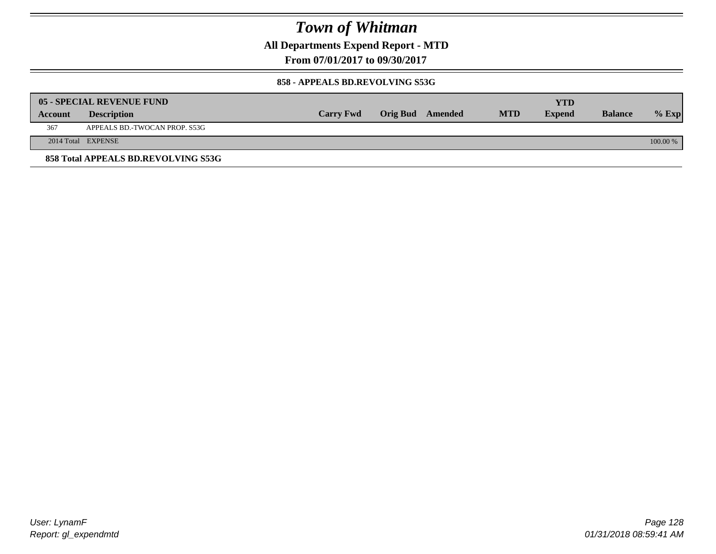**All Departments Expend Report - MTD**

**From 07/01/2017 to 09/30/2017**

#### **858 - APPEALS BD.REVOLVING S53G**

|         | 05 - SPECIAL REVENUE FUND           |                  |                  |            | YTD           |                |            |
|---------|-------------------------------------|------------------|------------------|------------|---------------|----------------|------------|
| Account | <b>Description</b>                  | <b>Carry Fwd</b> | Orig Bud Amended | <b>MTD</b> | <b>Expend</b> | <b>Balance</b> | $\%$ Exp   |
| 367     | APPEALS BD.-TWOCAN PROP. S53G       |                  |                  |            |               |                |            |
|         | 2014 Total EXPENSE                  |                  |                  |            |               |                | $100.00\%$ |
|         | 858 Total APPEALS BD.REVOLVING S53G |                  |                  |            |               |                |            |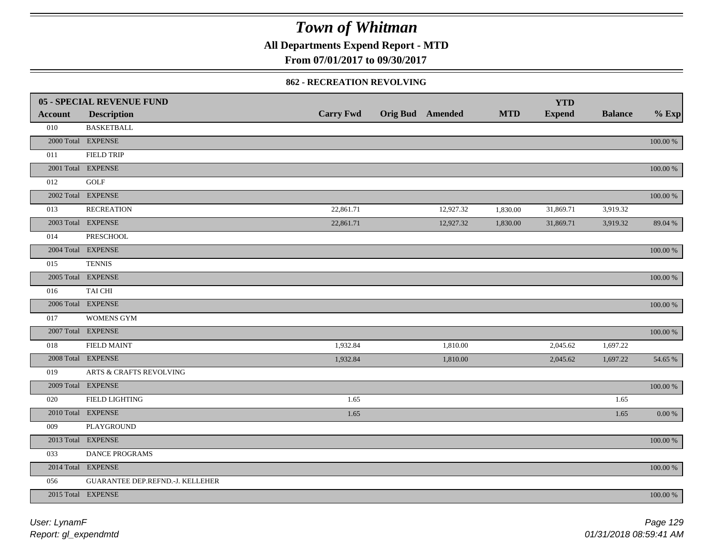**All Departments Expend Report - MTD**

**From 07/01/2017 to 09/30/2017**

#### **862 - RECREATION REVOLVING**

|                | 05 - SPECIAL REVENUE FUND        |                  |                  |            | <b>YTD</b>    |                |             |
|----------------|----------------------------------|------------------|------------------|------------|---------------|----------------|-------------|
| <b>Account</b> | <b>Description</b>               | <b>Carry Fwd</b> | Orig Bud Amended | <b>MTD</b> | <b>Expend</b> | <b>Balance</b> | $%$ Exp     |
| 010            | <b>BASKETBALL</b>                |                  |                  |            |               |                |             |
|                | 2000 Total EXPENSE               |                  |                  |            |               |                | 100.00 %    |
| 011            | <b>FIELD TRIP</b>                |                  |                  |            |               |                |             |
|                | 2001 Total EXPENSE               |                  |                  |            |               |                | 100.00 %    |
| 012            | GOLF                             |                  |                  |            |               |                |             |
|                | 2002 Total EXPENSE               |                  |                  |            |               |                | 100.00 %    |
| 013            | <b>RECREATION</b>                | 22,861.71        | 12,927.32        | 1,830.00   | 31,869.71     | 3,919.32       |             |
|                | 2003 Total EXPENSE               | 22,861.71        | 12,927.32        | 1,830.00   | 31,869.71     | 3,919.32       | 89.04 %     |
| 014            | PRESCHOOL                        |                  |                  |            |               |                |             |
|                | 2004 Total EXPENSE               |                  |                  |            |               |                | 100.00 %    |
| 015            | <b>TENNIS</b>                    |                  |                  |            |               |                |             |
|                | 2005 Total EXPENSE               |                  |                  |            |               |                | 100.00 %    |
| 016            | TAI CHI                          |                  |                  |            |               |                |             |
|                | 2006 Total EXPENSE               |                  |                  |            |               |                | 100.00 %    |
| 017            | WOMENS GYM                       |                  |                  |            |               |                |             |
|                | 2007 Total EXPENSE               |                  |                  |            |               |                | 100.00 %    |
| 018            | <b>FIELD MAINT</b>               | 1,932.84         | 1,810.00         |            | 2,045.62      | 1,697.22       |             |
|                | 2008 Total EXPENSE               | 1,932.84         | 1,810.00         |            | 2,045.62      | 1,697.22       | 54.65 %     |
| 019            | ARTS & CRAFTS REVOLVING          |                  |                  |            |               |                |             |
|                | 2009 Total EXPENSE               |                  |                  |            |               |                | $100.00~\%$ |
| 020            | FIELD LIGHTING                   | 1.65             |                  |            |               | 1.65           |             |
|                | 2010 Total EXPENSE               | 1.65             |                  |            |               | 1.65           | 0.00 %      |
| 009            | PLAYGROUND                       |                  |                  |            |               |                |             |
|                | 2013 Total EXPENSE               |                  |                  |            |               |                | 100.00 %    |
| 033            | DANCE PROGRAMS                   |                  |                  |            |               |                |             |
|                | 2014 Total EXPENSE               |                  |                  |            |               |                | 100.00 %    |
| 056            | GUARANTEE DEP.REFND.-J. KELLEHER |                  |                  |            |               |                |             |
|                | 2015 Total EXPENSE               |                  |                  |            |               |                | 100.00 %    |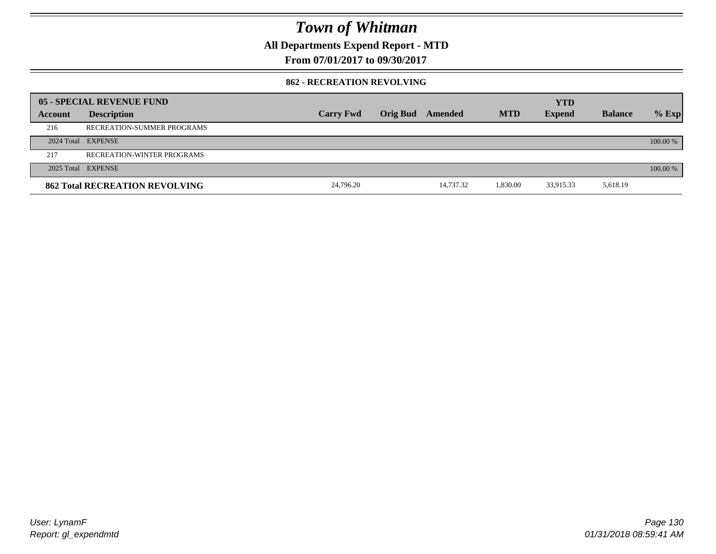**All Departments Expend Report - MTD**

**From 07/01/2017 to 09/30/2017**

#### **862 - RECREATION REVOLVING**

|         | 05 - SPECIAL REVENUE FUND             |                  |                  |           |            | <b>YTD</b>    |                |          |
|---------|---------------------------------------|------------------|------------------|-----------|------------|---------------|----------------|----------|
| Account | <b>Description</b>                    | <b>Carry Fwd</b> | Orig Bud Amended |           | <b>MTD</b> | <b>Expend</b> | <b>Balance</b> | $%$ Exp  |
| 216     | RECREATION-SUMMER PROGRAMS            |                  |                  |           |            |               |                |          |
|         | 2024 Total EXPENSE                    |                  |                  |           |            |               |                | 100.00 % |
| 217     | RECREATION-WINTER PROGRAMS            |                  |                  |           |            |               |                |          |
|         | 2025 Total EXPENSE                    |                  |                  |           |            |               |                | 100.00 % |
|         | <b>862 Total RECREATION REVOLVING</b> | 24,796.20        |                  | 14,737.32 | 1.830.00   | 33,915.33     | 5,618.19       |          |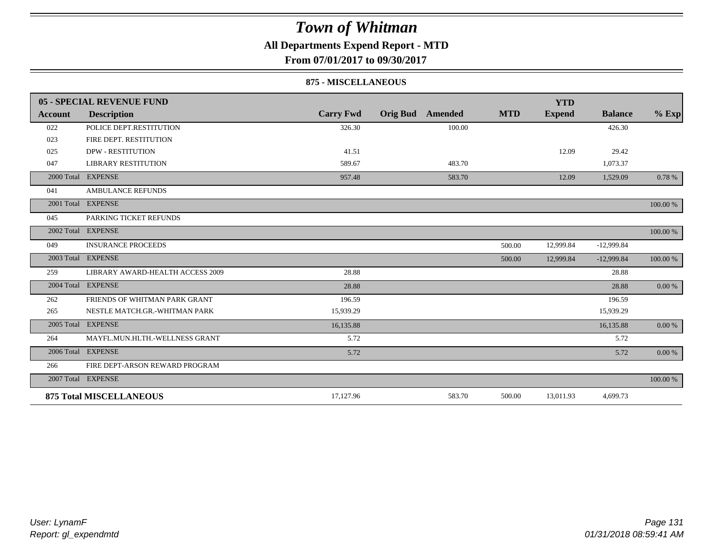### **All Departments Expend Report - MTD**

**From 07/01/2017 to 09/30/2017**

#### **875 - MISCELLANEOUS**

|            | 05 - SPECIAL REVENUE FUND        |                  |                 |         |            | <b>YTD</b>    |                |           |
|------------|----------------------------------|------------------|-----------------|---------|------------|---------------|----------------|-----------|
| Account    | <b>Description</b>               | <b>Carry Fwd</b> | <b>Orig Bud</b> | Amended | <b>MTD</b> | <b>Expend</b> | <b>Balance</b> | $%$ Exp   |
| 022        | POLICE DEPT.RESTITUTION          | 326.30           |                 | 100.00  |            |               | 426.30         |           |
| 023        | FIRE DEPT. RESTITUTION           |                  |                 |         |            |               |                |           |
| 025        | <b>DPW - RESTITUTION</b>         | 41.51            |                 |         |            | 12.09         | 29.42          |           |
| 047        | <b>LIBRARY RESTITUTION</b>       | 589.67           |                 | 483.70  |            |               | 1,073.37       |           |
|            | 2000 Total EXPENSE               | 957.48           |                 | 583.70  |            | 12.09         | 1,529.09       | 0.78 %    |
| 041        | <b>AMBULANCE REFUNDS</b>         |                  |                 |         |            |               |                |           |
| 2001 Total | <b>EXPENSE</b>                   |                  |                 |         |            |               |                | 100.00 %  |
| 045        | PARKING TICKET REFUNDS           |                  |                 |         |            |               |                |           |
|            | 2002 Total EXPENSE               |                  |                 |         |            |               |                | 100.00 %  |
| 049        | <b>INSURANCE PROCEEDS</b>        |                  |                 |         | 500.00     | 12,999.84     | $-12,999.84$   |           |
|            | 2003 Total EXPENSE               |                  |                 |         | 500.00     | 12,999.84     | $-12,999.84$   | 100.00 %  |
| 259        | LIBRARY AWARD-HEALTH ACCESS 2009 | 28.88            |                 |         |            |               | 28.88          |           |
|            | 2004 Total EXPENSE               | 28.88            |                 |         |            |               | 28.88          | $0.00 \%$ |
| 262        | FRIENDS OF WHITMAN PARK GRANT    | 196.59           |                 |         |            |               | 196.59         |           |
| 265        | NESTLE MATCH.GR.-WHITMAN PARK    | 15,939.29        |                 |         |            |               | 15,939.29      |           |
|            | 2005 Total EXPENSE               | 16,135.88        |                 |         |            |               | 16,135.88      | 0.00 %    |
| 264        | MAYFL.MUN.HLTH.-WELLNESS GRANT   | 5.72             |                 |         |            |               | 5.72           |           |
|            | 2006 Total EXPENSE               | 5.72             |                 |         |            |               | 5.72           | 0.00 %    |
| 266        | FIRE DEPT-ARSON REWARD PROGRAM   |                  |                 |         |            |               |                |           |
|            | 2007 Total EXPENSE               |                  |                 |         |            |               |                | 100.00 %  |
|            | <b>875 Total MISCELLANEOUS</b>   | 17,127.96        |                 | 583.70  | 500.00     | 13,011.93     | 4,699.73       |           |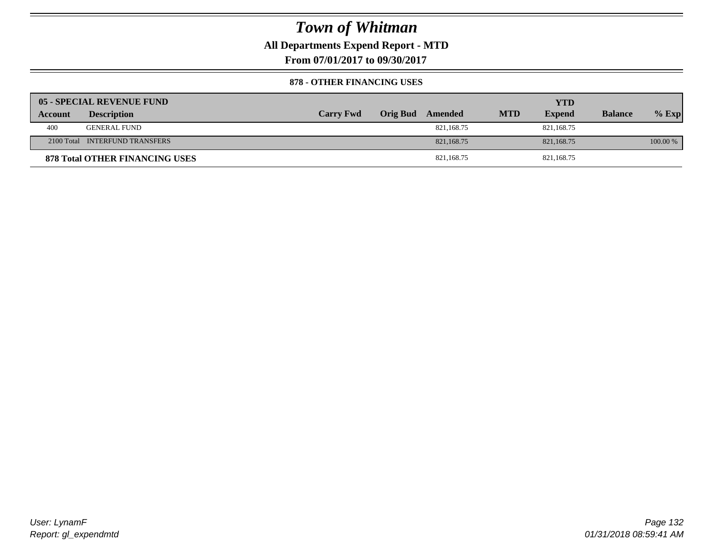### **All Departments Expend Report - MTD**

**From 07/01/2017 to 09/30/2017**

#### **878 - OTHER FINANCING USES**

|         | 05 - SPECIAL REVENUE FUND             |                  |                  |            | YTD           |                |          |
|---------|---------------------------------------|------------------|------------------|------------|---------------|----------------|----------|
| Account | <b>Description</b>                    | <b>Carry Fwd</b> | Orig Bud Amended | <b>MTD</b> | <b>Expend</b> | <b>Balance</b> | $%$ Exp  |
| 400     | <b>GENERAL FUND</b>                   |                  | 821,168.75       |            | 821.168.75    |                |          |
|         | 2100 Total INTERFUND TRANSFERS        |                  | 821, 168, 75     |            | 821,168.75    |                | 100.00 % |
|         | <b>878 Total OTHER FINANCING USES</b> |                  | 821,168.75       |            | 821,168.75    |                |          |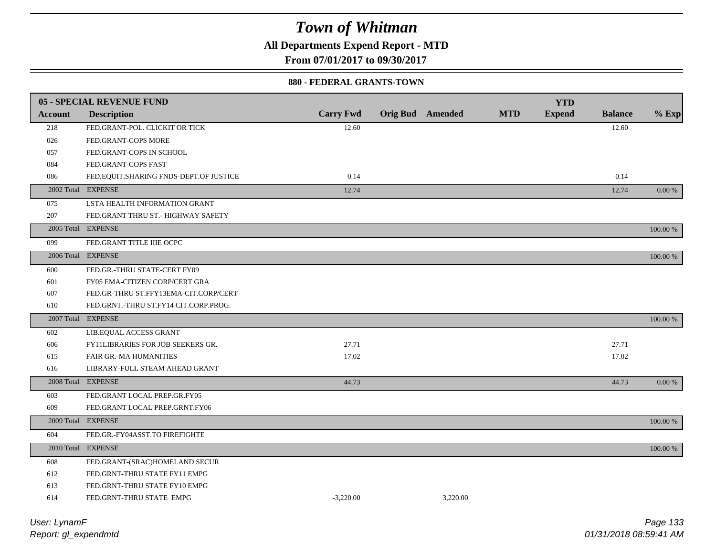**All Departments Expend Report - MTD**

**From 07/01/2017 to 09/30/2017**

#### **880 - FEDERAL GRANTS-TOWN**

|                | 05 - SPECIAL REVENUE FUND              |                  |                         |            | <b>YTD</b>    |                |          |
|----------------|----------------------------------------|------------------|-------------------------|------------|---------------|----------------|----------|
| <b>Account</b> | <b>Description</b>                     | <b>Carry Fwd</b> | <b>Orig Bud</b> Amended | <b>MTD</b> | <b>Expend</b> | <b>Balance</b> | $%$ Exp  |
| 218            | FED.GRANT-POL. CLICKIT OR TICK         | 12.60            |                         |            |               | 12.60          |          |
| 026            | FED.GRANT-COPS MORE                    |                  |                         |            |               |                |          |
| 057            | FED.GRANT-COPS IN SCHOOL               |                  |                         |            |               |                |          |
| 084            | FED.GRANT-COPS FAST                    |                  |                         |            |               |                |          |
| 086            | FED.EQUIT.SHARING FNDS-DEPT.OF JUSTICE | 0.14             |                         |            |               | 0.14           |          |
|                | 2002 Total EXPENSE                     | 12.74            |                         |            |               | 12.74          | 0.00 %   |
| 075            | LSTA HEALTH INFORMATION GRANT          |                  |                         |            |               |                |          |
| 207            | FED.GRANT THRU ST.- HIGHWAY SAFETY     |                  |                         |            |               |                |          |
|                | 2005 Total EXPENSE                     |                  |                         |            |               |                | 100.00 % |
| 099            | FED.GRANT TITLE IIIE OCPC              |                  |                         |            |               |                |          |
|                | 2006 Total EXPENSE                     |                  |                         |            |               |                | 100.00 % |
| 600            | FED.GR.-THRU STATE-CERT FY09           |                  |                         |            |               |                |          |
| 601            | FY05 EMA-CITIZEN CORP/CERT GRA         |                  |                         |            |               |                |          |
| 607            | FED.GR-THRU ST.FFY13EMA-CIT.CORP/CERT  |                  |                         |            |               |                |          |
| 610            | FED.GRNT.-THRU ST.FY14 CIT.CORP.PROG.  |                  |                         |            |               |                |          |
|                | 2007 Total EXPENSE                     |                  |                         |            |               |                | 100.00 % |
| 602            | LIB.EQUAL ACCESS GRANT                 |                  |                         |            |               |                |          |
| 606            | FY11LIBRARIES FOR JOB SEEKERS GR.      | 27.71            |                         |            |               | 27.71          |          |
| 615            | <b>FAIR GR.-MA HUMANITIES</b>          | 17.02            |                         |            |               | 17.02          |          |
| 616            | LIBRARY-FULL STEAM AHEAD GRANT         |                  |                         |            |               |                |          |
|                | 2008 Total EXPENSE                     | 44.73            |                         |            |               | 44.73          | 0.00 %   |
| 603            | FED.GRANT LOCAL PREP.GR.FY05           |                  |                         |            |               |                |          |
| 609            | FED.GRANT LOCAL PREP.GRNT.FY06         |                  |                         |            |               |                |          |
|                | 2009 Total EXPENSE                     |                  |                         |            |               |                | 100.00 % |
| 604            | FED.GR.-FY04ASST.TO FIREFIGHTE         |                  |                         |            |               |                |          |
|                | 2010 Total EXPENSE                     |                  |                         |            |               |                | 100.00 % |
| 608            | FED.GRANT-(SRAC)HOMELAND SECUR         |                  |                         |            |               |                |          |
| 612            | FED.GRNT-THRU STATE FY11 EMPG          |                  |                         |            |               |                |          |
| 613            | FED.GRNT-THRU STATE FY10 EMPG          |                  |                         |            |               |                |          |
| 614            | FED.GRNT-THRU STATE EMPG               | $-3.220.00$      | 3.220.00                |            |               |                |          |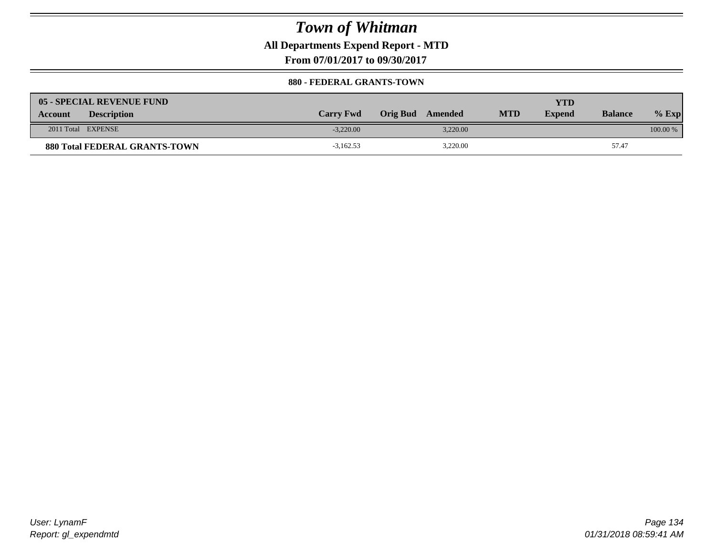**All Departments Expend Report - MTD**

**From 07/01/2017 to 09/30/2017**

#### **880 - FEDERAL GRANTS-TOWN**

| <b>05 - SPECIAL REVENUE FUND</b>     |                  |                  |            | YTD           |                |            |
|--------------------------------------|------------------|------------------|------------|---------------|----------------|------------|
| <b>Description</b><br><b>Account</b> | <b>Carry Fwd</b> | Orig Bud Amended | <b>MTD</b> | <b>Expend</b> | <b>Balance</b> | $%$ Exp    |
| 2011 Total EXPENSE                   | $-3.220.00$      | 3.220.00         |            |               |                | $100.00\%$ |
| <b>880 Total FEDERAL GRANTS-TOWN</b> | $-3,162.53$      | 3,220.00         |            |               | 57.47          |            |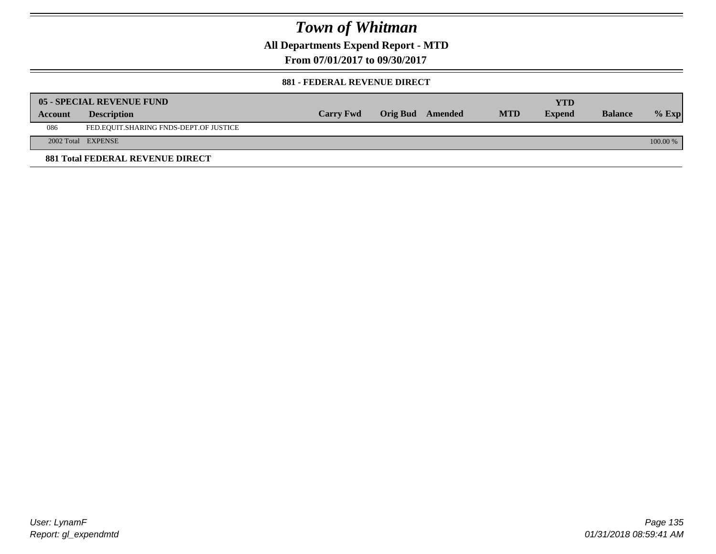**All Departments Expend Report - MTD**

**From 07/01/2017 to 09/30/2017**

#### **881 - FEDERAL REVENUE DIRECT**

|         | 05 - SPECIAL REVENUE FUND              |                  |                  |            | <b>YTD</b>    |                |            |
|---------|----------------------------------------|------------------|------------------|------------|---------------|----------------|------------|
| Account | <b>Description</b>                     | <b>Carry Fwd</b> | Orig Bud Amended | <b>MTD</b> | <b>Expend</b> | <b>Balance</b> | $\%$ Exp   |
| 086     | FED.EQUIT.SHARING FNDS-DEPT.OF JUSTICE |                  |                  |            |               |                |            |
|         | 2002 Total EXPENSE                     |                  |                  |            |               |                | $100.00\%$ |
|         | 881 Total FEDERAL REVENUE DIRECT       |                  |                  |            |               |                |            |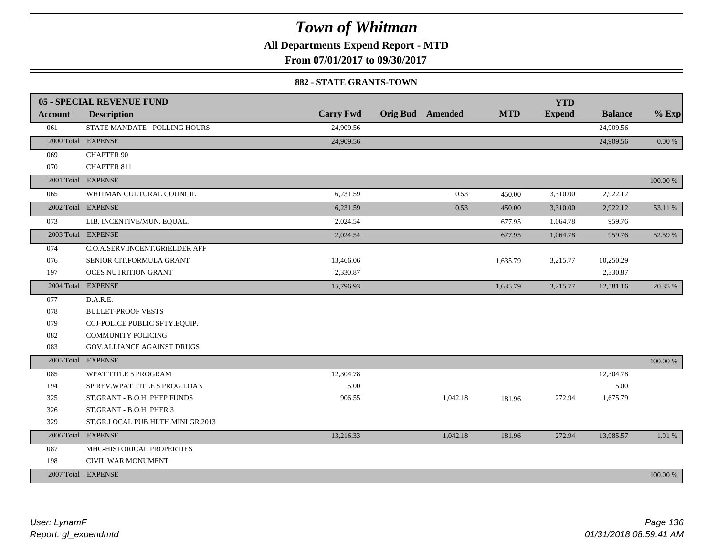**All Departments Expend Report - MTD**

**From 07/01/2017 to 09/30/2017**

#### **882 - STATE GRANTS-TOWN**

|                | 05 - SPECIAL REVENUE FUND         |                  |                         |            | <b>YTD</b>    |                |            |
|----------------|-----------------------------------|------------------|-------------------------|------------|---------------|----------------|------------|
| <b>Account</b> | <b>Description</b>                | <b>Carry Fwd</b> | <b>Orig Bud</b> Amended | <b>MTD</b> | <b>Expend</b> | <b>Balance</b> | $%$ Exp    |
| 061            | STATE MANDATE - POLLING HOURS     | 24,909.56        |                         |            |               | 24,909.56      |            |
|                | 2000 Total EXPENSE                | 24,909.56        |                         |            |               | 24,909.56      | $0.00\ \%$ |
| 069            | <b>CHAPTER 90</b>                 |                  |                         |            |               |                |            |
| 070            | <b>CHAPTER 811</b>                |                  |                         |            |               |                |            |
|                | 2001 Total EXPENSE                |                  |                         |            |               |                | 100.00 %   |
| 065            | WHITMAN CULTURAL COUNCIL          | 6,231.59         | 0.53                    | 450.00     | 3,310.00      | 2,922.12       |            |
|                | 2002 Total EXPENSE                | 6,231.59         | 0.53                    | 450.00     | 3,310.00      | 2,922.12       | 53.11 %    |
| 073            | LIB. INCENTIVE/MUN. EQUAL.        | 2,024.54         |                         | 677.95     | 1,064.78      | 959.76         |            |
|                | 2003 Total EXPENSE                | 2,024.54         |                         | 677.95     | 1,064.78      | 959.76         | 52.59 %    |
| 074            | C.O.A.SERV.INCENT.GR(ELDER AFF    |                  |                         |            |               |                |            |
| 076            | SENIOR CIT.FORMULA GRANT          | 13,466.06        |                         | 1,635.79   | 3,215.77      | 10,250.29      |            |
| 197            | <b>OCES NUTRITION GRANT</b>       | 2,330.87         |                         |            |               | 2,330.87       |            |
|                | 2004 Total EXPENSE                | 15,796.93        |                         | 1,635.79   | 3,215.77      | 12,581.16      | 20.35 %    |
| 077            | D.A.R.E.                          |                  |                         |            |               |                |            |
| 078            | <b>BULLET-PROOF VESTS</b>         |                  |                         |            |               |                |            |
| 079            | CCJ-POLICE PUBLIC SFTY.EQUIP.     |                  |                         |            |               |                |            |
| 082            | <b>COMMUNITY POLICING</b>         |                  |                         |            |               |                |            |
| 083            | GOV. ALLIANCE AGAINST DRUGS       |                  |                         |            |               |                |            |
| 2005 Total     | <b>EXPENSE</b>                    |                  |                         |            |               |                | 100.00 %   |
| 085            | WPAT TITLE 5 PROGRAM              | 12,304.78        |                         |            |               | 12,304.78      |            |
| 194            | SP.REV.WPAT TITLE 5 PROG.LOAN     | 5.00             |                         |            |               | 5.00           |            |
| 325            | ST.GRANT - B.O.H. PHEP FUNDS      | 906.55           | 1,042.18                | 181.96     | 272.94        | 1,675.79       |            |
| 326            | ST.GRANT - B.O.H. PHER 3          |                  |                         |            |               |                |            |
| 329            | ST.GR.LOCAL PUB.HLTH.MINI GR.2013 |                  |                         |            |               |                |            |
|                | 2006 Total EXPENSE                | 13,216.33        | 1,042.18                | 181.96     | 272.94        | 13,985.57      | 1.91 %     |
| 087            | MHC-HISTORICAL PROPERTIES         |                  |                         |            |               |                |            |
| 198            | CIVIL WAR MONUMENT                |                  |                         |            |               |                |            |
|                | 2007 Total EXPENSE                |                  |                         |            |               |                | 100.00 %   |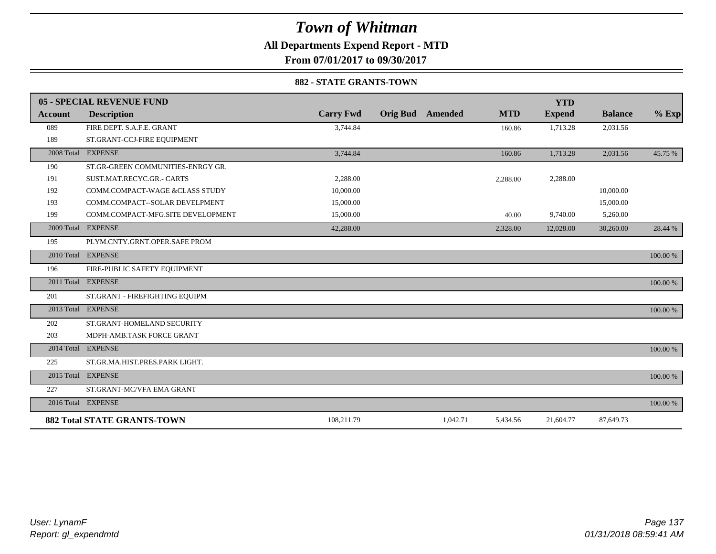**All Departments Expend Report - MTD**

**From 07/01/2017 to 09/30/2017**

#### **882 - STATE GRANTS-TOWN**

|                | 05 - SPECIAL REVENUE FUND          |                  |                         |                      | <b>YTD</b>    |                |          |
|----------------|------------------------------------|------------------|-------------------------|----------------------|---------------|----------------|----------|
| <b>Account</b> | <b>Description</b>                 | <b>Carry Fwd</b> | <b>Orig Bud</b> Amended | <b>MTD</b>           | <b>Expend</b> | <b>Balance</b> | $%$ Exp  |
| 089            | FIRE DEPT. S.A.F.E. GRANT          | 3,744.84         |                         | 160.86               | 1,713.28      | 2,031.56       |          |
| 189            | ST.GRANT-CCJ-FIRE EQUIPMENT        |                  |                         |                      |               |                |          |
|                | 2008 Total EXPENSE                 | 3,744.84         |                         | 160.86               | 1,713.28      | 2,031.56       | 45.75 %  |
| 190            | ST.GR-GREEN COMMUNITIES-ENRGY GR.  |                  |                         |                      |               |                |          |
| 191            | SUST.MAT.RECYC.GR.- CARTS          | 2,288.00         |                         | 2,288.00             | 2,288.00      |                |          |
| 192            | COMM.COMPACT-WAGE &CLASS STUDY     | 10,000.00        |                         |                      |               | 10,000.00      |          |
| 193            | COMM.COMPACT--SOLAR DEVELPMENT     | 15,000.00        |                         |                      |               | 15,000.00      |          |
| 199            | COMM.COMPACT-MFG.SITE DEVELOPMENT  | 15,000.00        |                         | 40.00                | 9,740.00      | 5,260.00       |          |
| 2009 Total     | <b>EXPENSE</b>                     | 42,288.00        |                         | 2,328.00             | 12,028.00     | 30,260.00      | 28.44 %  |
| 195            | PLYM.CNTY.GRNT.OPER.SAFE PROM      |                  |                         |                      |               |                |          |
|                | 2010 Total EXPENSE                 |                  |                         |                      |               |                | 100.00 % |
| 196            | FIRE-PUBLIC SAFETY EQUIPMENT       |                  |                         |                      |               |                |          |
|                | 2011 Total EXPENSE                 |                  |                         |                      |               |                | 100.00 % |
| 201            | ST.GRANT - FIREFIGHTING EQUIPM     |                  |                         |                      |               |                |          |
|                | 2013 Total EXPENSE                 |                  |                         |                      |               |                | 100.00 % |
| 202            | ST.GRANT-HOMELAND SECURITY         |                  |                         |                      |               |                |          |
| 203            | MDPH-AMB.TASK FORCE GRANT          |                  |                         |                      |               |                |          |
|                | 2014 Total EXPENSE                 |                  |                         |                      |               |                | 100.00 % |
| 225            | ST.GR.MA.HIST.PRES.PARK LIGHT.     |                  |                         |                      |               |                |          |
|                | 2015 Total EXPENSE                 |                  |                         |                      |               |                | 100.00 % |
| 227            | ST.GRANT-MC/VFA EMA GRANT          |                  |                         |                      |               |                |          |
|                | 2016 Total EXPENSE                 |                  |                         |                      |               |                | 100.00 % |
|                | <b>882 Total STATE GRANTS-TOWN</b> | 108,211.79       |                         | 1,042.71<br>5,434.56 | 21,604.77     | 87,649.73      |          |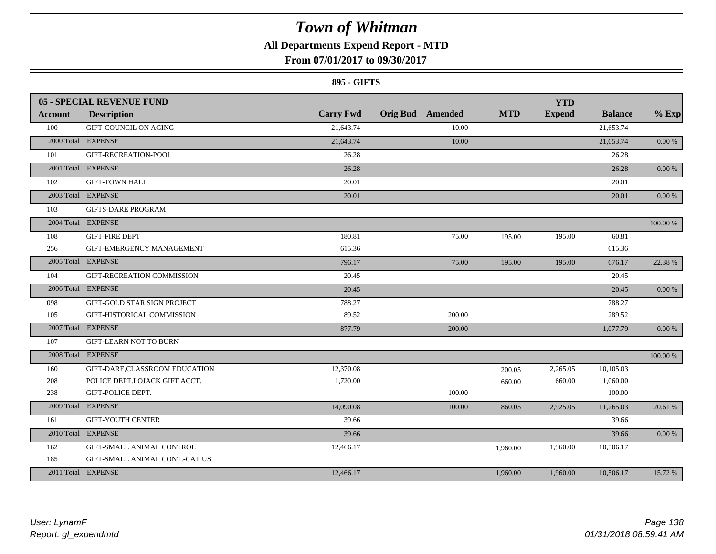### **All Departments Expend Report - MTD**

### **From 07/01/2017 to 09/30/2017**

#### **895 - GIFTS**

|                | <b>05 - SPECIAL REVENUE FUND</b> |                  |                         |            | <b>YTD</b>    |                |            |
|----------------|----------------------------------|------------------|-------------------------|------------|---------------|----------------|------------|
| <b>Account</b> | <b>Description</b>               | <b>Carry Fwd</b> | <b>Orig Bud</b> Amended | <b>MTD</b> | <b>Expend</b> | <b>Balance</b> | $%$ Exp    |
| 100            | <b>GIFT-COUNCIL ON AGING</b>     | 21,643.74        | 10.00                   |            |               | 21,653.74      |            |
|                | 2000 Total EXPENSE               | 21,643.74        | 10.00                   |            |               | 21,653.74      | 0.00 %     |
| 101            | GIFT-RECREATION-POOL             | 26.28            |                         |            |               | 26.28          |            |
|                | 2001 Total EXPENSE               | 26.28            |                         |            |               | 26.28          | 0.00%      |
| 102            | <b>GIFT-TOWN HALL</b>            | 20.01            |                         |            |               | 20.01          |            |
|                | 2003 Total EXPENSE               | 20.01            |                         |            |               | 20.01          | $0.00\,\%$ |
| 103            | <b>GIFTS-DARE PROGRAM</b>        |                  |                         |            |               |                |            |
|                | 2004 Total EXPENSE               |                  |                         |            |               |                | 100.00 %   |
| 108            | <b>GIFT-FIRE DEPT</b>            | 180.81           | 75.00                   | 195.00     | 195.00        | 60.81          |            |
| 256            | GIFT-EMERGENCY MANAGEMENT        | 615.36           |                         |            |               | 615.36         |            |
|                | 2005 Total EXPENSE               | 796.17           | 75.00                   | 195.00     | 195.00        | 676.17         | 22.38 %    |
| 104            | GIFT-RECREATION COMMISSION       | 20.45            |                         |            |               | 20.45          |            |
|                | 2006 Total EXPENSE               | 20.45            |                         |            |               | 20.45          | $0.00\,\%$ |
| 098            | GIFT-GOLD STAR SIGN PROJECT      | 788.27           |                         |            |               | 788.27         |            |
| 105            | GIFT-HISTORICAL COMMISSION       | 89.52            | 200.00                  |            |               | 289.52         |            |
|                | 2007 Total EXPENSE               | 877.79           | 200.00                  |            |               | 1,077.79       | $0.00\,\%$ |
| 107            | <b>GIFT-LEARN NOT TO BURN</b>    |                  |                         |            |               |                |            |
|                | 2008 Total EXPENSE               |                  |                         |            |               |                | 100.00 %   |
| 160            | GIFT-DARE,CLASSROOM EDUCATION    | 12,370.08        |                         | 200.05     | 2,265.05      | 10,105.03      |            |
| 208            | POLICE DEPT.LOJACK GIFT ACCT.    | 1,720.00         |                         | 660.00     | 660.00        | 1,060.00       |            |
| 238            | GIFT-POLICE DEPT.                |                  | 100.00                  |            |               | 100.00         |            |
|                | 2009 Total EXPENSE               | 14,090.08        | 100.00                  | 860.05     | 2,925.05      | 11,265.03      | 20.61 %    |
| 161            | <b>GIFT-YOUTH CENTER</b>         | 39.66            |                         |            |               | 39.66          |            |
|                | 2010 Total EXPENSE               | 39.66            |                         |            |               | 39.66          | 0.00%      |
| 162            | GIFT-SMALL ANIMAL CONTROL        | 12,466.17        |                         | 1,960.00   | 1,960.00      | 10,506.17      |            |
| 185            | GIFT-SMALL ANIMAL CONT.-CAT US   |                  |                         |            |               |                |            |
|                | 2011 Total EXPENSE               | 12,466.17        |                         | 1,960.00   | 1,960.00      | 10,506.17      | 15.72 %    |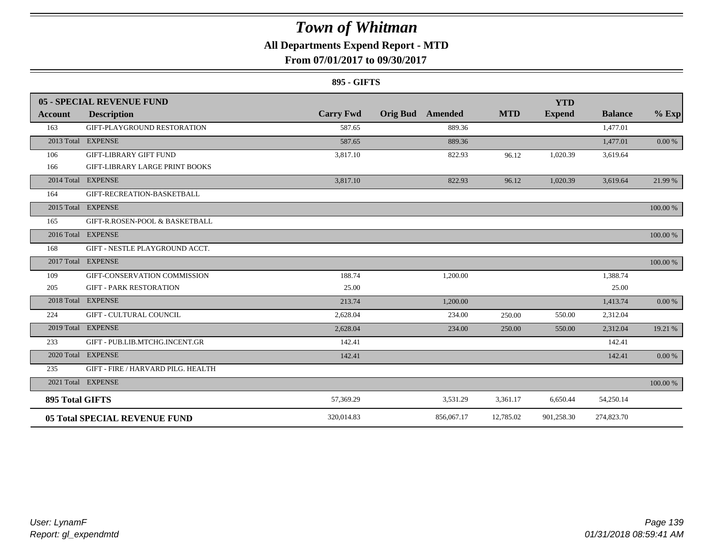### **All Departments Expend Report - MTD**

### **From 07/01/2017 to 09/30/2017**

#### **895 - GIFTS**

|                        | 05 - SPECIAL REVENUE FUND             |                  |                         |                  | <b>YTD</b>    |                |           |
|------------------------|---------------------------------------|------------------|-------------------------|------------------|---------------|----------------|-----------|
| Account                | <b>Description</b>                    | <b>Carry Fwd</b> | <b>Orig Bud</b> Amended | <b>MTD</b>       | <b>Expend</b> | <b>Balance</b> | $%$ Exp   |
| 163                    | GIFT-PLAYGROUND RESTORATION           | 587.65           |                         | 889.36           |               | 1,477.01       |           |
|                        | 2013 Total EXPENSE                    | 587.65           |                         | 889.36           |               | 1,477.01       | $0.00 \%$ |
| 106                    | <b>GIFT-LIBRARY GIFT FUND</b>         | 3,817.10         |                         | 822.93<br>96.12  | 1,020.39      | 3,619.64       |           |
| 166                    | <b>GIFT-LIBRARY LARGE PRINT BOOKS</b> |                  |                         |                  |               |                |           |
|                        | 2014 Total EXPENSE                    | 3,817.10         |                         | 96.12<br>822.93  | 1,020.39      | 3,619.64       | 21.99 %   |
| 164                    | GIFT-RECREATION-BASKETBALL            |                  |                         |                  |               |                |           |
|                        | 2015 Total EXPENSE                    |                  |                         |                  |               |                | 100.00 %  |
| 165                    | GIFT-R.ROSEN-POOL & BASKETBALL        |                  |                         |                  |               |                |           |
|                        | 2016 Total EXPENSE                    |                  |                         |                  |               |                | 100.00 %  |
| 168                    | GIFT - NESTLE PLAYGROUND ACCT.        |                  |                         |                  |               |                |           |
|                        | 2017 Total EXPENSE                    |                  |                         |                  |               |                | 100.00 %  |
| 109                    | GIFT-CONSERVATION COMMISSION          | 188.74           | 1,200.00                |                  |               | 1,388.74       |           |
| 205                    | <b>GIFT - PARK RESTORATION</b>        | 25.00            |                         |                  |               | 25.00          |           |
|                        | 2018 Total EXPENSE                    | 213.74           | 1,200.00                |                  |               | 1,413.74       | 0.00 %    |
| 224                    | <b>GIFT - CULTURAL COUNCIL</b>        | 2,628.04         |                         | 234.00<br>250.00 | 550.00        | 2,312.04       |           |
|                        | 2019 Total EXPENSE                    | 2,628.04         |                         | 234.00<br>250.00 | 550.00        | 2,312.04       | 19.21 %   |
| 233                    | GIFT - PUB.LIB.MTCHG.INCENT.GR        | 142.41           |                         |                  |               | 142.41         |           |
|                        | 2020 Total EXPENSE                    | 142.41           |                         |                  |               | 142.41         | 0.00 %    |
| 235                    | GIFT - FIRE / HARVARD PILG. HEALTH    |                  |                         |                  |               |                |           |
|                        | 2021 Total EXPENSE                    |                  |                         |                  |               |                | 100.00 %  |
| <b>895 Total GIFTS</b> |                                       | 57,369.29        | 3,531.29                | 3,361.17         | 6,650.44      | 54,250.14      |           |
|                        | <b>05 Total SPECIAL REVENUE FUND</b>  | 320,014.83       | 856,067.17              | 12,785.02        | 901,258.30    | 274,823.70     |           |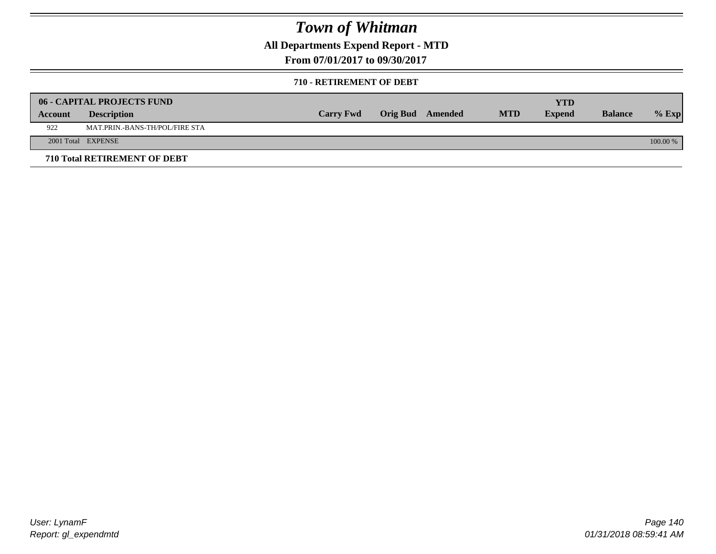**All Departments Expend Report - MTD**

**From 07/01/2017 to 09/30/2017**

#### **710 - RETIREMENT OF DEBT**

|         | <b>06 - CAPITAL PROJECTS FUND</b>     |                  |                  |            | <b>YTD</b>    |                |            |
|---------|---------------------------------------|------------------|------------------|------------|---------------|----------------|------------|
| Account | <b>Description</b>                    | <b>Carry Fwd</b> | Orig Bud Amended | <b>MTD</b> | <b>Expend</b> | <b>Balance</b> | $%$ Exp    |
| 922     | <b>MAT.PRIN.-BANS-TH/POL/FIRE STA</b> |                  |                  |            |               |                |            |
|         | 2001 Total EXPENSE                    |                  |                  |            |               |                | $100.00\%$ |
|         | 710 Total RETIREMENT OF DEBT          |                  |                  |            |               |                |            |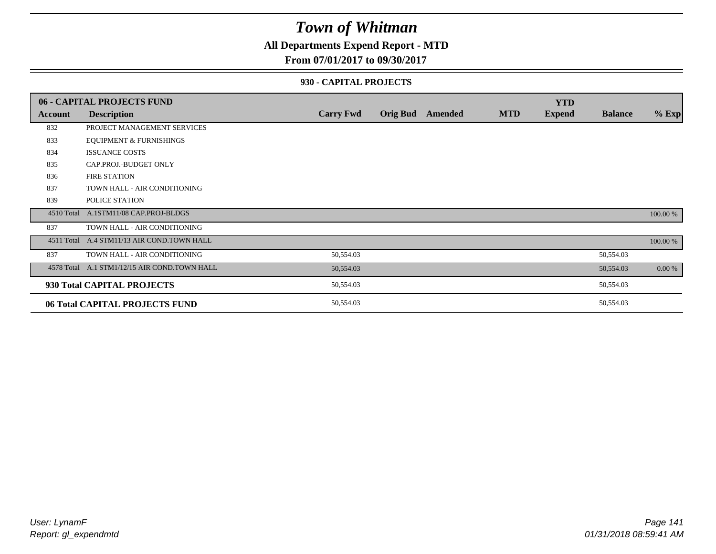### **All Departments Expend Report - MTD**

#### **From 07/01/2017 to 09/30/2017**

#### **930 - CAPITAL PROJECTS**

|         | 06 - CAPITAL PROJECTS FUND                   |                  |                 |         |            | <b>YTD</b>    |                |          |
|---------|----------------------------------------------|------------------|-----------------|---------|------------|---------------|----------------|----------|
| Account | <b>Description</b>                           | <b>Carry Fwd</b> | <b>Orig Bud</b> | Amended | <b>MTD</b> | <b>Expend</b> | <b>Balance</b> | $%$ Exp  |
| 832     | PROJECT MANAGEMENT SERVICES                  |                  |                 |         |            |               |                |          |
| 833     | <b>EQUIPMENT &amp; FURNISHINGS</b>           |                  |                 |         |            |               |                |          |
| 834     | <b>ISSUANCE COSTS</b>                        |                  |                 |         |            |               |                |          |
| 835     | CAP.PROJ.-BUDGET ONLY                        |                  |                 |         |            |               |                |          |
| 836     | <b>FIRE STATION</b>                          |                  |                 |         |            |               |                |          |
| 837     | TOWN HALL - AIR CONDITIONING                 |                  |                 |         |            |               |                |          |
| 839     | POLICE STATION                               |                  |                 |         |            |               |                |          |
|         | 4510 Total A.1STM11/08 CAP.PROJ-BLDGS        |                  |                 |         |            |               |                | 100.00 % |
| 837     | TOWN HALL - AIR CONDITIONING                 |                  |                 |         |            |               |                |          |
|         | 4511 Total A.4 STM11/13 AIR COND.TOWN HALL   |                  |                 |         |            |               |                | 100.00 % |
| 837     | TOWN HALL - AIR CONDITIONING                 | 50,554.03        |                 |         |            |               | 50,554.03      |          |
|         | 4578 Total A.1 STM1/12/15 AIR COND.TOWN HALL | 50,554.03        |                 |         |            |               | 50,554.03      | 0.00 %   |
|         | 930 Total CAPITAL PROJECTS                   | 50,554.03        |                 |         |            |               | 50,554.03      |          |
|         | 06 Total CAPITAL PROJECTS FUND               | 50,554.03        |                 |         |            |               | 50,554.03      |          |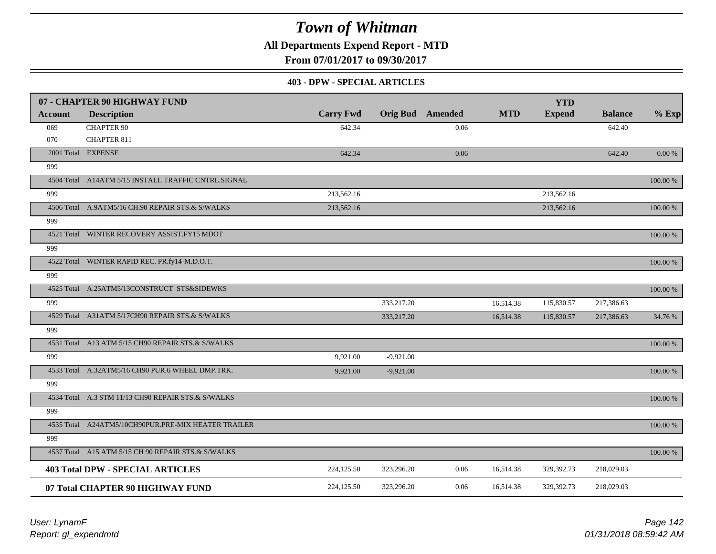**All Departments Expend Report - MTD**

**From 07/01/2017 to 09/30/2017**

#### **403 - DPW - SPECIAL ARTICLES**

|                | 07 - CHAPTER 90 HIGHWAY FUND                        |                  |             |                         |            | <b>YTD</b>    |                |             |
|----------------|-----------------------------------------------------|------------------|-------------|-------------------------|------------|---------------|----------------|-------------|
| <b>Account</b> | <b>Description</b>                                  | <b>Carry Fwd</b> |             | <b>Orig Bud</b> Amended | <b>MTD</b> | <b>Expend</b> | <b>Balance</b> | $%$ Exp     |
| 069            | <b>CHAPTER 90</b>                                   | 642.34           |             | 0.06                    |            |               | 642.40         |             |
| 070            | <b>CHAPTER 811</b>                                  |                  |             |                         |            |               |                |             |
|                | 2001 Total EXPENSE                                  | 642.34           |             | 0.06                    |            |               | 642.40         | $0.00\ \%$  |
| 999            |                                                     |                  |             |                         |            |               |                |             |
|                | 4504 Total A14ATM 5/15 INSTALL TRAFFIC CNTRL.SIGNAL |                  |             |                         |            |               |                | 100.00 %    |
| 999            |                                                     | 213,562.16       |             |                         |            | 213,562.16    |                |             |
|                | 4506 Total A.9ATM5/16 CH.90 REPAIR STS.& S/WALKS    | 213,562.16       |             |                         |            | 213,562.16    |                | $100.00~\%$ |
| 999            |                                                     |                  |             |                         |            |               |                |             |
|                | 4521 Total WINTER RECOVERY ASSIST.FY15 MDOT         |                  |             |                         |            |               |                | 100.00 %    |
| 999            |                                                     |                  |             |                         |            |               |                |             |
|                | 4522 Total WINTER RAPID REC. PR.fy14-M.D.O.T.       |                  |             |                         |            |               |                | 100.00 %    |
| 999            |                                                     |                  |             |                         |            |               |                |             |
|                | 4525 Total A.25ATM5/13CONSTRUCT STS&SIDEWKS         |                  |             |                         |            |               |                | 100.00 %    |
| 999            |                                                     |                  | 333,217.20  |                         | 16,514.38  | 115,830.57    | 217,386.63     |             |
|                | 4529 Total A31ATM 5/17CH90 REPAIR STS.& S/WALKS     |                  | 333,217.20  |                         | 16,514.38  | 115,830.57    | 217,386.63     | 34.76 %     |
| 999            |                                                     |                  |             |                         |            |               |                |             |
|                | 4531 Total A13 ATM 5/15 CH90 REPAIR STS.& S/WALKS   |                  |             |                         |            |               |                | 100.00 %    |
| 999            |                                                     | 9,921.00         | $-9,921.00$ |                         |            |               |                |             |
|                | 4533 Total A.32ATM5/16 CH90 PUR.6 WHEEL DMP.TRK.    | 9.921.00         | $-9,921.00$ |                         |            |               |                | 100.00 %    |
| 999            |                                                     |                  |             |                         |            |               |                |             |
|                | 4534 Total A.3 STM 11/13 CH90 REPAIR STS.& S/WALKS  |                  |             |                         |            |               |                | 100.00 %    |
| 999            |                                                     |                  |             |                         |            |               |                |             |
|                | 4535 Total A24ATM5/10CH90PUR.PRE-MIX HEATER TRAILER |                  |             |                         |            |               |                | 100.00 %    |
| 999            |                                                     |                  |             |                         |            |               |                |             |
|                | 4537 Total A15 ATM 5/15 CH 90 REPAIR STS.& S/WALKS  |                  |             |                         |            |               |                | 100.00 %    |
|                | <b>403 Total DPW - SPECIAL ARTICLES</b>             | 224,125.50       | 323,296.20  | 0.06                    | 16,514.38  | 329,392.73    | 218,029.03     |             |
|                | 07 Total CHAPTER 90 HIGHWAY FUND                    | 224,125.50       | 323,296.20  | 0.06                    | 16,514.38  | 329,392.73    | 218,029.03     |             |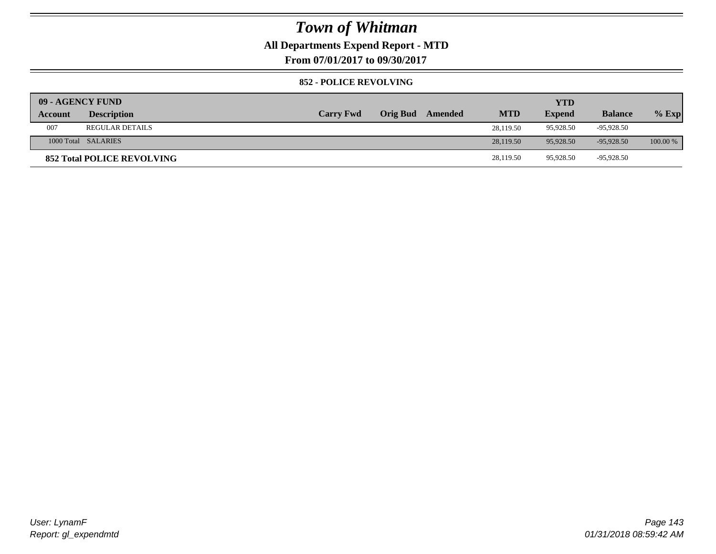### **All Departments Expend Report - MTD**

**From 07/01/2017 to 09/30/2017**

#### **852 - POLICE REVOLVING**

| 09 - AGENCY FUND |                                   |                  |                 |         |            | <b>YTD</b>    |                |          |
|------------------|-----------------------------------|------------------|-----------------|---------|------------|---------------|----------------|----------|
| Account          | <b>Description</b>                | <b>Carry Fwd</b> | <b>Orig Bud</b> | Amended | <b>MTD</b> | <b>Expend</b> | <b>Balance</b> | $%$ Exp  |
| 007              | <b>REGULAR DETAILS</b>            |                  |                 |         | 28.119.50  | 95.928.50     | -95.928.50     |          |
|                  | 1000 Total SALARIES               |                  |                 |         | 28,119.50  | 95,928.50     | $-95.928.50$   | 100.00 % |
|                  | <b>852 Total POLICE REVOLVING</b> |                  |                 |         | 28,119.50  | 95,928.50     | -95,928.50     |          |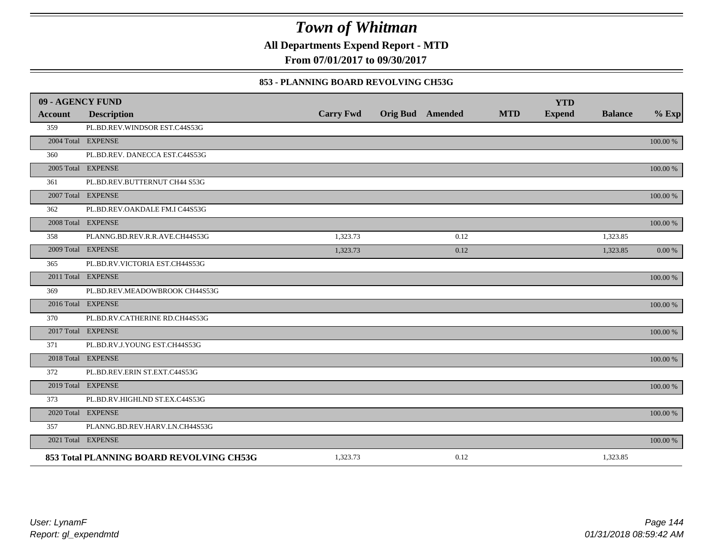**All Departments Expend Report - MTD**

**From 07/01/2017 to 09/30/2017**

#### **853 - PLANNING BOARD REVOLVING CH53G**

| 09 - AGENCY FUND |                                          |                  |                         |            | <b>YTD</b>    |                |          |
|------------------|------------------------------------------|------------------|-------------------------|------------|---------------|----------------|----------|
| <b>Account</b>   | <b>Description</b>                       | <b>Carry Fwd</b> | <b>Orig Bud</b> Amended | <b>MTD</b> | <b>Expend</b> | <b>Balance</b> | $%$ Exp  |
| 359              | PL.BD.REV.WINDSOR EST.C44S53G            |                  |                         |            |               |                |          |
|                  | 2004 Total EXPENSE                       |                  |                         |            |               |                | 100.00 % |
| 360              | PL.BD.REV. DANECCA EST.C44S53G           |                  |                         |            |               |                |          |
|                  | 2005 Total EXPENSE                       |                  |                         |            |               |                | 100.00 % |
| 361              | PL.BD.REV.BUTTERNUT CH44 S53G            |                  |                         |            |               |                |          |
|                  | 2007 Total EXPENSE                       |                  |                         |            |               |                | 100.00 % |
| 362              | PL.BD.REV.OAKDALE FM.I C44S53G           |                  |                         |            |               |                |          |
|                  | 2008 Total EXPENSE                       |                  |                         |            |               |                | 100.00 % |
| 358              | PLANNG.BD.REV.R.R.AVE.CH44S53G           | 1,323.73         | 0.12                    |            |               | 1,323.85       |          |
|                  | 2009 Total EXPENSE                       | 1,323.73         | 0.12                    |            |               | 1,323.85       | 0.00 %   |
| 365              | PL.BD.RV.VICTORIA EST.CH44S53G           |                  |                         |            |               |                |          |
|                  | 2011 Total EXPENSE                       |                  |                         |            |               |                | 100.00 % |
| 369              | PL.BD.REV.MEADOWBROOK CH44S53G           |                  |                         |            |               |                |          |
|                  | 2016 Total EXPENSE                       |                  |                         |            |               |                | 100.00 % |
| 370              | PL.BD.RV.CATHERINE RD.CH44S53G           |                  |                         |            |               |                |          |
|                  | 2017 Total EXPENSE                       |                  |                         |            |               |                | 100.00 % |
| 371              | PL.BD.RV.J.YOUNG EST.CH44S53G            |                  |                         |            |               |                |          |
|                  | 2018 Total EXPENSE                       |                  |                         |            |               |                | 100.00 % |
| 372              | PL.BD.REV.ERIN ST.EXT.C44S53G            |                  |                         |            |               |                |          |
|                  | 2019 Total EXPENSE                       |                  |                         |            |               |                | 100.00 % |
| 373              | PL.BD.RV.HIGHLND ST.EX.C44S53G           |                  |                         |            |               |                |          |
|                  | 2020 Total EXPENSE                       |                  |                         |            |               |                | 100.00 % |
| 357              | PLANNG.BD.REV.HARV.LN.CH44S53G           |                  |                         |            |               |                |          |
|                  | 2021 Total EXPENSE                       |                  |                         |            |               |                | 100.00 % |
|                  | 853 Total PLANNING BOARD REVOLVING CH53G | 1,323.73         | 0.12                    |            |               | 1,323.85       |          |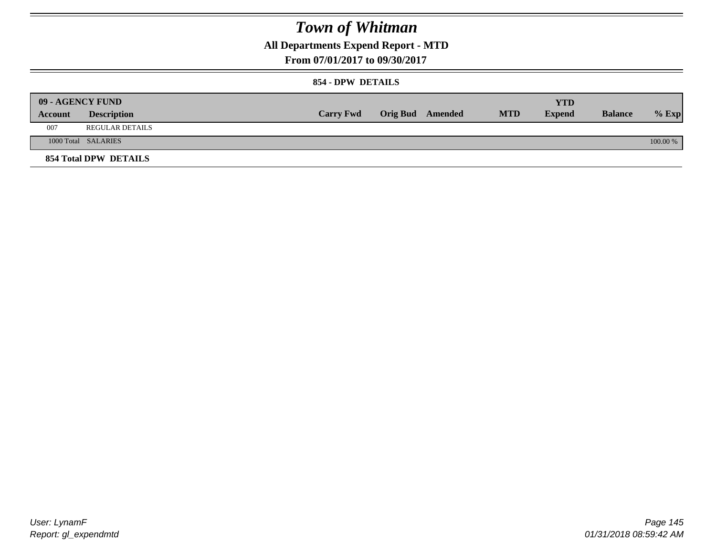## **All Departments Expend Report - MTD**

**From 07/01/2017 to 09/30/2017**

### **854 - DPW DETAILS**

|         | <b>09 - AGENCY FUND</b> |                  |                         |            | <b>YTD</b> |                |            |
|---------|-------------------------|------------------|-------------------------|------------|------------|----------------|------------|
| Account | <b>Description</b>      | <b>Carry Fwd</b> | <b>Orig Bud</b> Amended | <b>MTD</b> | Expend     | <b>Balance</b> | $%$ Exp    |
| 007     | <b>REGULAR DETAILS</b>  |                  |                         |            |            |                |            |
|         | 1000 Total SALARIES     |                  |                         |            |            |                | $100.00\%$ |
|         | 854 Total DPW DETAILS   |                  |                         |            |            |                |            |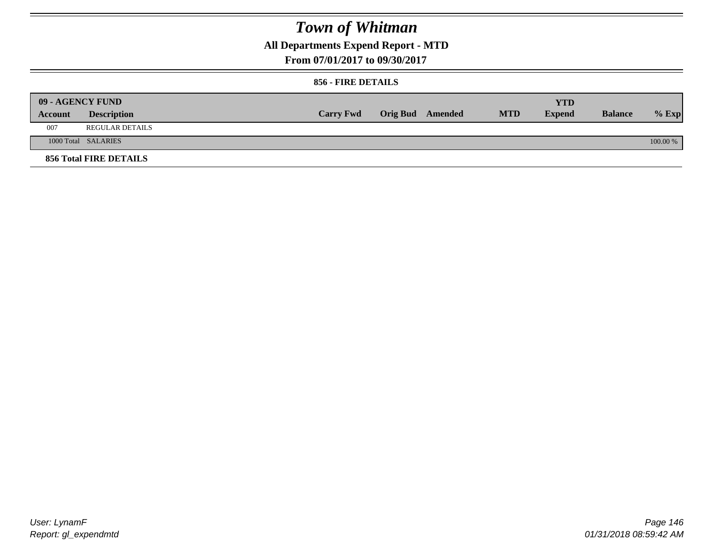## **All Departments Expend Report - MTD**

**From 07/01/2017 to 09/30/2017**

### **856 - FIRE DETAILS**

|         | 09 - AGENCY FUND              |                  |                  |            | <b>YTD</b>    |                |          |
|---------|-------------------------------|------------------|------------------|------------|---------------|----------------|----------|
| Account | <b>Description</b>            | <b>Carry Fwd</b> | Orig Bud Amended | <b>MTD</b> | <b>Expend</b> | <b>Balance</b> | $%$ Exp  |
| 007     | <b>REGULAR DETAILS</b>        |                  |                  |            |               |                |          |
|         | 1000 Total SALARIES           |                  |                  |            |               |                | 100.00 % |
|         | <b>856 Total FIRE DETAILS</b> |                  |                  |            |               |                |          |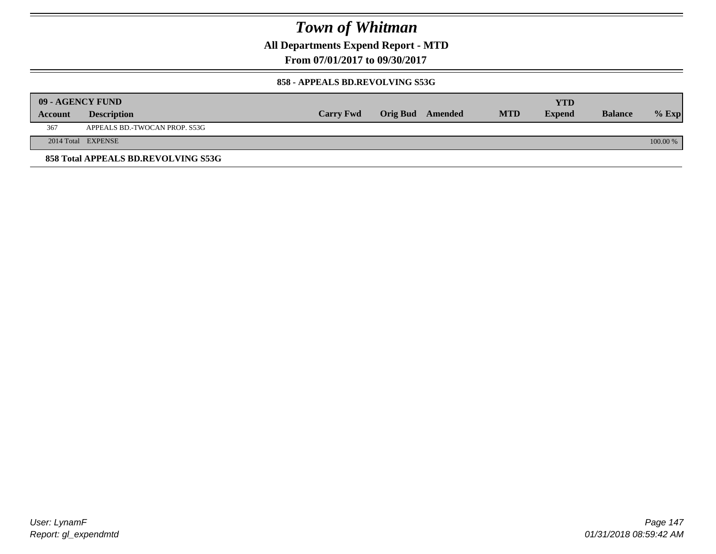**All Departments Expend Report - MTD**

**From 07/01/2017 to 09/30/2017**

### **858 - APPEALS BD.REVOLVING S53G**

|         | 09 - AGENCY FUND                    |                  |                         |            | <b>YTD</b>    |                |            |
|---------|-------------------------------------|------------------|-------------------------|------------|---------------|----------------|------------|
| Account | <b>Description</b>                  | <b>Carry Fwd</b> | <b>Orig Bud</b> Amended | <b>MTD</b> | <b>Expend</b> | <b>Balance</b> | $%$ Exp    |
| 367     | APPEALS BD.-TWOCAN PROP. S53G       |                  |                         |            |               |                |            |
|         | 2014 Total EXPENSE                  |                  |                         |            |               |                | $100.00\%$ |
|         | 858 Total APPEALS BD.REVOLVING S53G |                  |                         |            |               |                |            |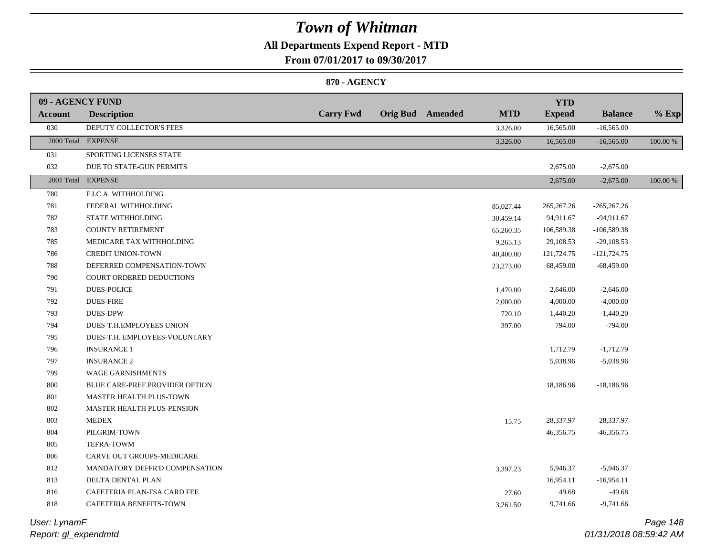## **All Departments Expend Report - MTD**

**From 07/01/2017 to 09/30/2017**

### **870 - AGENCY**

| 09 - AGENCY FUND |                                |                  |                         |            | <b>YTD</b>    |                |          |
|------------------|--------------------------------|------------------|-------------------------|------------|---------------|----------------|----------|
| Account          | <b>Description</b>             | <b>Carry Fwd</b> | <b>Orig Bud</b> Amended | <b>MTD</b> | <b>Expend</b> | <b>Balance</b> | $%$ Exp  |
| 030              | DEPUTY COLLECTOR'S FEES        |                  |                         | 3,326.00   | 16,565.00     | $-16,565.00$   |          |
|                  | 2000 Total EXPENSE             |                  |                         | 3,326.00   | 16,565.00     | $-16,565.00$   | 100.00 % |
| 031              | SPORTING LICENSES STATE        |                  |                         |            |               |                |          |
| 032              | DUE TO STATE-GUN PERMITS       |                  |                         |            | 2,675.00      | $-2,675.00$    |          |
|                  | 2001 Total EXPENSE             |                  |                         |            | 2,675.00      | $-2,675.00$    | 100.00 % |
| 780              | F.I.C.A. WITHHOLDING           |                  |                         |            |               |                |          |
| 781              | FEDERAL WITHHOLDING            |                  |                         | 85,027.44  | 265, 267. 26  | $-265,267.26$  |          |
| 782              | <b>STATE WITHHOLDING</b>       |                  |                         | 30,459.14  | 94,911.67     | $-94,911.67$   |          |
| 783              | <b>COUNTY RETIREMENT</b>       |                  |                         | 65,260.35  | 106,589.38    | $-106,589.38$  |          |
| 785              | MEDICARE TAX WITHHOLDING       |                  |                         | 9,265.13   | 29,108.53     | $-29,108.53$   |          |
| 786              | <b>CREDIT UNION-TOWN</b>       |                  |                         | 40,400.00  | 121,724.75    | $-121,724.75$  |          |
| 788              | DEFERRED COMPENSATION-TOWN     |                  |                         | 23,273.00  | 68,459.00     | $-68,459.00$   |          |
| 790              | COURT ORDERED DEDUCTIONS       |                  |                         |            |               |                |          |
| 791              | <b>DUES-POLICE</b>             |                  |                         | 1,470.00   | 2,646.00      | $-2,646.00$    |          |
| 792              | <b>DUES-FIRE</b>               |                  |                         | 2,000.00   | 4,000.00      | $-4,000.00$    |          |
| 793              | <b>DUES-DPW</b>                |                  |                         | 720.10     | 1,440.20      | $-1,440.20$    |          |
| 794              | DUES-T.H.EMPLOYEES UNION       |                  |                         | 397.00     | 794.00        | $-794.00$      |          |
| 795              | DUES-T.H. EMPLOYEES-VOLUNTARY  |                  |                         |            |               |                |          |
| 796              | <b>INSURANCE 1</b>             |                  |                         |            | 1,712.79      | $-1,712.79$    |          |
| 797              | <b>INSURANCE 2</b>             |                  |                         |            | 5,038.96      | $-5,038.96$    |          |
| 799              | <b>WAGE GARNISHMENTS</b>       |                  |                         |            |               |                |          |
| 800              | BLUE CARE-PREF.PROVIDER OPTION |                  |                         |            | 18,186.96     | $-18,186.96$   |          |
| 801              | MASTER HEALTH PLUS-TOWN        |                  |                         |            |               |                |          |
| 802              | MASTER HEALTH PLUS-PENSION     |                  |                         |            |               |                |          |
| 803              | <b>MEDEX</b>                   |                  |                         | 15.75      | 28,337.97     | $-28,337.97$   |          |
| 804              | PILGRIM-TOWN                   |                  |                         |            | 46,356.75     | $-46,356.75$   |          |
| 805              | TEFRA-TOWM                     |                  |                         |            |               |                |          |
| 806              | CARVE OUT GROUPS-MEDICARE      |                  |                         |            |               |                |          |
| 812              | MANDATORY DEFFR'D COMPENSATION |                  |                         | 3,397.23   | 5,946.37      | $-5,946.37$    |          |
| 813              | DELTA DENTAL PLAN              |                  |                         |            | 16,954.11     | $-16,954.11$   |          |
| 816              | CAFETERIA PLAN-FSA CARD FEE    |                  |                         | 27.60      | 49.68         | $-49.68$       |          |
| 818              | CAFETERIA BENEFITS-TOWN        |                  |                         | 3,261.50   | 9,741.66      | $-9,741.66$    |          |

*Report: gl\_expendmtd User: LynamF*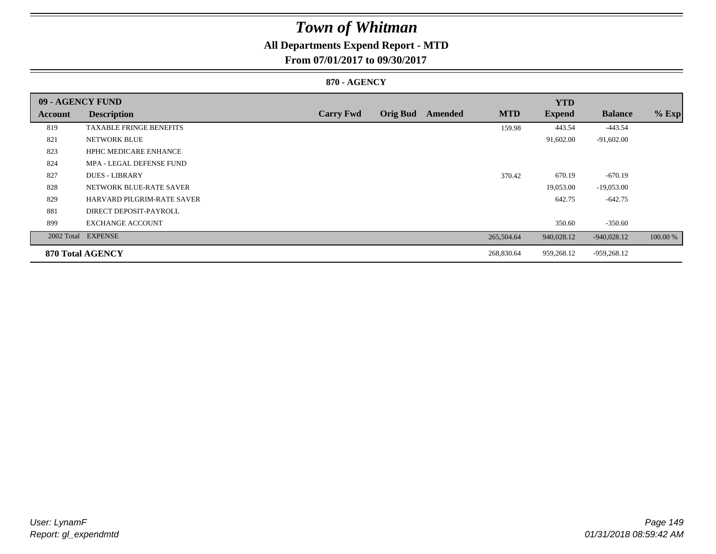## **All Departments Expend Report - MTD**

**From 07/01/2017 to 09/30/2017**

### **870 - AGENCY**

| 09 - AGENCY FUND |                                |                  |                 |         |            | <b>YTD</b>    |                |          |
|------------------|--------------------------------|------------------|-----------------|---------|------------|---------------|----------------|----------|
| <b>Account</b>   | <b>Description</b>             | <b>Carry Fwd</b> | <b>Orig Bud</b> | Amended | <b>MTD</b> | <b>Expend</b> | <b>Balance</b> | $%$ Exp  |
| 819              | <b>TAXABLE FRINGE BENEFITS</b> |                  |                 |         | 159.98     | 443.54        | $-443.54$      |          |
| 821              | NETWORK BLUE                   |                  |                 |         |            | 91,602.00     | $-91,602.00$   |          |
| 823              | <b>HPHC MEDICARE ENHANCE</b>   |                  |                 |         |            |               |                |          |
| 824              | MPA - LEGAL DEFENSE FUND       |                  |                 |         |            |               |                |          |
| 827              | <b>DUES - LIBRARY</b>          |                  |                 |         | 370.42     | 670.19        | $-670.19$      |          |
| 828              | NETWORK BLUE-RATE SAVER        |                  |                 |         |            | 19,053.00     | $-19,053.00$   |          |
| 829              | HARVARD PILGRIM-RATE SAVER     |                  |                 |         |            | 642.75        | $-642.75$      |          |
| 881              | DIRECT DEPOSIT-PAYROLL         |                  |                 |         |            |               |                |          |
| 899              | <b>EXCHANGE ACCOUNT</b>        |                  |                 |         |            | 350.60        | $-350.60$      |          |
|                  | 2002 Total EXPENSE             |                  |                 |         | 265,504.64 | 940,028.12    | $-940,028.12$  | 100.00 % |
|                  | 870 Total AGENCY               |                  |                 |         | 268,830.64 | 959,268.12    | $-959,268.12$  |          |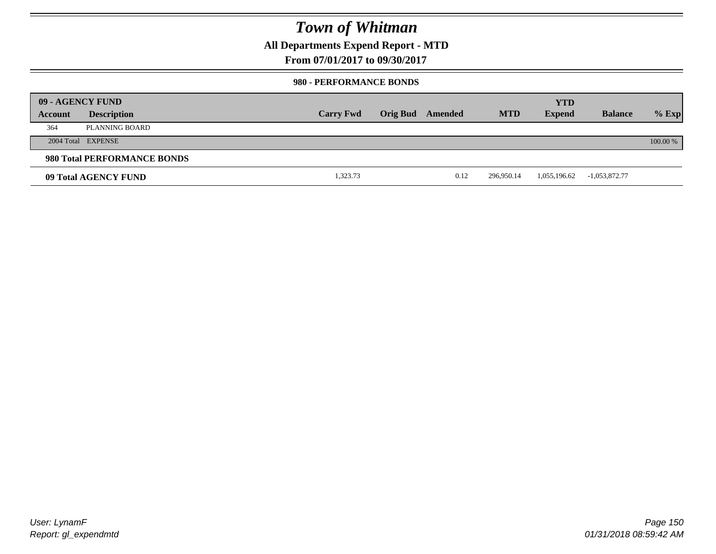## **All Departments Expend Report - MTD**

**From 07/01/2017 to 09/30/2017**

### **980 - PERFORMANCE BONDS**

|         | 09 - AGENCY FUND            |                  |                         |      |            | <b>YTD</b>    |                 |          |
|---------|-----------------------------|------------------|-------------------------|------|------------|---------------|-----------------|----------|
| Account | <b>Description</b>          | <b>Carry Fwd</b> | <b>Orig Bud</b> Amended |      | <b>MTD</b> | <b>Expend</b> | <b>Balance</b>  | $%$ Exp  |
| 364     | PLANNING BOARD              |                  |                         |      |            |               |                 |          |
|         | 2004 Total EXPENSE          |                  |                         |      |            |               |                 | 100.00 % |
|         | 980 Total PERFORMANCE BONDS |                  |                         |      |            |               |                 |          |
|         | 09 Total AGENCY FUND        | 1,323.73         |                         | 0.12 | 296,950.14 | 1,055,196.62  | $-1,053,872.77$ |          |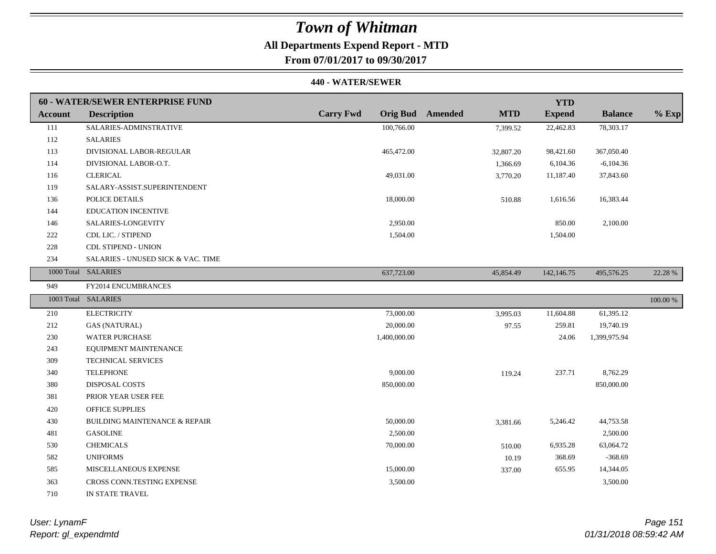## **All Departments Expend Report - MTD**

**From 07/01/2017 to 09/30/2017**

#### **440 - WATER/SEWER**

|                | 60 - WATER/SEWER ENTERPRISE FUND         |                  |                                       | <b>YTD</b>    |                |             |
|----------------|------------------------------------------|------------------|---------------------------------------|---------------|----------------|-------------|
| <b>Account</b> | <b>Description</b>                       | <b>Carry Fwd</b> | <b>Orig Bud</b> Amended<br><b>MTD</b> | <b>Expend</b> | <b>Balance</b> | $%$ Exp     |
| 111            | SALARIES-ADMINSTRATIVE                   | 100,766.00       | 7,399.52                              | 22,462.83     | 78,303.17      |             |
| 112            | <b>SALARIES</b>                          |                  |                                       |               |                |             |
| 113            | DIVISIONAL LABOR-REGULAR                 | 465,472.00       | 32,807.20                             | 98,421.60     | 367,050.40     |             |
| 114            | DIVISIONAL LABOR-O.T.                    |                  | 1,366.69                              | 6,104.36      | $-6,104.36$    |             |
| 116            | <b>CLERICAL</b>                          | 49,031.00        | 3,770.20                              | 11,187.40     | 37,843.60      |             |
| 119            | SALARY-ASSIST.SUPERINTENDENT             |                  |                                       |               |                |             |
| 136            | POLICE DETAILS                           | 18,000.00        | 510.88                                | 1,616.56      | 16,383.44      |             |
| 144            | <b>EDUCATION INCENTIVE</b>               |                  |                                       |               |                |             |
| 146            | SALARIES-LONGEVITY                       | 2,950.00         |                                       | 850.00        | 2,100.00       |             |
| 222            | CDL LIC. / STIPEND                       | 1,504.00         |                                       | 1,504.00      |                |             |
| 228            | <b>CDL STIPEND - UNION</b>               |                  |                                       |               |                |             |
| 234            | SALARIES - UNUSED SICK & VAC. TIME       |                  |                                       |               |                |             |
|                | 1000 Total SALARIES                      | 637,723.00       | 45,854.49                             | 142,146.75    | 495,576.25     | 22.28 %     |
| 949            | FY2014 ENCUMBRANCES                      |                  |                                       |               |                |             |
|                | 1003 Total SALARIES                      |                  |                                       |               |                | $100.00~\%$ |
| 210            | <b>ELECTRICITY</b>                       | 73,000.00        | 3,995.03                              | 11,604.88     | 61,395.12      |             |
| 212            | <b>GAS (NATURAL)</b>                     | 20,000.00        | 97.55                                 | 259.81        | 19,740.19      |             |
| 230            | <b>WATER PURCHASE</b>                    | 1,400,000.00     |                                       | 24.06         | 1,399,975.94   |             |
| 243            | EQUIPMENT MAINTENANCE                    |                  |                                       |               |                |             |
| 309            | TECHNICAL SERVICES                       |                  |                                       |               |                |             |
| 340            | <b>TELEPHONE</b>                         | 9,000.00         | 119.24                                | 237.71        | 8,762.29       |             |
| 380            | DISPOSAL COSTS                           | 850,000.00       |                                       |               | 850,000.00     |             |
| 381            | PRIOR YEAR USER FEE                      |                  |                                       |               |                |             |
| 420            | <b>OFFICE SUPPLIES</b>                   |                  |                                       |               |                |             |
| 430            | <b>BUILDING MAINTENANCE &amp; REPAIR</b> | 50,000.00        | 3,381.66                              | 5,246.42      | 44,753.58      |             |
| 481            | <b>GASOLINE</b>                          | 2,500.00         |                                       |               | 2,500.00       |             |
| 530            | <b>CHEMICALS</b>                         | 70,000.00        | 510.00                                | 6,935.28      | 63,064.72      |             |
| 582            | <b>UNIFORMS</b>                          |                  | 10.19                                 | 368.69        | $-368.69$      |             |
| 585            | MISCELLANEOUS EXPENSE                    | 15,000.00        | 337.00                                | 655.95        | 14,344.05      |             |
| 363            | CROSS CONN.TESTING EXPENSE               | 3,500.00         |                                       |               | 3,500.00       |             |
| 710            | IN STATE TRAVEL                          |                  |                                       |               |                |             |

*Report: gl\_expendmtd User: LynamF*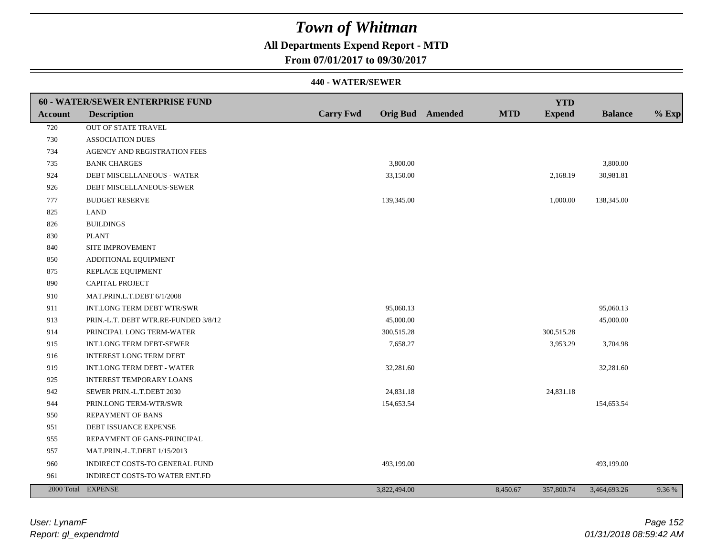## **All Departments Expend Report - MTD**

**From 07/01/2017 to 09/30/2017**

|                | 60 - WATER/SEWER ENTERPRISE FUND     |                  |                         |            | <b>YTD</b>    |                |         |
|----------------|--------------------------------------|------------------|-------------------------|------------|---------------|----------------|---------|
| <b>Account</b> | <b>Description</b>                   | <b>Carry Fwd</b> | <b>Orig Bud</b> Amended | <b>MTD</b> | <b>Expend</b> | <b>Balance</b> | $%$ Exp |
| 720            | OUT OF STATE TRAVEL                  |                  |                         |            |               |                |         |
| 730            | <b>ASSOCIATION DUES</b>              |                  |                         |            |               |                |         |
| 734            | AGENCY AND REGISTRATION FEES         |                  |                         |            |               |                |         |
| 735            | <b>BANK CHARGES</b>                  |                  | 3,800.00                |            |               | 3,800.00       |         |
| 924            | DEBT MISCELLANEOUS - WATER           |                  | 33,150.00               |            | 2,168.19      | 30,981.81      |         |
| 926            | DEBT MISCELLANEOUS-SEWER             |                  |                         |            |               |                |         |
| 777            | <b>BUDGET RESERVE</b>                |                  | 139,345.00              |            | 1,000.00      | 138,345.00     |         |
| 825            | <b>LAND</b>                          |                  |                         |            |               |                |         |
| 826            | <b>BUILDINGS</b>                     |                  |                         |            |               |                |         |
| 830            | <b>PLANT</b>                         |                  |                         |            |               |                |         |
| 840            | SITE IMPROVEMENT                     |                  |                         |            |               |                |         |
| 850            | ADDITIONAL EQUIPMENT                 |                  |                         |            |               |                |         |
| 875            | REPLACE EQUIPMENT                    |                  |                         |            |               |                |         |
| 890            | CAPITAL PROJECT                      |                  |                         |            |               |                |         |
| 910            | MAT.PRIN.L.T.DEBT 6/1/2008           |                  |                         |            |               |                |         |
| 911            | INT.LONG TERM DEBT WTR/SWR           |                  | 95,060.13               |            |               | 95,060.13      |         |
| 913            | PRIN.-L.T. DEBT WTR.RE-FUNDED 3/8/12 |                  | 45,000.00               |            |               | 45,000.00      |         |
| 914            | PRINCIPAL LONG TERM-WATER            |                  | 300,515.28              |            | 300,515.28    |                |         |
| 915            | INT.LONG TERM DEBT-SEWER             |                  | 7,658.27                |            | 3,953.29      | 3,704.98       |         |
| 916            | <b>INTEREST LONG TERM DEBT</b>       |                  |                         |            |               |                |         |
| 919            | <b>INT.LONG TERM DEBT - WATER</b>    |                  | 32,281.60               |            |               | 32,281.60      |         |
| 925            | <b>INTEREST TEMPORARY LOANS</b>      |                  |                         |            |               |                |         |
| 942            | SEWER PRIN.-L.T.DEBT 2030            |                  | 24,831.18               |            | 24,831.18     |                |         |
| 944            | PRIN.LONG TERM-WTR/SWR               |                  | 154,653.54              |            |               | 154,653.54     |         |
| 950            | <b>REPAYMENT OF BANS</b>             |                  |                         |            |               |                |         |
| 951            | DEBT ISSUANCE EXPENSE                |                  |                         |            |               |                |         |
| 955            | REPAYMENT OF GANS-PRINCIPAL          |                  |                         |            |               |                |         |
| 957            | MAT.PRIN.-L.T.DEBT 1/15/2013         |                  |                         |            |               |                |         |
| 960            | INDIRECT COSTS-TO GENERAL FUND       |                  | 493,199.00              |            |               | 493,199.00     |         |
| 961            | INDIRECT COSTS-TO WATER ENT.FD       |                  |                         |            |               |                |         |
|                | 2000 Total EXPENSE                   |                  | 3,822,494.00            | 8,450.67   | 357,800.74    | 3,464,693.26   | 9.36 %  |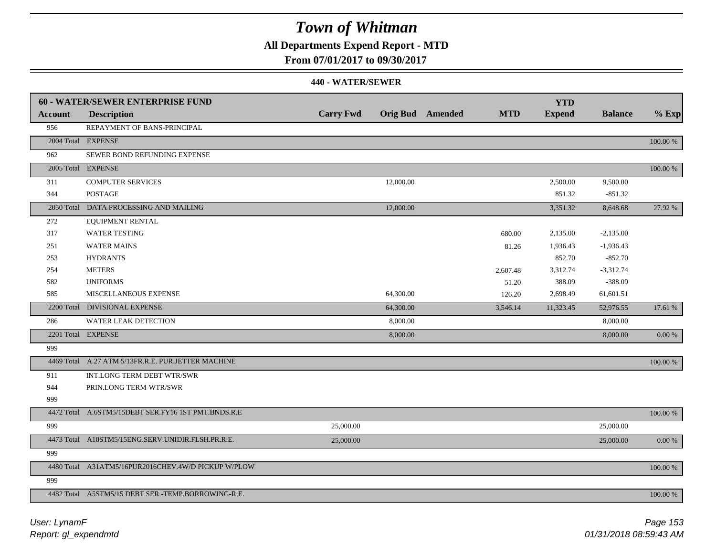## **All Departments Expend Report - MTD**

**From 07/01/2017 to 09/30/2017**

|                | 60 - WATER/SEWER ENTERPRISE FUND                    |                  |           |                         |            | <b>YTD</b>    |                |          |
|----------------|-----------------------------------------------------|------------------|-----------|-------------------------|------------|---------------|----------------|----------|
| <b>Account</b> | <b>Description</b>                                  | <b>Carry Fwd</b> |           | <b>Orig Bud</b> Amended | <b>MTD</b> | <b>Expend</b> | <b>Balance</b> | $%$ Exp  |
| 956            | REPAYMENT OF BANS-PRINCIPAL                         |                  |           |                         |            |               |                |          |
|                | 2004 Total EXPENSE                                  |                  |           |                         |            |               |                | 100.00 % |
| 962            | SEWER BOND REFUNDING EXPENSE                        |                  |           |                         |            |               |                |          |
|                | 2005 Total EXPENSE                                  |                  |           |                         |            |               |                | 100.00 % |
| 311            | <b>COMPUTER SERVICES</b>                            |                  | 12,000.00 |                         |            | 2,500.00      | 9,500.00       |          |
| 344            | <b>POSTAGE</b>                                      |                  |           |                         |            | 851.32        | $-851.32$      |          |
|                | 2050 Total DATA PROCESSING AND MAILING              |                  | 12,000.00 |                         |            | 3,351.32      | 8,648.68       | 27.92 %  |
| 272            | EQUIPMENT RENTAL                                    |                  |           |                         |            |               |                |          |
| 317            | <b>WATER TESTING</b>                                |                  |           |                         | 680.00     | 2,135.00      | $-2,135.00$    |          |
| 251            | <b>WATER MAINS</b>                                  |                  |           |                         | 81.26      | 1,936.43      | $-1,936.43$    |          |
| 253            | <b>HYDRANTS</b>                                     |                  |           |                         |            | 852.70        | $-852.70$      |          |
| 254            | <b>METERS</b>                                       |                  |           |                         | 2,607.48   | 3,312.74      | $-3,312.74$    |          |
| 582            | <b>UNIFORMS</b>                                     |                  |           |                         | 51.20      | 388.09        | $-388.09$      |          |
| 585            | MISCELLANEOUS EXPENSE                               |                  | 64,300.00 |                         | 126.20     | 2,698.49      | 61,601.51      |          |
|                | 2200 Total DIVISIONAL EXPENSE                       |                  | 64,300.00 |                         | 3,546.14   | 11,323.45     | 52,976.55      | 17.61 %  |
| 286            | WATER LEAK DETECTION                                |                  | 8,000.00  |                         |            |               | 8,000.00       |          |
|                | 2201 Total EXPENSE                                  |                  | 8,000.00  |                         |            |               | 8,000.00       | 0.00 %   |
| 999            |                                                     |                  |           |                         |            |               |                |          |
|                | 4469 Total A.27 ATM 5/13FR.R.E. PUR.JETTER MACHINE  |                  |           |                         |            |               |                | 100.00 % |
| 911            | INT.LONG TERM DEBT WTR/SWR                          |                  |           |                         |            |               |                |          |
| 944            | PRIN.LONG TERM-WTR/SWR                              |                  |           |                         |            |               |                |          |
| 999            |                                                     |                  |           |                         |            |               |                |          |
|                | 4472 Total A.6STM5/15DEBT SER.FY16 1ST PMT.BNDS.R.E |                  |           |                         |            |               |                | 100.00 % |
| 999            |                                                     | 25,000.00        |           |                         |            |               | 25,000.00      |          |
|                | 4473 Total A10STM5/15ENG.SERV.UNIDIR.FLSH.PR.R.E.   | 25,000.00        |           |                         |            |               | 25,000.00      | 0.00 %   |
| 999            |                                                     |                  |           |                         |            |               |                |          |
|                | 4480 Total A31ATM5/16PUR2016CHEV.4W/D PICKUP W/PLOW |                  |           |                         |            |               |                | 100.00 % |
| 999            |                                                     |                  |           |                         |            |               |                |          |
|                | 4482 Total A5STM5/15 DEBT SER.-TEMP.BORROWING-R.E.  |                  |           |                         |            |               |                | 100.00 % |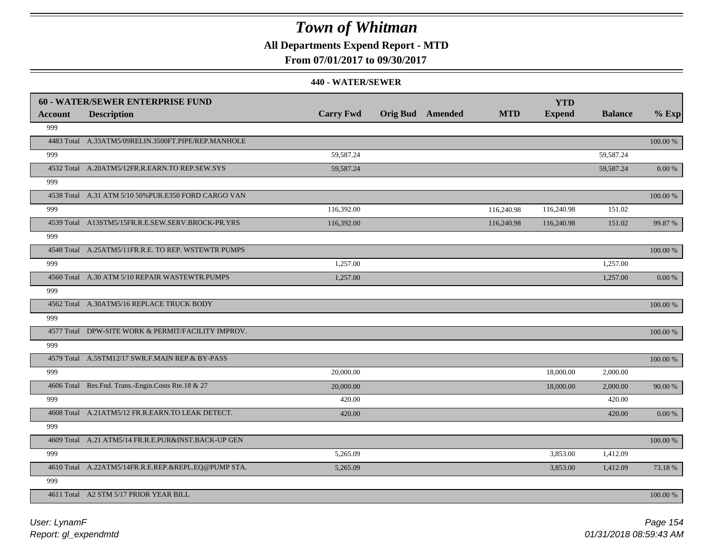## **All Departments Expend Report - MTD**

### **From 07/01/2017 to 09/30/2017**

|         | <b>60 - WATER/SEWER ENTERPRISE FUND</b>              |                  |                         |            | <b>YTD</b>    |                |             |
|---------|------------------------------------------------------|------------------|-------------------------|------------|---------------|----------------|-------------|
| Account | <b>Description</b>                                   | <b>Carry Fwd</b> | <b>Orig Bud</b> Amended | <b>MTD</b> | <b>Expend</b> | <b>Balance</b> | $%$ Exp     |
| 999     |                                                      |                  |                         |            |               |                |             |
|         | 4483 Total A.33ATM5/09RELIN.3500FT.PIPE/REP.MANHOLE  |                  |                         |            |               |                | 100.00 %    |
| 999     |                                                      | 59,587.24        |                         |            |               | 59,587.24      |             |
|         | 4532 Total A.20ATM5/12FR.R.EARN.TO REP.SEW.SYS       | 59,587.24        |                         |            |               | 59,587.24      | 0.00 %      |
| 999     |                                                      |                  |                         |            |               |                |             |
|         | 4538 Total A.31 ATM 5/10 50% PUR.E350 FORD CARGO VAN |                  |                         |            |               |                | 100.00 %    |
| 999     |                                                      | 116,392.00       |                         | 116,240.98 | 116,240.98    | 151.02         |             |
|         | 4539 Total A13STM5/15FR.R.E.SEW.SERV.BROCK-PR.YRS    | 116,392.00       |                         | 116,240.98 | 116,240.98    | 151.02         | 99.87 %     |
| 999     |                                                      |                  |                         |            |               |                |             |
|         | 4548 Total A.25ATM5/11FR.R.E. TO REP. WSTEWTR PUMPS  |                  |                         |            |               |                | 100.00 %    |
| 999     |                                                      | 1,257.00         |                         |            |               | 1,257.00       |             |
|         | 4560 Total A.30 ATM 5/10 REPAIR WASTEWTR.PUMPS       | 1,257.00         |                         |            |               | 1,257.00       | 0.00 %      |
| 999     |                                                      |                  |                         |            |               |                |             |
|         | 4562 Total A.30ATM5/16 REPLACE TRUCK BODY            |                  |                         |            |               |                | 100.00 %    |
| 999     |                                                      |                  |                         |            |               |                |             |
|         | 4577 Total DPW-SITE WORK & PERMIT/FACILITY IMPROV.   |                  |                         |            |               |                | $100.00~\%$ |
| 999     |                                                      |                  |                         |            |               |                |             |
|         | 4579 Total A.5STM12/17 SWR.F.MAIN REP.& BY-PASS      |                  |                         |            |               |                | 100.00 %    |
| 999     |                                                      | 20,000.00        |                         |            | 18,000.00     | 2,000.00       |             |
|         | 4606 Total Res.Fnd. Trans.-Engin.Costs Rte.18 & 27   | 20,000.00        |                         |            | 18,000.00     | 2,000.00       | 90.00 %     |
| 999     |                                                      | 420.00           |                         |            |               | 420.00         |             |
|         | 4608 Total A.21ATM5/12 FR.R.EARN.TO LEAK DETECT.     | 420.00           |                         |            |               | 420.00         | 0.00 %      |
| 999     |                                                      |                  |                         |            |               |                |             |
|         | 4609 Total A.21 ATM5/14 FR.R.E.PUR&INST.BACK-UP GEN  |                  |                         |            |               |                | 100.00 %    |
| 999     |                                                      | 5,265.09         |                         |            | 3,853.00      | 1,412.09       |             |
|         | 4610 Total A.22ATM5/14FR.R.E.REP.&REPL.EQ@PUMP STA.  | 5,265.09         |                         |            | 3,853.00      | 1,412.09       | 73.18%      |
| 999     |                                                      |                  |                         |            |               |                |             |
|         | 4611 Total A2 STM 5/17 PRIOR YEAR BILL               |                  |                         |            |               |                | 100.00 %    |
|         |                                                      |                  |                         |            |               |                |             |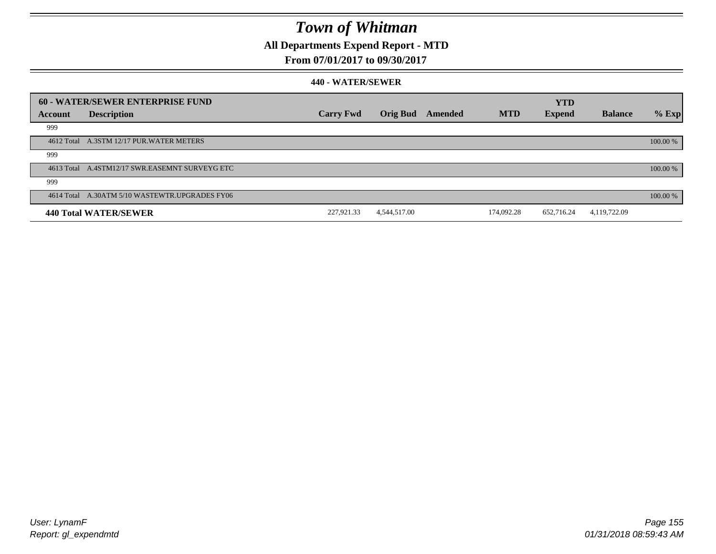## **All Departments Expend Report - MTD**

### **From 07/01/2017 to 09/30/2017**

|                | 60 - WATER/SEWER ENTERPRISE FUND               |                  |                 |         |            | <b>YTD</b>    |                |            |
|----------------|------------------------------------------------|------------------|-----------------|---------|------------|---------------|----------------|------------|
| <b>Account</b> | <b>Description</b>                             | <b>Carry Fwd</b> | <b>Orig Bud</b> | Amended | <b>MTD</b> | <b>Expend</b> | <b>Balance</b> | $%$ Exp    |
| 999            |                                                |                  |                 |         |            |               |                |            |
|                | 4612 Total A.3STM 12/17 PUR.WATER METERS       |                  |                 |         |            |               |                | $100.00\%$ |
| 999            |                                                |                  |                 |         |            |               |                |            |
|                | 4613 Total A.4STM12/17 SWR.EASEMNT SURVEYG ETC |                  |                 |         |            |               |                | 100.00 %   |
| 999            |                                                |                  |                 |         |            |               |                |            |
|                | 4614 Total A.30ATM 5/10 WASTEWTR.UPGRADES FY06 |                  |                 |         |            |               |                | 100.00 %   |
|                | <b>440 Total WATER/SEWER</b>                   | 227,921.33       | 4,544,517.00    |         | 174.092.28 | 652,716.24    | 4,119,722.09   |            |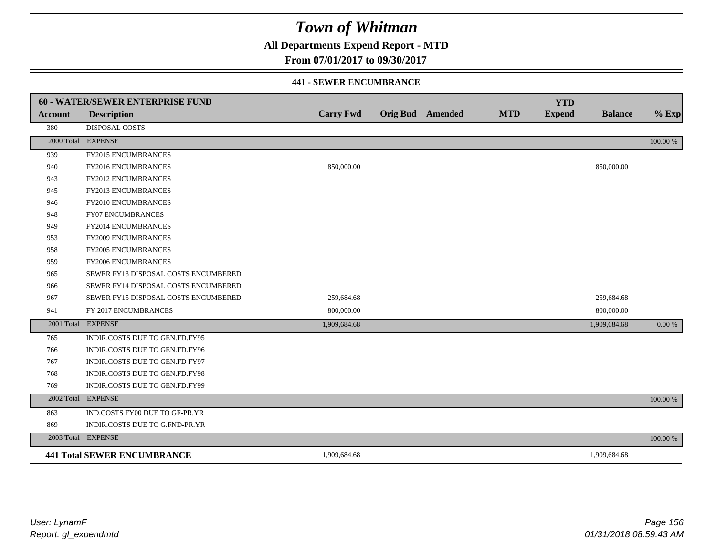## **All Departments Expend Report - MTD**

**From 07/01/2017 to 09/30/2017**

#### **441 - SEWER ENCUMBRANCE**

|                | <b>60 - WATER/SEWER ENTERPRISE FUND</b> |                  |                         |            | <b>YTD</b>    |                |          |
|----------------|-----------------------------------------|------------------|-------------------------|------------|---------------|----------------|----------|
| <b>Account</b> | <b>Description</b>                      | <b>Carry Fwd</b> | <b>Orig Bud</b> Amended | <b>MTD</b> | <b>Expend</b> | <b>Balance</b> | $%$ Exp  |
| 380            | <b>DISPOSAL COSTS</b>                   |                  |                         |            |               |                |          |
|                | 2000 Total EXPENSE                      |                  |                         |            |               |                | 100.00 % |
| 939            | <b>FY2015 ENCUMBRANCES</b>              |                  |                         |            |               |                |          |
| 940            | FY2016 ENCUMBRANCES                     | 850,000.00       |                         |            |               | 850,000.00     |          |
| 943            | <b>FY2012 ENCUMBRANCES</b>              |                  |                         |            |               |                |          |
| 945            | FY2013 ENCUMBRANCES                     |                  |                         |            |               |                |          |
| 946            | <b>FY2010 ENCUMBRANCES</b>              |                  |                         |            |               |                |          |
| 948            | <b>FY07 ENCUMBRANCES</b>                |                  |                         |            |               |                |          |
| 949            | FY2014 ENCUMBRANCES                     |                  |                         |            |               |                |          |
| 953            | <b>FY2009 ENCUMBRANCES</b>              |                  |                         |            |               |                |          |
| 958            | FY2005 ENCUMBRANCES                     |                  |                         |            |               |                |          |
| 959            | <b>FY2006 ENCUMBRANCES</b>              |                  |                         |            |               |                |          |
| 965            | SEWER FY13 DISPOSAL COSTS ENCUMBERED    |                  |                         |            |               |                |          |
| 966            | SEWER FY14 DISPOSAL COSTS ENCUMBERED    |                  |                         |            |               |                |          |
| 967            | SEWER FY15 DISPOSAL COSTS ENCUMBERED    | 259,684.68       |                         |            |               | 259,684.68     |          |
| 941            | FY 2017 ENCUMBRANCES                    | 800,000.00       |                         |            |               | 800,000.00     |          |
|                | 2001 Total EXPENSE                      | 1,909,684.68     |                         |            |               | 1,909,684.68   | 0.00 %   |
| 765            | INDIR.COSTS DUE TO GEN.FD.FY95          |                  |                         |            |               |                |          |
| 766            | INDIR.COSTS DUE TO GEN.FD.FY96          |                  |                         |            |               |                |          |
| 767            | INDIR.COSTS DUE TO GEN.FD FY97          |                  |                         |            |               |                |          |
| 768            | INDIR.COSTS DUE TO GEN.FD.FY98          |                  |                         |            |               |                |          |
| 769            | INDIR.COSTS DUE TO GEN.FD.FY99          |                  |                         |            |               |                |          |
|                | 2002 Total EXPENSE                      |                  |                         |            |               |                | 100.00 % |
| 863            | IND.COSTS FY00 DUE TO GF-PR.YR          |                  |                         |            |               |                |          |
| 869            | INDIR.COSTS DUE TO G.FND-PR.YR          |                  |                         |            |               |                |          |
|                | 2003 Total EXPENSE                      |                  |                         |            |               |                | 100.00 % |
|                | <b>441 Total SEWER ENCUMBRANCE</b>      | 1,909,684.68     |                         |            |               | 1,909,684.68   |          |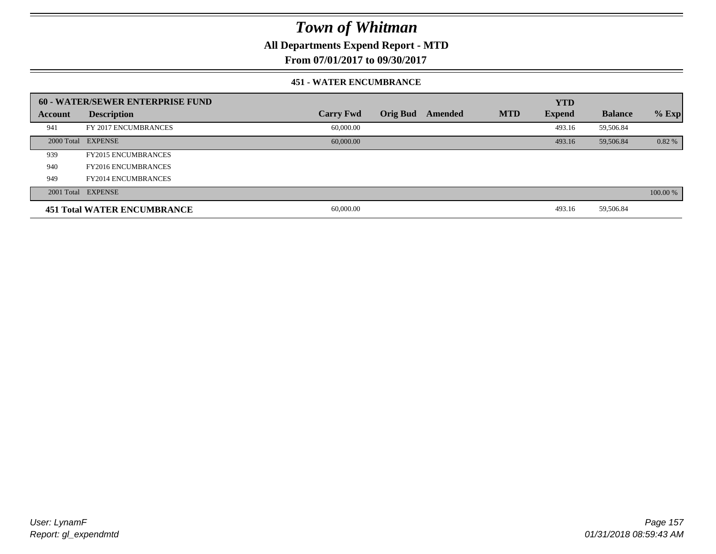**All Departments Expend Report - MTD**

**From 07/01/2017 to 09/30/2017**

#### **451 - WATER ENCUMBRANCE**

|         | <b>60 - WATER/SEWER ENTERPRISE FUND</b> |                  |                 |         |            | <b>YTD</b>    |                |          |
|---------|-----------------------------------------|------------------|-----------------|---------|------------|---------------|----------------|----------|
| Account | <b>Description</b>                      | <b>Carry Fwd</b> | <b>Orig Bud</b> | Amended | <b>MTD</b> | <b>Expend</b> | <b>Balance</b> | $%$ Exp  |
| 941     | FY 2017 ENCUMBRANCES                    | 60,000.00        |                 |         |            | 493.16        | 59,506.84      |          |
|         | 2000 Total EXPENSE                      | 60,000.00        |                 |         |            | 493.16        | 59,506.84      | $0.82\%$ |
| 939     | <b>FY2015 ENCUMBRANCES</b>              |                  |                 |         |            |               |                |          |
| 940     | <b>FY2016 ENCUMBRANCES</b>              |                  |                 |         |            |               |                |          |
| 949     | <b>FY2014 ENCUMBRANCES</b>              |                  |                 |         |            |               |                |          |
|         | 2001 Total EXPENSE                      |                  |                 |         |            |               |                | 100.00 % |
|         | <b>451 Total WATER ENCUMBRANCE</b>      | 60,000.00        |                 |         |            | 493.16        | 59,506.84      |          |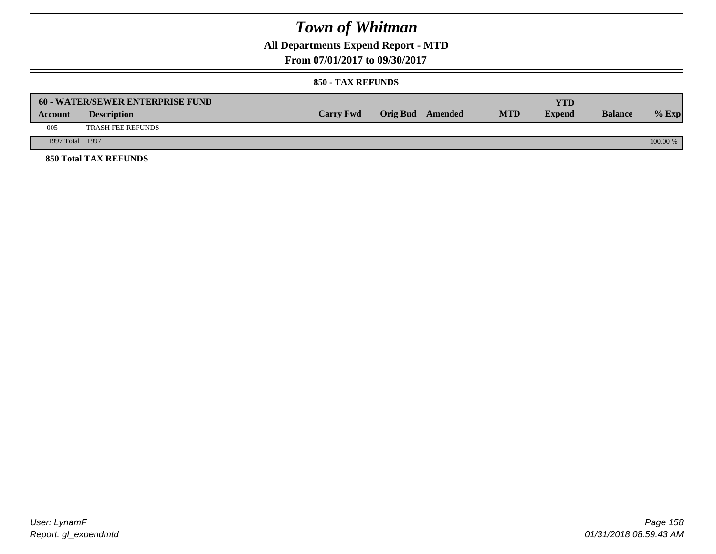## **All Departments Expend Report - MTD**

**From 07/01/2017 to 09/30/2017**

|                 | <b>60 - WATER/SEWER ENTERPRISE FUND</b> |                  |                  |            | YTD           |                |            |
|-----------------|-----------------------------------------|------------------|------------------|------------|---------------|----------------|------------|
| Account         | <b>Description</b>                      | <b>Carry Fwd</b> | Orig Bud Amended | <b>MTD</b> | <b>Expend</b> | <b>Balance</b> | $%$ Exp    |
| 005             | <b>TRASH FEE REFUNDS</b>                |                  |                  |            |               |                |            |
| 1997 Total 1997 |                                         |                  |                  |            |               |                | $100.00\%$ |
|                 | <b>850 Total TAX REFUNDS</b>            |                  |                  |            |               |                |            |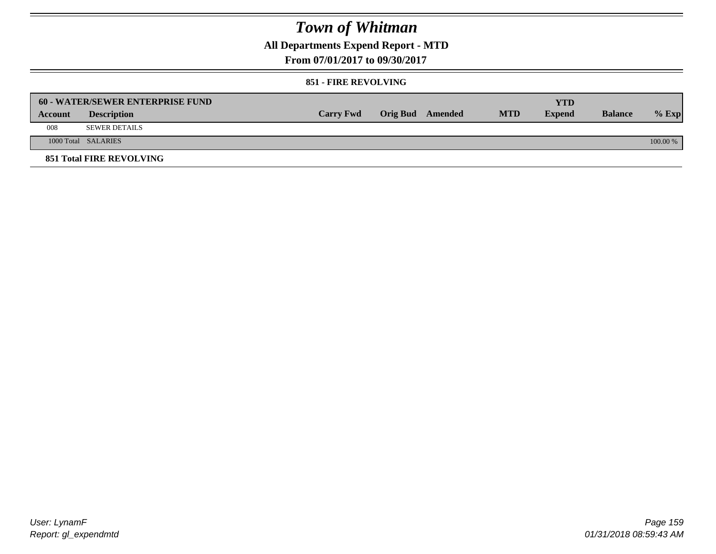## **All Departments Expend Report - MTD**

**From 07/01/2017 to 09/30/2017**

#### **851 - FIRE REVOLVING**

|         | 60 - WATER/SEWER ENTERPRISE FUND |                  |                  |            | <b>YTD</b>    |                |            |
|---------|----------------------------------|------------------|------------------|------------|---------------|----------------|------------|
| Account | <b>Description</b>               | <b>Carry Fwd</b> | Orig Bud Amended | <b>MTD</b> | <b>Expend</b> | <b>Balance</b> | $%$ Exp    |
| 008     | <b>SEWER DETAILS</b>             |                  |                  |            |               |                |            |
|         | 1000 Total SALARIES              |                  |                  |            |               |                | $100.00\%$ |
|         | <b>851 Total FIRE REVOLVING</b>  |                  |                  |            |               |                |            |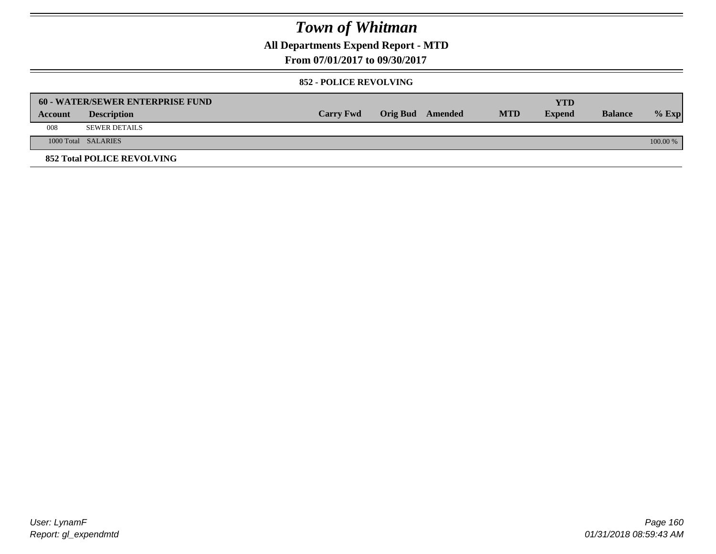## **All Departments Expend Report - MTD**

**From 07/01/2017 to 09/30/2017**

#### **852 - POLICE REVOLVING**

|         | 60 - WATER/SEWER ENTERPRISE FUND  |                  |                  |            | YTD           |                |          |
|---------|-----------------------------------|------------------|------------------|------------|---------------|----------------|----------|
| Account | <b>Description</b>                | <b>Carry Fwd</b> | Orig Bud Amended | <b>MTD</b> | <b>Expend</b> | <b>Balance</b> | $%$ Exp  |
| 008     | <b>SEWER DETAILS</b>              |                  |                  |            |               |                |          |
|         | 1000 Total SALARIES               |                  |                  |            |               |                | 100.00 % |
|         | <b>852 Total POLICE REVOLVING</b> |                  |                  |            |               |                |          |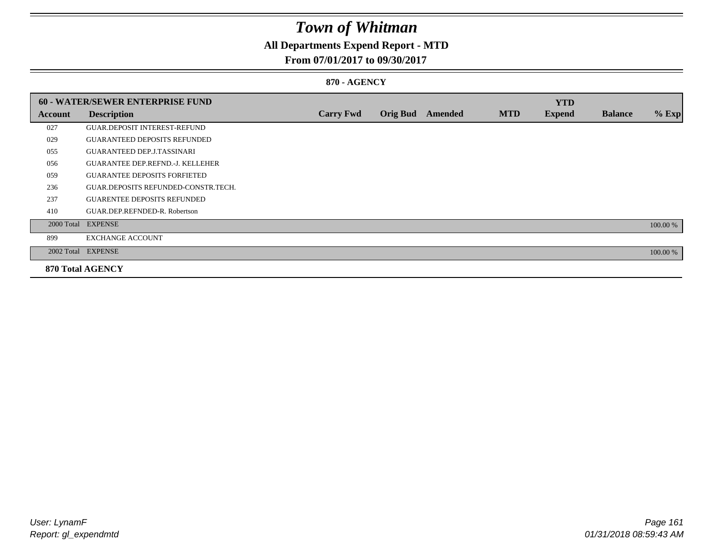## **All Departments Expend Report - MTD**

### **From 07/01/2017 to 09/30/2017**

### **870 - AGENCY**

|         | <b>60 - WATER/SEWER ENTERPRISE FUND</b> |                  |                 |         |            | <b>YTD</b>    |                |          |
|---------|-----------------------------------------|------------------|-----------------|---------|------------|---------------|----------------|----------|
| Account | <b>Description</b>                      | <b>Carry Fwd</b> | <b>Orig Bud</b> | Amended | <b>MTD</b> | <b>Expend</b> | <b>Balance</b> | $%$ Exp  |
| 027     | <b>GUAR.DEPOSIT INTEREST-REFUND</b>     |                  |                 |         |            |               |                |          |
| 029     | <b>GUARANTEED DEPOSITS REFUNDED</b>     |                  |                 |         |            |               |                |          |
| 055     | <b>GUARANTEED DEP.J.TASSINARI</b>       |                  |                 |         |            |               |                |          |
| 056     | <b>GUARANTEE DEP.REFND.-J. KELLEHER</b> |                  |                 |         |            |               |                |          |
| 059     | <b>GUARANTEE DEPOSITS FORFIETED</b>     |                  |                 |         |            |               |                |          |
| 236     | GUAR.DEPOSITS REFUNDED-CONSTR.TECH.     |                  |                 |         |            |               |                |          |
| 237     | <b>GUARENTEE DEPOSITS REFUNDED</b>      |                  |                 |         |            |               |                |          |
| 410     | GUAR.DEP.REFNDED-R. Robertson           |                  |                 |         |            |               |                |          |
|         | 2000 Total EXPENSE                      |                  |                 |         |            |               |                | 100.00 % |
| 899     | <b>EXCHANGE ACCOUNT</b>                 |                  |                 |         |            |               |                |          |
|         | 2002 Total EXPENSE                      |                  |                 |         |            |               |                | 100.00 % |
|         | <b>870 Total AGENCY</b>                 |                  |                 |         |            |               |                |          |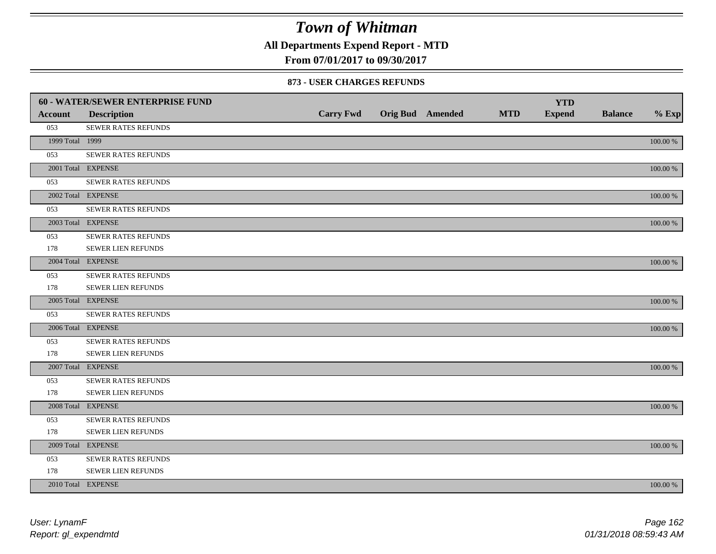**All Departments Expend Report - MTD**

**From 07/01/2017 to 09/30/2017**

#### **873 - USER CHARGES REFUNDS**

|                 | 60 - WATER/SEWER ENTERPRISE FUND |                  |                         |            | <b>YTD</b>    |                |             |
|-----------------|----------------------------------|------------------|-------------------------|------------|---------------|----------------|-------------|
| <b>Account</b>  | <b>Description</b>               | <b>Carry Fwd</b> | <b>Orig Bud</b> Amended | <b>MTD</b> | <b>Expend</b> | <b>Balance</b> | $%$ Exp     |
| 053             | SEWER RATES REFUNDS              |                  |                         |            |               |                |             |
| 1999 Total 1999 |                                  |                  |                         |            |               |                | 100.00 %    |
| 053             | SEWER RATES REFUNDS              |                  |                         |            |               |                |             |
|                 | 2001 Total EXPENSE               |                  |                         |            |               |                | 100.00 %    |
| 053             | SEWER RATES REFUNDS              |                  |                         |            |               |                |             |
|                 | 2002 Total EXPENSE               |                  |                         |            |               |                | 100.00 %    |
| 053             | <b>SEWER RATES REFUNDS</b>       |                  |                         |            |               |                |             |
|                 | 2003 Total EXPENSE               |                  |                         |            |               |                | 100.00 %    |
| 053             | <b>SEWER RATES REFUNDS</b>       |                  |                         |            |               |                |             |
| 178             | SEWER LIEN REFUNDS               |                  |                         |            |               |                |             |
|                 | 2004 Total EXPENSE               |                  |                         |            |               |                | 100.00 %    |
| 053             | SEWER RATES REFUNDS              |                  |                         |            |               |                |             |
| 178             | SEWER LIEN REFUNDS               |                  |                         |            |               |                |             |
|                 | 2005 Total EXPENSE               |                  |                         |            |               |                | 100.00 %    |
| 053             | SEWER RATES REFUNDS              |                  |                         |            |               |                |             |
|                 | 2006 Total EXPENSE               |                  |                         |            |               |                | 100.00 %    |
| 053             | SEWER RATES REFUNDS              |                  |                         |            |               |                |             |
| 178             | <b>SEWER LIEN REFUNDS</b>        |                  |                         |            |               |                |             |
|                 | 2007 Total EXPENSE               |                  |                         |            |               |                | 100.00 %    |
| 053             | <b>SEWER RATES REFUNDS</b>       |                  |                         |            |               |                |             |
| 178             | SEWER LIEN REFUNDS               |                  |                         |            |               |                |             |
|                 | 2008 Total EXPENSE               |                  |                         |            |               |                | 100.00 %    |
| 053             | <b>SEWER RATES REFUNDS</b>       |                  |                         |            |               |                |             |
| 178             | SEWER LIEN REFUNDS               |                  |                         |            |               |                |             |
|                 | 2009 Total EXPENSE               |                  |                         |            |               |                | 100.00 %    |
| 053             | SEWER RATES REFUNDS              |                  |                         |            |               |                |             |
| 178             | SEWER LIEN REFUNDS               |                  |                         |            |               |                |             |
|                 | 2010 Total EXPENSE               |                  |                         |            |               |                | $100.00~\%$ |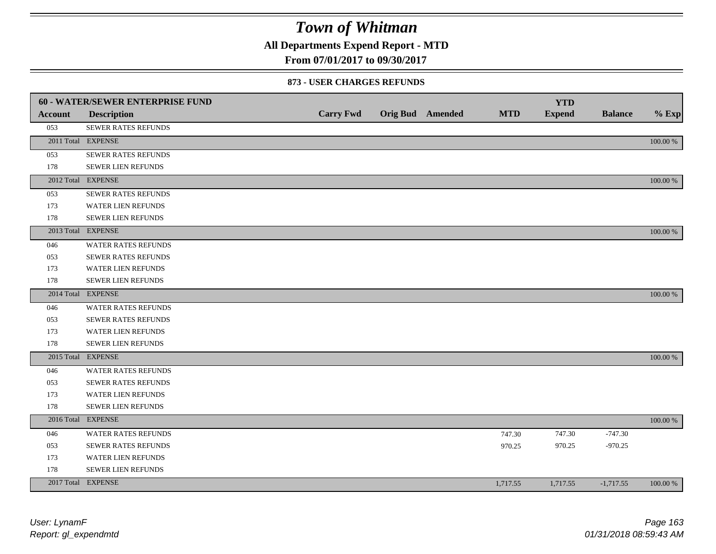**All Departments Expend Report - MTD**

### **From 07/01/2017 to 09/30/2017**

#### **873 - USER CHARGES REFUNDS**

|                | 60 - WATER/SEWER ENTERPRISE FUND |                  |                         |            | <b>YTD</b>    |                |             |
|----------------|----------------------------------|------------------|-------------------------|------------|---------------|----------------|-------------|
| <b>Account</b> | <b>Description</b>               | <b>Carry Fwd</b> | <b>Orig Bud</b> Amended | <b>MTD</b> | <b>Expend</b> | <b>Balance</b> | $%$ Exp     |
| 053            | <b>SEWER RATES REFUNDS</b>       |                  |                         |            |               |                |             |
|                | 2011 Total EXPENSE               |                  |                         |            |               |                | 100.00 %    |
| 053            | SEWER RATES REFUNDS              |                  |                         |            |               |                |             |
| 178            | <b>SEWER LIEN REFUNDS</b>        |                  |                         |            |               |                |             |
|                | 2012 Total EXPENSE               |                  |                         |            |               |                | 100.00 %    |
| 053            | SEWER RATES REFUNDS              |                  |                         |            |               |                |             |
| 173            | <b>WATER LIEN REFUNDS</b>        |                  |                         |            |               |                |             |
| 178            | SEWER LIEN REFUNDS               |                  |                         |            |               |                |             |
|                | 2013 Total EXPENSE               |                  |                         |            |               |                | 100.00 %    |
| 046            | <b>WATER RATES REFUNDS</b>       |                  |                         |            |               |                |             |
| 053            | SEWER RATES REFUNDS              |                  |                         |            |               |                |             |
| 173            | WATER LIEN REFUNDS               |                  |                         |            |               |                |             |
| 178            | <b>SEWER LIEN REFUNDS</b>        |                  |                         |            |               |                |             |
|                | 2014 Total EXPENSE               |                  |                         |            |               |                | 100.00 %    |
| 046            | WATER RATES REFUNDS              |                  |                         |            |               |                |             |
| 053            | <b>SEWER RATES REFUNDS</b>       |                  |                         |            |               |                |             |
| 173            | WATER LIEN REFUNDS               |                  |                         |            |               |                |             |
| 178            | SEWER LIEN REFUNDS               |                  |                         |            |               |                |             |
|                | 2015 Total EXPENSE               |                  |                         |            |               |                | 100.00 %    |
| 046            | <b>WATER RATES REFUNDS</b>       |                  |                         |            |               |                |             |
| 053            | SEWER RATES REFUNDS              |                  |                         |            |               |                |             |
| 173            | <b>WATER LIEN REFUNDS</b>        |                  |                         |            |               |                |             |
| 178            | <b>SEWER LIEN REFUNDS</b>        |                  |                         |            |               |                |             |
|                | 2016 Total EXPENSE               |                  |                         |            |               |                | $100.00~\%$ |
| 046            | <b>WATER RATES REFUNDS</b>       |                  |                         | 747.30     | 747.30        | $-747.30$      |             |
| 053            | SEWER RATES REFUNDS              |                  |                         | 970.25     | 970.25        | $-970.25$      |             |
| 173            | WATER LIEN REFUNDS               |                  |                         |            |               |                |             |
| 178            | <b>SEWER LIEN REFUNDS</b>        |                  |                         |            |               |                |             |
|                | 2017 Total EXPENSE               |                  |                         | 1,717.55   | 1,717.55      | $-1,717.55$    | $100.00~\%$ |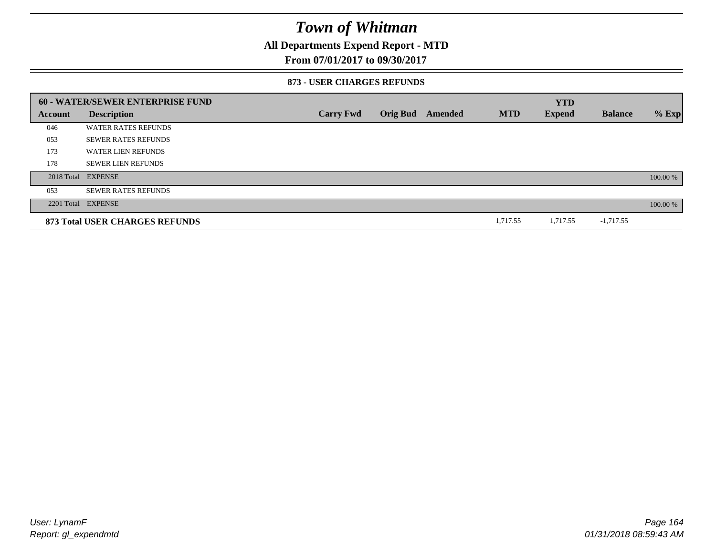## **All Departments Expend Report - MTD**

### **From 07/01/2017 to 09/30/2017**

#### **873 - USER CHARGES REFUNDS**

|         | 60 - WATER/SEWER ENTERPRISE FUND |                  |                 |         |            | <b>YTD</b>    |                |          |
|---------|----------------------------------|------------------|-----------------|---------|------------|---------------|----------------|----------|
| Account | <b>Description</b>               | <b>Carry Fwd</b> | <b>Orig Bud</b> | Amended | <b>MTD</b> | <b>Expend</b> | <b>Balance</b> | $%$ Exp  |
| 046     | <b>WATER RATES REFUNDS</b>       |                  |                 |         |            |               |                |          |
| 053     | <b>SEWER RATES REFUNDS</b>       |                  |                 |         |            |               |                |          |
| 173     | WATER LIEN REFUNDS               |                  |                 |         |            |               |                |          |
| 178     | <b>SEWER LIEN REFUNDS</b>        |                  |                 |         |            |               |                |          |
|         | 2018 Total EXPENSE               |                  |                 |         |            |               |                | 100.00 % |
| 053     | <b>SEWER RATES REFUNDS</b>       |                  |                 |         |            |               |                |          |
|         | 2201 Total EXPENSE               |                  |                 |         |            |               |                | 100.00 % |
|         | 873 Total USER CHARGES REFUNDS   |                  |                 |         | 1,717.55   | 1,717.55      | $-1,717.55$    |          |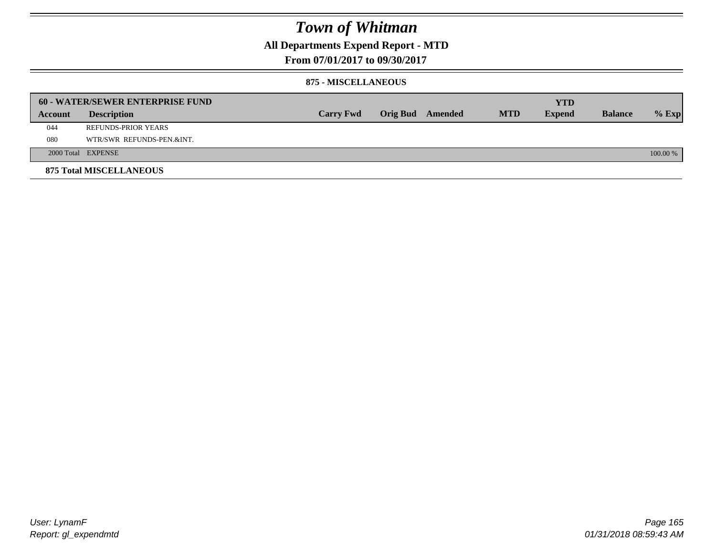## **All Departments Expend Report - MTD**

**From 07/01/2017 to 09/30/2017**

#### **875 - MISCELLANEOUS**

|         | <b>60 - WATER/SEWER ENTERPRISE FUND</b> |                  |  |                  |            | <b>YTD</b>    |                |          |
|---------|-----------------------------------------|------------------|--|------------------|------------|---------------|----------------|----------|
| Account | <b>Description</b>                      | <b>Carry Fwd</b> |  | Orig Bud Amended | <b>MTD</b> | <b>Expend</b> | <b>Balance</b> | $%$ Exp  |
| 044     | <b>REFUNDS-PRIOR YEARS</b>              |                  |  |                  |            |               |                |          |
| 080     | WTR/SWR REFUNDS-PEN.&INT.               |                  |  |                  |            |               |                |          |
|         | 2000 Total EXPENSE                      |                  |  |                  |            |               |                | 100.00 % |
|         | <b>875 Total MISCELLANEOUS</b>          |                  |  |                  |            |               |                |          |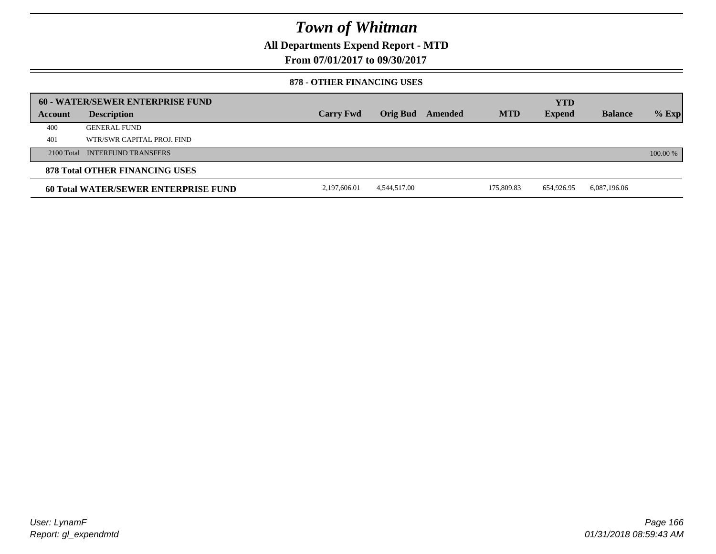**All Departments Expend Report - MTD**

**From 07/01/2017 to 09/30/2017**

#### **878 - OTHER FINANCING USES**

|         | 60 - WATER/SEWER ENTERPRISE FUND     |                  |                 |         |            | <b>YTD</b>    |                |          |
|---------|--------------------------------------|------------------|-----------------|---------|------------|---------------|----------------|----------|
| Account | <b>Description</b>                   | <b>Carry Fwd</b> | <b>Orig Bud</b> | Amended | <b>MTD</b> | <b>Expend</b> | <b>Balance</b> | $%$ Exp  |
| 400     | <b>GENERAL FUND</b>                  |                  |                 |         |            |               |                |          |
| 401     | WTR/SWR CAPITAL PROJ. FIND           |                  |                 |         |            |               |                |          |
|         | 2100 Total INTERFUND TRANSFERS       |                  |                 |         |            |               |                | 100.00 % |
|         | 878 Total OTHER FINANCING USES       |                  |                 |         |            |               |                |          |
|         | 60 Total WATER/SEWER ENTERPRISE FUND | 2,197,606.01     | 4,544,517.00    |         | 175.809.83 | 654,926.95    | 6,087,196.06   |          |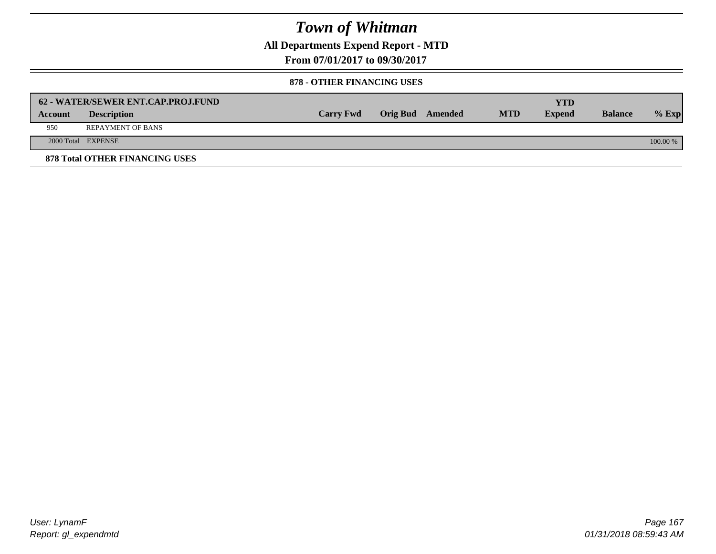**All Departments Expend Report - MTD**

**From 07/01/2017 to 09/30/2017**

#### **878 - OTHER FINANCING USES**

|         | 62 - WATER/SEWER ENT.CAP.PROJ.FUND    |                  |                  |            | <b>YTD</b>    |                |            |
|---------|---------------------------------------|------------------|------------------|------------|---------------|----------------|------------|
| Account | <b>Description</b>                    | <b>Carry Fwd</b> | Orig Bud Amended | <b>MTD</b> | <b>Expend</b> | <b>Balance</b> | $%$ Exp    |
| 950     | <b>REPAYMENT OF BANS</b>              |                  |                  |            |               |                |            |
|         | 2000 Total EXPENSE                    |                  |                  |            |               |                | $100.00\%$ |
|         | <b>878 Total OTHER FINANCING USES</b> |                  |                  |            |               |                |            |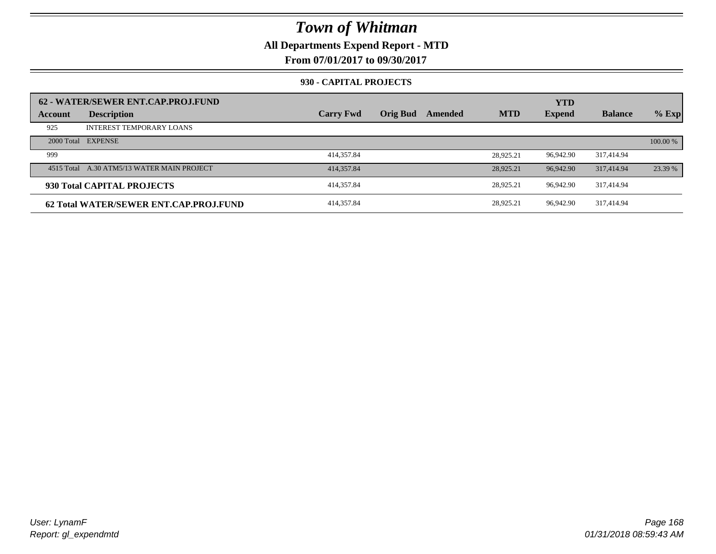## **All Departments Expend Report - MTD**

**From 07/01/2017 to 09/30/2017**

#### **930 - CAPITAL PROJECTS**

| Account | 62 - WATER/SEWER ENT.CAP.PROJ.FUND<br><b>Description</b> | <b>Carry Fwd</b> | <b>Orig Bud</b> | Amended | <b>MTD</b> | <b>YTD</b><br><b>Expend</b> | <b>Balance</b> | $%$ Exp  |
|---------|----------------------------------------------------------|------------------|-----------------|---------|------------|-----------------------------|----------------|----------|
| 925     | <b>INTEREST TEMPORARY LOANS</b>                          |                  |                 |         |            |                             |                |          |
|         | 2000 Total EXPENSE                                       |                  |                 |         |            |                             |                | 100.00 % |
| 999     |                                                          | 414,357.84       |                 |         | 28,925.21  | 96.942.90                   | 317.414.94     |          |
|         | 4515 Total A.30 ATM5/13 WATER MAIN PROJECT               | 414, 357.84      |                 |         | 28,925.21  | 96,942.90                   | 317,414.94     | 23.39 %  |
|         | 930 Total CAPITAL PROJECTS                               | 414,357.84       |                 |         | 28,925.21  | 96.942.90                   | 317,414.94     |          |
|         | 62 Total WATER/SEWER ENT.CAP.PROJ.FUND                   | 414,357.84       |                 |         | 28,925.21  | 96.942.90                   | 317.414.94     |          |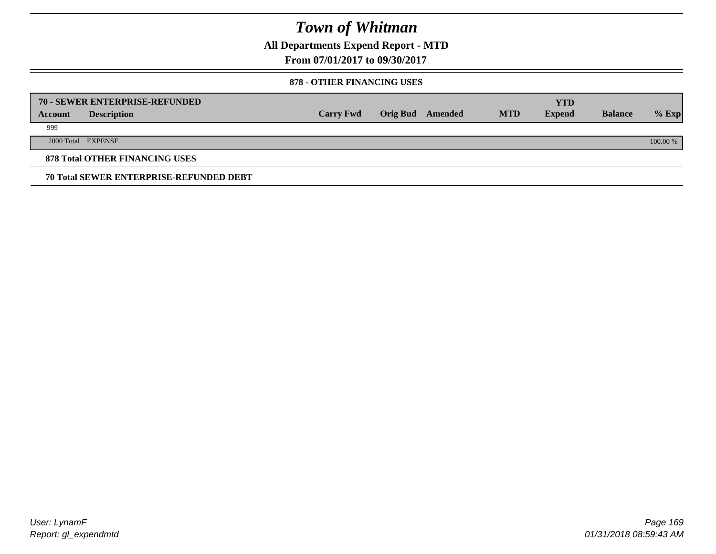**All Departments Expend Report - MTD**

**From 07/01/2017 to 09/30/2017**

### **878 - OTHER FINANCING USES**

|         | 70 - SEWER ENTERPRISE-REFUNDED                 |                  |                 |         |            | <b>YTD</b>    |                |          |
|---------|------------------------------------------------|------------------|-----------------|---------|------------|---------------|----------------|----------|
| Account | <b>Description</b>                             | <b>Carry Fwd</b> | <b>Orig Bud</b> | Amended | <b>MTD</b> | <b>Expend</b> | <b>Balance</b> | $%$ Exp  |
| 999     |                                                |                  |                 |         |            |               |                |          |
|         | 2000 Total EXPENSE                             |                  |                 |         |            |               |                | 100.00 % |
|         | <b>878 Total OTHER FINANCING USES</b>          |                  |                 |         |            |               |                |          |
|         | <b>70 Total SEWER ENTERPRISE-REFUNDED DEBT</b> |                  |                 |         |            |               |                |          |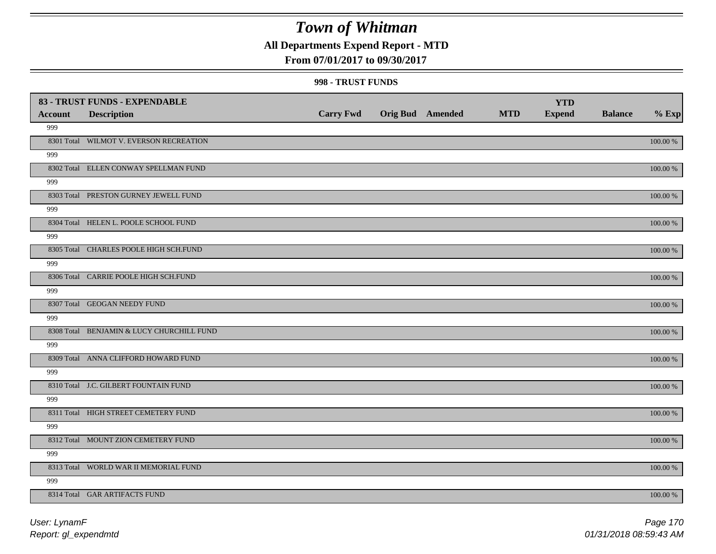## **All Departments Expend Report - MTD**

### **From 07/01/2017 to 09/30/2017**

#### **998 - TRUST FUNDS**

| <b>Account</b> | 83 - TRUST FUNDS - EXPENDABLE<br><b>Description</b> | <b>Carry Fwd</b> | <b>Orig Bud</b> Amended | <b>MTD</b> | <b>YTD</b><br><b>Expend</b> | <b>Balance</b> | $%$ Exp     |
|----------------|-----------------------------------------------------|------------------|-------------------------|------------|-----------------------------|----------------|-------------|
| 999            |                                                     |                  |                         |            |                             |                |             |
|                | 8301 Total WILMOT V. EVERSON RECREATION             |                  |                         |            |                             |                | 100.00 %    |
| 999            |                                                     |                  |                         |            |                             |                |             |
|                | 8302 Total ELLEN CONWAY SPELLMAN FUND               |                  |                         |            |                             |                | 100.00 %    |
| 999            |                                                     |                  |                         |            |                             |                |             |
|                | 8303 Total PRESTON GURNEY JEWELL FUND               |                  |                         |            |                             |                | 100.00 %    |
| 999            |                                                     |                  |                         |            |                             |                |             |
|                | 8304 Total HELEN L. POOLE SCHOOL FUND               |                  |                         |            |                             |                | 100.00 %    |
| 999            |                                                     |                  |                         |            |                             |                |             |
|                | 8305 Total CHARLES POOLE HIGH SCH.FUND              |                  |                         |            |                             |                | 100.00 %    |
| 999            |                                                     |                  |                         |            |                             |                |             |
|                | 8306 Total CARRIE POOLE HIGH SCH.FUND               |                  |                         |            |                             |                | 100.00 %    |
| 999            |                                                     |                  |                         |            |                             |                |             |
|                | 8307 Total GEOGAN NEEDY FUND                        |                  |                         |            |                             |                | 100.00 %    |
| 999            |                                                     |                  |                         |            |                             |                |             |
|                | 8308 Total BENJAMIN & LUCY CHURCHILL FUND           |                  |                         |            |                             |                | 100.00 %    |
| 999            | 8309 Total ANNA CLIFFORD HOWARD FUND                |                  |                         |            |                             |                |             |
| 999            |                                                     |                  |                         |            |                             |                | 100.00 %    |
|                | 8310 Total J.C. GILBERT FOUNTAIN FUND               |                  |                         |            |                             |                | $100.00~\%$ |
| 999            |                                                     |                  |                         |            |                             |                |             |
|                | 8311 Total HIGH STREET CEMETERY FUND                |                  |                         |            |                             |                | $100.00~\%$ |
| 999            |                                                     |                  |                         |            |                             |                |             |
|                | 8312 Total MOUNT ZION CEMETERY FUND                 |                  |                         |            |                             |                | 100.00 %    |
| 999            |                                                     |                  |                         |            |                             |                |             |
|                | 8313 Total WORLD WAR II MEMORIAL FUND               |                  |                         |            |                             |                | 100.00 %    |
| 999            |                                                     |                  |                         |            |                             |                |             |
|                | 8314 Total GAR ARTIFACTS FUND                       |                  |                         |            |                             |                | 100.00 %    |
|                |                                                     |                  |                         |            |                             |                |             |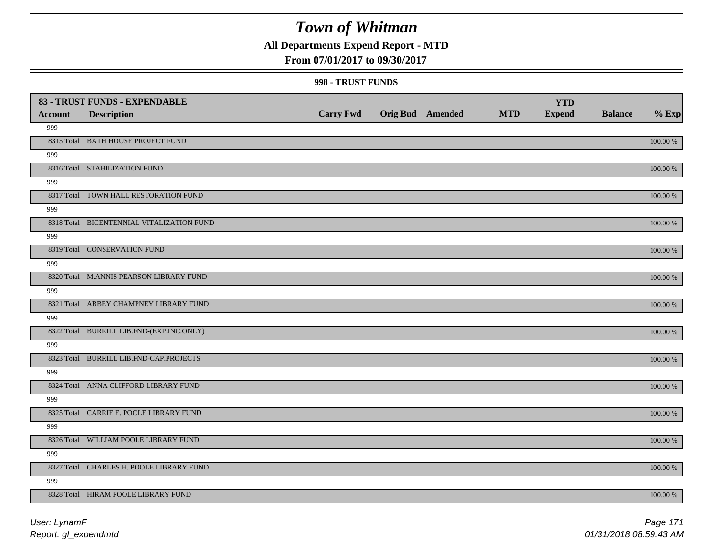## **All Departments Expend Report - MTD**

### **From 07/01/2017 to 09/30/2017**

#### **998 - TRUST FUNDS**

|                |                                           |                  |                         |            | <b>YTD</b>    |                |             |
|----------------|-------------------------------------------|------------------|-------------------------|------------|---------------|----------------|-------------|
| <b>Account</b> | <b>Description</b>                        | <b>Carry Fwd</b> | <b>Orig Bud Amended</b> | <b>MTD</b> | <b>Expend</b> | <b>Balance</b> | $%$ Exp     |
| 999            |                                           |                  |                         |            |               |                |             |
|                | 8315 Total BATH HOUSE PROJECT FUND        |                  |                         |            |               |                | $100.00~\%$ |
| 999            |                                           |                  |                         |            |               |                |             |
|                | 8316 Total STABILIZATION FUND             |                  |                         |            |               |                | 100.00 %    |
| 999            |                                           |                  |                         |            |               |                |             |
|                | 8317 Total TOWN HALL RESTORATION FUND     |                  |                         |            |               |                | 100.00 %    |
| 999            |                                           |                  |                         |            |               |                |             |
|                | 8318 Total BICENTENNIAL VITALIZATION FUND |                  |                         |            |               |                | 100.00 %    |
| 999            |                                           |                  |                         |            |               |                |             |
|                | 8319 Total CONSERVATION FUND              |                  |                         |            |               |                | 100.00 %    |
| 999            |                                           |                  |                         |            |               |                |             |
|                | 8320 Total M.ANNIS PEARSON LIBRARY FUND   |                  |                         |            |               |                | 100.00 %    |
| 999            |                                           |                  |                         |            |               |                |             |
|                | 8321 Total ABBEY CHAMPNEY LIBRARY FUND    |                  |                         |            |               |                | 100.00 %    |
| 999            |                                           |                  |                         |            |               |                |             |
|                | 8322 Total BURRILL LIB.FND-(EXP.INC.ONLY) |                  |                         |            |               |                | $100.00~\%$ |
| 999            |                                           |                  |                         |            |               |                |             |
|                | 8323 Total BURRILL LIB.FND-CAP.PROJECTS   |                  |                         |            |               |                | $100.00~\%$ |
| 999            |                                           |                  |                         |            |               |                |             |
|                | 8324 Total ANNA CLIFFORD LIBRARY FUND     |                  |                         |            |               |                | 100.00 %    |
| 999            |                                           |                  |                         |            |               |                |             |
|                | 8325 Total CARRIE E. POOLE LIBRARY FUND   |                  |                         |            |               |                | 100.00 %    |
| 999            |                                           |                  |                         |            |               |                |             |
|                | 8326 Total WILLIAM POOLE LIBRARY FUND     |                  |                         |            |               |                | 100.00 %    |
| 999            |                                           |                  |                         |            |               |                |             |
|                | 8327 Total CHARLES H. POOLE LIBRARY FUND  |                  |                         |            |               |                | 100.00 %    |
| 999            |                                           |                  |                         |            |               |                |             |
|                | 8328 Total HIRAM POOLE LIBRARY FUND       |                  |                         |            |               |                | 100.00 %    |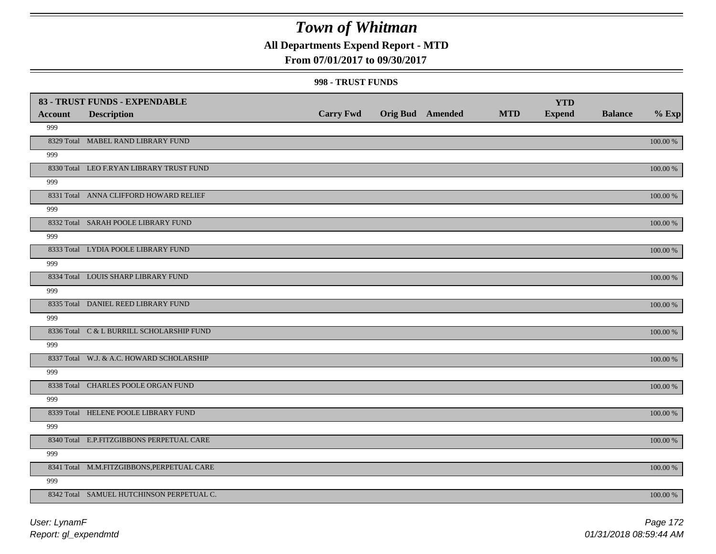## **All Departments Expend Report - MTD**

### **From 07/01/2017 to 09/30/2017**

#### **998 - TRUST FUNDS**

| <b>Account</b> | 83 - TRUST FUNDS - EXPENDABLE<br><b>Description</b> | <b>Carry Fwd</b> | <b>Orig Bud</b> Amended | <b>MTD</b> | <b>YTD</b><br><b>Expend</b> | <b>Balance</b> | $%$ Exp     |
|----------------|-----------------------------------------------------|------------------|-------------------------|------------|-----------------------------|----------------|-------------|
| 999            |                                                     |                  |                         |            |                             |                |             |
|                | 8329 Total MABEL RAND LIBRARY FUND                  |                  |                         |            |                             |                | 100.00 %    |
| 999            |                                                     |                  |                         |            |                             |                |             |
|                | 8330 Total LEO F.RYAN LIBRARY TRUST FUND            |                  |                         |            |                             |                | 100.00 %    |
| 999            |                                                     |                  |                         |            |                             |                |             |
|                | 8331 Total ANNA CLIFFORD HOWARD RELIEF              |                  |                         |            |                             |                | 100.00 %    |
| 999            |                                                     |                  |                         |            |                             |                |             |
|                | 8332 Total SARAH POOLE LIBRARY FUND                 |                  |                         |            |                             |                | 100.00 %    |
| 999            |                                                     |                  |                         |            |                             |                |             |
|                | 8333 Total LYDIA POOLE LIBRARY FUND                 |                  |                         |            |                             |                | 100.00 %    |
| 999            |                                                     |                  |                         |            |                             |                |             |
|                | 8334 Total LOUIS SHARP LIBRARY FUND                 |                  |                         |            |                             |                | 100.00 %    |
| 999            |                                                     |                  |                         |            |                             |                |             |
|                | 8335 Total DANIEL REED LIBRARY FUND                 |                  |                         |            |                             |                | 100.00 %    |
| 999            |                                                     |                  |                         |            |                             |                |             |
|                | 8336 Total C & L BURRILL SCHOLARSHIP FUND           |                  |                         |            |                             |                | 100.00 %    |
| 999            |                                                     |                  |                         |            |                             |                |             |
|                | 8337 Total W.J. & A.C. HOWARD SCHOLARSHIP           |                  |                         |            |                             |                | 100.00 %    |
| 999            |                                                     |                  |                         |            |                             |                |             |
|                | 8338 Total CHARLES POOLE ORGAN FUND                 |                  |                         |            |                             |                | $100.00~\%$ |
| 999            |                                                     |                  |                         |            |                             |                |             |
|                | 8339 Total HELENE POOLE LIBRARY FUND                |                  |                         |            |                             |                | $100.00~\%$ |
| 999            |                                                     |                  |                         |            |                             |                |             |
|                | 8340 Total E.P.FITZGIBBONS PERPETUAL CARE           |                  |                         |            |                             |                | 100.00 %    |
| 999            |                                                     |                  |                         |            |                             |                |             |
|                | 8341 Total M.M.FITZGIBBONS, PERPETUAL CARE          |                  |                         |            |                             |                | 100.00 %    |
| 999            |                                                     |                  |                         |            |                             |                |             |
|                | 8342 Total SAMUEL HUTCHINSON PERPETUAL C.           |                  |                         |            |                             |                | 100.00 %    |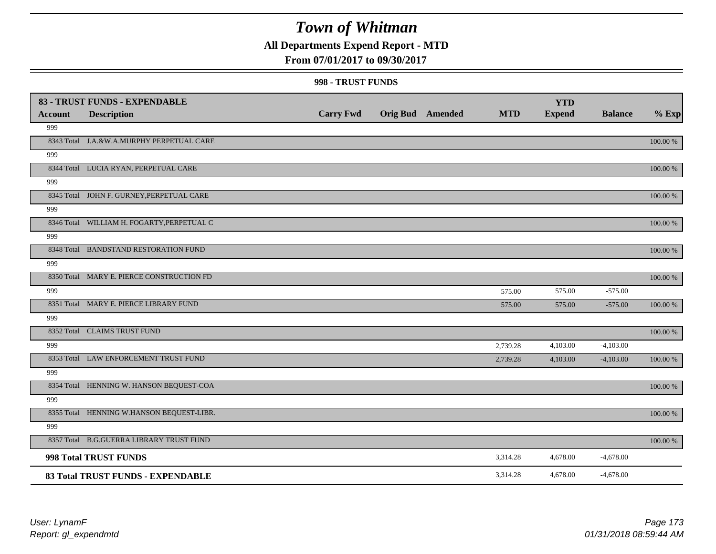## **All Departments Expend Report - MTD**

### **From 07/01/2017 to 09/30/2017**

#### **998 - TRUST FUNDS**

|                | 83 - TRUST FUNDS - EXPENDABLE              |                  |                         |            | <b>YTD</b>    |                |             |
|----------------|--------------------------------------------|------------------|-------------------------|------------|---------------|----------------|-------------|
| <b>Account</b> | <b>Description</b>                         | <b>Carry Fwd</b> | <b>Orig Bud</b> Amended | <b>MTD</b> | <b>Expend</b> | <b>Balance</b> | $%$ Exp     |
| 999            |                                            |                  |                         |            |               |                |             |
|                | 8343 Total J.A.&W.A.MURPHY PERPETUAL CARE  |                  |                         |            |               |                | 100.00 %    |
| 999            |                                            |                  |                         |            |               |                |             |
|                | 8344 Total LUCIA RYAN, PERPETUAL CARE      |                  |                         |            |               |                | 100.00 %    |
| 999            |                                            |                  |                         |            |               |                |             |
|                | 8345 Total JOHN F. GURNEY, PERPETUAL CARE  |                  |                         |            |               |                | 100.00 %    |
| 999            |                                            |                  |                         |            |               |                |             |
|                | 8346 Total WILLIAM H. FOGARTY, PERPETUAL C |                  |                         |            |               |                | 100.00 %    |
| 999            |                                            |                  |                         |            |               |                |             |
|                | 8348 Total BANDSTAND RESTORATION FUND      |                  |                         |            |               |                | 100.00 %    |
| 999            |                                            |                  |                         |            |               |                |             |
|                | 8350 Total MARY E. PIERCE CONSTRUCTION FD  |                  |                         |            |               |                | $100.00\%$  |
| 999            |                                            |                  |                         | 575.00     | 575.00        | $-575.00$      |             |
|                | 8351 Total MARY E. PIERCE LIBRARY FUND     |                  |                         | 575.00     | 575.00        | $-575.00$      | 100.00 %    |
| 999            |                                            |                  |                         |            |               |                |             |
|                | 8352 Total CLAIMS TRUST FUND               |                  |                         |            |               |                | 100.00 %    |
| 999            |                                            |                  |                         | 2,739.28   | 4,103.00      | $-4,103.00$    |             |
|                | 8353 Total LAW ENFORCEMENT TRUST FUND      |                  |                         | 2,739.28   | 4,103.00      | $-4,103.00$    | 100.00 %    |
| 999            |                                            |                  |                         |            |               |                |             |
|                | 8354 Total HENNING W. HANSON BEQUEST-COA   |                  |                         |            |               |                | $100.00~\%$ |
| 999            |                                            |                  |                         |            |               |                |             |
|                | 8355 Total HENNING W.HANSON BEQUEST-LIBR.  |                  |                         |            |               |                | 100.00 %    |
| 999            |                                            |                  |                         |            |               |                |             |
|                | 8357 Total B.G.GUERRA LIBRARY TRUST FUND   |                  |                         |            |               |                | $100.00\%$  |
|                | 998 Total TRUST FUNDS                      |                  |                         | 3,314.28   | 4,678.00      | $-4,678.00$    |             |
|                | 83 Total TRUST FUNDS - EXPENDABLE          |                  |                         | 3,314.28   | 4,678.00      | $-4,678.00$    |             |

*Report: gl\_expendmtd User: LynamF*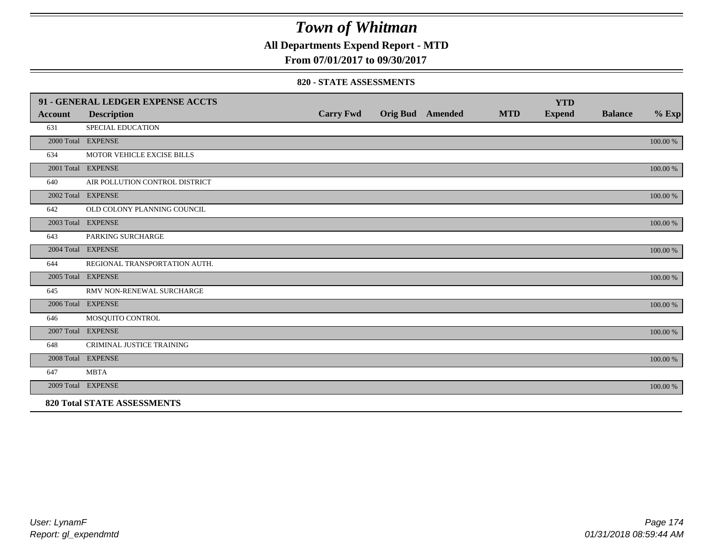## **All Departments Expend Report - MTD**

**From 07/01/2017 to 09/30/2017**

#### **820 - STATE ASSESSMENTS**

|                | 91 - GENERAL LEDGER EXPENSE ACCTS  |                  |                         |            | <b>YTD</b>    |                |          |
|----------------|------------------------------------|------------------|-------------------------|------------|---------------|----------------|----------|
| <b>Account</b> | <b>Description</b>                 | <b>Carry Fwd</b> | <b>Orig Bud</b> Amended | <b>MTD</b> | <b>Expend</b> | <b>Balance</b> | $%$ Exp  |
| 631            | <b>SPECIAL EDUCATION</b>           |                  |                         |            |               |                |          |
|                | 2000 Total EXPENSE                 |                  |                         |            |               |                | 100.00 % |
| 634            | MOTOR VEHICLE EXCISE BILLS         |                  |                         |            |               |                |          |
|                | 2001 Total EXPENSE                 |                  |                         |            |               |                | 100.00 % |
| 640            | AIR POLLUTION CONTROL DISTRICT     |                  |                         |            |               |                |          |
|                | 2002 Total EXPENSE                 |                  |                         |            |               |                | 100.00 % |
| 642            | OLD COLONY PLANNING COUNCIL        |                  |                         |            |               |                |          |
|                | 2003 Total EXPENSE                 |                  |                         |            |               |                | 100.00 % |
| 643            | PARKING SURCHARGE                  |                  |                         |            |               |                |          |
|                | 2004 Total EXPENSE                 |                  |                         |            |               |                | 100.00 % |
| 644            | REGIONAL TRANSPORTATION AUTH.      |                  |                         |            |               |                |          |
|                | 2005 Total EXPENSE                 |                  |                         |            |               |                | 100.00 % |
| 645            | RMV NON-RENEWAL SURCHARGE          |                  |                         |            |               |                |          |
|                | 2006 Total EXPENSE                 |                  |                         |            |               |                | 100.00 % |
| 646            | MOSQUITO CONTROL                   |                  |                         |            |               |                |          |
|                | 2007 Total EXPENSE                 |                  |                         |            |               |                | 100.00 % |
| 648            | CRIMINAL JUSTICE TRAINING          |                  |                         |            |               |                |          |
|                | 2008 Total EXPENSE                 |                  |                         |            |               |                | 100.00 % |
| 647            | <b>MBTA</b>                        |                  |                         |            |               |                |          |
|                | 2009 Total EXPENSE                 |                  |                         |            |               |                | 100.00 % |
|                | <b>820 Total STATE ASSESSMENTS</b> |                  |                         |            |               |                |          |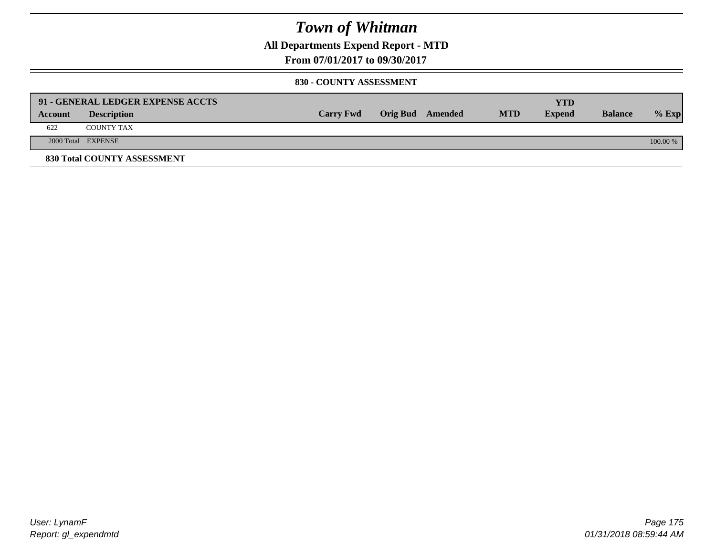**All Departments Expend Report - MTD**

**From 07/01/2017 to 09/30/2017**

#### **830 - COUNTY ASSESSMENT**

|         | 91 - GENERAL LEDGER EXPENSE ACCTS |                  |                  |            | <b>YTD</b>    |                |            |
|---------|-----------------------------------|------------------|------------------|------------|---------------|----------------|------------|
| Account | <b>Description</b>                | <b>Carry Fwd</b> | Orig Bud Amended | <b>MTD</b> | <b>Expend</b> | <b>Balance</b> | $%$ Exp    |
| 622     | <b>COUNTY TAX</b>                 |                  |                  |            |               |                |            |
|         | 2000 Total EXPENSE                |                  |                  |            |               |                | $100.00\%$ |
|         | 830 Total COUNTY ASSESSMENT       |                  |                  |            |               |                |            |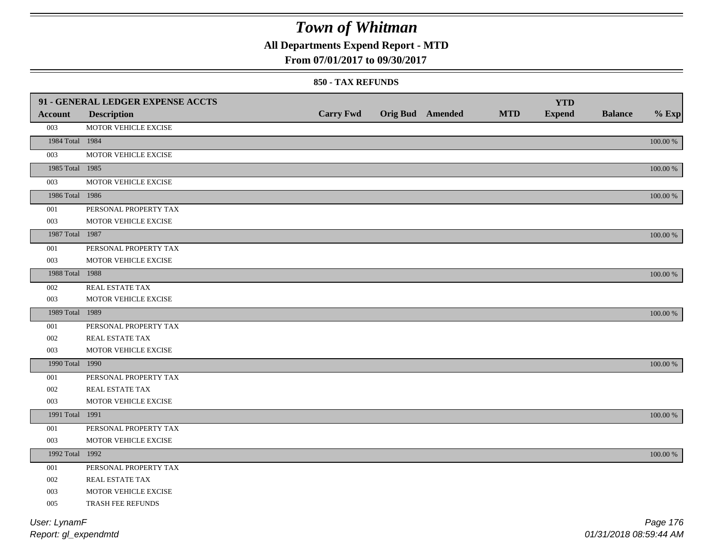## **All Departments Expend Report - MTD**

### **From 07/01/2017 to 09/30/2017**

#### **850 - TAX REFUNDS**

|                 | 91 - GENERAL LEDGER EXPENSE ACCTS |                  |                         |            | <b>YTD</b>    |                |             |
|-----------------|-----------------------------------|------------------|-------------------------|------------|---------------|----------------|-------------|
| <b>Account</b>  | <b>Description</b>                | <b>Carry Fwd</b> | <b>Orig Bud</b> Amended | <b>MTD</b> | <b>Expend</b> | <b>Balance</b> | $%$ Exp     |
| 003             | MOTOR VEHICLE EXCISE              |                  |                         |            |               |                |             |
| 1984 Total 1984 |                                   |                  |                         |            |               |                | $100.00~\%$ |
| 003             | MOTOR VEHICLE EXCISE              |                  |                         |            |               |                |             |
| 1985 Total 1985 |                                   |                  |                         |            |               |                | 100.00 %    |
| 003             | MOTOR VEHICLE EXCISE              |                  |                         |            |               |                |             |
| 1986 Total 1986 |                                   |                  |                         |            |               |                | 100.00 %    |
| 001             | PERSONAL PROPERTY TAX             |                  |                         |            |               |                |             |
| 003             | MOTOR VEHICLE EXCISE              |                  |                         |            |               |                |             |
| 1987 Total 1987 |                                   |                  |                         |            |               |                | 100.00 %    |
| 001             | PERSONAL PROPERTY TAX             |                  |                         |            |               |                |             |
| 003             | MOTOR VEHICLE EXCISE              |                  |                         |            |               |                |             |
| 1988 Total 1988 |                                   |                  |                         |            |               |                | 100.00 %    |
| 002             | <b>REAL ESTATE TAX</b>            |                  |                         |            |               |                |             |
| 003             | MOTOR VEHICLE EXCISE              |                  |                         |            |               |                |             |
| 1989 Total 1989 |                                   |                  |                         |            |               |                | 100.00 %    |
| 001             | PERSONAL PROPERTY TAX             |                  |                         |            |               |                |             |
| 002             | <b>REAL ESTATE TAX</b>            |                  |                         |            |               |                |             |
| 003             | MOTOR VEHICLE EXCISE              |                  |                         |            |               |                |             |
| 1990 Total 1990 |                                   |                  |                         |            |               |                | 100.00 %    |
| $001\,$         | PERSONAL PROPERTY TAX             |                  |                         |            |               |                |             |
| 002             | REAL ESTATE TAX                   |                  |                         |            |               |                |             |
| 003             | MOTOR VEHICLE EXCISE              |                  |                         |            |               |                |             |
| 1991 Total 1991 |                                   |                  |                         |            |               |                | 100.00 %    |
| 001             | PERSONAL PROPERTY TAX             |                  |                         |            |               |                |             |
| 003             | MOTOR VEHICLE EXCISE              |                  |                         |            |               |                |             |
| 1992 Total 1992 |                                   |                  |                         |            |               |                | 100.00 %    |
| 001             | PERSONAL PROPERTY TAX             |                  |                         |            |               |                |             |
| 002             | <b>REAL ESTATE TAX</b>            |                  |                         |            |               |                |             |
| 003             | MOTOR VEHICLE EXCISE              |                  |                         |            |               |                |             |
| 005             | TRASH FEE REFUNDS                 |                  |                         |            |               |                |             |
| User: LynamF    |                                   |                  |                         |            |               |                | Page 176    |
|                 |                                   |                  |                         |            |               |                |             |

*Report: gl\_expendmtd*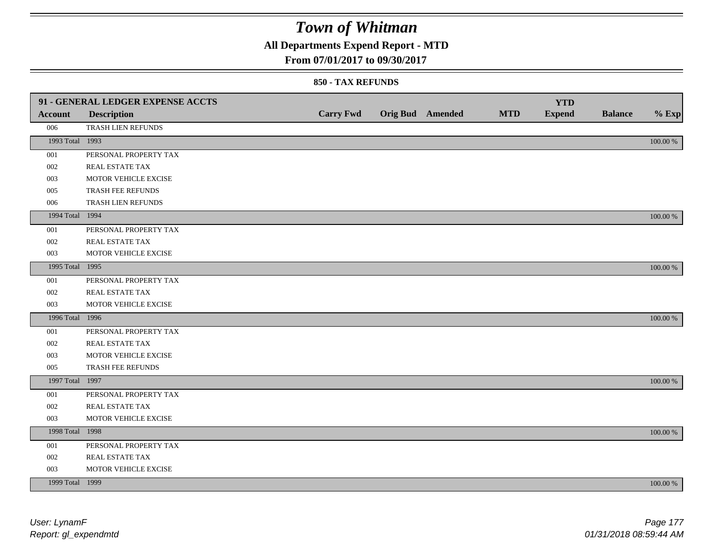## **All Departments Expend Report - MTD**

### **From 07/01/2017 to 09/30/2017**

|                 | 91 - GENERAL LEDGER EXPENSE ACCTS |                  |                  |            | <b>YTD</b>    |                |             |
|-----------------|-----------------------------------|------------------|------------------|------------|---------------|----------------|-------------|
| <b>Account</b>  | <b>Description</b>                | <b>Carry Fwd</b> | Orig Bud Amended | <b>MTD</b> | <b>Expend</b> | <b>Balance</b> | $%$ Exp     |
| 006             | TRASH LIEN REFUNDS                |                  |                  |            |               |                |             |
| 1993 Total 1993 |                                   |                  |                  |            |               |                | $100.00~\%$ |
| 001             | PERSONAL PROPERTY TAX             |                  |                  |            |               |                |             |
| 002             | REAL ESTATE TAX                   |                  |                  |            |               |                |             |
| 003             | MOTOR VEHICLE EXCISE              |                  |                  |            |               |                |             |
| 005             | TRASH FEE REFUNDS                 |                  |                  |            |               |                |             |
| 006             | TRASH LIEN REFUNDS                |                  |                  |            |               |                |             |
| 1994 Total 1994 |                                   |                  |                  |            |               |                | 100.00 %    |
| 001             | PERSONAL PROPERTY TAX             |                  |                  |            |               |                |             |
| 002             | REAL ESTATE TAX                   |                  |                  |            |               |                |             |
| 003             | MOTOR VEHICLE EXCISE              |                  |                  |            |               |                |             |
| 1995 Total 1995 |                                   |                  |                  |            |               |                | 100.00 %    |
| 001             | PERSONAL PROPERTY TAX             |                  |                  |            |               |                |             |
| 002             | REAL ESTATE TAX                   |                  |                  |            |               |                |             |
| 003             | MOTOR VEHICLE EXCISE              |                  |                  |            |               |                |             |
| 1996 Total 1996 |                                   |                  |                  |            |               |                | 100.00 %    |
| 001             | PERSONAL PROPERTY TAX             |                  |                  |            |               |                |             |
| 002             | REAL ESTATE TAX                   |                  |                  |            |               |                |             |
| 003             | MOTOR VEHICLE EXCISE              |                  |                  |            |               |                |             |
| 005             | TRASH FEE REFUNDS                 |                  |                  |            |               |                |             |
| 1997 Total 1997 |                                   |                  |                  |            |               |                | 100.00 %    |
| 001             | PERSONAL PROPERTY TAX             |                  |                  |            |               |                |             |
| 002             | REAL ESTATE TAX                   |                  |                  |            |               |                |             |
| 003             | MOTOR VEHICLE EXCISE              |                  |                  |            |               |                |             |
| 1998 Total 1998 |                                   |                  |                  |            |               |                | 100.00 %    |
| 001             | PERSONAL PROPERTY TAX             |                  |                  |            |               |                |             |
| 002             | REAL ESTATE TAX                   |                  |                  |            |               |                |             |
| 003             | MOTOR VEHICLE EXCISE              |                  |                  |            |               |                |             |
| 1999 Total 1999 |                                   |                  |                  |            |               |                | 100.00 %    |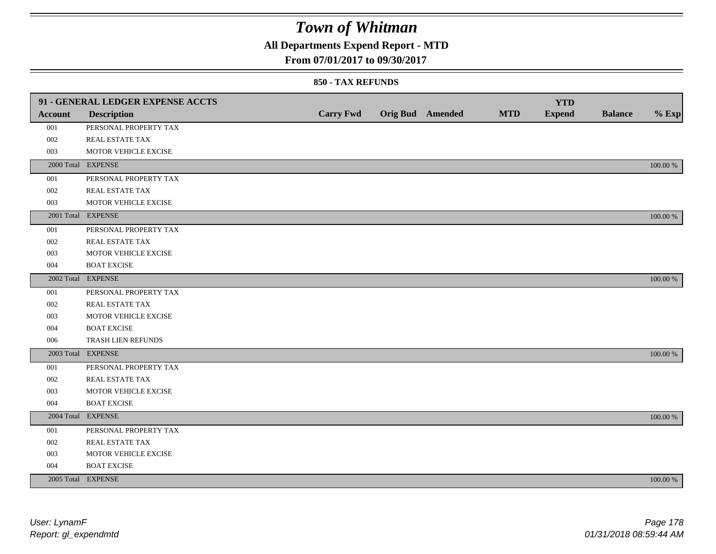## **All Departments Expend Report - MTD**

### **From 07/01/2017 to 09/30/2017**

|                | 91 - GENERAL LEDGER EXPENSE ACCTS |                  |                         |            | <b>YTD</b>    |                |             |
|----------------|-----------------------------------|------------------|-------------------------|------------|---------------|----------------|-------------|
| <b>Account</b> | <b>Description</b>                | <b>Carry Fwd</b> | <b>Orig Bud</b> Amended | <b>MTD</b> | <b>Expend</b> | <b>Balance</b> | $%$ Exp     |
| 001            | PERSONAL PROPERTY TAX             |                  |                         |            |               |                |             |
| 002            | REAL ESTATE TAX                   |                  |                         |            |               |                |             |
| 003            | MOTOR VEHICLE EXCISE              |                  |                         |            |               |                |             |
|                | 2000 Total EXPENSE                |                  |                         |            |               |                | 100.00 %    |
| 001            | PERSONAL PROPERTY TAX             |                  |                         |            |               |                |             |
| 002            | REAL ESTATE TAX                   |                  |                         |            |               |                |             |
| 003            | MOTOR VEHICLE EXCISE              |                  |                         |            |               |                |             |
|                | 2001 Total EXPENSE                |                  |                         |            |               |                | 100.00 %    |
| 001            | PERSONAL PROPERTY TAX             |                  |                         |            |               |                |             |
| 002            | REAL ESTATE TAX                   |                  |                         |            |               |                |             |
| 003            | MOTOR VEHICLE EXCISE              |                  |                         |            |               |                |             |
| 004            | <b>BOAT EXCISE</b>                |                  |                         |            |               |                |             |
|                | 2002 Total EXPENSE                |                  |                         |            |               |                | 100.00 %    |
| 001            | PERSONAL PROPERTY TAX             |                  |                         |            |               |                |             |
| 002            | REAL ESTATE TAX                   |                  |                         |            |               |                |             |
| 003            | MOTOR VEHICLE EXCISE              |                  |                         |            |               |                |             |
| 004            | <b>BOAT EXCISE</b>                |                  |                         |            |               |                |             |
| 006            | TRASH LIEN REFUNDS                |                  |                         |            |               |                |             |
|                | 2003 Total EXPENSE                |                  |                         |            |               |                | 100.00 %    |
| 001            | PERSONAL PROPERTY TAX             |                  |                         |            |               |                |             |
| 002            | REAL ESTATE TAX                   |                  |                         |            |               |                |             |
| 003            | MOTOR VEHICLE EXCISE              |                  |                         |            |               |                |             |
| 004            | <b>BOAT EXCISE</b>                |                  |                         |            |               |                |             |
|                | 2004 Total EXPENSE                |                  |                         |            |               |                | 100.00 %    |
| 001            | PERSONAL PROPERTY TAX             |                  |                         |            |               |                |             |
| 002            | REAL ESTATE TAX                   |                  |                         |            |               |                |             |
| 003            | MOTOR VEHICLE EXCISE              |                  |                         |            |               |                |             |
| 004            | <b>BOAT EXCISE</b>                |                  |                         |            |               |                |             |
|                | 2005 Total EXPENSE                |                  |                         |            |               |                | $100.00~\%$ |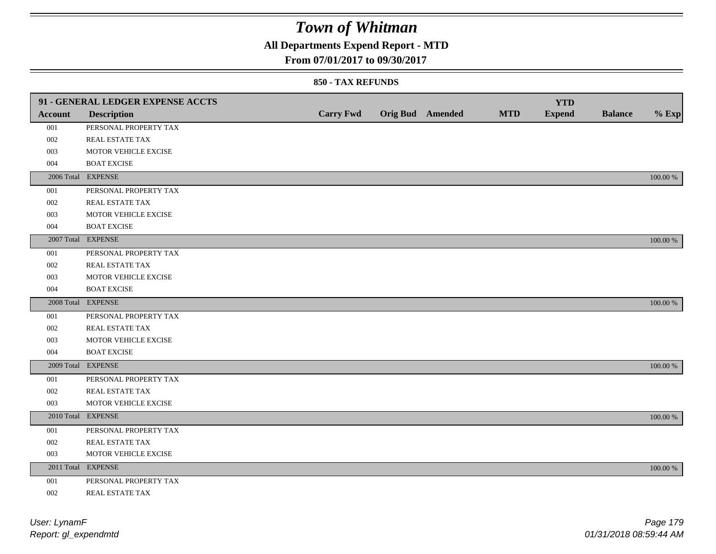## **All Departments Expend Report - MTD**

### **From 07/01/2017 to 09/30/2017**

|         | 91 - GENERAL LEDGER EXPENSE ACCTS |                  |                         |            | <b>YTD</b>    |                |             |
|---------|-----------------------------------|------------------|-------------------------|------------|---------------|----------------|-------------|
| Account | <b>Description</b>                | <b>Carry Fwd</b> | <b>Orig Bud</b> Amended | <b>MTD</b> | <b>Expend</b> | <b>Balance</b> | $%$ Exp     |
| 001     | PERSONAL PROPERTY TAX             |                  |                         |            |               |                |             |
| 002     | REAL ESTATE TAX                   |                  |                         |            |               |                |             |
| 003     | MOTOR VEHICLE EXCISE              |                  |                         |            |               |                |             |
| 004     | <b>BOAT EXCISE</b>                |                  |                         |            |               |                |             |
|         | 2006 Total EXPENSE                |                  |                         |            |               |                | 100.00 %    |
| 001     | PERSONAL PROPERTY TAX             |                  |                         |            |               |                |             |
| 002     | REAL ESTATE TAX                   |                  |                         |            |               |                |             |
| 003     | MOTOR VEHICLE EXCISE              |                  |                         |            |               |                |             |
| 004     | <b>BOAT EXCISE</b>                |                  |                         |            |               |                |             |
|         | 2007 Total EXPENSE                |                  |                         |            |               |                | 100.00 %    |
| 001     | PERSONAL PROPERTY TAX             |                  |                         |            |               |                |             |
| 002     | REAL ESTATE TAX                   |                  |                         |            |               |                |             |
| 003     | MOTOR VEHICLE EXCISE              |                  |                         |            |               |                |             |
| 004     | <b>BOAT EXCISE</b>                |                  |                         |            |               |                |             |
|         | 2008 Total EXPENSE                |                  |                         |            |               |                | 100.00 %    |
| 001     | PERSONAL PROPERTY TAX             |                  |                         |            |               |                |             |
| 002     | <b>REAL ESTATE TAX</b>            |                  |                         |            |               |                |             |
| 003     | MOTOR VEHICLE EXCISE              |                  |                         |            |               |                |             |
| 004     | <b>BOAT EXCISE</b>                |                  |                         |            |               |                |             |
|         | 2009 Total EXPENSE                |                  |                         |            |               |                | 100.00 %    |
| 001     | PERSONAL PROPERTY TAX             |                  |                         |            |               |                |             |
| 002     | REAL ESTATE TAX                   |                  |                         |            |               |                |             |
| 003     | MOTOR VEHICLE EXCISE              |                  |                         |            |               |                |             |
|         | 2010 Total EXPENSE                |                  |                         |            |               |                | 100.00 %    |
| 001     | PERSONAL PROPERTY TAX             |                  |                         |            |               |                |             |
| 002     | REAL ESTATE TAX                   |                  |                         |            |               |                |             |
| 003     | MOTOR VEHICLE EXCISE              |                  |                         |            |               |                |             |
|         | 2011 Total EXPENSE                |                  |                         |            |               |                | $100.00~\%$ |
| 001     | PERSONAL PROPERTY TAX             |                  |                         |            |               |                |             |
| 002     | REAL ESTATE TAX                   |                  |                         |            |               |                |             |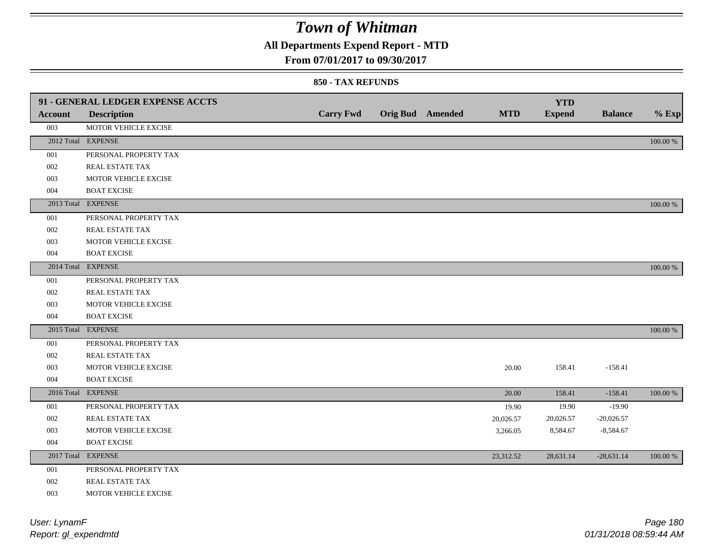## **All Departments Expend Report - MTD**

### **From 07/01/2017 to 09/30/2017**

|         | 91 - GENERAL LEDGER EXPENSE ACCTS |                  |                         |            | <b>YTD</b>    |                |             |
|---------|-----------------------------------|------------------|-------------------------|------------|---------------|----------------|-------------|
| Account | <b>Description</b>                | <b>Carry Fwd</b> | <b>Orig Bud</b> Amended | <b>MTD</b> | <b>Expend</b> | <b>Balance</b> | $%$ Exp     |
| 003     | MOTOR VEHICLE EXCISE              |                  |                         |            |               |                |             |
|         | 2012 Total EXPENSE                |                  |                         |            |               |                | $100.00~\%$ |
| 001     | PERSONAL PROPERTY TAX             |                  |                         |            |               |                |             |
| 002     | REAL ESTATE TAX                   |                  |                         |            |               |                |             |
| 003     | MOTOR VEHICLE EXCISE              |                  |                         |            |               |                |             |
| 004     | <b>BOAT EXCISE</b>                |                  |                         |            |               |                |             |
|         | 2013 Total EXPENSE                |                  |                         |            |               |                | 100.00 %    |
| 001     | PERSONAL PROPERTY TAX             |                  |                         |            |               |                |             |
| 002     | <b>REAL ESTATE TAX</b>            |                  |                         |            |               |                |             |
| 003     | MOTOR VEHICLE EXCISE              |                  |                         |            |               |                |             |
| 004     | <b>BOAT EXCISE</b>                |                  |                         |            |               |                |             |
|         | 2014 Total EXPENSE                |                  |                         |            |               |                | 100.00 %    |
| 001     | PERSONAL PROPERTY TAX             |                  |                         |            |               |                |             |
| 002     | REAL ESTATE TAX                   |                  |                         |            |               |                |             |
| 003     | MOTOR VEHICLE EXCISE              |                  |                         |            |               |                |             |
| 004     | <b>BOAT EXCISE</b>                |                  |                         |            |               |                |             |
|         | 2015 Total EXPENSE                |                  |                         |            |               |                | 100.00 %    |
| 001     | PERSONAL PROPERTY TAX             |                  |                         |            |               |                |             |
| 002     | REAL ESTATE TAX                   |                  |                         |            |               |                |             |
| 003     | MOTOR VEHICLE EXCISE              |                  |                         | 20.00      | 158.41        | $-158.41$      |             |
| 004     | <b>BOAT EXCISE</b>                |                  |                         |            |               |                |             |
|         | 2016 Total EXPENSE                |                  |                         | 20.00      | 158.41        | $-158.41$      | 100.00 %    |
| 001     | PERSONAL PROPERTY TAX             |                  |                         | 19.90      | 19.90         | $-19.90$       |             |
| 002     | <b>REAL ESTATE TAX</b>            |                  |                         | 20,026.57  | 20,026.57     | $-20,026.57$   |             |
| 003     | MOTOR VEHICLE EXCISE              |                  |                         | 3,266.05   | 8,584.67      | $-8,584.67$    |             |
| 004     | <b>BOAT EXCISE</b>                |                  |                         |            |               |                |             |
|         | 2017 Total EXPENSE                |                  |                         | 23,312.52  | 28,631.14     | $-28,631.14$   | 100.00 %    |
| 001     | PERSONAL PROPERTY TAX             |                  |                         |            |               |                |             |
| 002     | <b>REAL ESTATE TAX</b>            |                  |                         |            |               |                |             |
| 003     | MOTOR VEHICLE EXCISE              |                  |                         |            |               |                |             |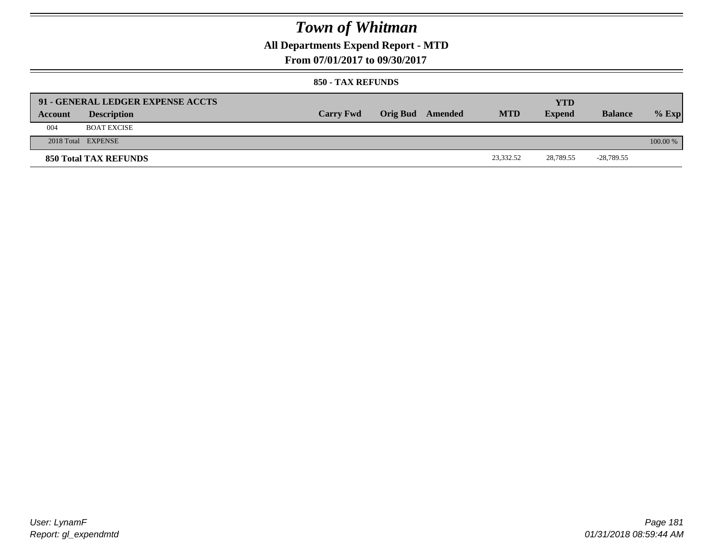### **All Departments Expend Report - MTD**

**From 07/01/2017 to 09/30/2017**

#### **850 - TAX REFUNDS**

|         | 91 - GENERAL LEDGER EXPENSE ACCTS |                  |                  |            | <b>YTD</b>    |                |          |
|---------|-----------------------------------|------------------|------------------|------------|---------------|----------------|----------|
| Account | <b>Description</b>                | <b>Carry Fwd</b> | Orig Bud Amended | <b>MTD</b> | <b>Expend</b> | <b>Balance</b> | $%$ Exp  |
| 004     | <b>BOAT EXCISE</b>                |                  |                  |            |               |                |          |
|         | 2018 Total EXPENSE                |                  |                  |            |               |                | 100.00 % |
|         | <b>850 Total TAX REFUNDS</b>      |                  |                  | 23,332.52  | 28,789.55     | -28,789.55     |          |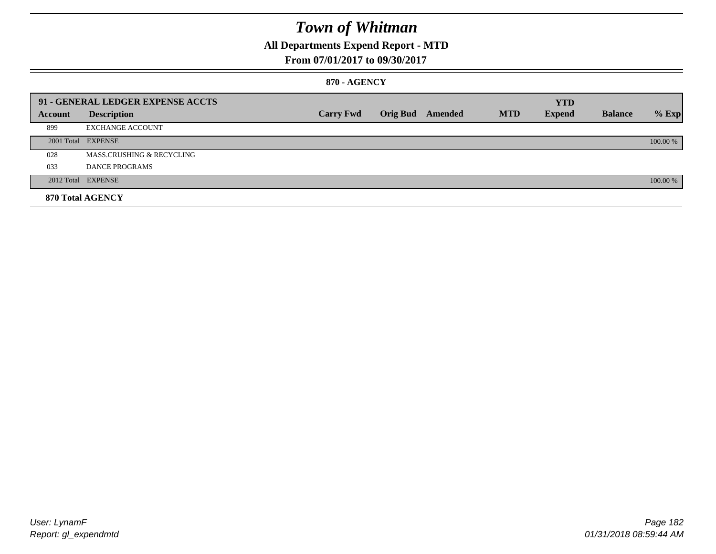### **All Departments Expend Report - MTD**

#### **From 07/01/2017 to 09/30/2017**

#### **870 - AGENCY**

|         | 91 - GENERAL LEDGER EXPENSE ACCTS |                  |                         |            | <b>YTD</b>    |                |          |
|---------|-----------------------------------|------------------|-------------------------|------------|---------------|----------------|----------|
| Account | <b>Description</b>                | <b>Carry Fwd</b> | <b>Orig Bud</b> Amended | <b>MTD</b> | <b>Expend</b> | <b>Balance</b> | $%$ Exp  |
| 899     | <b>EXCHANGE ACCOUNT</b>           |                  |                         |            |               |                |          |
|         | 2001 Total EXPENSE                |                  |                         |            |               |                | 100.00 % |
| 028     | MASS.CRUSHING & RECYCLING         |                  |                         |            |               |                |          |
| 033     | <b>DANCE PROGRAMS</b>             |                  |                         |            |               |                |          |
|         | 2012 Total EXPENSE                |                  |                         |            |               |                | 100.00 % |
|         | 870 Total AGENCY                  |                  |                         |            |               |                |          |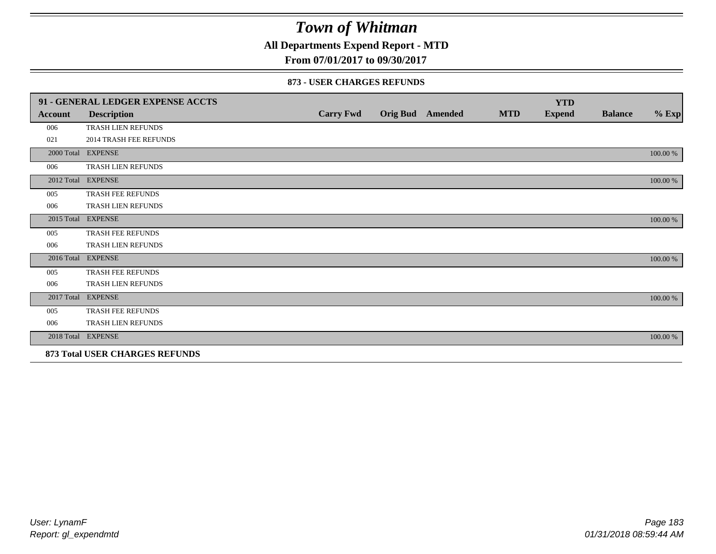**All Departments Expend Report - MTD**

**From 07/01/2017 to 09/30/2017**

#### **873 - USER CHARGES REFUNDS**

|            | 91 - GENERAL LEDGER EXPENSE ACCTS |                  |                  |            | <b>YTD</b>    |                |          |
|------------|-----------------------------------|------------------|------------------|------------|---------------|----------------|----------|
| Account    | <b>Description</b>                | <b>Carry Fwd</b> | Orig Bud Amended | <b>MTD</b> | <b>Expend</b> | <b>Balance</b> | $%$ Exp  |
| 006        | <b>TRASH LIEN REFUNDS</b>         |                  |                  |            |               |                |          |
| 021        | <b>2014 TRASH FEE REFUNDS</b>     |                  |                  |            |               |                |          |
|            | 2000 Total EXPENSE                |                  |                  |            |               |                | 100.00 % |
| 006        | TRASH LIEN REFUNDS                |                  |                  |            |               |                |          |
|            | 2012 Total EXPENSE                |                  |                  |            |               |                | 100.00 % |
| 005        | TRASH FEE REFUNDS                 |                  |                  |            |               |                |          |
| 006        | TRASH LIEN REFUNDS                |                  |                  |            |               |                |          |
| 2015 Total | <b>EXPENSE</b>                    |                  |                  |            |               |                | 100.00 % |
| 005        | TRASH FEE REFUNDS                 |                  |                  |            |               |                |          |
| 006        | TRASH LIEN REFUNDS                |                  |                  |            |               |                |          |
|            | 2016 Total EXPENSE                |                  |                  |            |               |                | 100.00 % |
| 005        | <b>TRASH FEE REFUNDS</b>          |                  |                  |            |               |                |          |
| 006        | <b>TRASH LIEN REFUNDS</b>         |                  |                  |            |               |                |          |
| 2017 Total | <b>EXPENSE</b>                    |                  |                  |            |               |                | 100.00 % |
| 005        | TRASH FEE REFUNDS                 |                  |                  |            |               |                |          |
| 006        | TRASH LIEN REFUNDS                |                  |                  |            |               |                |          |
|            | 2018 Total EXPENSE                |                  |                  |            |               |                | 100.00 % |
|            | 873 Total USER CHARGES REFUNDS    |                  |                  |            |               |                |          |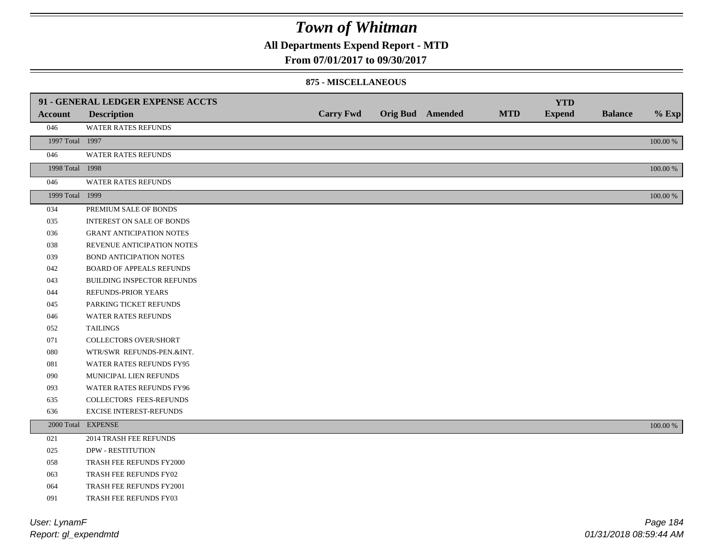### **All Departments Expend Report - MTD**

**From 07/01/2017 to 09/30/2017**

#### **875 - MISCELLANEOUS**

|                 | 91 - GENERAL LEDGER EXPENSE ACCTS |                  |                         |            | <b>YTD</b>    |                |             |
|-----------------|-----------------------------------|------------------|-------------------------|------------|---------------|----------------|-------------|
| <b>Account</b>  | <b>Description</b>                | <b>Carry Fwd</b> | <b>Orig Bud</b> Amended | <b>MTD</b> | <b>Expend</b> | <b>Balance</b> | $%$ Exp     |
| 046             | WATER RATES REFUNDS               |                  |                         |            |               |                |             |
| 1997 Total 1997 |                                   |                  |                         |            |               |                | $100.00~\%$ |
| 046             | WATER RATES REFUNDS               |                  |                         |            |               |                |             |
| 1998 Total 1998 |                                   |                  |                         |            |               |                | 100.00 %    |
| 046             | WATER RATES REFUNDS               |                  |                         |            |               |                |             |
| 1999 Total 1999 |                                   |                  |                         |            |               |                | $100.00~\%$ |
| 034             | PREMIUM SALE OF BONDS             |                  |                         |            |               |                |             |
| 035             | <b>INTEREST ON SALE OF BONDS</b>  |                  |                         |            |               |                |             |
| 036             | <b>GRANT ANTICIPATION NOTES</b>   |                  |                         |            |               |                |             |
| 038             | REVENUE ANTICIPATION NOTES        |                  |                         |            |               |                |             |
| 039             | <b>BOND ANTICIPATION NOTES</b>    |                  |                         |            |               |                |             |
| 042             | BOARD OF APPEALS REFUNDS          |                  |                         |            |               |                |             |
| 043             | <b>BUILDING INSPECTOR REFUNDS</b> |                  |                         |            |               |                |             |
| 044             | REFUNDS-PRIOR YEARS               |                  |                         |            |               |                |             |
| 045             | PARKING TICKET REFUNDS            |                  |                         |            |               |                |             |
| 046             | WATER RATES REFUNDS               |                  |                         |            |               |                |             |
| 052             | <b>TAILINGS</b>                   |                  |                         |            |               |                |             |
| 071             | <b>COLLECTORS OVER/SHORT</b>      |                  |                         |            |               |                |             |
| 080             | WTR/SWR REFUNDS-PEN.&INT.         |                  |                         |            |               |                |             |
| 081             | WATER RATES REFUNDS FY95          |                  |                         |            |               |                |             |
| 090             | MUNICIPAL LIEN REFUNDS            |                  |                         |            |               |                |             |
| 093             | WATER RATES REFUNDS FY96          |                  |                         |            |               |                |             |
| 635             | COLLECTORS FEES-REFUNDS           |                  |                         |            |               |                |             |
| 636             | <b>EXCISE INTEREST-REFUNDS</b>    |                  |                         |            |               |                |             |
|                 | 2000 Total EXPENSE                |                  |                         |            |               |                | 100.00 %    |
| 021             | 2014 TRASH FEE REFUNDS            |                  |                         |            |               |                |             |
| 025             | <b>DPW - RESTITUTION</b>          |                  |                         |            |               |                |             |
| 058             | TRASH FEE REFUNDS FY2000          |                  |                         |            |               |                |             |
| 063             | TRASH FEE REFUNDS FY02            |                  |                         |            |               |                |             |
| 064             | TRASH FEE REFUNDS FY2001          |                  |                         |            |               |                |             |

TRASH FEE REFUNDS FY03

*Report: gl\_expendmtd User: LynamF*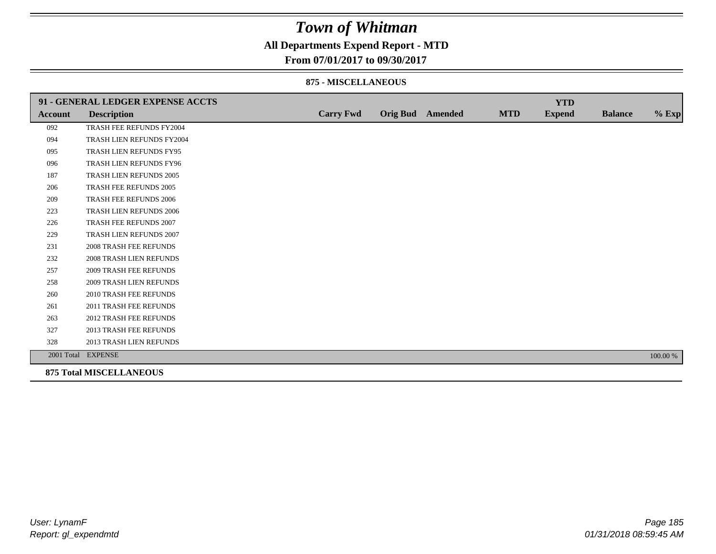### **All Departments Expend Report - MTD**

### **From 07/01/2017 to 09/30/2017**

#### **875 - MISCELLANEOUS**

|                | 91 - GENERAL LEDGER EXPENSE ACCTS |                  |                         |            | <b>YTD</b>    |                |          |
|----------------|-----------------------------------|------------------|-------------------------|------------|---------------|----------------|----------|
| <b>Account</b> | <b>Description</b>                | <b>Carry Fwd</b> | <b>Orig Bud</b> Amended | <b>MTD</b> | <b>Expend</b> | <b>Balance</b> | $%$ Exp  |
| 092            | TRASH FEE REFUNDS FY2004          |                  |                         |            |               |                |          |
| 094            | TRASH LIEN REFUNDS FY2004         |                  |                         |            |               |                |          |
| 095            | TRASH LIEN REFUNDS FY95           |                  |                         |            |               |                |          |
| 096            | TRASH LIEN REFUNDS FY96           |                  |                         |            |               |                |          |
| 187            | TRASH LIEN REFUNDS 2005           |                  |                         |            |               |                |          |
| 206            | TRASH FEE REFUNDS 2005            |                  |                         |            |               |                |          |
| 209            | <b>TRASH FEE REFUNDS 2006</b>     |                  |                         |            |               |                |          |
| 223            | <b>TRASH LIEN REFUNDS 2006</b>    |                  |                         |            |               |                |          |
| 226            | TRASH FEE REFUNDS 2007            |                  |                         |            |               |                |          |
| 229            | TRASH LIEN REFUNDS 2007           |                  |                         |            |               |                |          |
| 231            | <b>2008 TRASH FEE REFUNDS</b>     |                  |                         |            |               |                |          |
| 232            | <b>2008 TRASH LIEN REFUNDS</b>    |                  |                         |            |               |                |          |
| 257            | <b>2009 TRASH FEE REFUNDS</b>     |                  |                         |            |               |                |          |
| 258            | 2009 TRASH LIEN REFUNDS           |                  |                         |            |               |                |          |
| 260            | 2010 TRASH FEE REFUNDS            |                  |                         |            |               |                |          |
| 261            | 2011 TRASH FEE REFUNDS            |                  |                         |            |               |                |          |
| 263            | <b>2012 TRASH FEE REFUNDS</b>     |                  |                         |            |               |                |          |
| 327            | <b>2013 TRASH FEE REFUNDS</b>     |                  |                         |            |               |                |          |
| 328            | 2013 TRASH LIEN REFUNDS           |                  |                         |            |               |                |          |
|                | 2001 Total EXPENSE                |                  |                         |            |               |                | 100.00 % |
|                | <b>875 Total MISCELLANEOUS</b>    |                  |                         |            |               |                |          |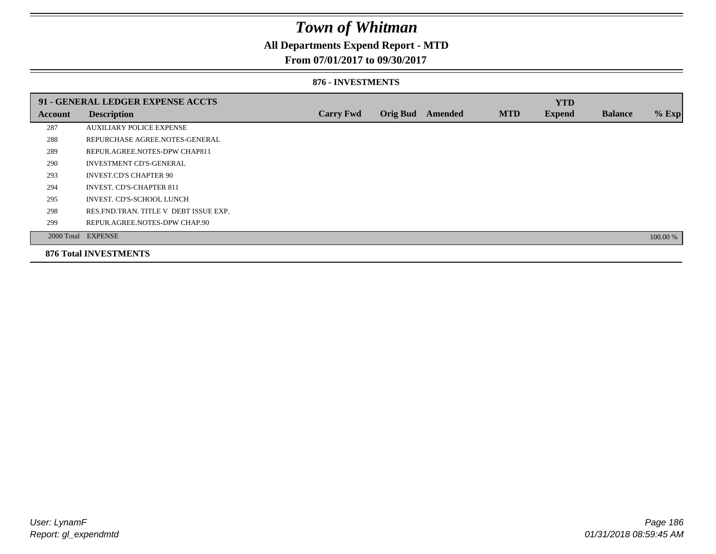### **All Departments Expend Report - MTD**

#### **From 07/01/2017 to 09/30/2017**

#### **876 - INVESTMENTS**

|         | 91 - GENERAL LEDGER EXPENSE ACCTS       |                  |                 |                |            | <b>YTD</b>    |                |          |
|---------|-----------------------------------------|------------------|-----------------|----------------|------------|---------------|----------------|----------|
| Account | <b>Description</b>                      | <b>Carry Fwd</b> | <b>Orig Bud</b> | <b>Amended</b> | <b>MTD</b> | <b>Expend</b> | <b>Balance</b> | $%$ Exp  |
| 287     | <b>AUXILIARY POLICE EXPENSE</b>         |                  |                 |                |            |               |                |          |
| 288     | REPURCHASE AGREE.NOTES-GENERAL          |                  |                 |                |            |               |                |          |
| 289     | REPUR.AGREE.NOTES-DPW CHAP811           |                  |                 |                |            |               |                |          |
| 290     | <b>INVESTMENT CD'S-GENERAL</b>          |                  |                 |                |            |               |                |          |
| 293     | <b>INVEST.CD'S CHAPTER 90</b>           |                  |                 |                |            |               |                |          |
| 294     | <b>INVEST. CD'S-CHAPTER 811</b>         |                  |                 |                |            |               |                |          |
| 295     | INVEST. CD'S-SCHOOL LUNCH               |                  |                 |                |            |               |                |          |
| 298     | RES. FND. TRAN. TITLE V DEBT ISSUE EXP. |                  |                 |                |            |               |                |          |
| 299     | REPUR.AGREE.NOTES-DPW CHAP.90           |                  |                 |                |            |               |                |          |
|         | 2000 Total EXPENSE                      |                  |                 |                |            |               |                | 100.00 % |
|         | <b>876 Total INVESTMENTS</b>            |                  |                 |                |            |               |                |          |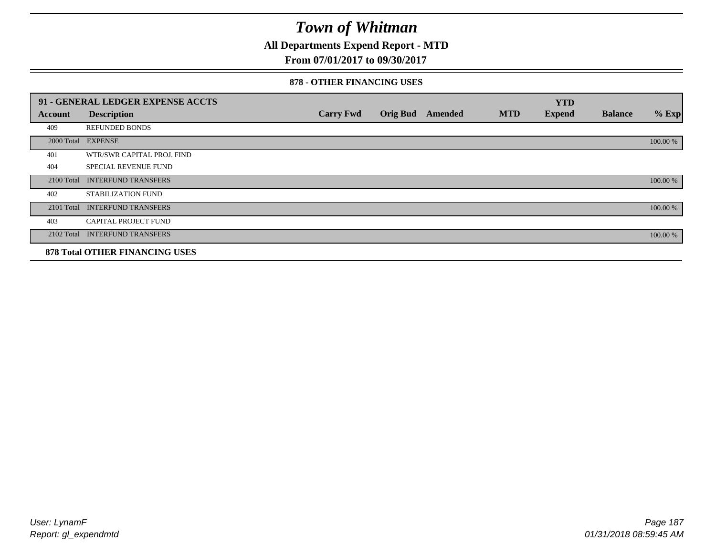**All Departments Expend Report - MTD**

### **From 07/01/2017 to 09/30/2017**

#### **878 - OTHER FINANCING USES**

|            | 91 - GENERAL LEDGER EXPENSE ACCTS     |                  |                 |         |            | <b>YTD</b>    |                |          |
|------------|---------------------------------------|------------------|-----------------|---------|------------|---------------|----------------|----------|
| Account    | <b>Description</b>                    | <b>Carry Fwd</b> | <b>Orig Bud</b> | Amended | <b>MTD</b> | <b>Expend</b> | <b>Balance</b> | $%$ Exp  |
| 409        | <b>REFUNDED BONDS</b>                 |                  |                 |         |            |               |                |          |
| 2000 Total | <b>EXPENSE</b>                        |                  |                 |         |            |               |                | 100.00 % |
| 401        | WTR/SWR CAPITAL PROJ. FIND            |                  |                 |         |            |               |                |          |
| 404        | <b>SPECIAL REVENUE FUND</b>           |                  |                 |         |            |               |                |          |
| 2100 Total | <b>INTERFUND TRANSFERS</b>            |                  |                 |         |            |               |                | 100.00 % |
| 402        | STABILIZATION FUND                    |                  |                 |         |            |               |                |          |
| 2101 Total | <b>INTERFUND TRANSFERS</b>            |                  |                 |         |            |               |                | 100.00 % |
| 403        | <b>CAPITAL PROJECT FUND</b>           |                  |                 |         |            |               |                |          |
|            | 2102 Total INTERFUND TRANSFERS        |                  |                 |         |            |               |                | 100.00 % |
|            | <b>878 Total OTHER FINANCING USES</b> |                  |                 |         |            |               |                |          |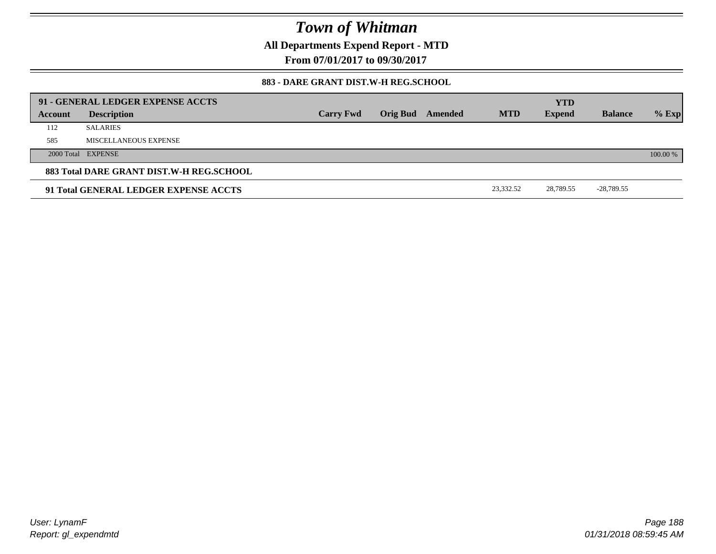**All Departments Expend Report - MTD**

**From 07/01/2017 to 09/30/2017**

#### **883 - DARE GRANT DIST.W-H REG.SCHOOL**

|         | 91 - GENERAL LEDGER EXPENSE ACCTS        |                  |                         |            | <b>YTD</b>    |                |          |
|---------|------------------------------------------|------------------|-------------------------|------------|---------------|----------------|----------|
| Account | <b>Description</b>                       | <b>Carry Fwd</b> | <b>Orig Bud</b> Amended | <b>MTD</b> | <b>Expend</b> | <b>Balance</b> | $%$ Exp  |
| 112     | <b>SALARIES</b>                          |                  |                         |            |               |                |          |
| 585     | MISCELLANEOUS EXPENSE                    |                  |                         |            |               |                |          |
|         | 2000 Total EXPENSE                       |                  |                         |            |               |                | 100.00 % |
|         | 883 Total DARE GRANT DIST.W-H REG.SCHOOL |                  |                         |            |               |                |          |
|         | 91 Total GENERAL LEDGER EXPENSE ACCTS    |                  |                         | 23.332.52  | 28.789.55     | -28,789.55     |          |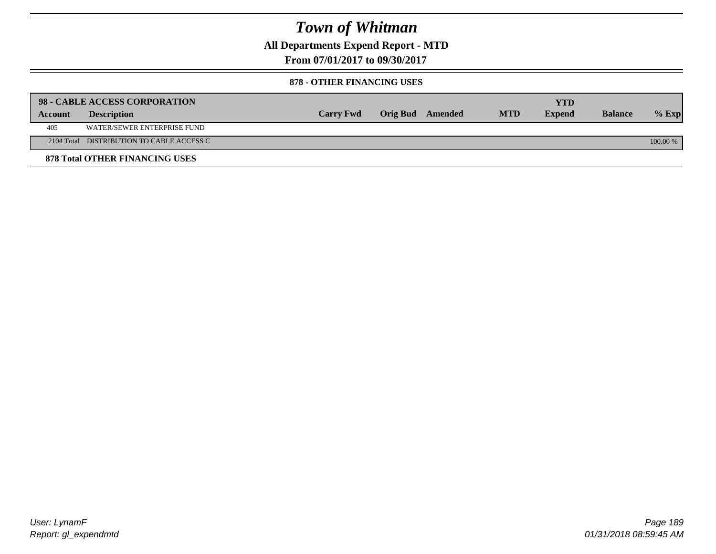**All Departments Expend Report - MTD**

**From 07/01/2017 to 09/30/2017**

#### **878 - OTHER FINANCING USES**

|         | 98 - CABLE ACCESS CORPORATION             |                  |                  |            | YTD           |                |          |
|---------|-------------------------------------------|------------------|------------------|------------|---------------|----------------|----------|
| Account | <b>Description</b>                        | <b>Carry Fwd</b> | Orig Bud Amended | <b>MTD</b> | <b>Expend</b> | <b>Balance</b> | $%$ Exp  |
| 405     | WATER/SEWER ENTERPRISE FUND               |                  |                  |            |               |                |          |
|         | 2104 Total DISTRIBUTION TO CABLE ACCESS C |                  |                  |            |               |                | 100.00 % |
|         | <b>878 Total OTHER FINANCING USES</b>     |                  |                  |            |               |                |          |